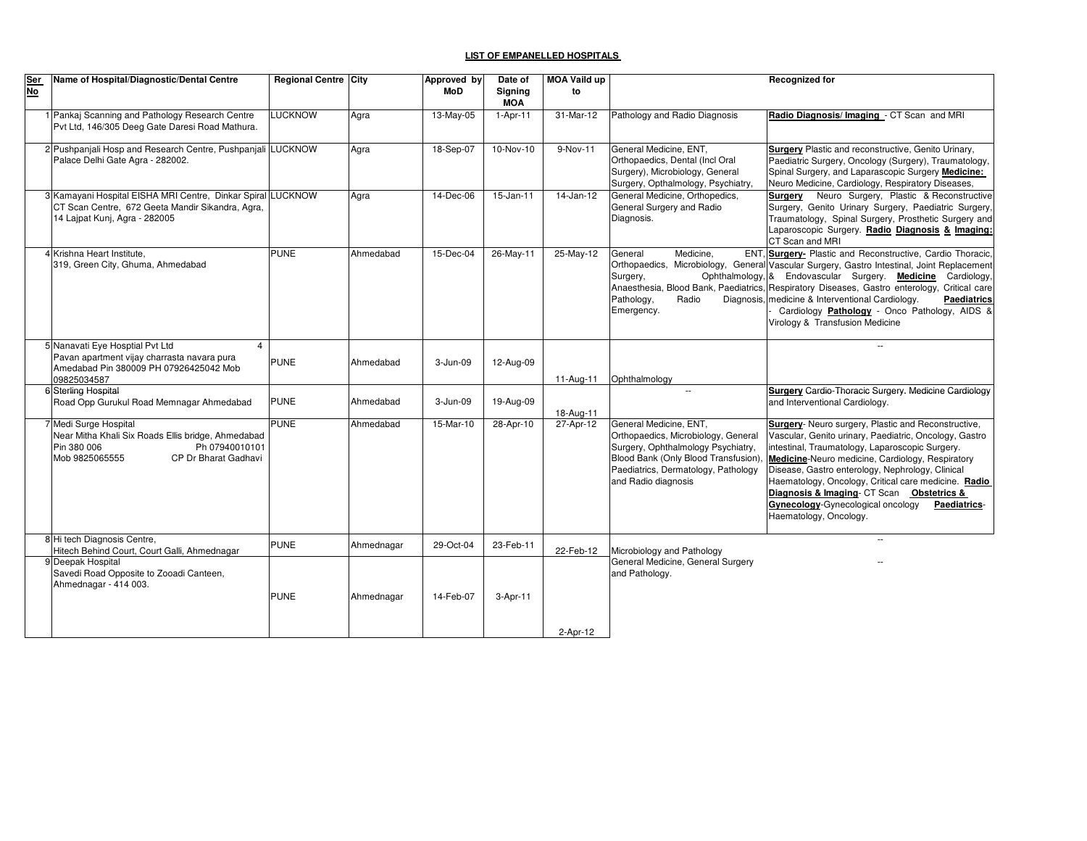| Ser       | Name of Hospital/Diagnostic/Dental Centre                                                                                                                 | <b>Regional Centre City</b> |            | Approved by | Date of               | <b>MOA Vaild up</b> |                                                                                                                                                                                                           | <b>Recognized for</b>                                                                                                                                                                                                                                                                                                                                                                                                                                                          |
|-----------|-----------------------------------------------------------------------------------------------------------------------------------------------------------|-----------------------------|------------|-------------|-----------------------|---------------------|-----------------------------------------------------------------------------------------------------------------------------------------------------------------------------------------------------------|--------------------------------------------------------------------------------------------------------------------------------------------------------------------------------------------------------------------------------------------------------------------------------------------------------------------------------------------------------------------------------------------------------------------------------------------------------------------------------|
| <b>No</b> |                                                                                                                                                           |                             |            | MoD         | Signing<br><b>MOA</b> | to                  |                                                                                                                                                                                                           |                                                                                                                                                                                                                                                                                                                                                                                                                                                                                |
|           | 1 Pankaj Scanning and Pathology Research Centre<br>Pvt Ltd, 146/305 Deeg Gate Daresi Road Mathura.                                                        | <b>LUCKNOW</b>              | Agra       | 13-May-05   | $1-Apr-11$            | 31-Mar-12           | Pathology and Radio Diagnosis                                                                                                                                                                             | Radio Diagnosis/Imaging - CT Scan and MRI                                                                                                                                                                                                                                                                                                                                                                                                                                      |
|           | 2 Pushpanjali Hosp and Research Centre, Pushpanjali LUCKNOW<br>Palace Delhi Gate Agra - 282002.                                                           |                             | Agra       | 18-Sep-07   | 10-Nov-10             | 9-Nov-11            | General Medicine, ENT,<br>Orthopaedics, Dental (Incl Oral<br>Surgery), Microbiology, General<br>Surgery, Opthalmology, Psychiatry,                                                                        | Surgery Plastic and reconstructive, Genito Urinary,<br>Paediatric Surgery, Oncology (Surgery), Traumatology,<br>Spinal Surgery, and Laparascopic Surgery Medicine:<br>Neuro Medicine, Cardiology, Respiratory Diseases,                                                                                                                                                                                                                                                        |
|           | 3 Kamayani Hospital EISHA MRI Centre, Dinkar Spiral LUCKNOW<br>CT Scan Centre, 672 Geeta Mandir Sikandra, Agra,<br>14 Lajpat Kunj, Agra - 282005          |                             | Agra       | 14-Dec-06   | $15 - Jan - 11$       | 14-Jan-12           | General Medicine, Orthopedics,<br>General Surgery and Radio<br>Diagnosis.                                                                                                                                 | Neuro Surgery, Plastic & Reconstructive<br>Surgery<br>Surgery, Genito Urinary Surgery, Paediatric Surgery,<br>Traumatology, Spinal Surgery, Prosthetic Surgery and<br>Laparoscopic Surgery. Radio Diagnosis & Imaging:<br>CT Scan and MRI                                                                                                                                                                                                                                      |
|           | 4 Krishna Heart Institute,<br>319, Green City, Ghuma, Ahmedabad                                                                                           | <b>PUNE</b>                 | Ahmedabad  | 15-Dec-04   | 26-May-11             | 25-May-12           | Medicine.<br>General<br>Surgery,<br>Pathology,<br>Radio<br>Emergency.                                                                                                                                     | ENT. Surgery- Plastic and Reconstructive, Cardio Thoracic,<br>Orthopaedics, Microbiology, General Vascular Surgery, Gastro Intestinal, Joint Replacement<br>Ophthalmology, & Endovascular Surgery. Medicine Cardiology,<br>Anaesthesia, Blood Bank, Paediatrics, Respiratory Diseases, Gastro enterology, Critical care<br>Diagnosis, medicine & Interventional Cardiology.<br>Paediatrics<br>Cardiology Pathology - Onco Pathology, AIDS &<br>Virology & Transfusion Medicine |
|           | 5 Nanavati Eye Hosptial Pvt Ltd<br>$\overline{4}$<br>Pavan apartment vijay charrasta navara pura<br>Amedabad Pin 380009 PH 07926425042 Mob<br>09825034587 | <b>PUNE</b>                 | Ahmedabad  | 3-Jun-09    | 12-Aug-09             | 11-Aug-11           | Ophthalmology                                                                                                                                                                                             | $\sim$ $\sim$                                                                                                                                                                                                                                                                                                                                                                                                                                                                  |
|           | 6 Sterling Hospital<br>Road Opp Gurukul Road Memnagar Ahmedabad                                                                                           | <b>PUNE</b>                 | Ahmedabad  | 3-Jun-09    | 19-Aug-09             | 18-Aug-11           | $\overline{\phantom{a}}$                                                                                                                                                                                  | <b>Surgery</b> Cardio-Thoracic Surgery. Medicine Cardiology<br>and Interventional Cardiology.                                                                                                                                                                                                                                                                                                                                                                                  |
|           | 7 Medi Surge Hospital<br>Near Mitha Khali Six Roads Ellis bridge, Ahmedabad<br>Pin 380 006<br>Ph 07940010101<br>Mob 9825065555<br>CP Dr Bharat Gadhavi    | <b>PUNE</b>                 | Ahmedabad  | 15-Mar-10   | 28-Apr-10             | 27-Apr-12           | General Medicine, ENT,<br>Orthopaedics, Microbiology, General<br>Surgery, Ophthalmology Psychiatry,<br>Blood Bank (Only Blood Transfusion),<br>Paediatrics, Dermatology, Pathology<br>and Radio diagnosis | Surgery- Neuro surgery, Plastic and Reconstructive,<br>Vascular, Genito urinary, Paediatric, Oncology, Gastro<br>intestinal, Traumatology, Laparoscopic Surgery.<br>Medicine-Neuro medicine, Cardiology, Respiratory<br>Disease, Gastro enterology, Nephrology, Clinical<br>Haematology, Oncology, Critical care medicine. Radio<br>Diagnosis & Imaging- CT Scan Obstetrics &<br>Gynecology-Gynecological oncology<br>Paediatrics-<br>Haematology, Oncology.                   |
|           | 8 Hi tech Diagnosis Centre,<br>Hitech Behind Court, Court Galli, Ahmednagar                                                                               | PUNE                        | Ahmednagar | 29-Oct-04   | 23-Feb-11             | 22-Feb-12           | Microbiology and Pathology                                                                                                                                                                                | ш.                                                                                                                                                                                                                                                                                                                                                                                                                                                                             |
|           | 9 Deepak Hospital<br>Savedi Road Opposite to Zooadi Canteen,<br>Ahmednagar - 414 003.                                                                     |                             |            |             |                       |                     | General Medicine, General Surgery<br>and Pathology.                                                                                                                                                       |                                                                                                                                                                                                                                                                                                                                                                                                                                                                                |
|           |                                                                                                                                                           | PUNE                        | Ahmednagar | 14-Feb-07   | $3-Apr-11$            |                     |                                                                                                                                                                                                           |                                                                                                                                                                                                                                                                                                                                                                                                                                                                                |
|           |                                                                                                                                                           |                             |            |             |                       | 2-Apr-12            |                                                                                                                                                                                                           |                                                                                                                                                                                                                                                                                                                                                                                                                                                                                |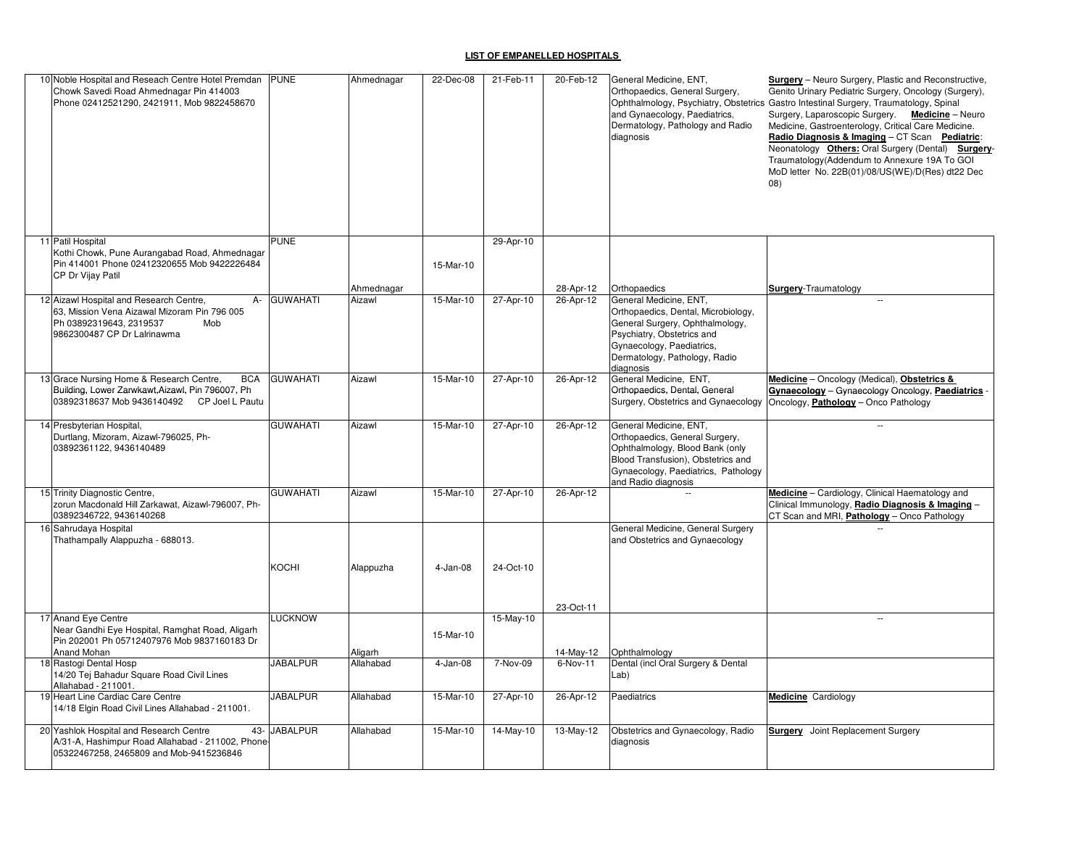| 10 Noble Hospital and Reseach Centre Hotel Premdan<br>Chowk Savedi Road Ahmednagar Pin 414003<br>Phone 02412521290, 2421911, Mob 9822458670                       | <b>PUNE</b>     | Ahmednagar | 22-Dec-08   | 21-Feb-11 | 20-Feb-12 | General Medicine, ENT,<br>Orthopaedics, General Surgery,<br>and Gynaecology, Paediatrics,<br>Dermatology, Pathology and Radio<br>diagnosis                                                                | <b>Surgery</b> - Neuro Surgery, Plastic and Reconstructive,<br>Genito Urinary Pediatric Surgery, Oncology (Surgery),<br>Ophthalmology, Psychiatry, Obstetrics Gastro Intestinal Surgery, Traumatology, Spinal<br>Surgery, Laparoscopic Surgery. Medicine - Neuro<br>Medicine, Gastroenterology, Critical Care Medicine.<br>Radio Diagnosis & Imaging - CT Scan Pediatric:<br>Neonatology Others: Oral Surgery (Dental) Surgery-<br>Traumatology(Addendum to Annexure 19A To GOI<br>MoD letter No. 22B(01)/08/US(WE)/D(Res) dt22 Dec<br>(08) |
|-------------------------------------------------------------------------------------------------------------------------------------------------------------------|-----------------|------------|-------------|-----------|-----------|-----------------------------------------------------------------------------------------------------------------------------------------------------------------------------------------------------------|---------------------------------------------------------------------------------------------------------------------------------------------------------------------------------------------------------------------------------------------------------------------------------------------------------------------------------------------------------------------------------------------------------------------------------------------------------------------------------------------------------------------------------------------|
| 11 Patil Hospital<br>Kothi Chowk, Pune Aurangabad Road, Ahmednagar<br>Pin 414001 Phone 02412320655 Mob 9422226484<br>CP Dr Vijay Patil                            | <b>PUNE</b>     |            | 15-Mar-10   | 29-Apr-10 |           |                                                                                                                                                                                                           |                                                                                                                                                                                                                                                                                                                                                                                                                                                                                                                                             |
|                                                                                                                                                                   |                 | Ahmednagar |             |           | 28-Apr-12 | Orthopaedics                                                                                                                                                                                              | Surgery-Traumatology                                                                                                                                                                                                                                                                                                                                                                                                                                                                                                                        |
| 12 Aizawl Hospital and Research Centre,<br>$A -$<br>63, Mission Vena Aizawal Mizoram Pin 796 005<br>Ph 03892319643, 2319537<br>Mob<br>9862300487 CP Dr Lalrinawma | <b>GUWAHATI</b> | Aizawl     | 15-Mar-10   | 27-Apr-10 | 26-Apr-12 | General Medicine, ENT,<br>Orthopaedics, Dental, Microbiology,<br>General Surgery, Ophthalmology,<br>Psychiatry, Obstetrics and<br>Gynaecology, Paediatrics,<br>Dermatology, Pathology, Radio<br>diagnosis | $\sim$ $\sim$                                                                                                                                                                                                                                                                                                                                                                                                                                                                                                                               |
| 13 Grace Nursing Home & Research Centre,<br><b>BCA</b><br>Building, Lower Zarwkawt, Aizawl, Pin 796007, Ph<br>03892318637 Mob 9436140492 CP Joel L Pautu          | <b>GUWAHATI</b> | Aizawl     | $15-Mar-10$ | 27-Apr-10 | 26-Apr-12 | General Medicine, ENT,<br>Orthopaedics, Dental, General<br>Surgery, Obstetrics and Gynaecology                                                                                                            | Medicine - Oncology (Medical), Obstetrics &<br>Gynaecology - Gynaecology Oncology, Paediatrics -<br>Oncology, Pathology - Onco Pathology                                                                                                                                                                                                                                                                                                                                                                                                    |
| 14 Presbyterian Hospital,<br>Durtlang, Mizoram, Aizawl-796025, Ph-<br>03892361122, 9436140489                                                                     | <b>GUWAHATI</b> | Aizawl     | 15-Mar-10   | 27-Apr-10 | 26-Apr-12 | General Medicine, ENT.<br>Orthopaedics, General Surgery,<br>Ophthalmology, Blood Bank (only<br>Blood Transfusion), Obstetrics and<br>Gynaecology, Paediatrics, Pathology<br>and Radio diagnosis           | $\sim$ $\sim$                                                                                                                                                                                                                                                                                                                                                                                                                                                                                                                               |
| 15 Trinity Diagnostic Centre,<br>zorun Macdonald Hill Zarkawat, Aizawl-796007, Ph-<br>03892346722, 9436140268                                                     | <b>GUWAHATI</b> | Aizawl     | 15-Mar-10   | 27-Apr-10 | 26-Apr-12 |                                                                                                                                                                                                           | Medicine - Cardiology, Clinical Haematology and<br>Clinical Immunology, Radio Diagnosis & Imaging -<br>CT Scan and MRI, Pathology - Onco Pathology                                                                                                                                                                                                                                                                                                                                                                                          |
| 16 Sahrudaya Hospital<br>Thathampally Alappuzha - 688013.                                                                                                         |                 |            |             |           |           | General Medicine, General Surgery<br>and Obstetrics and Gynaecology                                                                                                                                       |                                                                                                                                                                                                                                                                                                                                                                                                                                                                                                                                             |
|                                                                                                                                                                   | KOCHI           | Alappuzha  | $4-Jan-08$  | 24-Oct-10 |           |                                                                                                                                                                                                           |                                                                                                                                                                                                                                                                                                                                                                                                                                                                                                                                             |
| 17 Anand Eve Centre                                                                                                                                               | <b>LUCKNOW</b>  |            |             | 15-May-10 | 23-Oct-11 |                                                                                                                                                                                                           |                                                                                                                                                                                                                                                                                                                                                                                                                                                                                                                                             |
| Near Gandhi Eye Hospital, Ramghat Road, Aligarh<br>Pin 202001 Ph 05712407976 Mob 9837160183 Dr<br>Anand Mohan                                                     |                 | Aligarh    | 15-Mar-10   |           | 14-May-12 | Ophthalmology                                                                                                                                                                                             |                                                                                                                                                                                                                                                                                                                                                                                                                                                                                                                                             |
| 18 Rastogi Dental Hosp<br>14/20 Tej Bahadur Square Road Civil Lines<br>Allahabad - 211001.                                                                        | <b>JABALPUR</b> | Allahabad  | 4-Jan-08    | 7-Nov-09  | 6-Nov-11  | Dental (incl Oral Surgery & Dental<br>Lab)                                                                                                                                                                |                                                                                                                                                                                                                                                                                                                                                                                                                                                                                                                                             |
| 19 Heart Line Cardiac Care Centre<br>14/18 Elgin Road Civil Lines Allahabad - 211001.                                                                             | <b>JABALPUR</b> | Allahabad  | 15-Mar-10   | 27-Apr-10 | 26-Apr-12 | Paediatrics                                                                                                                                                                                               | <b>Medicine</b> Cardiology                                                                                                                                                                                                                                                                                                                                                                                                                                                                                                                  |
| 20 Yashlok Hospital and Research Centre<br>A/31-A, Hashimpur Road Allahabad - 211002, Phone<br>05322467258, 2465809 and Mob-9415236846                            | 43- JABALPUR    | Allahabad  | 15-Mar-10   | 14-May-10 | 13-May-12 | Obstetrics and Gynaecology, Radio<br>diagnosis                                                                                                                                                            | <b>Surgery</b> Joint Replacement Surgery                                                                                                                                                                                                                                                                                                                                                                                                                                                                                                    |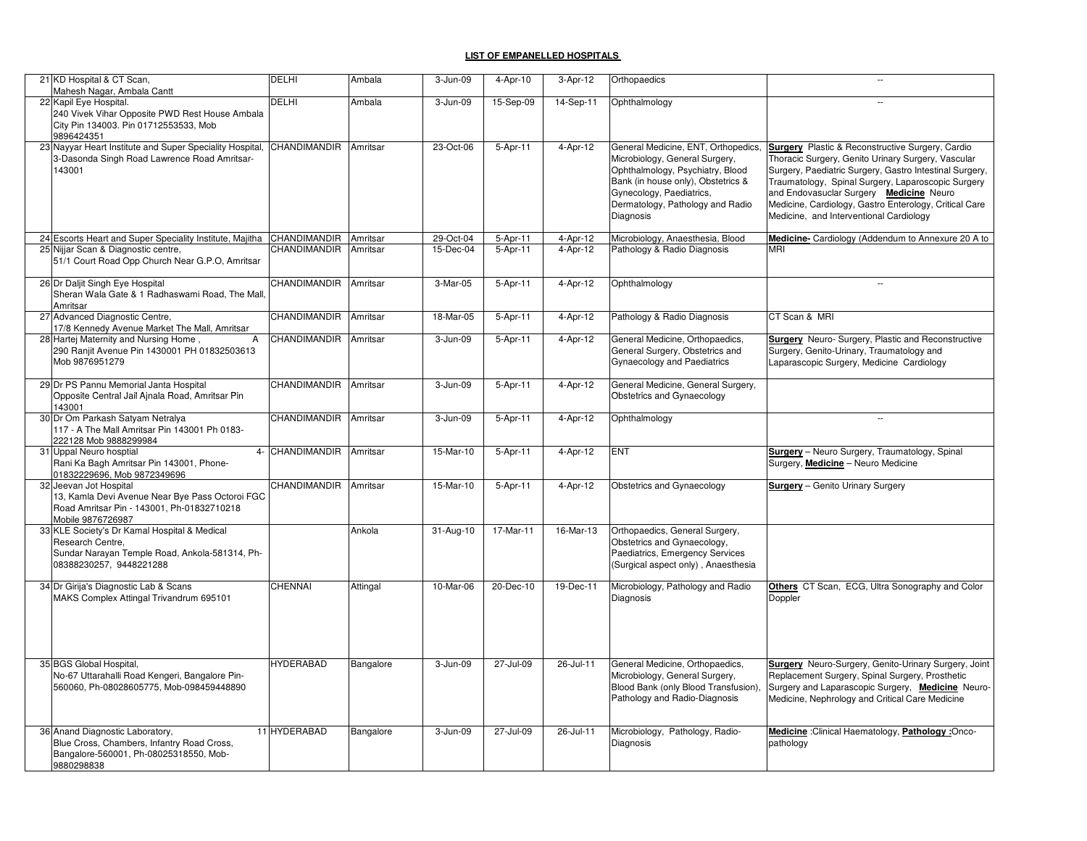| 21 KD Hospital & CT Scan,<br>Mahesh Nagar, Ambala Cantt                                                                                       | DELHI                 | Ambala    | 3-Jun-09  | 4-Apr-10   | $3-Apr-12$ | Orthopaedics                                                                                                                                                                                                                 | $\mathcal{L}_{\mathcal{A}}$                                                                                                                                                                                                                                                                                                                                                    |
|-----------------------------------------------------------------------------------------------------------------------------------------------|-----------------------|-----------|-----------|------------|------------|------------------------------------------------------------------------------------------------------------------------------------------------------------------------------------------------------------------------------|--------------------------------------------------------------------------------------------------------------------------------------------------------------------------------------------------------------------------------------------------------------------------------------------------------------------------------------------------------------------------------|
| 22 Kapil Eye Hospital.<br>240 Vivek Vihar Opposite PWD Rest House Ambala<br>City Pin 134003. Pin 01712553533, Mob<br>9896424351               | DELHI                 | Ambala    | 3-Jun-09  | 15-Sep-09  | 14-Sep-11  | Ophthalmology                                                                                                                                                                                                                | $\sim$                                                                                                                                                                                                                                                                                                                                                                         |
| 23 Nayyar Heart Institute and Super Speciality Hospital,<br>3-Dasonda Singh Road Lawrence Road Amritsar-<br>143001                            | <b>CHANDIMANDIR</b>   | Amritsar  | 23-Oct-06 | 5-Apr-11   | $4-Apr-12$ | General Medicine, ENT, Orthopedics,<br>Microbiology, General Surgery,<br>Ophthalmology, Psychiatry, Blood<br>Bank (in house only), Obstetrics &<br>Gynecology, Paediatrics,<br>Dermatology, Pathology and Radio<br>Diagnosis | <b>Surgery</b> Plastic & Reconstructive Surgery, Cardio<br>Thoracic Surgery, Genito Urinary Surgery, Vascular<br>Surgery, Paediatric Surgery, Gastro Intestinal Surgery,<br>Traumatology, Spinal Surgery, Laparoscopic Surgery<br>and Endovasuclar Surgery Medicine Neuro<br>Medicine, Cardiology, Gastro Enterology, Critical Care<br>Medicine, and Interventional Cardiology |
| 24 Escorts Heart and Super Speciality Institute, Majitha                                                                                      | CHANDIMANDIR          | Amritsar  | 29-Oct-04 | 5-Apr-11   | 4-Apr-12   | Microbiology, Anaesthesia, Blood                                                                                                                                                                                             | Medicine- Cardiology (Addendum to Annexure 20 A to                                                                                                                                                                                                                                                                                                                             |
| 25 Nijjar Scan & Diagnostic centre,<br>51/1 Court Road Opp Church Near G.P.O, Amritsar                                                        | CHANDIMANDIR Amritsar |           | 15-Dec-04 | 5-Apr-11   | $4-Apr-12$ | Pathology & Radio Diagnosis                                                                                                                                                                                                  | MRI                                                                                                                                                                                                                                                                                                                                                                            |
| 26 Dr Daljit Singh Eye Hospital<br>Sheran Wala Gate & 1 Radhaswami Road, The Mall,<br>Amritsar                                                | CHANDIMANDIR Amritsar |           | 3-Mar-05  | $5-Apr-11$ | 4-Apr-12   | Ophthalmology                                                                                                                                                                                                                | ÷.                                                                                                                                                                                                                                                                                                                                                                             |
| 27 Advanced Diagnostic Centre,<br>17/8 Kennedy Avenue Market The Mall, Amritsar                                                               | CHANDIMANDIR          | Amritsar  | 18-Mar-05 | 5-Apr-11   | 4-Apr-12   | Pathology & Radio Diagnosis                                                                                                                                                                                                  | CT Scan & MRI                                                                                                                                                                                                                                                                                                                                                                  |
| 28 Hartej Maternity and Nursing Home,<br>Α<br>290 Ranjit Avenue Pin 1430001 PH 01832503613<br>Mob 9876951279                                  | CHANDIMANDIR Amritsar |           | 3-Jun-09  | 5-Apr-11   | 4-Apr-12   | General Medicine, Orthopaedics,<br>General Surgery, Obstetrics and<br><b>Gynaecology and Paediatrics</b>                                                                                                                     | Surgery Neuro- Surgery, Plastic and Reconstructive<br>Surgery, Genito-Urinary, Traumatology and<br>Laparascopic Surgery, Medicine Cardiology                                                                                                                                                                                                                                   |
| 29 Dr PS Pannu Memorial Janta Hospital<br>Opposite Central Jail Ajnala Road, Amritsar Pin<br>143001                                           | CHANDIMANDIR Amritsar |           | 3-Jun-09  | 5-Apr-11   | 4-Apr-12   | General Medicine, General Surgery,<br>Obstetrics and Gynaecology                                                                                                                                                             |                                                                                                                                                                                                                                                                                                                                                                                |
| 30 Dr Om Parkash Satyam Netralya<br>117 - A The Mall Amritsar Pin 143001 Ph 0183-<br>222128 Mob 9888299984                                    | CHANDIMANDIR Amritsar |           | 3-Jun-09  | 5-Apr-11   | 4-Apr-12   | Ophthalmology                                                                                                                                                                                                                | ÷.                                                                                                                                                                                                                                                                                                                                                                             |
| 31 Uppal Neuro hosptial<br>Rani Ka Bagh Amritsar Pin 143001, Phone-<br>01832229696, Mob 9872349696                                            | 4- CHANDIMANDIR       | Amritsar  | 15-Mar-10 | 5-Apr-11   | 4-Apr-12   | <b>ENT</b>                                                                                                                                                                                                                   | <b>Surgery</b> - Neuro Surgery, Traumatology, Spinal<br>Surgery, <b>Medicine</b> - Neuro Medicine                                                                                                                                                                                                                                                                              |
| 32 Jeevan Jot Hospital<br>13, Kamla Devi Avenue Near Bye Pass Octoroi FGC<br>Road Amritsar Pin - 143001, Ph-01832710218<br>Mobile 9876726987  | <b>CHANDIMANDIR</b>   | Amritsar  | 15-Mar-10 | $5-Apr-11$ | $4-Apr-12$ | Obstetrics and Gynaecology                                                                                                                                                                                                   | <b>Surgery</b> - Genito Urinary Surgery                                                                                                                                                                                                                                                                                                                                        |
| 33 KLE Society's Dr Kamal Hospital & Medical<br>Research Centre,<br>Sundar Narayan Temple Road, Ankola-581314, Ph-<br>08388230257, 9448221288 |                       | Ankola    | 31-Aug-10 | 17-Mar-11  | 16-Mar-13  | Orthopaedics, General Surgery,<br>Obstetrics and Gynaecology,<br>Paediatrics, Emergency Services<br>(Surgical aspect only), Anaesthesia                                                                                      |                                                                                                                                                                                                                                                                                                                                                                                |
| 34 Dr Girija's Diagnostic Lab & Scans<br>MAKS Complex Attingal Trivandrum 695101                                                              | <b>CHENNAI</b>        | Attingal  | 10-Mar-06 | 20-Dec-10  | 19-Dec-11  | Microbiology, Pathology and Radio<br>Diagnosis                                                                                                                                                                               | Others CT Scan, ECG, Ultra Sonography and Color<br>Doppler                                                                                                                                                                                                                                                                                                                     |
| 35 BGS Global Hospital,<br>No-67 Uttarahalli Road Kengeri, Bangalore Pin-<br>560060, Ph-08028605775, Mob-098459448890                         | <b>HYDERABAD</b>      | Bangalore | 3-Jun-09  | 27-Jul-09  | 26-Jul-11  | General Medicine, Orthopaedics,<br>Microbiology, General Surgery,<br>Blood Bank (only Blood Transfusion),<br>Pathology and Radio-Diagnosis                                                                                   | Surgery Neuro-Surgery, Genito-Urinary Surgery, Joint<br>Replacement Surgery, Spinal Surgery, Prosthetic<br>Surgery and Laparascopic Surgery, Medicine Neuro-<br>Medicine, Nephrology and Critical Care Medicine                                                                                                                                                                |
| 36 Anand Diagnostic Laboratory,<br>Blue Cross, Chambers, Infantry Road Cross,<br>Bangalore-560001, Ph-08025318550, Mob-<br>9880298838         | 11 HYDERABAD          | Bangalore | 3-Jun-09  | 27-Jul-09  | 26-Jul-11  | Microbiology, Pathology, Radio-<br>Diagnosis                                                                                                                                                                                 | Medicine : Clinical Haematology, Pathology : Onco-<br>pathology                                                                                                                                                                                                                                                                                                                |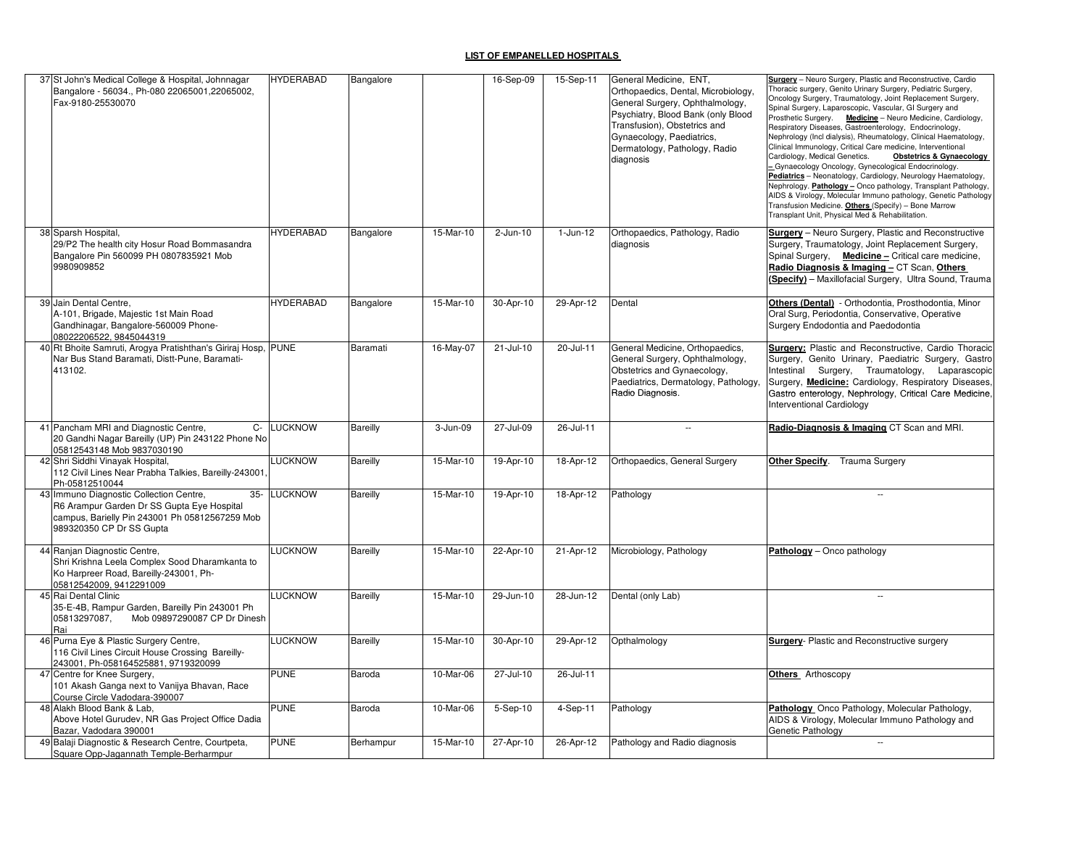| 37 St John's Medical College & Hospital, Johnnagar<br>Bangalore - 56034., Ph-080 22065001,22065002,<br>Fax-9180-25530070                                                      | <b>HYDERABAD</b> | Bangalore       |           | 16-Sep-09     | 15-Sep-11               | General Medicine, ENT,<br>Orthopaedics, Dental, Microbiology,<br>General Surgery, Ophthalmology,<br>Psychiatry, Blood Bank (only Blood<br>Transfusion), Obstetrics and<br>Gynaecology, Paediatrics,<br>Dermatology, Pathology, Radio<br>diagnosis | Surgery - Neuro Surgery, Plastic and Reconstructive, Cardio<br>Thoracic surgery, Genito Urinary Surgery, Pediatric Surgery,<br>Oncology Surgery, Traumatology, Joint Replacement Surgery,<br>Spinal Surgery, Laparoscopic, Vascular, GI Surgery and<br>Prosthetic Surgery. Medicine - Neuro Medicine, Cardiology,<br>Respiratory Diseases, Gastroenterology, Endocrinology,<br>Nephrology (Incl dialysis), Rheumatology, Clinical Haematology,<br>Clinical Immunology, Critical Care medicine, Interventional<br>Cardiology, Medical Genetics.<br><b>Obstetrics &amp; Gynaecology</b><br>- Gynaecology Oncology, Gynecological Endocrinology.<br>Pediatrics - Neonatology, Cardiology, Neurology Haematology,<br>Nephrology. Pathology - Onco pathology, Transplant Pathology,<br>AIDS & Virology, Molecular Immuno pathology, Genetic Pathology<br>Transfusion Medicine. Others (Specify) - Bone Marrow<br>Transplant Unit, Physical Med & Rehabilitation. |
|-------------------------------------------------------------------------------------------------------------------------------------------------------------------------------|------------------|-----------------|-----------|---------------|-------------------------|---------------------------------------------------------------------------------------------------------------------------------------------------------------------------------------------------------------------------------------------------|-------------------------------------------------------------------------------------------------------------------------------------------------------------------------------------------------------------------------------------------------------------------------------------------------------------------------------------------------------------------------------------------------------------------------------------------------------------------------------------------------------------------------------------------------------------------------------------------------------------------------------------------------------------------------------------------------------------------------------------------------------------------------------------------------------------------------------------------------------------------------------------------------------------------------------------------------------------|
| 38 Sparsh Hospital.<br>29/P2 The health city Hosur Road Bommasandra<br>Bangalore Pin 560099 PH 0807835921 Mob<br>9980909852                                                   | <b>HYDERABAD</b> | Bangalore       | 15-Mar-10 | $2-Jun-10$    | 1-Jun-12                | Orthopaedics, Pathology, Radio<br>diagnosis                                                                                                                                                                                                       | <b>Surgery</b> - Neuro Surgery, Plastic and Reconstructive<br>Surgery, Traumatology, Joint Replacement Surgery,<br>Spinal Surgery, Medicine - Critical care medicine,<br>Radio Diagnosis & Imaging - CT Scan, Others<br>(Specify) - Maxillofacial Surgery, Ultra Sound, Trauma                                                                                                                                                                                                                                                                                                                                                                                                                                                                                                                                                                                                                                                                              |
| 39 Jain Dental Centre,<br>A-101, Brigade, Majestic 1st Main Road<br>Gandhinagar, Bangalore-560009 Phone-<br>08022206522, 9845044319                                           | <b>HYDERABAD</b> | Bangalore       | 15-Mar-10 | 30-Apr-10     | 29-Apr-12               | Dental                                                                                                                                                                                                                                            | Others (Dental) - Orthodontia, Prosthodontia, Minor<br>Oral Surg, Periodontia, Conservative, Operative<br>Surgery Endodontia and Paedodontia                                                                                                                                                                                                                                                                                                                                                                                                                                                                                                                                                                                                                                                                                                                                                                                                                |
| 40 Rt Bhoite Samruti, Arogya Pratishthan's Giriraj Hosp,<br>Nar Bus Stand Baramati, Distt-Pune, Baramati-<br>413102.                                                          | <b>PUNE</b>      | Baramati        | 16-May-07 | $21 -$ Jul-10 | 20-Jul-11               | General Medicine, Orthopaedics,<br>General Surgery, Ophthalmology,<br>Obstetrics and Gynaecology,<br>Paediatrics, Dermatology, Pathology,<br>Radio Diagnosis.                                                                                     | <b>Surgery: Plastic and Reconstructive, Cardio Thoracic</b><br>Surgery, Genito Urinary, Paediatric Surgery, Gastro<br>Intestinal Surgery, Traumatology, Laparascopic<br>Surgery, Medicine: Cardiology, Respiratory Diseases,<br>Gastro enterology, Nephrology, Critical Care Medicine,<br>Interventional Cardiology                                                                                                                                                                                                                                                                                                                                                                                                                                                                                                                                                                                                                                         |
| 41 Pancham MRI and Diagnostic Centre,<br>$C-$<br>20 Gandhi Nagar Bareilly (UP) Pin 243122 Phone No<br>05812543148 Mob 9837030190                                              | <b>LUCKNOW</b>   | <b>Bareilly</b> | 3-Jun-09  | 27-Jul-09     | 26-Jul-11               | $\sim$                                                                                                                                                                                                                                            | Radio-Diagnosis & Imaging CT Scan and MRI.                                                                                                                                                                                                                                                                                                                                                                                                                                                                                                                                                                                                                                                                                                                                                                                                                                                                                                                  |
| 42 Shri Siddhi Vinayak Hospital,<br>112 Civil Lines Near Prabha Talkies, Bareilly-243001<br>Ph-05812510044                                                                    | <b>LUCKNOW</b>   | <b>Bareilly</b> | 15-Mar-10 | 19-Apr-10     | 18-Apr-12               | Orthopaedics, General Surgery                                                                                                                                                                                                                     | Other Specify.<br><b>Trauma Surgery</b>                                                                                                                                                                                                                                                                                                                                                                                                                                                                                                                                                                                                                                                                                                                                                                                                                                                                                                                     |
| 43 Immuno Diagnostic Collection Centre,<br>$35 -$<br>R6 Arampur Garden Dr SS Gupta Eye Hospital<br>campus, Barielly Pin 243001 Ph 05812567259 Mob<br>989320350 CP Dr SS Gupta | <b>LUCKNOW</b>   | <b>Bareilly</b> | 15-Mar-10 | 19-Apr-10     | 18-Apr-12               | Pathology                                                                                                                                                                                                                                         | $\ddot{\phantom{a}}$                                                                                                                                                                                                                                                                                                                                                                                                                                                                                                                                                                                                                                                                                                                                                                                                                                                                                                                                        |
| 44 Ranjan Diagnostic Centre,<br>Shri Krishna Leela Complex Sood Dharamkanta to<br>Ko Harpreer Road, Bareilly-243001, Ph-<br>05812542009, 9412291009                           | <b>LUCKNOW</b>   | <b>Bareilly</b> | 15-Mar-10 | 22-Apr-10     | $\overline{21}$ -Apr-12 | Microbiology, Pathology                                                                                                                                                                                                                           | Pathology - Onco pathology                                                                                                                                                                                                                                                                                                                                                                                                                                                                                                                                                                                                                                                                                                                                                                                                                                                                                                                                  |
| 45 Rai Dental Clinic<br>35-E-4B, Rampur Garden, Bareilly Pin 243001 Ph<br>05813297087,<br>Mob 09897290087 CP Dr Dinesh<br>Rai                                                 | <b>LUCKNOW</b>   | <b>Bareilly</b> | 15-Mar-10 | 29-Jun-10     | 28-Jun-12               | Dental (only Lab)                                                                                                                                                                                                                                 | $\overline{a}$                                                                                                                                                                                                                                                                                                                                                                                                                                                                                                                                                                                                                                                                                                                                                                                                                                                                                                                                              |
| 46 Purna Eye & Plastic Surgery Centre,<br>116 Civil Lines Circuit House Crossing Bareilly-<br>243001, Ph-058164525881, 9719320099                                             | <b>LUCKNOW</b>   | <b>Bareilly</b> | 15-Mar-10 | 30-Apr-10     | 29-Apr-12               | Opthalmology                                                                                                                                                                                                                                      | Surgery- Plastic and Reconstructive surgery                                                                                                                                                                                                                                                                                                                                                                                                                                                                                                                                                                                                                                                                                                                                                                                                                                                                                                                 |
| 47 Centre for Knee Surgery,<br>101 Akash Ganga next to Vanijya Bhavan, Race<br>Course Circle Vadodara-390007                                                                  | PUNE             | Baroda          | 10-Mar-06 | 27-Jul-10     | 26-Jul-11               |                                                                                                                                                                                                                                                   | <b>Others</b> Arthoscopy                                                                                                                                                                                                                                                                                                                                                                                                                                                                                                                                                                                                                                                                                                                                                                                                                                                                                                                                    |
| 48 Alakh Blood Bank & Lab,<br>Above Hotel Gurudev, NR Gas Project Office Dadia<br>Bazar, Vadodara 390001                                                                      | PUNE             | Baroda          | 10-Mar-06 | $5-Sep-10$    | 4-Sep-11                | Pathology                                                                                                                                                                                                                                         | Pathology Onco Pathology, Molecular Pathology,<br>AIDS & Virology, Molecular Immuno Pathology and<br>Genetic Pathology                                                                                                                                                                                                                                                                                                                                                                                                                                                                                                                                                                                                                                                                                                                                                                                                                                      |
| 49 Balaji Diagnostic & Research Centre, Courtpeta,<br>Square Opp-Jagannath Temple-Berharmpur                                                                                  | PUNE             | Berhampur       | 15-Mar-10 | 27-Apr-10     | 26-Apr-12               | Pathology and Radio diagnosis                                                                                                                                                                                                                     | μ.                                                                                                                                                                                                                                                                                                                                                                                                                                                                                                                                                                                                                                                                                                                                                                                                                                                                                                                                                          |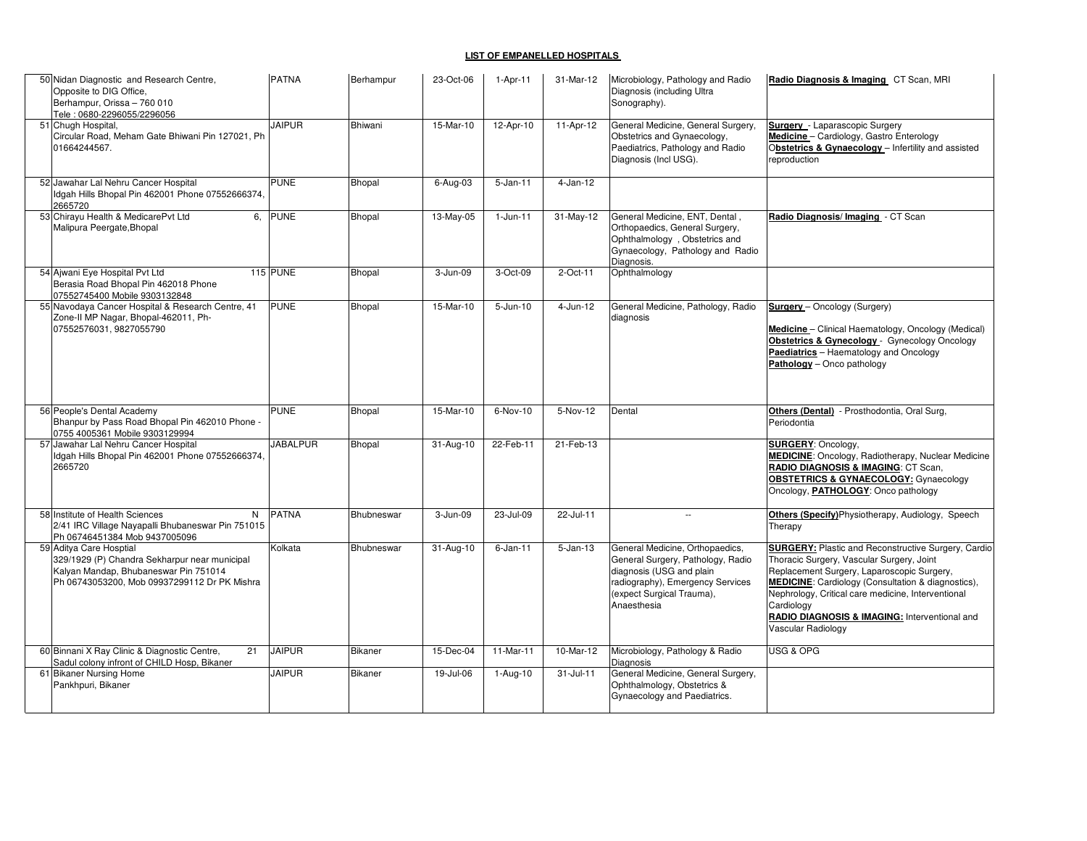| 50 Nidan Diagnostic and Research Centre,<br>Opposite to DIG Office,<br>Berhampur, Orissa - 760 010<br>Tele: 0680-2296055/2296056                                  | <b>PATNA</b>    | Berhampur     | 23-Oct-06 | $1-Apr-11$   | 31-Mar-12               | Microbiology, Pathology and Radio<br>Diagnosis (including Ultra<br>Sonography).                                                                                                  | Radio Diagnosis & Imaging CT Scan, MRI                                                                                                                                                                                                                                                                                                                        |
|-------------------------------------------------------------------------------------------------------------------------------------------------------------------|-----------------|---------------|-----------|--------------|-------------------------|----------------------------------------------------------------------------------------------------------------------------------------------------------------------------------|---------------------------------------------------------------------------------------------------------------------------------------------------------------------------------------------------------------------------------------------------------------------------------------------------------------------------------------------------------------|
| 51 Chugh Hospital,<br>Circular Road, Meham Gate Bhiwani Pin 127021, Ph<br>01664244567.                                                                            | <b>JAIPUR</b>   | Bhiwani       | 15-Mar-10 | 12-Apr-10    | 11-Apr-12               | General Medicine, General Surgery,<br>Obstetrics and Gynaecology,<br>Paediatrics, Pathology and Radio<br>Diagnosis (Incl USG).                                                   | <b>Surgery</b> - Laparascopic Surgery<br>Medicine - Cardiology, Gastro Enterology<br>Obstetrics & Gynaecology - Infertility and assisted<br>reproduction                                                                                                                                                                                                      |
| 52 Jawahar Lal Nehru Cancer Hospital<br>Idgah Hills Bhopal Pin 462001 Phone 07552666374,<br>2665720                                                               | <b>PUNE</b>     | Bhopal        | 6-Aug-03  | $5 - Jan-11$ | 4-Jan-12                |                                                                                                                                                                                  |                                                                                                                                                                                                                                                                                                                                                               |
| 53 Chirayu Health & MedicarePvt Ltd<br>6.<br>Malipura Peergate, Bhopal                                                                                            | <b>PUNE</b>     | Bhopal        | 13-May-05 | $1-Jun-11$   | $\overline{31}$ -May-12 | General Medicine, ENT, Dental,<br>Orthopaedics, General Surgery,<br>Ophthalmology, Obstetrics and<br>Gynaecology, Pathology and Radio<br>Diagnosis.                              | Radio Diagnosis/Imaging - CT Scan                                                                                                                                                                                                                                                                                                                             |
| 54 Ajwani Eye Hospital Pvt Ltd<br>Berasia Road Bhopal Pin 462018 Phone<br>07552745400 Mobile 9303132848                                                           | 115 PUNE        | Bhopal        | 3-Jun-09  | 3-Oct-09     | 2-Oct-11                | Ophthalmology                                                                                                                                                                    |                                                                                                                                                                                                                                                                                                                                                               |
| 55 Navodaya Cancer Hospital & Research Centre, 41<br>Zone-II MP Nagar, Bhopal-462011, Ph-<br>07552576031, 9827055790                                              | <b>PUNE</b>     | Bhopal        | 15-Mar-10 | $5 - Jun-10$ | 4-Jun-12                | General Medicine, Pathology, Radio<br>diagnosis                                                                                                                                  | Surgery - Oncology (Surgery)<br>Medicine - Clinical Haematology, Oncology (Medical)<br>Obstetrics & Gynecology - Gynecology Oncology<br>Paediatrics - Haematology and Oncology<br>Pathology - Onco pathology                                                                                                                                                  |
| 56 People's Dental Academy<br>Bhanpur by Pass Road Bhopal Pin 462010 Phone<br>0755 4005361 Mobile 9303129994                                                      | <b>PUNE</b>     | <b>Bhopal</b> | 15-Mar-10 | $6-Nov-10$   | 5-Nov-12                | Dental                                                                                                                                                                           | Others (Dental) - Prosthodontia, Oral Surg,<br>Periodontia                                                                                                                                                                                                                                                                                                    |
| 57 Jawahar Lal Nehru Cancer Hospital<br>Idgah Hills Bhopal Pin 462001 Phone 07552666374,<br>2665720                                                               | <b>JABALPUR</b> | Bhopal        | 31-Aug-10 | 22-Feb-11    | 21-Feb-13               |                                                                                                                                                                                  | <b>SURGERY: Oncology,</b><br><b>MEDICINE:</b> Oncology, Radiotherapy, Nuclear Medicine<br>RADIO DIAGNOSIS & IMAGING: CT Scan,<br><b>OBSTETRICS &amp; GYNAECOLOGY: Gynaecology</b><br>Oncology, PATHOLOGY: Onco pathology                                                                                                                                      |
| 58 Institute of Health Sciences<br>N<br>2/41 IRC Village Nayapalli Bhubaneswar Pin 751015<br>Ph 06746451384 Mob 9437005096                                        | <b>PATNA</b>    | Bhubneswar    | 3-Jun-09  | 23-Jul-09    | $22 -$ Jul-11           | $\overline{\phantom{a}}$                                                                                                                                                         | Others (Specify) Physiotherapy, Audiology, Speech<br>Therapy                                                                                                                                                                                                                                                                                                  |
| 59 Aditya Care Hosptial<br>329/1929 (P) Chandra Sekharpur near municipal<br>Kalyan Mandap, Bhubaneswar Pin 751014<br>Ph 06743053200, Mob 09937299112 Dr PK Mishra | Kolkata         | Bhubneswar    | 31-Aug-10 | $6 - Jan-11$ | $5 - Jan-13$            | General Medicine, Orthopaedics,<br>General Surgery, Pathology, Radio<br>diagnosis (USG and plain<br>radiography), Emergency Services<br>(expect Surgical Trauma),<br>Anaesthesia | <b>SURGERY: Plastic and Reconstructive Surgery, Cardio</b><br>Thoracic Surgery, Vascular Surgery, Joint<br>Replacement Surgery, Laparoscopic Surgery,<br><b>MEDICINE:</b> Cardiology (Consultation & diagnostics),<br>Nephrology, Critical care medicine, Interventional<br>Cardiology<br>RADIO DIAGNOSIS & IMAGING: Interventional and<br>Vascular Radiology |
| 60 Binnani X Ray Clinic & Diagnostic Centre,<br>21<br>Sadul colony infront of CHILD Hosp, Bikaner                                                                 | <b>JAIPUR</b>   | Bikaner       | 15-Dec-04 | 11-Mar-11    | 10-Mar-12               | Microbiology, Pathology & Radio<br>Diagnosis                                                                                                                                     | USG & OPG                                                                                                                                                                                                                                                                                                                                                     |
| 61 Bikaner Nursing Home<br>Pankhpuri, Bikaner                                                                                                                     | <b>JAIPUR</b>   | Bikaner       | 19-Jul-06 | $1-Auq-10$   | 31-Jul-11               | General Medicine, General Surgery,<br>Ophthalmology, Obstetrics &<br>Gynaecology and Paediatrics.                                                                                |                                                                                                                                                                                                                                                                                                                                                               |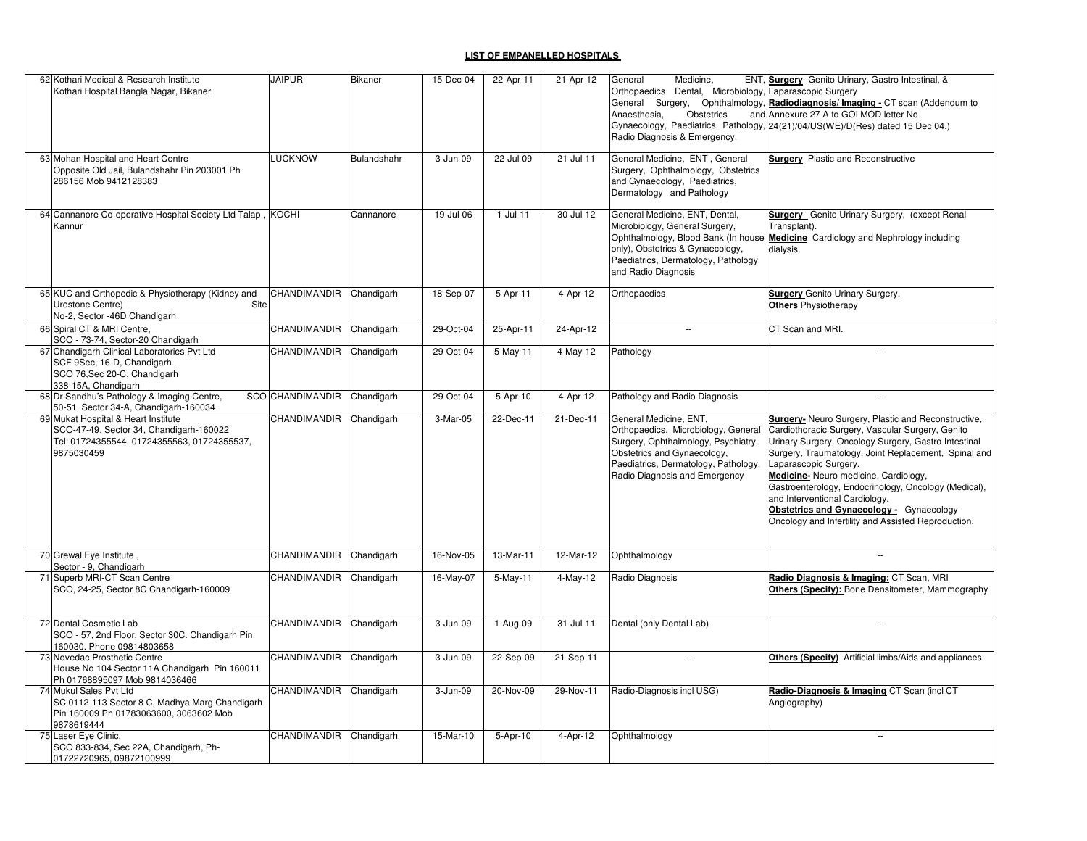| 62 Kothari Medical & Research Institute<br>Kothari Hospital Bangla Nagar, Bikaner                                                           | <b>JAIPUR</b>       | Bikaner     | 15-Dec-04    | 22-Apr-11  | 21-Apr-12     | Medicine,<br>General<br>Orthopaedics Dental, Microbiology, Laparascopic Surgery<br>Anaesthesia,<br>Obstetrics<br>Radio Diagnosis & Emergency.                                                                | ENT, Surgery- Genito Urinary, Gastro Intestinal, &<br>General Surgery, Ophthalmology, Radiodiagnosis/ Imaging - CT scan (Addendum to<br>and Annexure 27 A to GOI MOD letter No<br>Gynaecology, Paediatrics, Pathology, 24(21)/04/US(WE)/D(Res) dated 15 Dec 04.)                                                                                                                                                                                                                              |
|---------------------------------------------------------------------------------------------------------------------------------------------|---------------------|-------------|--------------|------------|---------------|--------------------------------------------------------------------------------------------------------------------------------------------------------------------------------------------------------------|-----------------------------------------------------------------------------------------------------------------------------------------------------------------------------------------------------------------------------------------------------------------------------------------------------------------------------------------------------------------------------------------------------------------------------------------------------------------------------------------------|
| 63 Mohan Hospital and Heart Centre<br>Opposite Old Jail, Bulandshahr Pin 203001 Ph<br>286156 Mob 9412128383                                 | <b>LUCKNOW</b>      | Bulandshahr | 3-Jun-09     | 22-Jul-09  | $21 -$ Jul-11 | General Medicine, ENT, General<br>Surgery, Ophthalmology, Obstetrics<br>and Gynaecology, Paediatrics,<br>Dermatology and Pathology                                                                           | <b>Surgery</b> Plastic and Reconstructive                                                                                                                                                                                                                                                                                                                                                                                                                                                     |
| 64 Cannanore Co-operative Hospital Society Ltd Talap<br>Kannur                                                                              | KOCHI               | Cannanore   | 19-Jul-06    | $1-Jul-11$ | 30-Jul-12     | General Medicine, ENT, Dental,<br>Microbiology, General Surgery,<br>Ophthalmology, Blood Bank (In house<br>only), Obstetrics & Gynaecology,<br>Paediatrics, Dermatology, Pathology<br>and Radio Diagnosis    | <b>Surgery</b> Genito Urinary Surgery, (except Renal<br>Transplant).<br><b>Medicine</b> Cardiology and Nephrology including<br>dialysis.                                                                                                                                                                                                                                                                                                                                                      |
| 65 KUC and Orthopedic & Physiotherapy (Kidney and<br>Urostone Centre)<br>Site<br>No-2, Sector -46D Chandigarh                               | <b>CHANDIMANDIR</b> | Chandigarh  | 18-Sep-07    | 5-Apr-11   | 4-Apr-12      | Orthopaedics                                                                                                                                                                                                 | <b>Surgery</b> Genito Urinary Surgery.<br><b>Others</b> Physiotherapy                                                                                                                                                                                                                                                                                                                                                                                                                         |
| 66 Spiral CT & MRI Centre,<br>SCO - 73-74, Sector-20 Chandigarh                                                                             | <b>CHANDIMANDIR</b> | Chandigarh  | 29-Oct-04    | 25-Apr-11  | 24-Apr-12     | $\sim$                                                                                                                                                                                                       | CT Scan and MRI.                                                                                                                                                                                                                                                                                                                                                                                                                                                                              |
| 67 Chandigarh Clinical Laboratories Pvt Ltd<br>SCF 9Sec, 16-D, Chandigarh<br>SCO 76, Sec 20-C, Chandigarh<br>338-15A, Chandigarh            | CHANDIMANDIR        | Chandigarh  | 29-Oct-04    | 5-May-11   | $4$ -May-12   | Pathology                                                                                                                                                                                                    | $\overline{\phantom{a}}$                                                                                                                                                                                                                                                                                                                                                                                                                                                                      |
| 68 Dr Sandhu's Pathology & Imaging Centre,<br>50-51, Sector 34-A, Chandigarh-160034                                                         | SCO CHANDIMANDIR    | Chandigarh  | 29-Oct-04    | 5-Apr-10   | 4-Apr-12      | Pathology and Radio Diagnosis                                                                                                                                                                                | $\sim$ $\sim$                                                                                                                                                                                                                                                                                                                                                                                                                                                                                 |
| 69 Mukat Hospital & Heart Institute<br>SCO-47-49, Sector 34, Chandigarh-160022<br>Tel: 01724355544, 01724355563, 01724355537,<br>9875030459 | CHANDIMANDIR        | Chandigarh  | 3-Mar-05     | 22-Dec-11  | 21-Dec-11     | General Medicine, ENT,<br>Orthopaedics, Microbiology, General<br>Surgery, Ophthalmology, Psychiatry,<br>Obstetrics and Gynaecology,<br>Paediatrics, Dermatology, Pathology,<br>Radio Diagnosis and Emergency | <b>Surgery-</b> Neuro Surgery, Plastic and Reconstructive,<br>Cardiothoracic Surgery, Vascular Surgery, Genito<br>Urinary Surgery, Oncology Surgery, Gastro Intestinal<br>Surgery, Traumatology, Joint Replacement, Spinal and<br>Laparascopic Surgery.<br>Medicine- Neuro medicine, Cardiology,<br>Gastroenterology, Endocrinology, Oncology (Medical),<br>and Interventional Cardiology.<br>Obstetrics and Gynaecology - Gynaecology<br>Oncology and Infertility and Assisted Reproduction. |
| 70 Grewal Eye Institute,<br>Sector - 9, Chandigarh                                                                                          | CHANDIMANDIR        | Chandigarh  | 16-Nov-05    | 13-Mar-11  | 12-Mar-12     | Ophthalmology                                                                                                                                                                                                | $\overline{\phantom{a}}$                                                                                                                                                                                                                                                                                                                                                                                                                                                                      |
| 71 Superb MRI-CT Scan Centre<br>SCO, 24-25, Sector 8C Chandigarh-160009                                                                     | <b>CHANDIMANDIR</b> | Chandigarh  | 16-May-07    | $5-May-11$ | $4-May-12$    | Radio Diagnosis                                                                                                                                                                                              | Radio Diagnosis & Imaging: CT Scan, MRI<br><b>Others (Specify): Bone Densitometer, Mammography</b>                                                                                                                                                                                                                                                                                                                                                                                            |
| 72 Dental Cosmetic Lab<br>SCO - 57, 2nd Floor, Sector 30C. Chandigarh Pin<br>160030. Phone 09814803658                                      | CHANDIMANDIR        | Chandigarh  | $3 - Jun-09$ | 1-Aug-09   | 31-Jul-11     | Dental (only Dental Lab)                                                                                                                                                                                     | $\ddotsc$                                                                                                                                                                                                                                                                                                                                                                                                                                                                                     |
| 73 Nevedac Prosthetic Centre<br>House No 104 Sector 11A Chandigarh Pin 160011<br>Ph 01768895097 Mob 9814036466                              | CHANDIMANDIR        | Chandigarh  | 3-Jun-09     | 22-Sep-09  | 21-Sep-11     | $\sim$                                                                                                                                                                                                       | Others (Specify) Artificial limbs/Aids and appliances                                                                                                                                                                                                                                                                                                                                                                                                                                         |
| 74 Mukul Sales Pvt Ltd<br>SC 0112-113 Sector 8 C, Madhya Marg Chandigarh<br>Pin 160009 Ph 01783063600, 3063602 Mob<br>9878619444            | <b>CHANDIMANDIR</b> | Chandigarh  | 3-Jun-09     | 20-Nov-09  | 29-Nov-11     | Radio-Diagnosis incl USG)                                                                                                                                                                                    | Radio-Diagnosis & Imaging CT Scan (incl CT<br>Angiography)                                                                                                                                                                                                                                                                                                                                                                                                                                    |
| 75 Laser Eye Clinic,<br>SCO 833-834, Sec 22A, Chandigarh, Ph-<br>01722720965, 09872100999                                                   | CHANDIMANDIR        | Chandigarh  | 15-Mar-10    | 5-Apr-10   | 4-Apr-12      | Ophthalmology                                                                                                                                                                                                | $\sim$                                                                                                                                                                                                                                                                                                                                                                                                                                                                                        |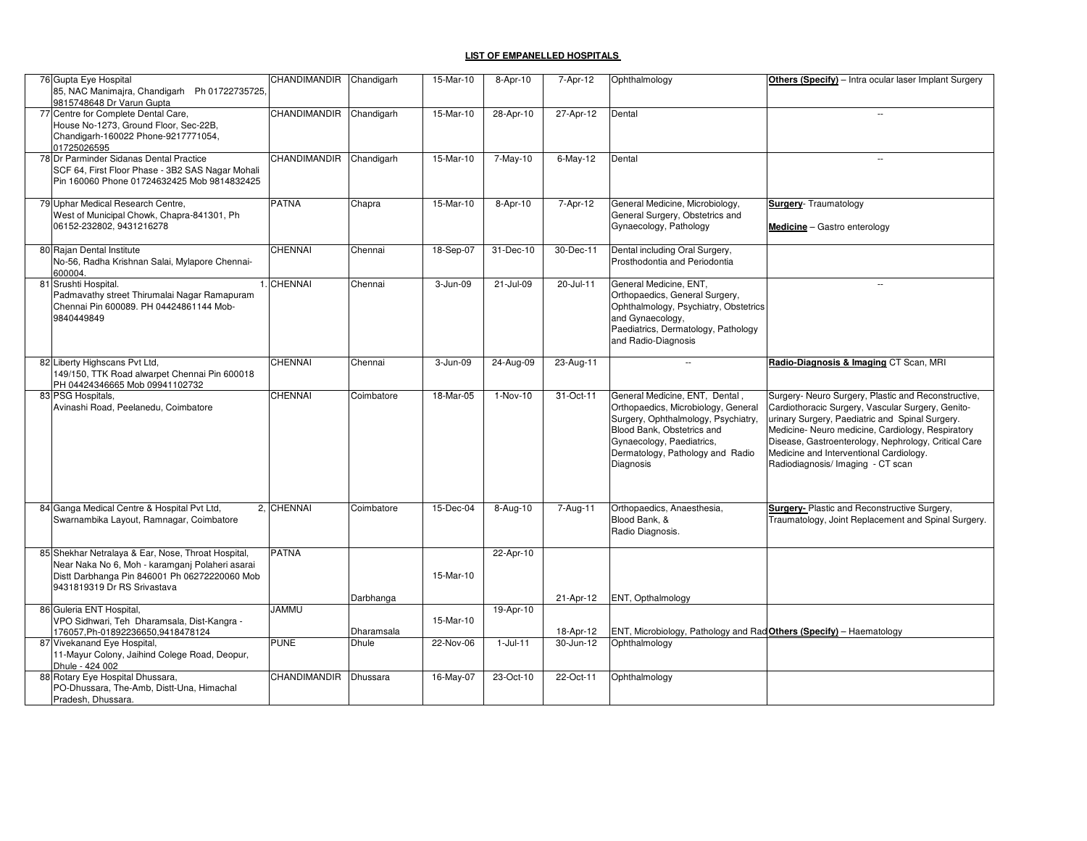| 76 Gupta Eye Hospital<br>85, NAC Manimajra, Chandigarh Ph 01722735725,<br>9815748648 Dr Varun Gupta                                                                                   | CHANDIMANDIR Chandigarh |            | 15-Mar-10 | 8-Apr-10   | 7-Apr-12    | Ophthalmology                                                                                                                                                                                                            | <b>Others (Specify)</b> – Intra ocular laser Implant Surgery                                                                                                                                                                                                                                                                                             |
|---------------------------------------------------------------------------------------------------------------------------------------------------------------------------------------|-------------------------|------------|-----------|------------|-------------|--------------------------------------------------------------------------------------------------------------------------------------------------------------------------------------------------------------------------|----------------------------------------------------------------------------------------------------------------------------------------------------------------------------------------------------------------------------------------------------------------------------------------------------------------------------------------------------------|
| 77 Centre for Complete Dental Care,<br>House No-1273, Ground Floor, Sec-22B,<br>Chandigarh-160022 Phone-9217771054,<br>01725026595                                                    | CHANDIMANDIR            | Chandigarh | 15-Mar-10 | 28-Apr-10  | 27-Apr-12   | Dental                                                                                                                                                                                                                   | $\overline{a}$                                                                                                                                                                                                                                                                                                                                           |
| 78 Dr Parminder Sidanas Dental Practice<br>SCF 64, First Floor Phase - 3B2 SAS Nagar Mohali<br>Pin 160060 Phone 01724632425 Mob 9814832425                                            | <b>CHANDIMANDIR</b>     | Chandigarh | 15-Mar-10 | 7-May-10   | $6$ -May-12 | Dental                                                                                                                                                                                                                   | $\sim$                                                                                                                                                                                                                                                                                                                                                   |
| 79 Uphar Medical Research Centre,<br>West of Municipal Chowk, Chapra-841301, Ph<br>06152-232802, 9431216278                                                                           | <b>PATNA</b>            | Chapra     | 15-Mar-10 | 8-Apr-10   | 7-Apr-12    | General Medicine, Microbiology,<br>General Surgery, Obstetrics and<br>Gynaecology, Pathology                                                                                                                             | <b>Surgery- Traumatology</b><br>Medicine - Gastro enterology                                                                                                                                                                                                                                                                                             |
| 80 Rajan Dental Institute<br>No-56, Radha Krishnan Salai, Mylapore Chennai-<br>600004.                                                                                                | <b>CHENNAI</b>          | Chennai    | 18-Sep-07 | 31-Dec-10  | 30-Dec-11   | Dental including Oral Surgery,<br>Prosthodontia and Periodontia                                                                                                                                                          |                                                                                                                                                                                                                                                                                                                                                          |
| 81 Srushti Hospital.<br>Padmavathy street Thirumalai Nagar Ramapuram<br>Chennai Pin 600089. PH 04424861144 Mob-<br>9840449849                                                         | CHENNAI                 | Chennai    | 3-Jun-09  | 21-Jul-09  | 20-Jul-11   | General Medicine, ENT,<br>Orthopaedics, General Surgery,<br>Ophthalmology, Psychiatry, Obstetrics<br>and Gynaecology,<br>Paediatrics, Dermatology, Pathology<br>and Radio-Diagnosis                                      | $\overline{a}$                                                                                                                                                                                                                                                                                                                                           |
| 82 Liberty Highscans Pvt Ltd,<br>149/150, TTK Road alwarpet Chennai Pin 600018<br>PH 04424346665 Mob 09941102732                                                                      | <b>CHENNAI</b>          | Chennai    | 3-Jun-09  | 24-Aug-09  | 23-Aug-11   | $\overline{\phantom{a}}$                                                                                                                                                                                                 | Radio-Diagnosis & Imaging CT Scan, MRI                                                                                                                                                                                                                                                                                                                   |
| 83 PSG Hospitals,<br>Avinashi Road, Peelanedu, Coimbatore                                                                                                                             | <b>CHENNAI</b>          | Coimbatore | 18-Mar-05 | 1-Nov-10   | 31-Oct-11   | General Medicine, ENT, Dental,<br>Orthopaedics, Microbiology, General<br>Surgery, Ophthalmology, Psychiatry,<br>Blood Bank, Obstetrics and<br>Gynaecology, Paediatrics,<br>Dermatology, Pathology and Radio<br>Diagnosis | Surgery- Neuro Surgery, Plastic and Reconstructive,<br>Cardiothoracic Surgery, Vascular Surgery, Genito-<br>urinary Surgery, Paediatric and Spinal Surgery.<br>Medicine- Neuro medicine, Cardiology, Respiratory<br>Disease, Gastroenterology, Nephrology, Critical Care<br>Medicine and Interventional Cardiology.<br>Radiodiagnosis/ Imaging - CT scan |
| 84 Ganga Medical Centre & Hospital Pvt Ltd,<br>Swarnambika Layout, Ramnagar, Coimbatore                                                                                               | 2. CHENNAI              | Coimbatore | 15-Dec-04 | 8-Aug-10   | 7-Aug-11    | Orthopaedics, Anaesthesia,<br>Blood Bank, &<br>Radio Diagnosis.                                                                                                                                                          | Surgery- Plastic and Reconstructive Surgery,<br>Traumatology, Joint Replacement and Spinal Surgery.                                                                                                                                                                                                                                                      |
| 85 Shekhar Netralaya & Ear, Nose, Throat Hospital,<br>Near Naka No 6, Moh - karamganj Polaheri asarai<br>Distt Darbhanga Pin 846001 Ph 06272220060 Mob<br>9431819319 Dr RS Srivastava | <b>PATNA</b>            |            | 15-Mar-10 | 22-Apr-10  |             |                                                                                                                                                                                                                          |                                                                                                                                                                                                                                                                                                                                                          |
|                                                                                                                                                                                       |                         | Darbhanga  |           |            | 21-Apr-12   | ENT, Opthalmology                                                                                                                                                                                                        |                                                                                                                                                                                                                                                                                                                                                          |
| 86 Guleria ENT Hospital,<br>VPO Sidhwari, Teh Dharamsala, Dist-Kangra -<br>176057, Ph-01892236650, 9418478124                                                                         | <b>JAMMU</b>            | Dharamsala | 15-Mar-10 | 19-Apr-10  | 18-Apr-12   | ENT, Microbiology, Pathology and Rad Others (Specify) - Haematology                                                                                                                                                      |                                                                                                                                                                                                                                                                                                                                                          |
| 87 Vivekanand Eye Hospital,<br>11-Mayur Colony, Jaihind Colege Road, Deopur,<br>Dhule - 424 002                                                                                       | <b>PUNE</b>             | Dhule      | 22-Nov-06 | $1-Jul-11$ | 30-Jun-12   | Ophthalmology                                                                                                                                                                                                            |                                                                                                                                                                                                                                                                                                                                                          |
| 88 Rotary Eye Hospital Dhussara,<br>PO-Dhussara, The-Amb, Distt-Una, Himachal<br>Pradesh, Dhussara.                                                                                   | <b>CHANDIMANDIR</b>     | Dhussara   | 16-May-07 | 23-Oct-10  | 22-Oct-11   | Ophthalmology                                                                                                                                                                                                            |                                                                                                                                                                                                                                                                                                                                                          |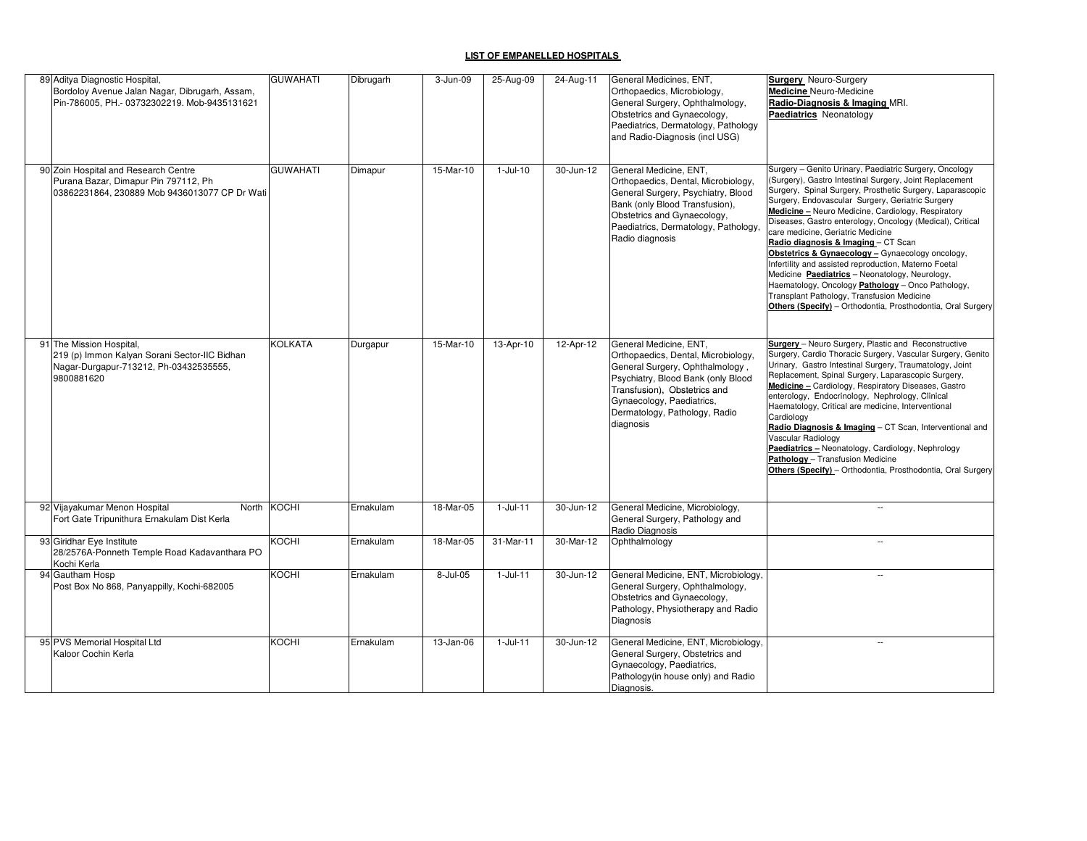| 89 Aditya Diagnostic Hospital,                                                                                                    | <b>GUWAHATI</b> | Dibrugarh | 3-Jun-09  | 25-Aug-09    | 24-Aug-11 | General Medicines, ENT,                                                                                                                                                                                                                           | <b>Surgery</b> Neuro-Surgery                                                                                                                                                                                                                                                                                                                                                                                                                                                                                                                                                                                                                                                                                                                                                    |
|-----------------------------------------------------------------------------------------------------------------------------------|-----------------|-----------|-----------|--------------|-----------|---------------------------------------------------------------------------------------------------------------------------------------------------------------------------------------------------------------------------------------------------|---------------------------------------------------------------------------------------------------------------------------------------------------------------------------------------------------------------------------------------------------------------------------------------------------------------------------------------------------------------------------------------------------------------------------------------------------------------------------------------------------------------------------------------------------------------------------------------------------------------------------------------------------------------------------------------------------------------------------------------------------------------------------------|
| Bordoloy Avenue Jalan Nagar, Dibrugarh, Assam,<br>Pin-786005, PH.- 03732302219. Mob-9435131621                                    |                 |           |           |              |           | Orthopaedics, Microbiology,<br>General Surgery, Ophthalmology,<br>Obstetrics and Gynaecology,<br>Paediatrics, Dermatology, Pathology<br>and Radio-Diagnosis (incl USG)                                                                            | <b>Medicine</b> Neuro-Medicine<br>Radio-Diagnosis & Imaging MRI.<br>Paediatrics Neonatology                                                                                                                                                                                                                                                                                                                                                                                                                                                                                                                                                                                                                                                                                     |
| 90 Zoin Hospital and Research Centre<br>Purana Bazar, Dimapur Pin 797112, Ph<br>03862231864, 230889 Mob 9436013077 CP Dr Wati     | <b>GUWAHATI</b> | Dimapur   | 15-Mar-10 | $1-Jul-10$   | 30-Jun-12 | General Medicine, ENT,<br>Orthopaedics, Dental, Microbiology,<br>General Surgery, Psychiatry, Blood<br>Bank (only Blood Transfusion),<br>Obstetrics and Gynaecology,<br>Paediatrics, Dermatology, Pathology,<br>Radio diagnosis                   | Surgery - Genito Urinary, Paediatric Surgery, Oncology<br>Surgery), Gastro Intestinal Surgery, Joint Replacement<br>Surgery, Spinal Surgery, Prosthetic Surgery, Laparascopic<br>Surgery, Endovascular Surgery, Geriatric Surgery<br>Medicine - Neuro Medicine, Cardiology, Respiratory<br>Diseases, Gastro enterology, Oncology (Medical), Critical<br>care medicine, Geriatric Medicine<br>Radio diagnosis & Imaging - CT Scan<br>Obstetrics & Gynaecology - Gynaecology oncology,<br>Infertility and assisted reproduction, Materno Foetal<br>Medicine <b>Paediatrics</b> - Neonatology, Neurology,<br>Haematology, Oncology <b>Pathology</b> - Onco Pathology,<br>Transplant Pathology, Transfusion Medicine<br>Others (Specify) - Orthodontia, Prosthodontia, Oral Surgery |
| 91 The Mission Hospital,<br>219 (p) Immon Kalyan Sorani Sector-IIC Bidhan<br>Nagar-Durgapur-713212, Ph-03432535555,<br>9800881620 | <b>KOLKATA</b>  | Durgapur  | 15-Mar-10 | 13-Apr-10    | 12-Apr-12 | General Medicine, ENT,<br>Orthopaedics, Dental, Microbiology,<br>General Surgery, Ophthalmology,<br>Psychiatry, Blood Bank (only Blood<br>Transfusion), Obstetrics and<br>Gynaecology, Paediatrics,<br>Dermatology, Pathology, Radio<br>diagnosis | <b>Surgery</b> - Neuro Surgery, Plastic and Reconstructive<br>Surgery, Cardio Thoracic Surgery, Vascular Surgery, Genito<br>Urinary, Gastro Intestinal Surgery, Traumatology, Joint<br>Replacement, Spinal Surgery, Laparascopic Surgery,<br>Medicine - Cardiology, Respiratory Diseases, Gastro<br>enterology, Endocrinology, Nephrology, Clinical<br>Haematology, Critical are medicine, Interventional<br>Cardiology<br>Radio Diagnosis & Imaging - CT Scan, Interventional and<br>Vascular Radiology<br>Paediatrics - Neonatology, Cardiology, Nephrology<br>Pathology - Transfusion Medicine<br>Others (Specify) - Orthodontia, Prosthodontia, Oral Surgery                                                                                                                |
| 92 Vijayakumar Menon Hospital<br>North<br>Fort Gate Tripunithura Ernakulam Dist Kerla                                             | <b>KOCHI</b>    | Ernakulam | 18-Mar-05 | $1 -$ Jul-11 | 30-Jun-12 | General Medicine, Microbiology,<br>General Surgery, Pathology and<br>Radio Diagnosis                                                                                                                                                              | $\sim$                                                                                                                                                                                                                                                                                                                                                                                                                                                                                                                                                                                                                                                                                                                                                                          |
| 93 Giridhar Eye Institute<br>28/2576A-Ponneth Temple Road Kadavanthara PO<br>Kochi Kerla                                          | <b>KOCHI</b>    | Ernakulam | 18-Mar-05 | 31-Mar-11    | 30-Mar-12 | Ophthalmology                                                                                                                                                                                                                                     | $\overline{a}$                                                                                                                                                                                                                                                                                                                                                                                                                                                                                                                                                                                                                                                                                                                                                                  |
| 94 Gautham Hosp<br>Post Box No 868, Panyappilly, Kochi-682005                                                                     | KOCHI           | Ernakulam | 8-Jul-05  | $1-Jul-11$   | 30-Jun-12 | General Medicine, ENT, Microbiology,<br>General Surgery, Ophthalmology,<br>Obstetrics and Gynaecology,<br>Pathology, Physiotherapy and Radio<br>Diagnosis                                                                                         | --                                                                                                                                                                                                                                                                                                                                                                                                                                                                                                                                                                                                                                                                                                                                                                              |
| 95 PVS Memorial Hospital Ltd<br>Kaloor Cochin Kerla                                                                               | KOCHI           | Ernakulam | 13-Jan-06 | $1-Jul-11$   | 30-Jun-12 | General Medicine, ENT, Microbiology,<br>General Surgery, Obstetrics and<br>Gynaecology, Paediatrics,<br>Pathology(in house only) and Radio<br>Diagnosis.                                                                                          | $\sim$                                                                                                                                                                                                                                                                                                                                                                                                                                                                                                                                                                                                                                                                                                                                                                          |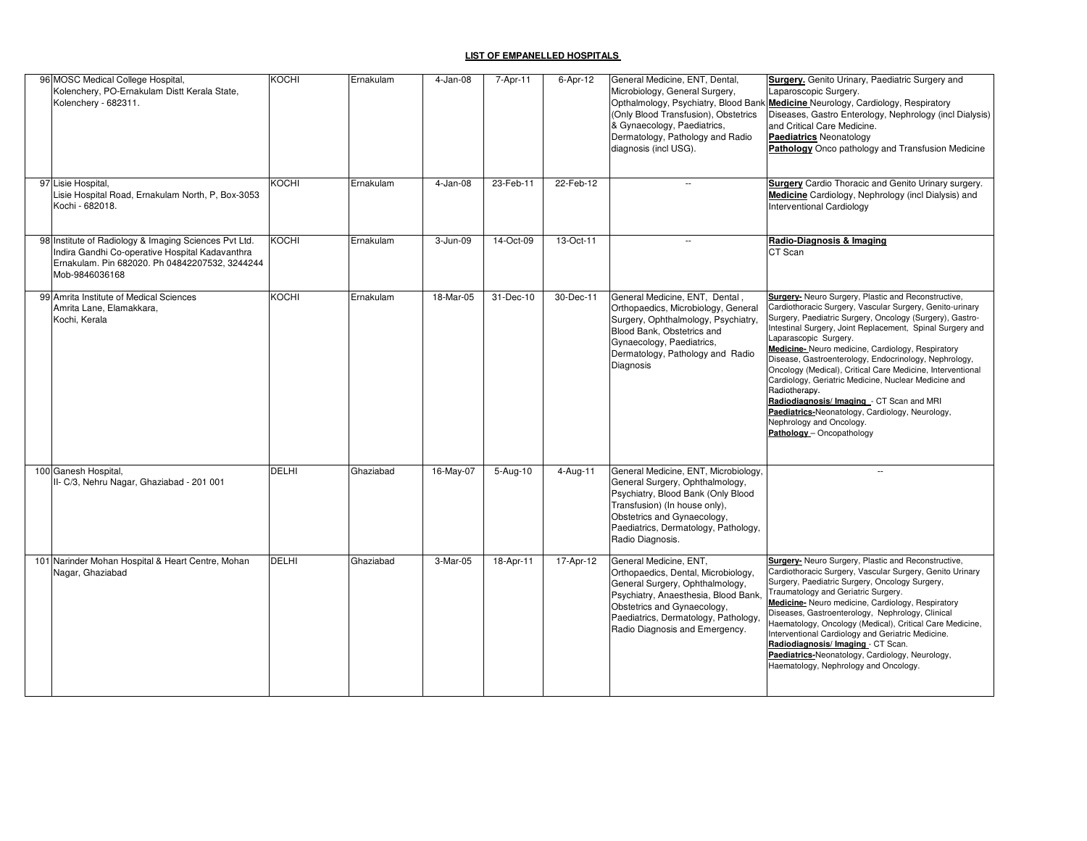| 96 MOSC Medical College Hospital,<br>Kolenchery, PO-Ernakulam Distt Kerala State,<br>Kolenchery - 682311.                                                                    | KOCHI        | Ernakulam | 4-Jan-08  | 7-Apr-11  | 6-Apr-12       | General Medicine, ENT, Dental,<br>Microbiology, General Surgery,<br>Opthalmology, Psychiatry, Blood Bank<br>(Only Blood Transfusion), Obstetrics<br>& Gynaecology, Paediatrics,<br>Dermatology, Pathology and Radio<br>diagnosis (incl USG).      | Surgery. Genito Urinary, Paediatric Surgery and<br>_aparoscopic Surgery.<br>Medicine Neurology, Cardiology, Respiratory<br>Diseases, Gastro Enterology, Nephrology (incl Dialysis)<br>and Critical Care Medicine.<br>Paediatrics Neonatology<br>Pathology Onco pathology and Transfusion Medicine                                                                                                                                                                                                                                                                                                                                                                                    |
|------------------------------------------------------------------------------------------------------------------------------------------------------------------------------|--------------|-----------|-----------|-----------|----------------|---------------------------------------------------------------------------------------------------------------------------------------------------------------------------------------------------------------------------------------------------|--------------------------------------------------------------------------------------------------------------------------------------------------------------------------------------------------------------------------------------------------------------------------------------------------------------------------------------------------------------------------------------------------------------------------------------------------------------------------------------------------------------------------------------------------------------------------------------------------------------------------------------------------------------------------------------|
| 97 Lisie Hospital,<br>Lisie Hospital Road, Ernakulam North, P, Box-3053<br>Kochi - 682018.                                                                                   | KOCHI        | Ernakulam | 4-Jan-08  | 23-Feb-11 | 22-Feb-12      | $\sim$                                                                                                                                                                                                                                            | <b>Surgery</b> Cardio Thoracic and Genito Urinary surgery.<br>Medicine Cardiology, Nephrology (incl Dialysis) and<br>nterventional Cardiology                                                                                                                                                                                                                                                                                                                                                                                                                                                                                                                                        |
| 98 Institute of Radiology & Imaging Sciences Pvt Ltd.<br>Indira Gandhi Co-operative Hospital Kadavanthra<br>Ernakulam. Pin 682020. Ph 04842207532, 3244244<br>Mob-9846036168 | KOCHI        | Ernakulam | 3-Jun-09  | 14-Oct-09 | 13-Oct-11      | $\overline{\phantom{a}}$                                                                                                                                                                                                                          | Radio-Diagnosis & Imaging<br>CT Scan                                                                                                                                                                                                                                                                                                                                                                                                                                                                                                                                                                                                                                                 |
| 99 Amrita Institute of Medical Sciences<br>Amrita Lane, Elamakkara,<br>Kochi, Kerala                                                                                         | KOCHI        | Ernakulam | 18-Mar-05 | 31-Dec-10 | 30-Dec-11      | General Medicine, ENT, Dental,<br>Orthopaedics, Microbiology, General<br>Surgery, Ophthalmology, Psychiatry,<br>Blood Bank, Obstetrics and<br>Gynaecology, Paediatrics,<br>Dermatology, Pathology and Radio<br>Diagnosis                          | <b>Surgery-</b> Neuro Surgery, Plastic and Reconstructive,<br>Cardiothoracic Surgery, Vascular Surgery, Genito-urinary<br>Surgery, Paediatric Surgery, Oncology (Surgery), Gastro-<br>Intestinal Surgery, Joint Replacement, Spinal Surgery and<br>aparascopic Surgery.<br>Medicine- Neuro medicine, Cardiology, Respiratory<br>Disease, Gastroenterology, Endocrinology, Nephrology,<br>Oncology (Medical), Critical Care Medicine, Interventional<br>Cardiology, Geriatric Medicine, Nuclear Medicine and<br>Radiotherapy.<br>Radiodiagnosis/Imaging - CT Scan and MRI<br>Paediatrics-Neonatology, Cardiology, Neurology,<br>Vephrology and Oncology.<br>Pathology - Oncopathology |
| 100 Ganesh Hospital,<br>II- C/3, Nehru Nagar, Ghaziabad - 201 001                                                                                                            | <b>DELHI</b> | Ghaziabad | 16-May-07 | 5-Aug-10  | $4 - Aug - 11$ | General Medicine, ENT, Microbiology.<br>General Surgery, Ophthalmology,<br>Psychiatry, Blood Bank (Only Blood<br>Transfusion) (In house only),<br>Obstetrics and Gynaecology,<br>Paediatrics, Dermatology, Pathology,<br>Radio Diagnosis.         | L.                                                                                                                                                                                                                                                                                                                                                                                                                                                                                                                                                                                                                                                                                   |
| 101 Narinder Mohan Hospital & Heart Centre, Mohan<br>Nagar, Ghaziabad                                                                                                        | <b>DELHI</b> | Ghaziabad | 3-Mar-05  | 18-Apr-11 | 17-Apr-12      | General Medicine, ENT,<br>Orthopaedics, Dental, Microbiology,<br>General Surgery, Ophthalmology,<br>Psychiatry, Anaesthesia, Blood Bank,<br>Obstetrics and Gynaecology,<br>Paediatrics, Dermatology, Pathology,<br>Radio Diagnosis and Emergency. | <b>Surgery-</b> Neuro Surgery, Plastic and Reconstructive,<br>Cardiothoracic Surgery, Vascular Surgery, Genito Urinary<br>Surgery, Paediatric Surgery, Oncology Surgery,<br>Traumatology and Geriatric Surgery.<br>Medicine- Neuro medicine, Cardiology, Respiratory<br>Diseases, Gastroenterology, Nephrology, Clinical<br>Haematology, Oncology (Medical), Critical Care Medicine,<br>Interventional Cardiology and Geriatric Medicine.<br>Radiodiagnosis/Imaging - CT Scan.<br>Paediatrics-Neonatology, Cardiology, Neurology,<br>Haematology, Nephrology and Oncology.                                                                                                           |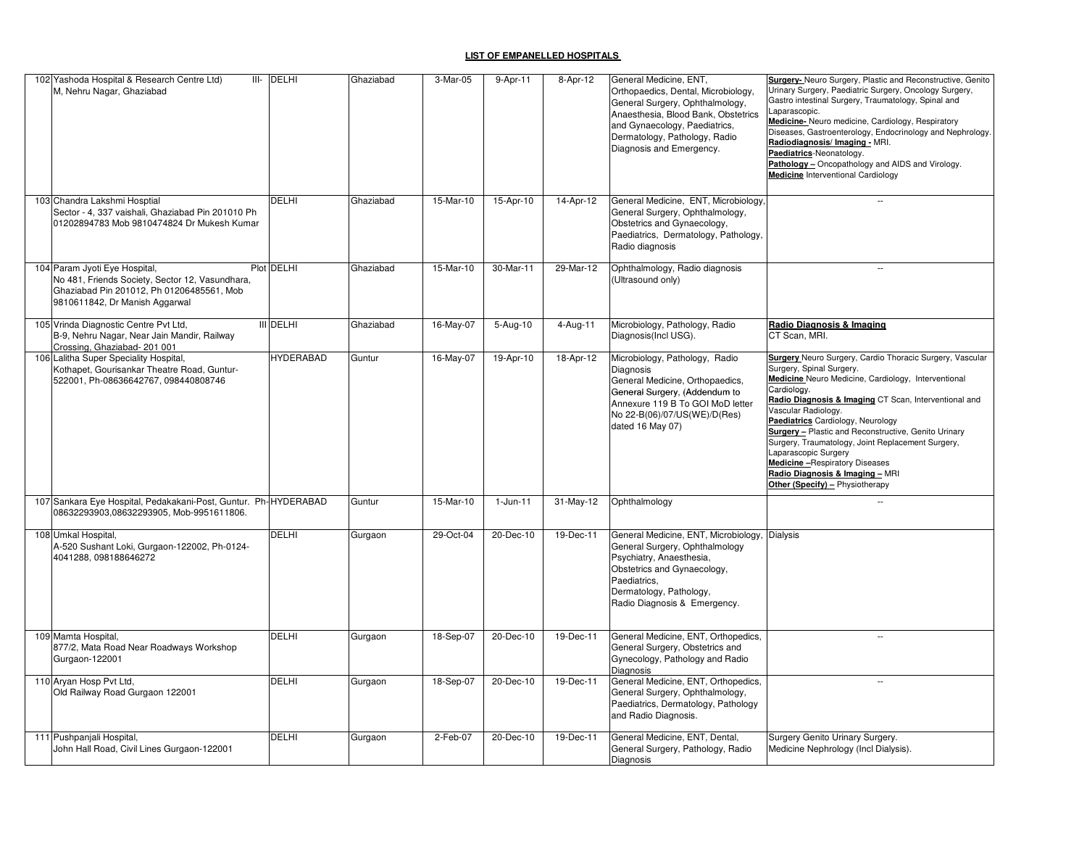| 102 Yashoda Hospital & Research Centre Ltd)<br>$III -$<br>M, Nehru Nagar, Ghaziabad                                                                             | <b>DELHI</b>     | Ghaziabad | 3-Mar-05  | 9-Apr-11   | 8-Apr-12  | General Medicine, ENT,<br>Orthopaedics, Dental, Microbiology,<br>General Surgery, Ophthalmology,<br>Anaesthesia, Blood Bank, Obstetrics<br>and Gynaecology, Paediatrics,<br>Dermatology, Pathology, Radio<br>Diagnosis and Emergency. | <b>Surgery-</b> Neuro Surgery, Plastic and Reconstructive, Genito<br>Urinary Surgery, Paediatric Surgery, Oncology Surgery,<br>Gastro intestinal Surgery, Traumatology, Spinal and<br>Laparascopic.<br>Medicine-Neuro medicine, Cardiology, Respiratory<br>Diseases, Gastroenterology, Endocrinology and Nephrology.<br>Radiodiagnosis/Imaging - MRI.<br>Paediatrics-Neonatology.<br>Pathology - Oncopathology and AIDS and Virology.<br>Medicine Interventional Cardiology                                                        |
|-----------------------------------------------------------------------------------------------------------------------------------------------------------------|------------------|-----------|-----------|------------|-----------|---------------------------------------------------------------------------------------------------------------------------------------------------------------------------------------------------------------------------------------|------------------------------------------------------------------------------------------------------------------------------------------------------------------------------------------------------------------------------------------------------------------------------------------------------------------------------------------------------------------------------------------------------------------------------------------------------------------------------------------------------------------------------------|
| 103 Chandra Lakshmi Hosptial<br>Sector - 4, 337 vaishali, Ghaziabad Pin 201010 Ph<br>01202894783 Mob 9810474824 Dr Mukesh Kumar                                 | <b>DELHI</b>     | Ghaziabad | 15-Mar-10 | 15-Apr-10  | 14-Apr-12 | General Medicine, ENT, Microbiology<br>General Surgery, Ophthalmology,<br>Obstetrics and Gynaecology,<br>Paediatrics, Dermatology, Pathology<br>Radio diagnosis                                                                       | μ.                                                                                                                                                                                                                                                                                                                                                                                                                                                                                                                                 |
| 104 Param Jyoti Eye Hospital,<br>No 481, Friends Society, Sector 12, Vasundhara,<br>Ghaziabad Pin 201012, Ph 01206485561, Mob<br>9810611842, Dr Manish Aggarwal | Plot DELHI       | Ghaziabad | 15-Mar-10 | 30-Mar-11  | 29-Mar-12 | Ophthalmology, Radio diagnosis<br>(Ultrasound only)                                                                                                                                                                                   | $\ddot{\phantom{a}}$                                                                                                                                                                                                                                                                                                                                                                                                                                                                                                               |
| 105 Vrinda Diagnostic Centre Pvt Ltd,<br>B-9, Nehru Nagar, Near Jain Mandir, Railway<br>Crossing, Ghaziabad-201 001                                             | <b>III DELHI</b> | Ghaziabad | 16-May-07 | 5-Aug-10   | 4-Aug-11  | Microbiology, Pathology, Radio<br>Diagnosis(Incl USG).                                                                                                                                                                                | Radio Diagnosis & Imaging<br>CT Scan, MRI.                                                                                                                                                                                                                                                                                                                                                                                                                                                                                         |
| 106 Lalitha Super Speciality Hospital,<br>Kothapet, Gourisankar Theatre Road, Guntur-<br>522001, Ph-08636642767, 098440808746                                   | <b>HYDERABAD</b> | Guntur    | 16-May-07 | 19-Apr-10  | 18-Apr-12 | Microbiology, Pathology, Radio<br>Diagnosis<br>General Medicine, Orthopaedics,<br>General Surgery, (Addendum to<br>Annexure 119 B To GOI MoD letter<br>No 22-B(06)/07/US(WE)/D(Res)<br>dated 16 May 07)                               | Surgery Neuro Surgery, Cardio Thoracic Surgery, Vascular<br>Surgery, Spinal Surgery.<br>Medicine Neuro Medicine, Cardiology, Interventional<br>Cardiology.<br>Radio Diagnosis & Imaging CT Scan, Interventional and<br>Vascular Radiology.<br>Paediatrics Cardiology, Neurology<br>Surgery - Plastic and Reconstructive, Genito Urinary<br>Surgery, Traumatology, Joint Replacement Surgery,<br>Laparascopic Surgery<br><b>Medicine-Respiratory Diseases</b><br>Radio Diagnosis & Imaging - MRI<br>Other (Specify) - Physiotherapy |
| 107 Sankara Eye Hospital, Pedakakani-Post, Guntur. Ph-HYDERABAD<br>08632293903,08632293905, Mob-9951611806.                                                     |                  | Guntur    | 15-Mar-10 | $1-Jun-11$ | 31-May-12 | Ophthalmology                                                                                                                                                                                                                         | μ.                                                                                                                                                                                                                                                                                                                                                                                                                                                                                                                                 |
| 108 Umkal Hospital,<br>A-520 Sushant Loki, Gurgaon-122002, Ph-0124-<br>4041288, 098188646272                                                                    | DELHI            | Gurgaon   | 29-Oct-04 | 20-Dec-10  | 19-Dec-11 | General Medicine, ENT, Microbiology,<br>General Surgery, Ophthalmology<br>Psychiatry, Anaesthesia,<br>Obstetrics and Gynaecology,<br>Paediatrics,<br>Dermatology, Pathology,<br>Radio Diagnosis & Emergency.                          | <b>Dialysis</b>                                                                                                                                                                                                                                                                                                                                                                                                                                                                                                                    |
| 109 Mamta Hospital,<br>877/2, Mata Road Near Roadways Workshop<br>Gurgaon-122001                                                                                | DELHI            | Gurgaon   | 18-Sep-07 | 20-Dec-10  | 19-Dec-11 | General Medicine, ENT, Orthopedics,<br>General Surgery, Obstetrics and<br>Gynecology, Pathology and Radio<br><b>Diagnosis</b>                                                                                                         | $\ddot{\phantom{a}}$                                                                                                                                                                                                                                                                                                                                                                                                                                                                                                               |
| 110 Aryan Hosp Pvt Ltd.<br>Old Railway Road Gurgaon 122001                                                                                                      | DELHI            | Gurgaon   | 18-Sep-07 | 20-Dec-10  | 19-Dec-11 | General Medicine, ENT, Orthopedics,<br>General Surgery, Ophthalmology,<br>Paediatrics, Dermatology, Pathology<br>and Radio Diagnosis.                                                                                                 | $\sim$                                                                                                                                                                                                                                                                                                                                                                                                                                                                                                                             |
| 111 Pushpanjali Hospital,<br>John Hall Road, Civil Lines Gurgaon-122001                                                                                         | <b>DELHI</b>     | Gurgaon   | 2-Feb-07  | 20-Dec-10  | 19-Dec-11 | General Medicine, ENT, Dental,<br>General Surgery, Pathology, Radio<br>Diagnosis                                                                                                                                                      | Surgery Genito Urinary Surgery.<br>Medicine Nephrology (Incl Dialysis).                                                                                                                                                                                                                                                                                                                                                                                                                                                            |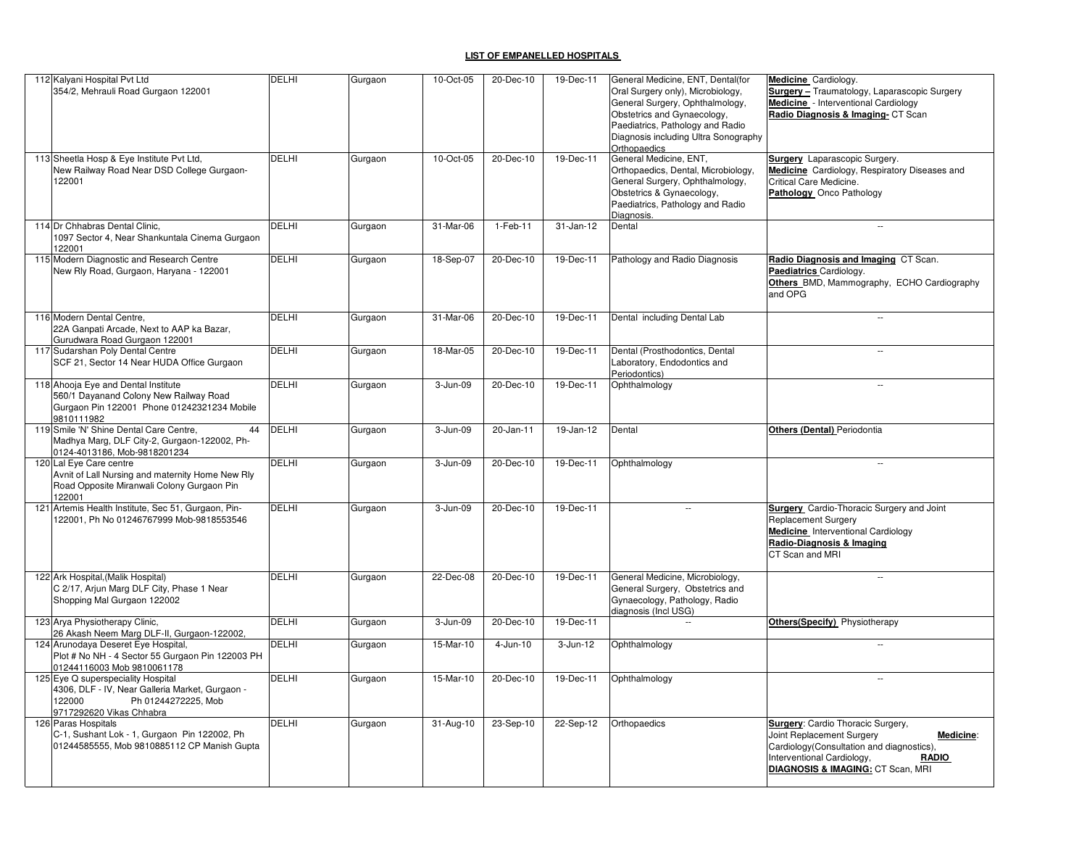| 112 Kalyani Hospital Pvt Ltd<br>354/2, Mehrauli Road Gurgaon 122001                                                                                | <b>DELHI</b> | Gurgaon | 10-Oct-05 | 20-Dec-10   | 19-Dec-11       | General Medicine, ENT, Dental(for<br>Oral Surgery only), Microbiology,<br>General Surgery, Ophthalmology,<br>Obstetrics and Gynaecology,<br>Paediatrics, Pathology and Radio<br>Diagnosis including Ultra Sonography<br>Orthopaedics | Medicine Cardiology.<br><b>Surgery - Traumatology, Laparascopic Surgery</b><br>Medicine - Interventional Cardiology<br>Radio Diagnosis & Imaging- CT Scan                                                           |
|----------------------------------------------------------------------------------------------------------------------------------------------------|--------------|---------|-----------|-------------|-----------------|--------------------------------------------------------------------------------------------------------------------------------------------------------------------------------------------------------------------------------------|---------------------------------------------------------------------------------------------------------------------------------------------------------------------------------------------------------------------|
| 113 Sheetla Hosp & Eye Institute Pvt Ltd,<br>New Railway Road Near DSD College Gurgaon-<br>122001                                                  | <b>DELHI</b> | Gurgaon | 10-Oct-05 | 20-Dec-10   | 19-Dec-11       | General Medicine, ENT,<br>Orthopaedics, Dental, Microbiology,<br>General Surgery, Ophthalmology,<br>Obstetrics & Gynaecology,<br>Paediatrics, Pathology and Radio<br>Diagnosis.                                                      | <b>Surgery</b> Laparascopic Surgery.<br>Medicine Cardiology, Respiratory Diseases and<br>Critical Care Medicine.<br>Pathology Onco Pathology                                                                        |
| 114 Dr Chhabras Dental Clinic,<br>1097 Sector 4, Near Shankuntala Cinema Gurgaon<br>122001                                                         | DELHI        | Gurgaon | 31-Mar-06 | $1-Feb-11$  | $31$ -Jan-12    | Dental                                                                                                                                                                                                                               | $\sim$                                                                                                                                                                                                              |
| 115 Modern Diagnostic and Research Centre<br>New Rly Road, Gurgaon, Haryana - 122001                                                               | <b>DELHI</b> | Gurgaon | 18-Sep-07 | 20-Dec-10   | 19-Dec-11       | Pathology and Radio Diagnosis                                                                                                                                                                                                        | Radio Diagnosis and Imaging CT Scan.<br>Paediatrics Cardiology.<br>Others_BMD, Mammography, ECHO Cardiography<br>and OPG                                                                                            |
| 116 Modern Dental Centre,<br>22A Ganpati Arcade, Next to AAP ka Bazar,<br>Gurudwara Road Gurgaon 122001                                            | <b>DELHI</b> | Gurgaon | 31-Mar-06 | 20-Dec-10   | 19-Dec-11       | Dental including Dental Lab                                                                                                                                                                                                          | $\sim$                                                                                                                                                                                                              |
| 117 Sudarshan Poly Dental Centre<br>SCF 21, Sector 14 Near HUDA Office Gurgaon                                                                     | <b>DELHI</b> | Gurgaon | 18-Mar-05 | 20-Dec-10   | 19-Dec-11       | Dental (Prosthodontics, Dental<br>Laboratory, Endodontics and<br>Periodontics)                                                                                                                                                       | $\sim$                                                                                                                                                                                                              |
| 118 Ahooja Eye and Dental Institute<br>560/1 Dayanand Colony New Railway Road<br>Gurgaon Pin 122001 Phone 01242321234 Mobile<br>9810111982         | <b>DELHI</b> | Gurgaon | 3-Jun-09  | 20-Dec-10   | 19-Dec-11       | Ophthalmology                                                                                                                                                                                                                        | $\sim$                                                                                                                                                                                                              |
| 119 Smile 'N' Shine Dental Care Centre,<br>44<br>Madhya Marg, DLF City-2, Gurgaon-122002, Ph-<br>0124-4013186, Mob-9818201234                      | <b>DELHI</b> | Gurgaon | 3-Jun-09  | 20-Jan-11   | 19-Jan-12       | Dental                                                                                                                                                                                                                               | <b>Others (Dental) Periodontia</b>                                                                                                                                                                                  |
| 120 Lal Eye Care centre<br>Avnit of Lall Nursing and maternity Home New Rly<br>Road Opposite Miranwali Colony Gurgaon Pin<br>122001                | <b>DELHI</b> | Gurgaon | 3-Jun-09  | 20-Dec-10   | 19-Dec-11       | Ophthalmology                                                                                                                                                                                                                        | $\ddotsc$                                                                                                                                                                                                           |
| 121 Artemis Health Institute, Sec 51, Gurgaon, Pin-<br>122001, Ph No 01246767999 Mob-9818553546                                                    | <b>DELHI</b> | Gurgaon | 3-Jun-09  | 20-Dec-10   | 19-Dec-11       | ÷.                                                                                                                                                                                                                                   | <b>Surgery</b> Cardio-Thoracic Surgery and Joint<br><b>Replacement Surgery</b><br><b>Medicine</b> Interventional Cardiology<br>Radio-Diagnosis & Imaging<br>CT Scan and MRI                                         |
| 122 Ark Hospital, (Malik Hospital)<br>C 2/17, Arjun Marg DLF City, Phase 1 Near<br>Shopping Mal Gurgaon 122002                                     | <b>DELHI</b> | Gurgaon | 22-Dec-08 | 20-Dec-10   | 19-Dec-11       | General Medicine, Microbiology,<br>General Surgery, Obstetrics and<br>Gynaecology, Pathology, Radio<br>diagnosis (Incl USG)                                                                                                          | $\sim$                                                                                                                                                                                                              |
| 123 Arya Physiotherapy Clinic,<br>26 Akash Neem Marg DLF-II, Gurgaon-122002,                                                                       | <b>DELHI</b> | Gurgaon | 3-Jun-09  | 20-Dec-10   | 19-Dec-11       |                                                                                                                                                                                                                                      | Others(Specify) Physiotherapy                                                                                                                                                                                       |
| 124 Arunodaya Deseret Eye Hospital,<br>Plot # No NH - 4 Sector 55 Gurgaon Pin 122003 PH<br>01244116003 Mob 9810061178                              | <b>DELHI</b> | Gurgaon | 15-Mar-10 | $4$ -Jun-10 | 3-Jun-12        | Ophthalmology                                                                                                                                                                                                                        | $\sim$                                                                                                                                                                                                              |
| 125 Eye Q superspeciality Hospital<br>4306, DLF - IV, Near Galleria Market, Gurgaon -<br>122000<br>Ph 01244272225, Mob<br>9717292620 Vikas Chhabra | <b>DELHI</b> | Gurgaon | 15-Mar-10 | 20-Dec-10   | $19 - Dec - 11$ | Ophthalmology                                                                                                                                                                                                                        | $\overline{\phantom{a}}$                                                                                                                                                                                            |
| 126 Paras Hospitals<br>C-1, Sushant Lok - 1, Gurgaon Pin 122002, Ph<br>01244585555, Mob 9810885112 CP Manish Gupta                                 | <b>DELHI</b> | Gurgaon | 31-Aug-10 | 23-Sep-10   | 22-Sep-12       | Orthopaedics                                                                                                                                                                                                                         | <b>Surgery: Cardio Thoracic Surgery,</b><br>Joint Replacement Surgery<br>Medicine:<br>Cardiology (Consultation and diagnostics),<br>Interventional Cardiology,<br><b>RADIO</b><br>DIAGNOSIS & IMAGING: CT Scan, MRI |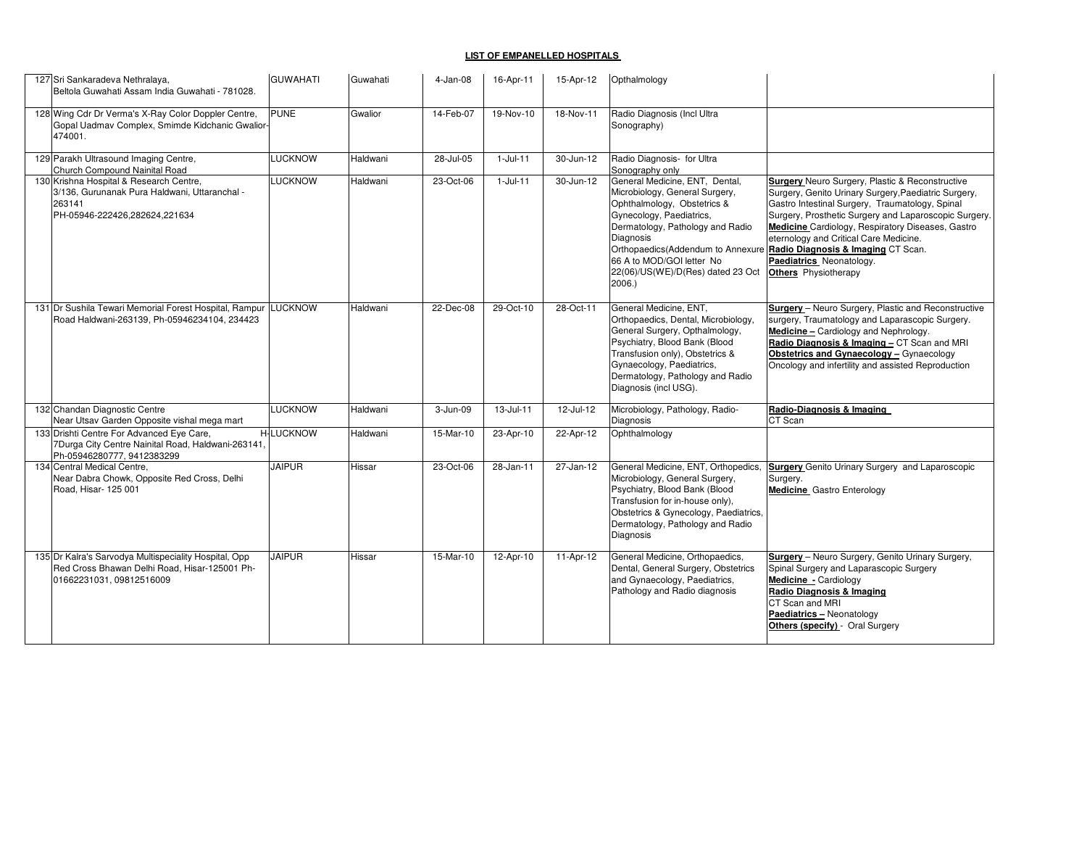| 127 Sri Sankaradeva Nethralaya,<br>Beltola Guwahati Assam India Guwahati - 781028.                                                  | <b>GUWAHATI</b>  | Guwahati | $4$ -Jan-08 | 16-Apr-11   | 15-Apr-12 | Opthalmology                                                                                                                                                                                                                                                                        |                                                                                                                                                                                                                                                                                                                                                                                                                                |
|-------------------------------------------------------------------------------------------------------------------------------------|------------------|----------|-------------|-------------|-----------|-------------------------------------------------------------------------------------------------------------------------------------------------------------------------------------------------------------------------------------------------------------------------------------|--------------------------------------------------------------------------------------------------------------------------------------------------------------------------------------------------------------------------------------------------------------------------------------------------------------------------------------------------------------------------------------------------------------------------------|
| 128 Wing Cdr Dr Verma's X-Ray Color Doppler Centre,<br>Gopal Uadmav Complex, Smimde Kidchanic Gwalior-<br>474001.                   | <b>PUNE</b>      | Gwalior  | 14-Feb-07   | 19-Nov-10   | 18-Nov-11 | Radio Diagnosis (Incl Ultra<br>Sonography)                                                                                                                                                                                                                                          |                                                                                                                                                                                                                                                                                                                                                                                                                                |
| 129 Parakh Ultrasound Imaging Centre,<br>Church Compound Nainital Road                                                              | <b>LUCKNOW</b>   | Haldwani | 28-Jul-05   | $1-Jul-11$  | 30-Jun-12 | Radio Diagnosis- for Ultra<br>Sonography only                                                                                                                                                                                                                                       |                                                                                                                                                                                                                                                                                                                                                                                                                                |
| 130 Krishna Hospital & Research Centre,<br>3/136, Gurunanak Pura Haldwani, Uttaranchal -<br>263141<br>PH-05946-222426,282624,221634 | <b>LUCKNOW</b>   | Haldwani | 23-Oct-06   | $1$ -Jul-11 | 30-Jun-12 | General Medicine, ENT, Dental,<br>Microbiology, General Surgery,<br>Ophthalmology, Obstetrics &<br>Gynecology, Paediatrics,<br>Dermatology, Pathology and Radio<br><b>Diagnosis</b><br>66 A to MOD/GOI letter No<br>22(06)/US(WE)/D(Res) dated 23 Oct Others Physiotherapy<br>2006. | <b>Surgery</b> Neuro Surgery, Plastic & Reconstructive<br>Surgery, Genito Urinary Surgery, Paediatric Surgery,<br>Gastro Intestinal Surgery, Traumatology, Spinal<br>Surgery, Prosthetic Surgery and Laparoscopic Surgery.<br>Medicine Cardiology, Respiratory Diseases, Gastro<br>eternology and Critical Care Medicine.<br>Orthopaedics (Addendum to Annexure Radio Diagnosis & Imaging CT Scan.<br>Paediatrics Neonatology. |
| 131 Dr Sushila Tewari Memorial Forest Hospital, Rampur<br>Road Haldwani-263139, Ph-05946234104, 234423                              | <b>LUCKNOW</b>   | Haldwani | 22-Dec-08   | 29-Oct-10   | 28-Oct-11 | General Medicine, ENT.<br>Orthopaedics, Dental, Microbiology,<br>General Surgery, Opthalmology,<br>Psychiatry, Blood Bank (Blood<br>Transfusion only), Obstetrics &<br>Gynaecology, Paediatrics,<br>Dermatology, Pathology and Radio<br>Diagnosis (incl USG).                       | Surgery - Neuro Surgery, Plastic and Reconstructive<br>surgery, Traumatology and Laparascopic Surgery.<br>Medicine - Cardiology and Nephrology.<br>Radio Diagnosis & Imaging - CT Scan and MRI<br>Obstetrics and Gynaecology - Gynaecology<br>Oncology and infertility and assisted Reproduction                                                                                                                               |
| 132 Chandan Diagnostic Centre<br>Near Utsav Garden Opposite vishal mega mart                                                        | <b>LUCKNOW</b>   | Haldwani | 3-Jun-09    | 13-Jul-11   | 12-Jul-12 | Microbiology, Pathology, Radio-<br><b>Diagnosis</b>                                                                                                                                                                                                                                 | Radio-Diagnosis & Imaging<br>CT Scan                                                                                                                                                                                                                                                                                                                                                                                           |
| 133 Drishti Centre For Advanced Eye Care,<br>7Durga City Centre Nainital Road, Haldwani-263141,<br>Ph-05946280777, 9412383299       | <b>H-LUCKNOW</b> | Haldwani | 15-Mar-10   | 23-Apr-10   | 22-Apr-12 | Ophthalmology                                                                                                                                                                                                                                                                       |                                                                                                                                                                                                                                                                                                                                                                                                                                |
| 134 Central Medical Centre.<br>Near Dabra Chowk, Opposite Red Cross, Delhi<br>Road, Hisar- 125 001                                  | <b>JAIPUR</b>    | Hissar   | 23-Oct-06   | 28-Jan-11   | 27-Jan-12 | Microbiology, General Surgery,<br>Psychiatry, Blood Bank (Blood<br>Transfusion for in-house only),<br>Obstetrics & Gynecology, Paediatrics,<br>Dermatology, Pathology and Radio<br>Diagnosis                                                                                        | General Medicine, ENT, Orthopedics, Surgery Genito Urinary Surgery and Laparoscopic<br>Surgery.<br><b>Medicine</b> Gastro Enterology                                                                                                                                                                                                                                                                                           |
| 135 Dr Kalra's Sarvodya Multispeciality Hospital, Opp<br>Red Cross Bhawan Delhi Road, Hisar-125001 Ph-<br>01662231031, 09812516009  | <b>JAIPUR</b>    | Hissar   | 15-Mar-10   | 12-Apr-10   | 11-Apr-12 | General Medicine, Orthopaedics,<br>Dental, General Surgery, Obstetrics<br>and Gynaecology, Paediatrics,<br>Pathology and Radio diagnosis                                                                                                                                            | Surgery - Neuro Surgery, Genito Urinary Surgery,<br>Spinal Surgery and Laparascopic Surgery<br>Medicine - Cardiology<br>Radio Diagnosis & Imaging<br>CT Scan and MRI<br>Paediatrics - Neonatology<br><b>Others (specify)</b> - Oral Surgery                                                                                                                                                                                    |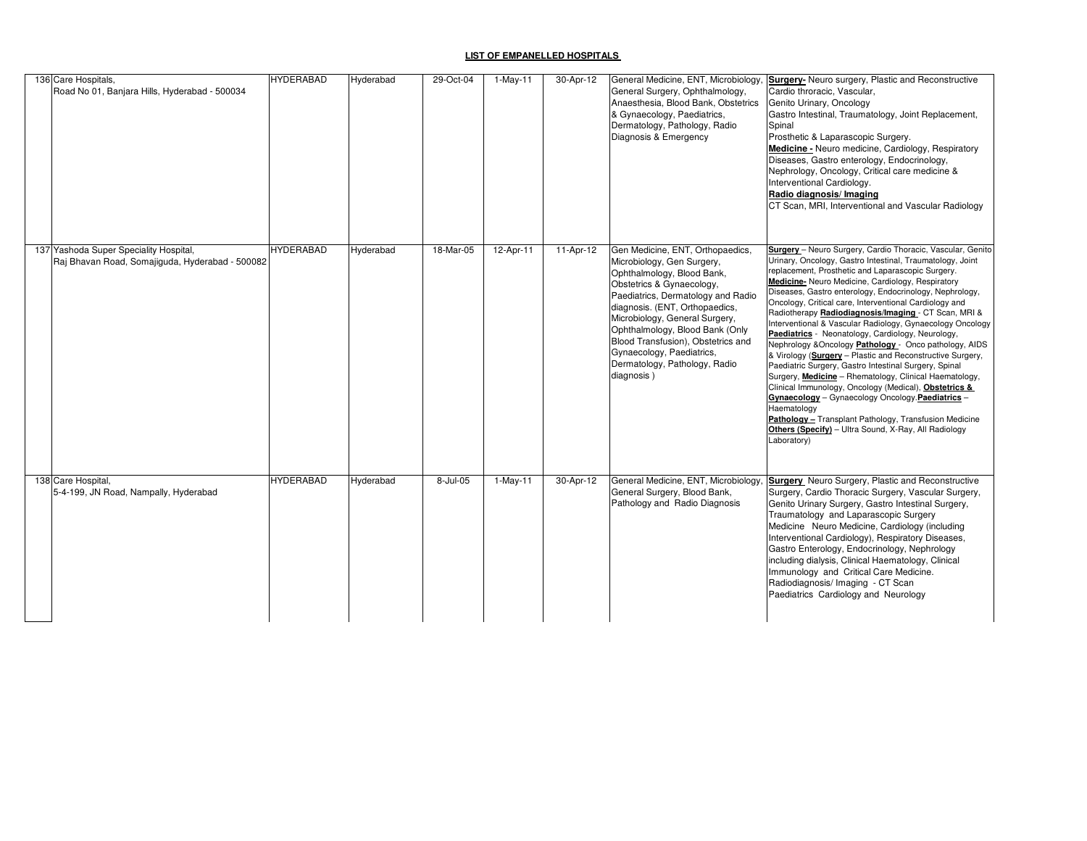| 136 Care Hospitals,<br>Road No 01, Banjara Hills, Hyderabad - 500034                      | <b>HYDERABAD</b> | Hyderabad | 29-Oct-04 | $1-May-11$ | 30-Apr-12   | General Surgery, Ophthalmology,<br>Anaesthesia, Blood Bank, Obstetrics<br>& Gynaecology, Paediatrics,<br>Dermatology, Pathology, Radio<br>Diagnosis & Emergency                                                                                                                                                                                                                          | General Medicine, ENT, Microbiology, Surgery- Neuro surgery, Plastic and Reconstructive<br>Cardio throracic, Vascular,<br>Genito Urinary, Oncology<br>Gastro Intestinal, Traumatology, Joint Replacement,<br>Spinal<br>Prosthetic & Laparascopic Surgery.<br>Medicine - Neuro medicine, Cardiology, Respiratory<br>Diseases, Gastro enterology, Endocrinology,<br>Nephrology, Oncology, Critical care medicine &<br>Interventional Cardiology.<br>Radio diagnosis/ Imaging<br>CT Scan, MRI, Interventional and Vascular Radiology                                                                                                                                                                                                                                                                                                                                                                                                                                                                                                       |
|-------------------------------------------------------------------------------------------|------------------|-----------|-----------|------------|-------------|------------------------------------------------------------------------------------------------------------------------------------------------------------------------------------------------------------------------------------------------------------------------------------------------------------------------------------------------------------------------------------------|-----------------------------------------------------------------------------------------------------------------------------------------------------------------------------------------------------------------------------------------------------------------------------------------------------------------------------------------------------------------------------------------------------------------------------------------------------------------------------------------------------------------------------------------------------------------------------------------------------------------------------------------------------------------------------------------------------------------------------------------------------------------------------------------------------------------------------------------------------------------------------------------------------------------------------------------------------------------------------------------------------------------------------------------|
| 137 Yashoda Super Speciality Hospital,<br>Raj Bhavan Road, Somajiguda, Hyderabad - 500082 | <b>HYDERABAD</b> | Hyderabad | 18-Mar-05 | 12-Apr-11  | $11-Apr-12$ | Gen Medicine, ENT, Orthopaedics,<br>Microbiology, Gen Surgery,<br>Ophthalmology, Blood Bank,<br>Obstetrics & Gynaecology,<br>Paediatrics, Dermatology and Radio<br>diagnosis. (ENT, Orthopaedics,<br>Microbiology, General Surgery,<br>Ophthalmology, Blood Bank (Only<br>Blood Transfusion), Obstetrics and<br>Gynaecology, Paediatrics,<br>Dermatology, Pathology, Radio<br>diagnosis) | Surgery - Neuro Surgery, Cardio Thoracic, Vascular, Genito<br>Urinary, Oncology, Gastro Intestinal, Traumatology, Joint<br>replacement, Prosthetic and Laparascopic Surgery.<br>Medicine- Neuro Medicine, Cardiology, Respiratory<br>Diseases, Gastro enterology, Endocrinology, Nephrology,<br>Oncology, Critical care, Interventional Cardiology and<br>Radiotherapy Radiodiagnosis/Imaging - CT Scan, MRI &<br>Interventional & Vascular Radiology, Gynaecology Oncology<br>Paediatrics - Neonatology, Cardiology, Neurology,<br>Nephrology & Oncology Pathology - Onco pathology, AIDS<br>& Virology (Surgery - Plastic and Reconstructive Surgery,<br>Paediatric Surgery, Gastro Intestinal Surgery, Spinal<br>Surgery, Medicine - Rhematology, Clinical Haematology,<br>Clinical Immunology, Oncology (Medical), Obstetrics &<br>Gynaecology - Gynaecology Oncology Paediatrics -<br>Haematology<br>Pathology - Transplant Pathology, Transfusion Medicine<br>Others (Specify) - Ultra Sound, X-Ray, All Radiology<br>Laboratory) |
| 138 Care Hospital,<br>5-4-199, JN Road, Nampally, Hyderabad                               | <b>HYDERABAD</b> | Hyderabad | 8-Jul-05  | $1-May-11$ | 30-Apr-12   | General Surgery, Blood Bank,<br>Pathology and Radio Diagnosis                                                                                                                                                                                                                                                                                                                            | General Medicine, ENT, Microbiology, Surgery Neuro Surgery, Plastic and Reconstructive<br>Surgery, Cardio Thoracic Surgery, Vascular Surgery,<br>Genito Urinary Surgery, Gastro Intestinal Surgery,<br>Traumatology and Laparascopic Surgery<br>Medicine Neuro Medicine, Cardiology (including<br>Interventional Cardiology), Respiratory Diseases,<br>Gastro Enterology, Endocrinology, Nephrology<br>including dialysis, Clinical Haematology, Clinical<br>Immunology and Critical Care Medicine.<br>Radiodiagnosis/ Imaging - CT Scan<br>Paediatrics Cardiology and Neurology                                                                                                                                                                                                                                                                                                                                                                                                                                                        |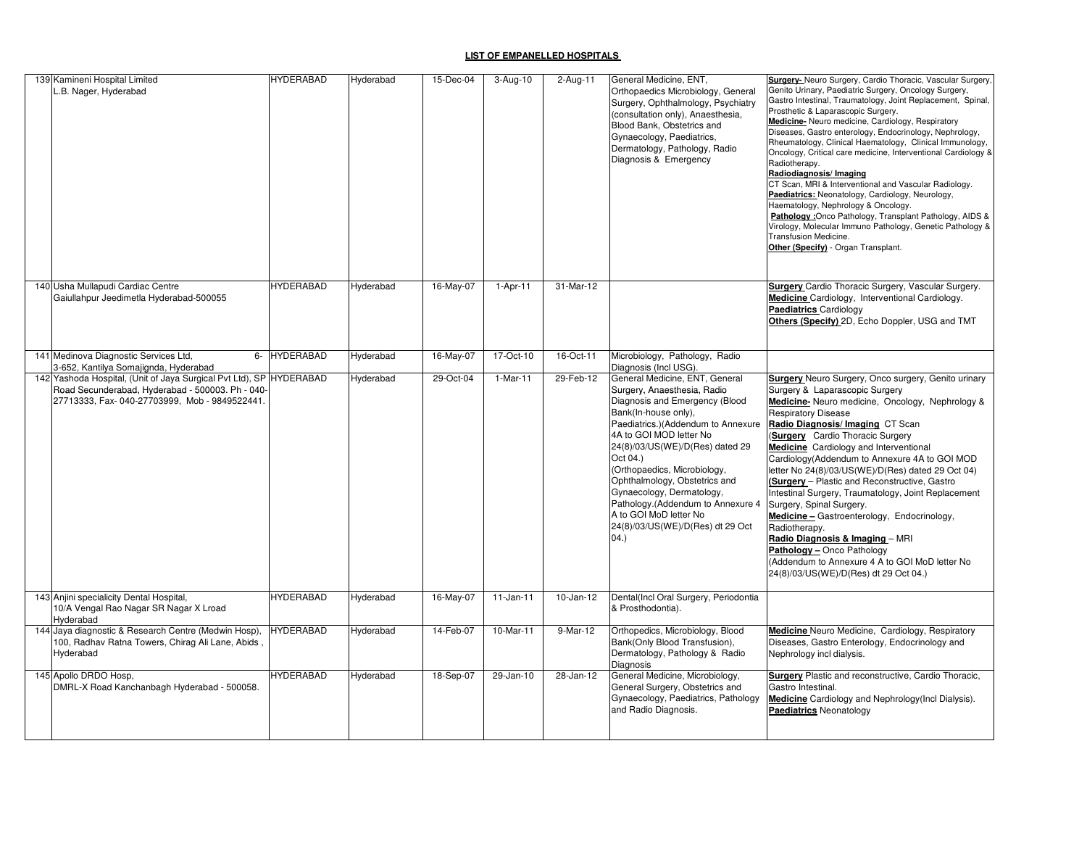| 139 Kamineni Hospital Limited<br>L.B. Nager, Hyderabad                                                                                                         | HYDERABAD        | Hyderabad | 15-Dec-04 | $3 - Aug-10$ | $2$ -Aug-11  | General Medicine, ENT.<br>Orthopaedics Microbiology, General<br>Surgery, Ophthalmology, Psychiatry<br>(consultation only), Anaesthesia,<br>Blood Bank, Obstetrics and<br>Gynaecology, Paediatrics,<br>Dermatology, Pathology, Radio<br>Diagnosis & Emergency                                                                                                                                                                                    | <b>Surgery-</b> Neuro Surgery, Cardio Thoracic, Vascular Surgery,<br>Genito Urinary, Paediatric Surgery, Oncology Surgery,<br>Gastro Intestinal, Traumatology, Joint Replacement, Spinal,<br>Prosthetic & Laparascopic Surgery.<br>Medicine- Neuro medicine, Cardiology, Respiratory<br>Diseases, Gastro enterology, Endocrinology, Nephrology,<br>Rheumatology, Clinical Haematology, Clinical Immunology,<br>Oncology, Critical care medicine, Interventional Cardiology &<br>Radiotherapy.<br>Radiodiagnosis/Imaging<br>CT Scan, MRI & Interventional and Vascular Radiology.<br>Paediatrics: Neonatology, Cardiology, Neurology,<br>Haematology, Nephrology & Oncology.<br>Pathology: Onco Pathology, Transplant Pathology, AIDS &<br>Virology, Molecular Immuno Pathology, Genetic Pathology &<br>Transfusion Medicine.<br>Other (Specify) - Organ Transplant. |
|----------------------------------------------------------------------------------------------------------------------------------------------------------------|------------------|-----------|-----------|--------------|--------------|-------------------------------------------------------------------------------------------------------------------------------------------------------------------------------------------------------------------------------------------------------------------------------------------------------------------------------------------------------------------------------------------------------------------------------------------------|---------------------------------------------------------------------------------------------------------------------------------------------------------------------------------------------------------------------------------------------------------------------------------------------------------------------------------------------------------------------------------------------------------------------------------------------------------------------------------------------------------------------------------------------------------------------------------------------------------------------------------------------------------------------------------------------------------------------------------------------------------------------------------------------------------------------------------------------------------------------|
| 140 Usha Mullapudi Cardiac Centre<br>Gaiullahpur Jeedimetla Hyderabad-500055                                                                                   | HYDERABAD        | Hyderabad | 16-May-07 | 1-Apr-11     | 31-Mar-12    |                                                                                                                                                                                                                                                                                                                                                                                                                                                 | <b>Surgery Cardio Thoracic Surgery, Vascular Surgery.</b><br>Medicine Cardiology, Interventional Cardiology.<br><b>Paediatrics Cardiology</b><br>Others (Specify) 2D, Echo Doppler, USG and TMT                                                                                                                                                                                                                                                                                                                                                                                                                                                                                                                                                                                                                                                                     |
| 141 Medinova Diagnostic Services Ltd,<br>$6-$<br>3-652, Kantilya Somajignda, Hyderabad                                                                         | <b>HYDERABAD</b> | Hyderabad | 16-May-07 | 17-Oct-10    | 16-Oct-11    | Microbiology, Pathology, Radio<br>Diagnosis (Incl USG).                                                                                                                                                                                                                                                                                                                                                                                         |                                                                                                                                                                                                                                                                                                                                                                                                                                                                                                                                                                                                                                                                                                                                                                                                                                                                     |
| 142 Yashoda Hospital, (Unit of Jaya Surgical Pvt Ltd), SP<br>Road Secunderabad, Hyderabad - 500003. Ph - 040-<br>27713333, Fax-040-27703999, Mob - 9849522441. | <b>HYDERABAD</b> | Hyderabad | 29-Oct-04 | $1-Mar-11$   | 29-Feb-12    | General Medicine, ENT, General<br>Surgery, Anaesthesia, Radio<br>Diagnosis and Emergency (Blood<br>Bank(In-house only),<br>Paediatrics.)(Addendum to Annexure<br>4A to GOI MOD letter No<br>24(8)/03/US(WE)/D(Res) dated 29<br>Oct 04.)<br>(Orthopaedics, Microbiology,<br>Ophthalmology, Obstetrics and<br>Gynaecology, Dermatology,<br>Pathology.(Addendum to Annexure 4<br>A to GOI MoD letter No<br>24(8)/03/US(WE)/D(Res) dt 29 Oct<br>04. | Surgery Neuro Surgery, Onco surgery, Genito urinary<br>Surgery & Laparascopic Surgery<br>Medicine-Neuro medicine, Oncology, Nephrology &<br><b>Respiratory Disease</b><br>Radio Diagnosis/ Imaging CT Scan<br>(Surgery Cardio Thoracic Surgery<br>Medicine Cardiology and Interventional<br>Cardiology(Addendum to Annexure 4A to GOI MOD<br>letter No 24(8)/03/US(WE)/D(Res) dated 29 Oct 04)<br><b>Surgery</b> - Plastic and Reconstructive, Gastro<br>ntestinal Surgery, Traumatology, Joint Replacement<br>Surgery, Spinal Surgery.<br>Medicine - Gastroenterology, Endocrinology,<br>Radiotherapy.<br>Radio Diagnosis & Imaging - MRI<br>Pathology - Onco Pathology<br>(Addendum to Annexure 4 A to GOI MoD letter No<br>24(8)/03/US(WE)/D(Res) dt 29 Oct 04.)                                                                                                 |
| 143 Anjini specialicity Dental Hospital,<br>10/A Vengal Rao Nagar SR Nagar X Lroad<br>Hvderabad                                                                | <b>HYDERABAD</b> | Hyderabad | 16-May-07 | $11-Jan-11$  | $10$ -Jan-12 | Dental(Incl Oral Surgery, Periodontia<br>& Prosthodontia).                                                                                                                                                                                                                                                                                                                                                                                      |                                                                                                                                                                                                                                                                                                                                                                                                                                                                                                                                                                                                                                                                                                                                                                                                                                                                     |
| 144 Jaya diagnostic & Research Centre (Medwin Hosp),<br>100, Radhav Ratna Towers, Chirag Ali Lane, Abids,<br>Hyderabad                                         | <b>HYDERABAD</b> | Hyderabad | 14-Feb-07 | 10-Mar-11    | 9-Mar-12     | Orthopedics, Microbiology, Blood<br>Bank(Only Blood Transfusion),<br>Dermatology, Pathology & Radio<br>Diagnosis                                                                                                                                                                                                                                                                                                                                | Medicine Neuro Medicine, Cardiology, Respiratory<br>Diseases, Gastro Enterology, Endocrinology and<br>Nephrology incl dialysis.                                                                                                                                                                                                                                                                                                                                                                                                                                                                                                                                                                                                                                                                                                                                     |
| 145 Apollo DRDO Hosp,<br>DMRL-X Road Kanchanbagh Hyderabad - 500058.                                                                                           | <b>HYDERABAD</b> | Hyderabad | 18-Sep-07 | 29-Jan-10    | 28-Jan-12    | General Medicine, Microbiology,<br>General Surgery, Obstetrics and<br>Gynaecology, Paediatrics, Pathology<br>and Radio Diagnosis.                                                                                                                                                                                                                                                                                                               | Surgery Plastic and reconstructive, Cardio Thoracic,<br>Gastro Intestinal.<br>Medicine Cardiology and Nephrology (Incl Dialysis).<br><b>Paediatrics Neonatology</b>                                                                                                                                                                                                                                                                                                                                                                                                                                                                                                                                                                                                                                                                                                 |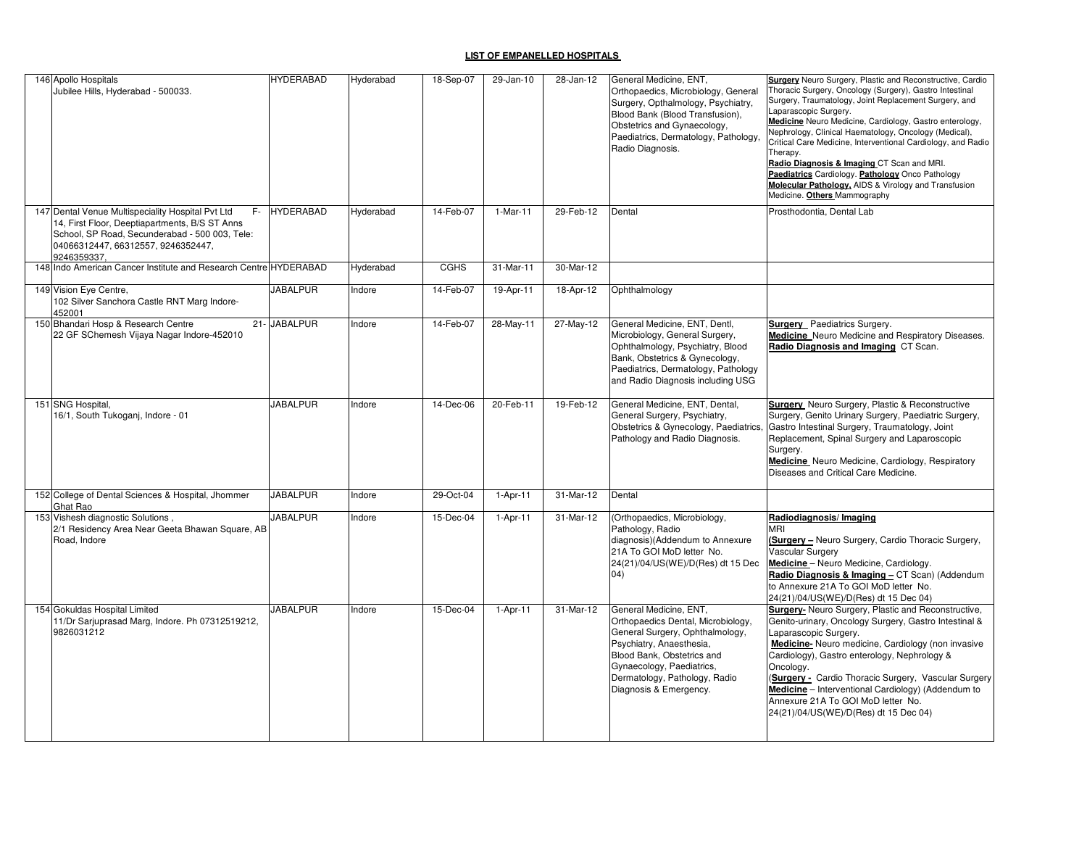| 146 Apollo Hospitals<br>Jubilee Hills, Hyderabad - 500033.                                                                                                                                                 | <b>HYDERABAD</b> | Hyderabad | 18-Sep-07   | 29-Jan-10  | 28-Jan-12 | General Medicine, ENT.<br>Orthopaedics, Microbiology, General<br>Surgery, Opthalmology, Psychiatry,<br>Blood Bank (Blood Transfusion),<br>Obstetrics and Gynaecology,<br>Paediatrics, Dermatology, Pathology,<br>Radio Diagnosis.                 | <b>Surgery</b> Neuro Surgery, Plastic and Reconstructive, Cardio<br>Thoracic Surgery, Oncology (Surgery), Gastro Intestinal<br>Surgery, Traumatology, Joint Replacement Surgery, and<br>Laparascopic Surgery.<br>Medicine Neuro Medicine, Cardiology, Gastro enterology,<br>Nephrology, Clinical Haematology, Oncology (Medical),<br>Critical Care Medicine, Interventional Cardiology, and Radio<br>Therapv.<br>Radio Diagnosis & Imaging CT Scan and MRI.<br>Paediatrics Cardiology. Pathology Onco Pathology<br><b>Molecular Pathology, AIDS &amp; Virology and Transfusion</b><br>Medicine. <b>Others</b> Mammography |
|------------------------------------------------------------------------------------------------------------------------------------------------------------------------------------------------------------|------------------|-----------|-------------|------------|-----------|---------------------------------------------------------------------------------------------------------------------------------------------------------------------------------------------------------------------------------------------------|---------------------------------------------------------------------------------------------------------------------------------------------------------------------------------------------------------------------------------------------------------------------------------------------------------------------------------------------------------------------------------------------------------------------------------------------------------------------------------------------------------------------------------------------------------------------------------------------------------------------------|
| 147 Dental Venue Multispeciality Hospital Pvt Ltd<br>14, First Floor, Deeptiapartments, B/S ST Anns<br>School, SP Road, Secunderabad - 500 003, Tele:<br>04066312447, 66312557, 9246352447,<br>9246359337, | F- HYDERABAD     | Hyderabad | 14-Feb-07   | $1-Mar-11$ | 29-Feb-12 | Dental                                                                                                                                                                                                                                            | Prosthodontia, Dental Lab                                                                                                                                                                                                                                                                                                                                                                                                                                                                                                                                                                                                 |
| 148 Indo American Cancer Institute and Research Centre HYDERABAD                                                                                                                                           |                  | Hyderabad | <b>CGHS</b> | 31-Mar-11  | 30-Mar-12 |                                                                                                                                                                                                                                                   |                                                                                                                                                                                                                                                                                                                                                                                                                                                                                                                                                                                                                           |
| 149 Vision Eye Centre,<br>102 Silver Sanchora Castle RNT Marg Indore-<br>152001                                                                                                                            | <b>JABALPUR</b>  | Indore    | 14-Feb-07   | 19-Apr-11  | 18-Apr-12 | Ophthalmology                                                                                                                                                                                                                                     |                                                                                                                                                                                                                                                                                                                                                                                                                                                                                                                                                                                                                           |
| 150 Bhandari Hosp & Research Centre<br>22 GF SChemesh Vijaya Nagar Indore-452010                                                                                                                           | 21- JABALPUR     | Indore    | 14-Feb-07   | 28-May-11  | 27-May-12 | General Medicine, ENT, Dentl,<br>Microbiology, General Surgery,<br>Ophthalmology, Psychiatry, Blood<br>Bank, Obstetrics & Gynecology,<br>Paediatrics, Dermatology, Pathology<br>and Radio Diagnosis including USG                                 | <b>Surgery</b> Paediatrics Surgery.<br><b>Medicine</b> Neuro Medicine and Respiratory Diseases.<br>Radio Diagnosis and Imaging CT Scan.                                                                                                                                                                                                                                                                                                                                                                                                                                                                                   |
| 151 SNG Hospital,<br>16/1, South Tukoganj, Indore - 01                                                                                                                                                     | <b>JABALPUR</b>  | Indore    | 14-Dec-06   | 20-Feb-11  | 19-Feb-12 | General Medicine, ENT, Dental,<br>General Surgery, Psychiatry,<br>Obstetrics & Gynecology, Paediatrics,<br>Pathology and Radio Diagnosis.                                                                                                         | Surgery Neuro Surgery, Plastic & Reconstructive<br>Surgery, Genito Urinary Surgery, Paediatric Surgery,<br>Gastro Intestinal Surgery, Traumatology, Joint<br>Replacement, Spinal Surgery and Laparoscopic<br>Surgery.<br>Medicine Neuro Medicine, Cardiology, Respiratory<br>Diseases and Critical Care Medicine.                                                                                                                                                                                                                                                                                                         |
| 152 College of Dental Sciences & Hospital, Jhommer<br>Ghat Rao                                                                                                                                             | <b>JABALPUR</b>  | Indore    | 29-Oct-04   | $1-Apr-11$ | 31-Mar-12 | Dental                                                                                                                                                                                                                                            |                                                                                                                                                                                                                                                                                                                                                                                                                                                                                                                                                                                                                           |
| 153 Vishesh diagnostic Solutions,<br>2/1 Residency Area Near Geeta Bhawan Square, AB<br>Road, Indore                                                                                                       | <b>JABALPUR</b>  | Indore    | 15-Dec-04   | $1-Apr-11$ | 31-Mar-12 | (Orthopaedics, Microbiology,<br>Pathology, Radio<br>diagnosis)(Addendum to Annexure<br>21A To GOI MoD letter No.<br>24(21)/04/US(WE)/D(Res) dt 15 Dec<br>(04)                                                                                     | Radiodiagnosis/Imaging<br>MRI<br><b>Surgery</b> - Neuro Surgery, Cardio Thoracic Surgery,<br>Vascular Surgery<br>Medicine - Neuro Medicine, Cardiology.<br>Radio Diagnosis & Imaging - CT Scan) (Addendum<br>to Annexure 21A To GOI MoD letter No.<br>24(21)/04/US(WE)/D(Res) dt 15 Dec 04)                                                                                                                                                                                                                                                                                                                               |
| 154 Gokuldas Hospital Limited<br>11/Dr Sarjuprasad Marg, Indore. Ph 07312519212,<br>9826031212                                                                                                             | <b>JABALPUR</b>  | Indore    | 15-Dec-04   | $1-Apr-11$ | 31-Mar-12 | General Medicine, ENT,<br>Orthopaedics Dental, Microbiology,<br>General Surgery, Ophthalmology,<br>Psychiatry, Anaesthesia,<br>Blood Bank, Obstetrics and<br>Gynaecology, Paediatrics,<br>Dermatology, Pathology, Radio<br>Diagnosis & Emergency. | <b>Surgery-</b> Neuro Surgery, Plastic and Reconstructive,<br>Genito-urinary, Oncology Surgery, Gastro Intestinal &<br>Laparascopic Surgery.<br>Medicine-Neuro medicine, Cardiology (non invasive<br>Cardiology), Gastro enterology, Nephrology &<br>Oncology.<br><b>Surgery -</b> Cardio Thoracic Surgery, Vascular Surgery<br>Medicine - Interventional Cardiology) (Addendum to<br>Annexure 21A To GOI MoD letter No.<br>24(21)/04/US(WE)/D(Res) dt 15 Dec 04)                                                                                                                                                         |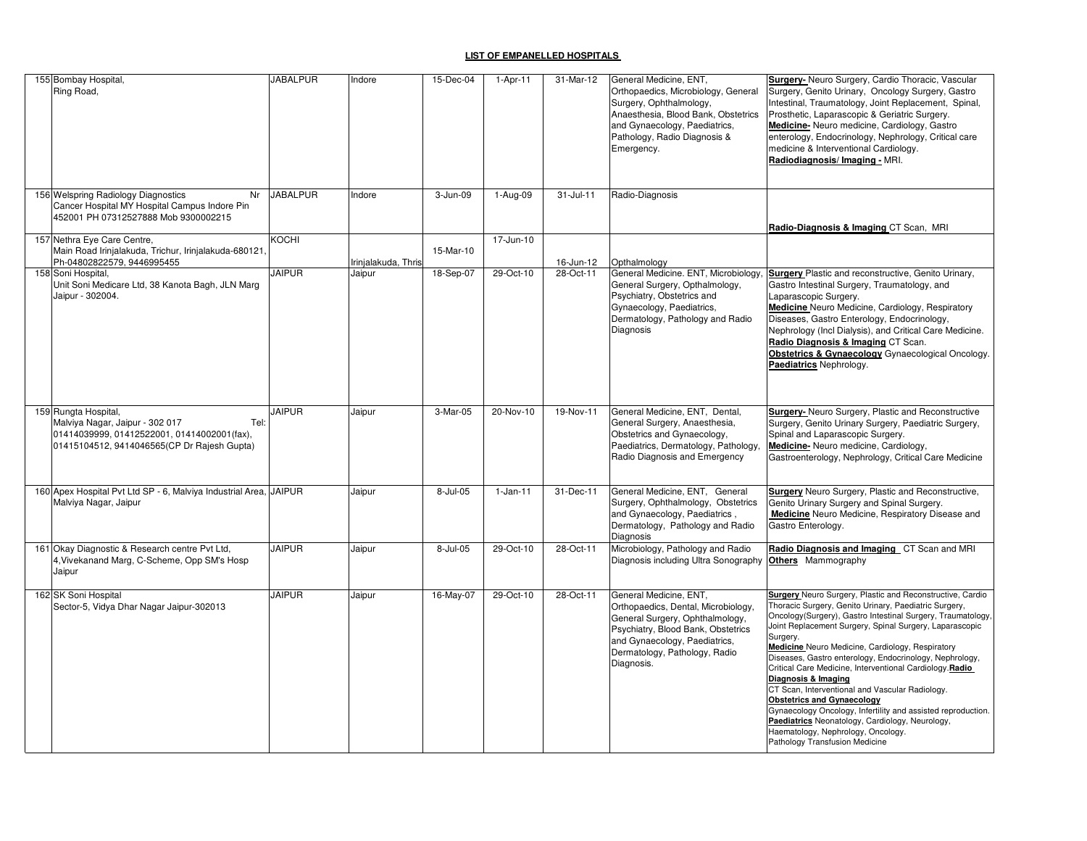| 155 Bombay Hospital,<br>Ring Road,                                                                                                                            | <b>JABALPUR</b> | Indore              | 15-Dec-04 | $1-Apr-11$ | 31-Mar-12 | General Medicine, ENT,<br>Orthopaedics, Microbiology, General<br>Surgery, Ophthalmology,<br>Anaesthesia, Blood Bank, Obstetrics<br>and Gynaecology, Paediatrics,<br>Pathology, Radio Diagnosis &<br>Emergency.         | Surgery- Neuro Surgery, Cardio Thoracic, Vascular<br>Surgery, Genito Urinary, Oncology Surgery, Gastro<br>Intestinal, Traumatology, Joint Replacement, Spinal,<br>Prosthetic, Laparascopic & Geriatric Surgery.<br>Medicine-Neuro medicine, Cardiology, Gastro<br>enterology, Endocrinology, Nephrology, Critical care<br>medicine & Interventional Cardiology.<br>Radiodiagnosis/Imaging - MRI.                                                                                                                                                                                                                                                                                                                                              |
|---------------------------------------------------------------------------------------------------------------------------------------------------------------|-----------------|---------------------|-----------|------------|-----------|------------------------------------------------------------------------------------------------------------------------------------------------------------------------------------------------------------------------|-----------------------------------------------------------------------------------------------------------------------------------------------------------------------------------------------------------------------------------------------------------------------------------------------------------------------------------------------------------------------------------------------------------------------------------------------------------------------------------------------------------------------------------------------------------------------------------------------------------------------------------------------------------------------------------------------------------------------------------------------|
| 156 Welspring Radiology Diagnostics<br>Nr<br>Cancer Hospital MY Hospital Campus Indore Pin<br>452001 PH 07312527888 Mob 9300002215                            | <b>JABALPUR</b> | Indore              | 3-Jun-09  | 1-Aug-09   | 31-Jul-11 | Radio-Diagnosis                                                                                                                                                                                                        | Radio-Diagnosis & Imaging CT Scan, MRI                                                                                                                                                                                                                                                                                                                                                                                                                                                                                                                                                                                                                                                                                                        |
| 157 Nethra Eye Care Centre,<br>Main Road Irinjalakuda, Trichur, Irinjalakuda-680121,<br>Ph-04802822579, 9446995455                                            | KOCHI           | Irinjalakuda, Thris | 15-Mar-10 | 17-Jun-10  | 16-Jun-12 | Opthalmology                                                                                                                                                                                                           |                                                                                                                                                                                                                                                                                                                                                                                                                                                                                                                                                                                                                                                                                                                                               |
| 158 Soni Hospital,<br>Unit Soni Medicare Ltd, 38 Kanota Bagh, JLN Marg<br>Jaipur - 302004.                                                                    | <b>JAIPUR</b>   | Jaipur              | 18-Sep-07 | 29-Oct-10  | 28-Oct-11 | General Medicine. ENT, Microbiology,<br>General Surgery, Opthalmology,<br>Psychiatry, Obstetrics and<br>Gynaecology, Paediatrics,<br>Dermatology, Pathology and Radio<br>Diagnosis                                     | Surgery Plastic and reconstructive, Genito Urinary,<br>Gastro Intestinal Surgery, Traumatology, and<br>Laparascopic Surgery.<br>Medicine Neuro Medicine, Cardiology, Respiratory<br>Diseases, Gastro Enterology, Endocrinology,<br>Nephrology (Incl Dialysis), and Critical Care Medicine.<br>Radio Diagnosis & Imaging CT Scan.<br>Obstetrics & Gynaecology Gynaecological Oncology.<br>Paediatrics Nephrology.                                                                                                                                                                                                                                                                                                                              |
| 159 Rungta Hospital,<br>Malviya Nagar, Jaipur - 302 017<br>Tel:<br>01414039999, 01412522001, 01414002001(fax),<br>01415104512, 9414046565(CP Dr Rajesh Gupta) | <b>JAIPUR</b>   | Jaipur              | 3-Mar-05  | 20-Nov-10  | 19-Nov-11 | General Medicine, ENT, Dental,<br>General Surgery, Anaesthesia,<br>Obstetrics and Gynaecology,<br>Paediatrics, Dermatology, Pathology,<br>Radio Diagnosis and Emergency                                                | Surgery- Neuro Surgery, Plastic and Reconstructive<br>Surgery, Genito Urinary Surgery, Paediatric Surgery,<br>Spinal and Laparascopic Surgery.<br>Medicine-Neuro medicine, Cardiology,<br>Gastroenterology, Nephrology, Critical Care Medicine                                                                                                                                                                                                                                                                                                                                                                                                                                                                                                |
| 160 Apex Hospital Pvt Ltd SP - 6, Malviya Industrial Area, JAIPUR<br>Malviya Nagar, Jaipur                                                                    |                 | Jaipur              | 8-Jul-05  | $1-Jan-11$ | 31-Dec-11 | General Medicine, ENT, General<br>Surgery, Ophthalmology, Obstetrics<br>and Gynaecology, Paediatrics,<br>Dermatology, Pathology and Radio<br>Diagnosis                                                                 | Surgery Neuro Surgery, Plastic and Reconstructive,<br>Genito Urinary Surgery and Spinal Surgery.<br>Medicine Neuro Medicine, Respiratory Disease and<br>Gastro Enterology.                                                                                                                                                                                                                                                                                                                                                                                                                                                                                                                                                                    |
| 161 Okay Diagnostic & Research centre Pvt Ltd.<br>4, Vivekanand Marg, C-Scheme, Opp SM's Hosp<br>Jaipur                                                       | <b>JAIPUR</b>   | Jaipur              | 8-Jul-05  | 29-Oct-10  | 28-Oct-11 | Microbiology, Pathology and Radio<br>Diagnosis including Ultra Sonography                                                                                                                                              | Radio Diagnosis and Imaging CT Scan and MRI<br><b>Others</b> Mammography                                                                                                                                                                                                                                                                                                                                                                                                                                                                                                                                                                                                                                                                      |
| 162 SK Soni Hospital<br>Sector-5, Vidya Dhar Nagar Jaipur-302013                                                                                              | <b>JAIPUR</b>   | Jaipur              | 16-May-07 | 29-Oct-10  | 28-Oct-11 | General Medicine, ENT,<br>Orthopaedics, Dental, Microbiology,<br>General Surgery, Ophthalmology,<br>Psychiatry, Blood Bank, Obstetrics<br>and Gynaecology, Paediatrics,<br>Dermatology, Pathology, Radio<br>Diagnosis. | Surgery Neuro Surgery, Plastic and Reconstructive, Cardio<br>Thoracic Surgery, Genito Urinary, Paediatric Surgery,<br>Oncology(Surgery), Gastro Intestinal Surgery, Traumatology,<br>Joint Replacement Surgery, Spinal Surgery, Laparascopic<br>Surgery.<br>Medicine Neuro Medicine, Cardiology, Respiratory<br>Diseases, Gastro enterology, Endocrinology, Nephrology,<br>Critical Care Medicine, Interventional Cardiology. Radio<br>Diagnosis & Imaging<br>CT Scan, Interventional and Vascular Radiology.<br><b>Obstetrics and Gynaecology</b><br>Gynaecology Oncology, Infertility and assisted reproduction.<br>Paediatrics Neonatology, Cardiology, Neurology,<br>Haematology, Nephrology, Oncology.<br>Pathology Transfusion Medicine |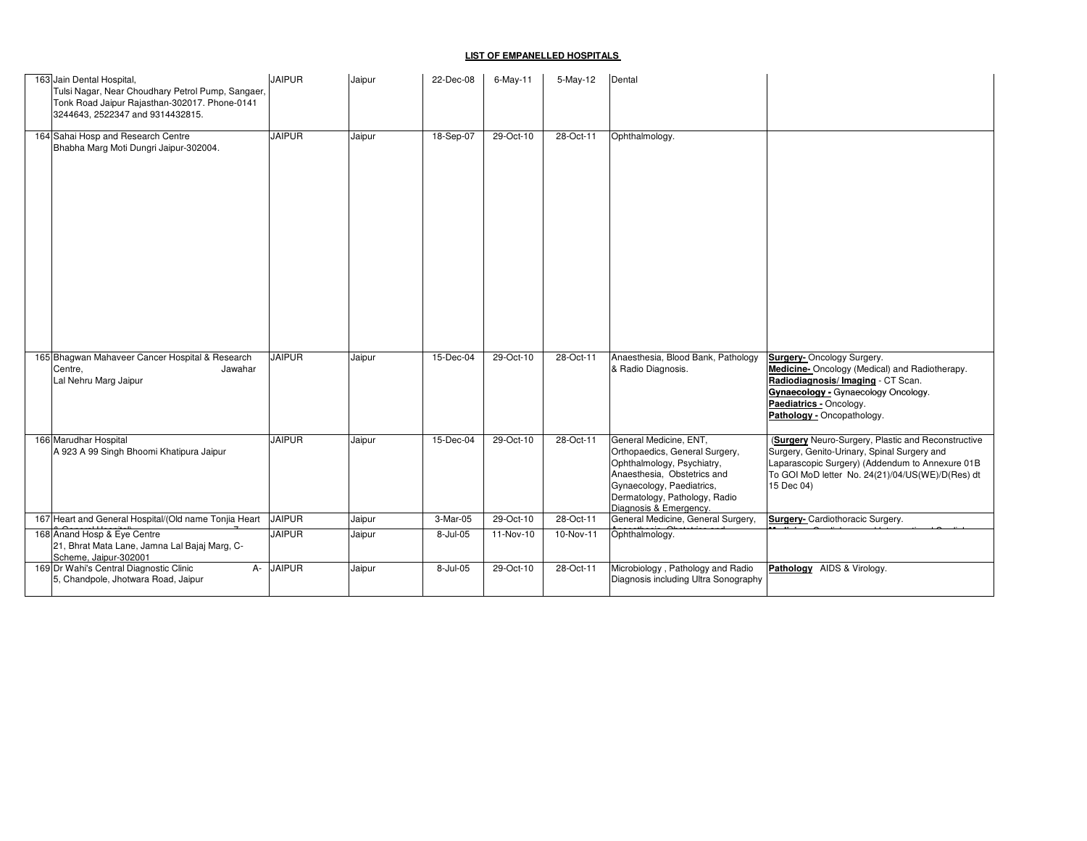| 163 Jain Dental Hospital,<br>Tulsi Nagar, Near Choudhary Petrol Pump, Sangaer,<br>Tonk Road Jaipur Rajasthan-302017. Phone-0141<br>3244643, 2522347 and 9314432815. | <b>JAIPUR</b> | Jaipur | 22-Dec-08 | $6$ -May-11 | 5-May-12  | Dental                                                                                                                                                                                                        |                                                                                                                                                                                                                         |
|---------------------------------------------------------------------------------------------------------------------------------------------------------------------|---------------|--------|-----------|-------------|-----------|---------------------------------------------------------------------------------------------------------------------------------------------------------------------------------------------------------------|-------------------------------------------------------------------------------------------------------------------------------------------------------------------------------------------------------------------------|
| 164 Sahai Hosp and Research Centre<br>Bhabha Marg Moti Dungri Jaipur-302004.                                                                                        | <b>JAIPUR</b> | Jaipur | 18-Sep-07 | 29-Oct-10   | 28-Oct-11 | Ophthalmology.                                                                                                                                                                                                |                                                                                                                                                                                                                         |
| 165 Bhagwan Mahaveer Cancer Hospital & Research<br>Centre.<br>Jawahar<br>Lal Nehru Marg Jaipur                                                                      | <b>JAIPUR</b> | Jaipur | 15-Dec-04 | 29-Oct-10   | 28-Oct-11 | Anaesthesia, Blood Bank, Pathology<br>& Radio Diagnosis.                                                                                                                                                      | <b>Surgery- Oncology Surgery.</b><br>Medicine-Oncology (Medical) and Radiotherapy.<br>Radiodiagnosis/Imaging - CT Scan.<br>Gynaecology - Gynaecology Oncology.<br>Paediatrics - Oncology.<br>Pathology - Oncopathology. |
| 166 Marudhar Hospital<br>A 923 A 99 Singh Bhoomi Khatipura Jaipur                                                                                                   | <b>JAIPUR</b> | Jaipur | 15-Dec-04 | 29-Oct-10   | 28-Oct-11 | General Medicine, ENT,<br>Orthopaedics, General Surgery,<br>Ophthalmology, Psychiatry,<br>Anaesthesia, Obstetrics and<br>Gynaecology, Paediatrics,<br>Dermatology, Pathology, Radio<br>Diagnosis & Emergency. | (Surgery Neuro-Surgery, Plastic and Reconstructive<br>Surgery, Genito-Urinary, Spinal Surgery and<br>Laparascopic Surgery) (Addendum to Annexure 01B<br>To GOI MoD letter No. 24(21)/04/US(WE)/D(Res) dt<br>15 Dec 04)  |
| 167 Heart and General Hospital/(Old name Tonjia Heart                                                                                                               | <b>JAIPUR</b> | Jaipur | 3-Mar-05  | 29-Oct-10   | 28-Oct-11 | General Medicine, General Surgery,                                                                                                                                                                            | Surgery- Cardiothoracic Surgery.                                                                                                                                                                                        |
| 168 Anand Hosp & Eye Centre<br>21, Bhrat Mata Lane, Jamna Lal Bajaj Marg, C-<br>Scheme, Jaipur-302001                                                               | <b>JAIPUR</b> | Jaipur | 8-Jul-05  | 11-Nov-10   | 10-Nov-11 | Ophthalmology.                                                                                                                                                                                                |                                                                                                                                                                                                                         |
| 169 Dr Wahi's Central Diagnostic Clinic<br>5, Chandpole, Jhotwara Road, Jaipur                                                                                      | A- JAIPUR     | Jaipur | 8-Jul-05  | 29-Oct-10   | 28-Oct-11 | Microbiology, Pathology and Radio<br>Diagnosis including Ultra Sonography                                                                                                                                     | Pathology AIDS & Virology.                                                                                                                                                                                              |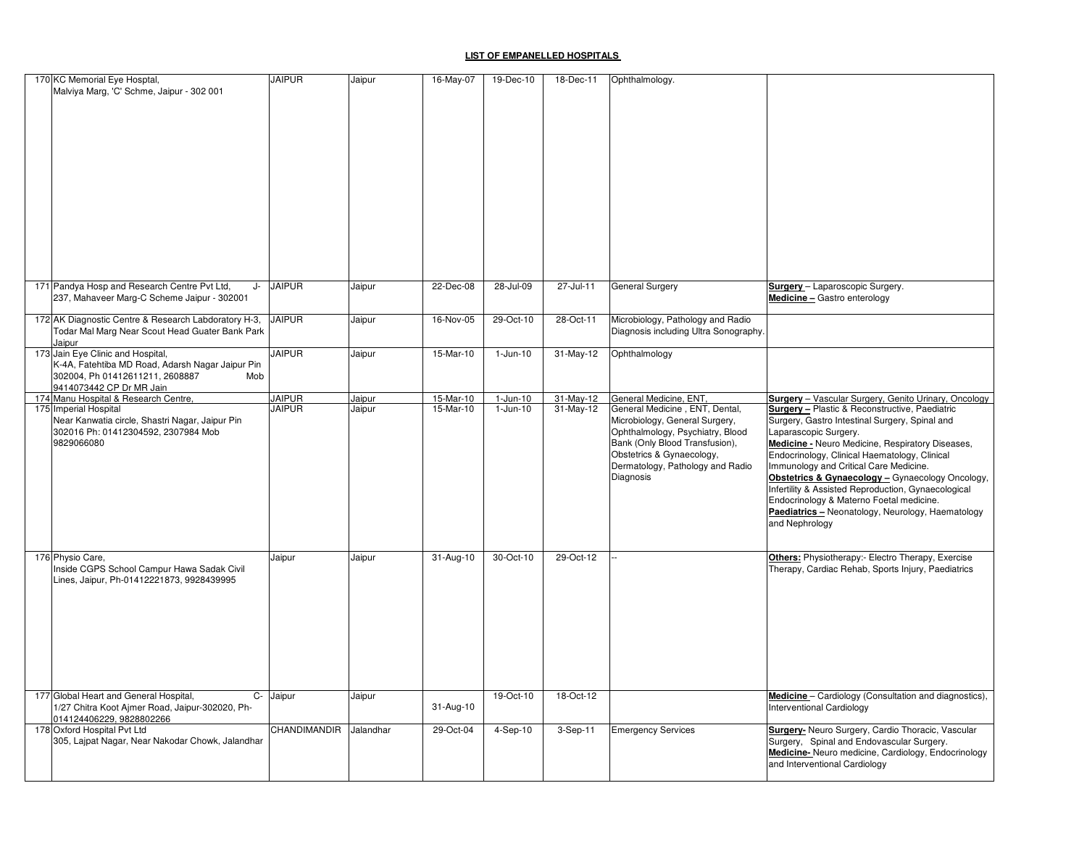| 170 KC Memorial Eye Hosptal,<br>Malviya Marg, 'C' Schme, Jaipur - 302 001                                                                                   | <b>JAIPUR</b>       | Jaipur    | 16-May-07 | 19-Dec-10    | 18-Dec-11 | Ophthalmology.                                                                                                                                                                                                       |                                                                                                                                                                                                                                                                                                                                                                                                                                                                                                               |
|-------------------------------------------------------------------------------------------------------------------------------------------------------------|---------------------|-----------|-----------|--------------|-----------|----------------------------------------------------------------------------------------------------------------------------------------------------------------------------------------------------------------------|---------------------------------------------------------------------------------------------------------------------------------------------------------------------------------------------------------------------------------------------------------------------------------------------------------------------------------------------------------------------------------------------------------------------------------------------------------------------------------------------------------------|
| 171 Pandya Hosp and Research Centre Pvt Ltd,<br>237, Mahaveer Marg-C Scheme Jaipur - 302001                                                                 | J- JAIPUR           | Jaipur    | 22-Dec-08 | 28-Jul-09    | 27-Jul-11 | <b>General Surgery</b>                                                                                                                                                                                               | Surgery - Laparoscopic Surgery.<br>Medicine - Gastro enterology                                                                                                                                                                                                                                                                                                                                                                                                                                               |
| 172 AK Diagnostic Centre & Research Labdoratory H-3,<br>Todar Mal Marg Near Scout Head Guater Bank Park<br>Jaipur                                           | <b>JAIPUR</b>       | Jaipur    | 16-Nov-05 | 29-Oct-10    | 28-Oct-11 | Microbiology, Pathology and Radio<br>Diagnosis including Ultra Sonography.                                                                                                                                           |                                                                                                                                                                                                                                                                                                                                                                                                                                                                                                               |
| 173 Jain Eye Clinic and Hospital,<br>K-4A, Fatehtiba MD Road, Adarsh Nagar Jaipur Pin<br>302004, Ph 01412611211, 2608887<br>Mob<br>9414073442 CP Dr MR Jain | <b>JAIPUR</b>       | Jaipur    | 15-Mar-10 | $1-Jun-10$   | 31-May-12 | Ophthalmology                                                                                                                                                                                                        |                                                                                                                                                                                                                                                                                                                                                                                                                                                                                                               |
| 174 Manu Hospital & Research Centre,                                                                                                                        | <b>JAIPUR</b>       | Jaipur    | 15-Mar-10 | $1 - Jun-10$ | 31-May-12 | General Medicine, ENT.                                                                                                                                                                                               | Surgery - Vascular Surgery, Genito Urinary, Oncology                                                                                                                                                                                                                                                                                                                                                                                                                                                          |
| 175 Imperial Hospital<br>Near Kanwatia circle, Shastri Nagar, Jaipur Pin<br>302016 Ph: 01412304592, 2307984 Mob<br>9829066080                               | <b>JAIPUR</b>       | Jaipur    | 15-Mar-10 | $1-Jun-10$   | 31-May-12 | General Medicine, ENT, Dental,<br>Microbiology, General Surgery,<br>Ophthalmology, Psychiatry, Blood<br>Bank (Only Blood Transfusion),<br>Obstetrics & Gynaecology,<br>Dermatology, Pathology and Radio<br>Diagnosis | Surgery - Plastic & Reconstructive, Paediatric<br>Surgery, Gastro Intestinal Surgery, Spinal and<br>Laparascopic Surgery.<br><b>Medicine -</b> Neuro Medicine, Respiratory Diseases,<br>Endocrinology, Clinical Haematology, Clinical<br>Immunology and Critical Care Medicine.<br>Obstetrics & Gynaecology - Gynaecology Oncology,<br>Infertility & Assisted Reproduction, Gynaecological<br>Endocrinology & Materno Foetal medicine.<br>Paediatrics - Neonatology, Neurology, Haematology<br>and Nephrology |
| 176 Physio Care,<br>Inside CGPS School Campur Hawa Sadak Civil<br>Lines, Jaipur, Ph-01412221873, 9928439995                                                 | Jaipur              | Jaipur    | 31-Aug-10 | 30-Oct-10    | 29-Oct-12 |                                                                                                                                                                                                                      | Others: Physiotherapy:- Electro Therapy, Exercise<br>Therapy, Cardiac Rehab, Sports Injury, Paediatrics                                                                                                                                                                                                                                                                                                                                                                                                       |
| 177 Global Heart and General Hospital,<br>C-<br>1/27 Chitra Koot Ajmer Road, Jaipur-302020, Ph-<br>014124406229, 9828802266                                 | Jaipur              | Jaipur    | 31-Aug-10 | $19-Oct-10$  | 18-Oct-12 |                                                                                                                                                                                                                      | Medicine - Cardiology (Consultation and diagnostics),<br>Interventional Cardiology                                                                                                                                                                                                                                                                                                                                                                                                                            |
| 178 Oxford Hospital Pvt Ltd<br>305, Lajpat Nagar, Near Nakodar Chowk, Jalandhar                                                                             | <b>CHANDIMANDIR</b> | Jalandhar | 29-Oct-04 | $4-Sep-10$   | 3-Sep-11  | <b>Emergency Services</b>                                                                                                                                                                                            | <b>Surgery-</b> Neuro Surgery, Cardio Thoracic, Vascular<br>Surgery, Spinal and Endovascular Surgery.<br>Medicine-Neuro medicine, Cardiology, Endocrinology<br>and Interventional Cardiology                                                                                                                                                                                                                                                                                                                  |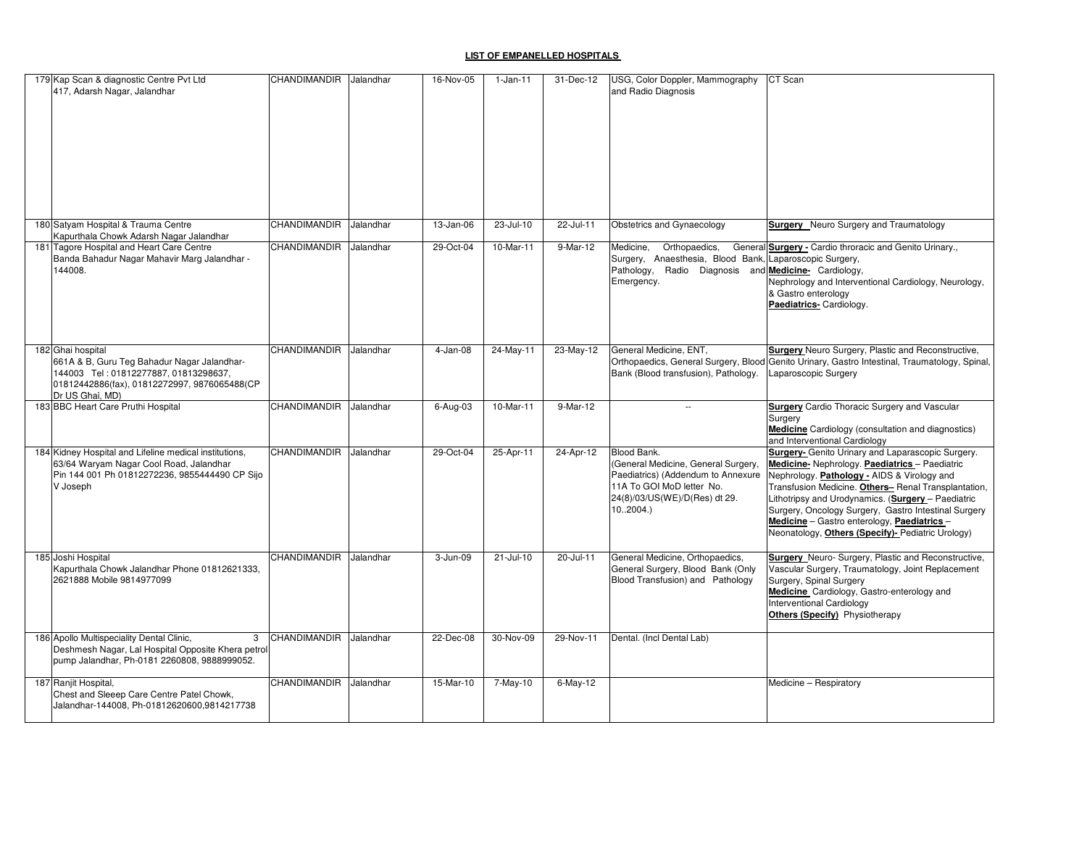| 179 Kap Scan & diagnostic Centre Pvt Ltd<br>417, Adarsh Nagar, Jalandhar                                                                                                     | CHANDIMANDIR Jalandhar |           | 16-Nov-05   | $1-Jan-11$             | 31-Dec-12   | USG, Color Doppler, Mammography<br>and Radio Diagnosis                                                                                                             | CT Scan                                                                                                                                                                                                                                                                                                                                                                                                                     |
|------------------------------------------------------------------------------------------------------------------------------------------------------------------------------|------------------------|-----------|-------------|------------------------|-------------|--------------------------------------------------------------------------------------------------------------------------------------------------------------------|-----------------------------------------------------------------------------------------------------------------------------------------------------------------------------------------------------------------------------------------------------------------------------------------------------------------------------------------------------------------------------------------------------------------------------|
| 180 Satyam Hospital & Trauma Centre<br>Kapurthala Chowk Adarsh Nagar Jalandhar                                                                                               | CHANDIMANDIR           | Jalandhar | 13-Jan-06   | 23-Jul-10              | 22-Jul-11   | Obstetrics and Gynaecology                                                                                                                                         | <b>Surgery</b> Neuro Surgery and Traumatology                                                                                                                                                                                                                                                                                                                                                                               |
| 181 Tagore Hospital and Heart Care Centre<br>Banda Bahadur Nagar Mahavir Marg Jalandhar -<br>144008.                                                                         | CHANDIMANDIR           | Jalandhar | 29-Oct-04   | 10-Mar-11              | 9-Mar-12    | Medicine,<br>Orthopaedics,<br>Surgery, Anaesthesia, Blood Bank, Laparoscopic Surgery,<br>Pathology, Radio Diagnosis and Medicine Cardiology,<br>Emergency.         | General Surgery - Cardio throracic and Genito Urinary.,<br>Nephrology and Interventional Cardiology, Neurology,<br>& Gastro enterology<br>Paediatrics- Cardiology.                                                                                                                                                                                                                                                          |
| 182 Ghai hospital<br>661A & B, Guru Teg Bahadur Nagar Jalandhar-<br>144003 Tel: 01812277887, 01813298637,<br>01812442886(fax), 01812272997, 9876065488(CP<br>Dr US Ghai, MD) | <b>CHANDIMANDIR</b>    | Jalandhar | 4-Jan-08    | 24-May-11              | 23-May-12   | General Medicine, ENT.<br>Orthopaedics, General Surgery, Blood<br>Bank (Blood transfusion), Pathology.                                                             | <b>Surgery</b> Neuro Surgery, Plastic and Reconstructive,<br>Genito Urinary, Gastro Intestinal, Traumatology, Spinal,<br>Laparoscopic Surgery                                                                                                                                                                                                                                                                               |
| 183 BBC Heart Care Pruthi Hospital                                                                                                                                           | <b>CHANDIMANDIR</b>    | Jalandhar | $6$ -Aug-03 | 10-Mar-11              | 9-Mar-12    | $\overline{\phantom{a}}$                                                                                                                                           | <b>Surgery</b> Cardio Thoracic Surgery and Vascular<br>Surgery<br><b>Medicine</b> Cardiology (consultation and diagnostics)<br>and Interventional Cardiology                                                                                                                                                                                                                                                                |
| 184 Kidney Hospital and Lifeline medical institutions,<br>63/64 Waryam Nagar Cool Road, Jalandhar<br>Pin 144 001 Ph 01812272236, 9855444490 CP Sijo<br>V Joseph              | <b>CHANDIMANDIR</b>    | Jalandhar | 29-Oct-04   | 25-Apr-11              | 24-Apr-12   | Blood Bank.<br>(General Medicine, General Surgery,<br>Paediatrics) (Addendum to Annexure<br>11A To GOI MoD letter No.<br>24(8)/03/US(WE)/D(Res) dt 29.<br>102004.) | Surgery- Genito Urinary and Laparascopic Surgery.<br>Medicine-Nephrology. Paediatrics - Paediatric<br>Nephrology. Pathology - AIDS & Virology and<br>Transfusion Medicine. Others- Renal Transplantation,<br>Lithotripsy and Urodynamics. (Surgery - Paediatric<br>Surgery, Oncology Surgery, Gastro Intestinal Surgery<br>Medicine - Gastro enterology, Paediatrics -<br>Neonatology, Others (Specify)- Pediatric Urology) |
| 185 Joshi Hospital<br>Kapurthala Chowk Jalandhar Phone 01812621333.<br>2621888 Mobile 9814977099                                                                             | <b>CHANDIMANDIR</b>    | Jalandhar | 3-Jun-09    | $21 -$ Jul-10          | 20-Jul-11   | General Medicine, Orthopaedics,<br>General Surgery, Blood Bank (Only<br>Blood Transfusion) and Pathology                                                           | Surgery Neuro- Surgery, Plastic and Reconstructive,<br>Vascular Surgery, Traumatology, Joint Replacement<br>Surgery, Spinal Surgery<br>Medicine Cardiology, Gastro-enterology and<br>Interventional Cardiology<br><b>Others (Specify)</b> Physiotherapy                                                                                                                                                                     |
| 186 Apollo Multispeciality Dental Clinic,<br>3<br>Deshmesh Nagar, Lal Hospital Opposite Khera petrol<br>pump Jalandhar, Ph-0181 2260808, 9888999052.                         | <b>CHANDIMANDIR</b>    | Jalandhar | 22-Dec-08   | 30-Nov-09              | 29-Nov-11   | Dental. (Incl Dental Lab)                                                                                                                                          |                                                                                                                                                                                                                                                                                                                                                                                                                             |
| 187 Ranjit Hospital,<br>Chest and Sleeep Care Centre Patel Chowk,<br>Jalandhar-144008, Ph-01812620600,9814217738                                                             | <b>CHANDIMANDIR</b>    | Jalandhar | 15-Mar-10   | $\overline{7}$ -May-10 | $6$ -May-12 |                                                                                                                                                                    | Medicine - Respiratory                                                                                                                                                                                                                                                                                                                                                                                                      |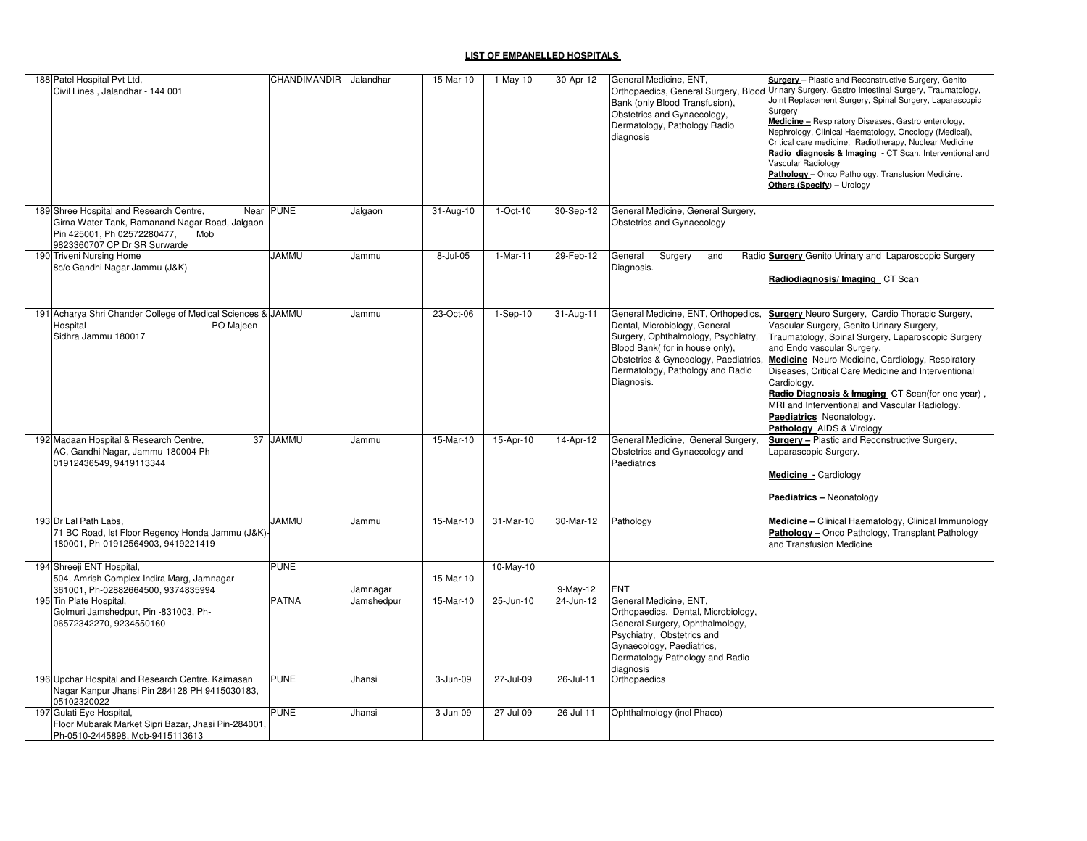| 188 Patel Hospital Pvt Ltd,<br>Civil Lines, Jalandhar - 144 001                                                                                                         | CHANDIMANDIR Jalandhar |            | 15-Mar-10 | 1-May-10   | 30-Apr-12  | General Medicine, ENT.<br>Orthopaedics, General Surgery, Blood<br>Bank (only Blood Transfusion),<br>Obstetrics and Gynaecology,<br>Dermatology, Pathology Radio<br>diagnosis                                                              | <b>Surgery</b> - Plastic and Reconstructive Surgery, Genito<br>Urinary Surgery, Gastro Intestinal Surgery, Traumatology,<br>Joint Replacement Surgery, Spinal Surgery, Laparascopic<br>Surgery<br>Medicine - Respiratory Diseases, Gastro enterology,<br>Nephrology, Clinical Haematology, Oncology (Medical),<br>Critical care medicine, Radiotherapy, Nuclear Medicine<br>Radio diagnosis & Imaging - CT Scan, Interventional and<br>Vascular Radiology<br>Pathology - Onco Pathology, Transfusion Medicine.<br>Others (Specify) - Urology |
|-------------------------------------------------------------------------------------------------------------------------------------------------------------------------|------------------------|------------|-----------|------------|------------|-------------------------------------------------------------------------------------------------------------------------------------------------------------------------------------------------------------------------------------------|----------------------------------------------------------------------------------------------------------------------------------------------------------------------------------------------------------------------------------------------------------------------------------------------------------------------------------------------------------------------------------------------------------------------------------------------------------------------------------------------------------------------------------------------|
| 189 Shree Hospital and Research Centre,<br>Near<br>Girna Water Tank, Ramanand Nagar Road, Jalgaon<br>Pin 425001, Ph 02572280477,<br>Mob<br>9823360707 CP Dr SR Surwarde | <b>PUNE</b>            | Jalgaon    | 31-Aug-10 | 1-Oct-10   | 30-Sep-12  | General Medicine, General Surgery,<br>Obstetrics and Gynaecology                                                                                                                                                                          |                                                                                                                                                                                                                                                                                                                                                                                                                                                                                                                                              |
| 190 Triveni Nursing Home<br>8c/c Gandhi Nagar Jammu (J&K)                                                                                                               | <b>JAMMU</b>           | Jammu      | 8-Jul-05  | 1-Mar-11   | 29-Feb-12  | General<br>Surgery<br>and<br>Diagnosis.                                                                                                                                                                                                   | Radio Surgery Genito Urinary and Laparoscopic Surgery<br>Radiodiagnosis/Imaging CT Scan                                                                                                                                                                                                                                                                                                                                                                                                                                                      |
| 191 Acharya Shri Chander College of Medical Sciences & JAMMU<br>Hospital<br>PO Majeen<br>Sidhra Jammu 180017                                                            |                        | Jammu      | 23-Oct-06 | $1-Sep-10$ | 31-Aug-11  | General Medicine, ENT, Orthopedics,<br>Dental, Microbiology, General<br>Surgery, Ophthalmology, Psychiatry,<br>Blood Bank( for in house only),<br>Obstetrics & Gynecology, Paediatrics,<br>Dermatology, Pathology and Radio<br>Diagnosis. | Surgery Neuro Surgery, Cardio Thoracic Surgery,<br>Vascular Surgery, Genito Urinary Surgery,<br>Traumatology, Spinal Surgery, Laparoscopic Surgery<br>and Endo vascular Surgery.<br>Medicine Neuro Medicine, Cardiology, Respiratory<br>Diseases, Critical Care Medicine and Interventional<br>Cardiology.<br>Radio Diagnosis & Imaging CT Scan(for one year),<br>MRI and Interventional and Vascular Radiology.<br>Paediatrics Neonatology.<br>Pathology AIDS & Virology                                                                    |
| 192 Madaan Hospital & Research Centre,<br>AC, Gandhi Nagar, Jammu-180004 Ph-<br>01912436549, 9419113344                                                                 | 37 JAMMU               | Jammu      | 15-Mar-10 | 15-Apr-10  | 14-Apr-12  | General Medicine, General Surgery,<br>Obstetrics and Gynaecology and<br>Paediatrics                                                                                                                                                       | Surgery - Plastic and Reconstructive Surgery,<br>Laparascopic Surgery.<br>Medicine - Cardiology<br>Paediatrics - Neonatology                                                                                                                                                                                                                                                                                                                                                                                                                 |
| 193 Dr Lal Path Labs,<br>71 BC Road, Ist Floor Regency Honda Jammu (J&K)-<br>180001, Ph-01912564903, 9419221419                                                         | <b>UMMAL</b>           | Jammu      | 15-Mar-10 | 31-Mar-10  | 30-Mar-12  | Pathology                                                                                                                                                                                                                                 | Medicine - Clinical Haematology, Clinical Immunology<br>Pathology - Onco Pathology, Transplant Pathology<br>and Transfusion Medicine                                                                                                                                                                                                                                                                                                                                                                                                         |
| 194 Shreeji ENT Hospital,<br>504, Amrish Complex Indira Marg, Jamnagar-<br>361001, Ph-02882664500, 9374835994                                                           | <b>PUNE</b>            | Jamnagar   | 15-Mar-10 | 10-May-10  | $9-May-12$ | <b>ENT</b>                                                                                                                                                                                                                                |                                                                                                                                                                                                                                                                                                                                                                                                                                                                                                                                              |
| 195 Tin Plate Hospital,<br>Golmuri Jamshedpur, Pin -831003, Ph-<br>06572342270, 9234550160                                                                              | <b>PATNA</b>           | Jamshedpur | 15-Mar-10 | 25-Jun-10  | 24-Jun-12  | General Medicine, ENT,<br>Orthopaedics, Dental, Microbiology,<br>General Surgery, Ophthalmology,<br>Psychiatry, Obstetrics and<br>Gynaecology, Paediatrics,<br>Dermatology Pathology and Radio<br>diagnosis                               |                                                                                                                                                                                                                                                                                                                                                                                                                                                                                                                                              |
| 196 Upchar Hospital and Research Centre. Kaimasan<br>Nagar Kanpur Jhansi Pin 284128 PH 9415030183,<br>05102320022                                                       | <b>PUNE</b>            | Jhansi     | 3-Jun-09  | 27-Jul-09  | 26-Jul-11  | Orthopaedics                                                                                                                                                                                                                              |                                                                                                                                                                                                                                                                                                                                                                                                                                                                                                                                              |
| 197 Gulati Eye Hospital,<br>Floor Mubarak Market Sipri Bazar, Jhasi Pin-284001,<br>Ph-0510-2445898, Mob-9415113613                                                      | <b>PUNE</b>            | Jhansi     | 3-Jun-09  | 27-Jul-09  | 26-Jul-11  | Ophthalmology (incl Phaco)                                                                                                                                                                                                                |                                                                                                                                                                                                                                                                                                                                                                                                                                                                                                                                              |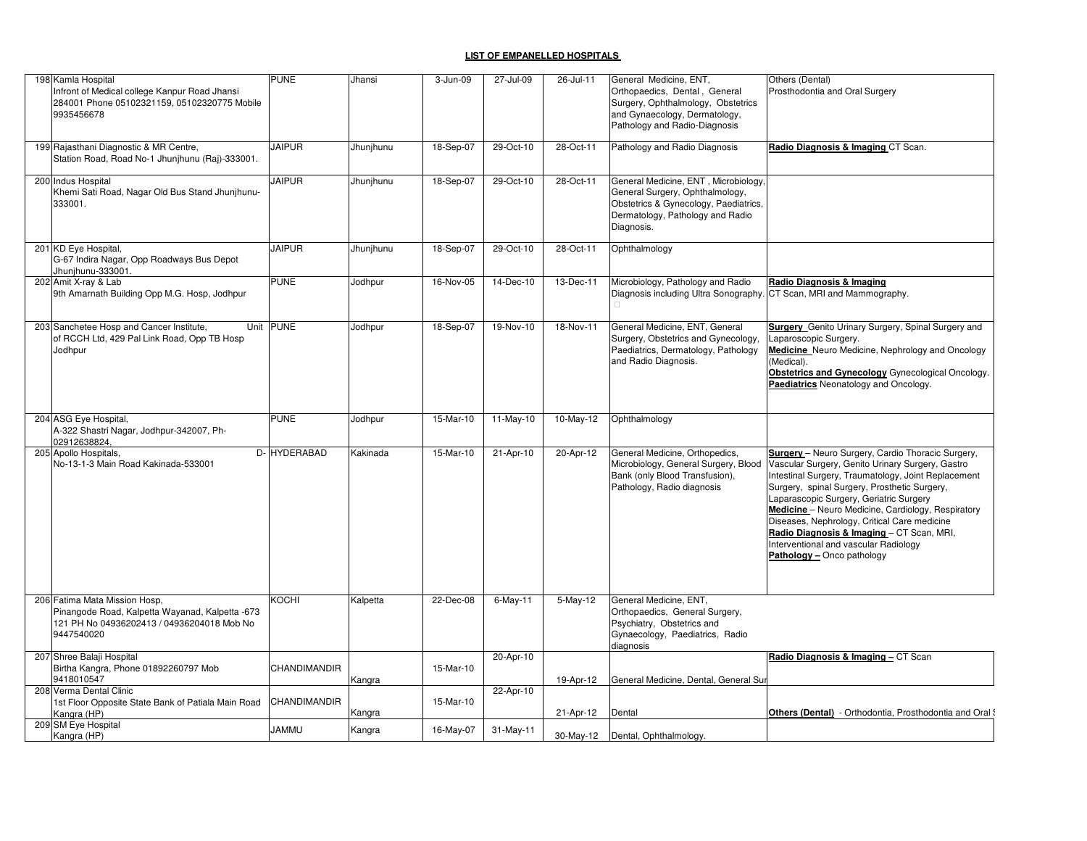| 198 Kamla Hospital<br>Infront of Medical college Kanpur Road Jhansi<br>284001 Phone 05102321159, 05102320775 Mobile<br>9935456678            | <b>PUNE</b>   | Jhansi    | 3-Jun-09  | 27-Jul-09   | 26-Jul-11 | General Medicine, ENT.<br>Orthopaedics, Dental, General<br>Surgery, Ophthalmology, Obstetrics<br>and Gynaecology, Dermatology,<br>Pathology and Radio-Diagnosis    | Others (Dental)<br>Prosthodontia and Oral Surgery                                                                                                                                                                                                                                                                                                                                                                                                                                 |
|----------------------------------------------------------------------------------------------------------------------------------------------|---------------|-----------|-----------|-------------|-----------|--------------------------------------------------------------------------------------------------------------------------------------------------------------------|-----------------------------------------------------------------------------------------------------------------------------------------------------------------------------------------------------------------------------------------------------------------------------------------------------------------------------------------------------------------------------------------------------------------------------------------------------------------------------------|
| 199 Rajasthani Diagnostic & MR Centre,<br>Station Road, Road No-1 Jhunjhunu (Raj)-333001.                                                    | <b>JAIPUR</b> | Jhunjhunu | 18-Sep-07 | 29-Oct-10   | 28-Oct-11 | Pathology and Radio Diagnosis                                                                                                                                      | Radio Diagnosis & Imaging CT Scan.                                                                                                                                                                                                                                                                                                                                                                                                                                                |
| 200 Indus Hospital<br>Khemi Sati Road, Nagar Old Bus Stand Jhunjhunu-<br>333001.                                                             | <b>JAIPUR</b> | Jhunjhunu | 18-Sep-07 | 29-Oct-10   | 28-Oct-11 | General Medicine, ENT, Microbiology,<br>General Surgery, Ophthalmology,<br>Obstetrics & Gynecology, Paediatrics,<br>Dermatology, Pathology and Radio<br>Diagnosis. |                                                                                                                                                                                                                                                                                                                                                                                                                                                                                   |
| 201 KD Eye Hospital,<br>G-67 Indira Nagar, Opp Roadways Bus Depot<br>Jhunjhunu-333001.                                                       | <b>JAIPUR</b> | Jhunjhunu | 18-Sep-07 | 29-Oct-10   | 28-Oct-11 | Ophthalmology                                                                                                                                                      |                                                                                                                                                                                                                                                                                                                                                                                                                                                                                   |
| 202 Amit X-ray & Lab<br>9th Amarnath Building Opp M.G. Hosp, Jodhpur                                                                         | <b>PUNE</b>   | Jodhpur   | 16-Nov-05 | 14-Dec-10   | 13-Dec-11 | Microbiology, Pathology and Radio<br>Diagnosis including Ultra Sonography. CT Scan, MRI and Mammography.                                                           | Radio Diagnosis & Imaging                                                                                                                                                                                                                                                                                                                                                                                                                                                         |
| 203 Sanchetee Hosp and Cancer Institute,<br>of RCCH Ltd, 429 Pal Link Road, Opp TB Hosp<br>Jodhpur                                           | Unit PUNE     | Jodhpur   | 18-Sep-07 | 19-Nov-10   | 18-Nov-11 | General Medicine, ENT, General<br>Surgery, Obstetrics and Gynecology,<br>Paediatrics, Dermatology, Pathology<br>and Radio Diagnosis.                               | <b>Surgery</b> Genito Urinary Surgery, Spinal Surgery and<br>Laparoscopic Surgery.<br><b>Medicine</b> Neuro Medicine, Nephrology and Oncology<br>(Medical).<br><b>Obstetrics and Gynecology</b> Gynecological Oncology.<br>Paediatrics Neonatology and Oncology.                                                                                                                                                                                                                  |
| 204 ASG Eye Hospital,<br>A-322 Shastri Nagar, Jodhpur-342007, Ph-<br>02912638824                                                             | <b>PUNE</b>   | Jodhpur   | 15-Mar-10 | $11-May-10$ | 10-May-12 | Ophthalmology                                                                                                                                                      |                                                                                                                                                                                                                                                                                                                                                                                                                                                                                   |
| 205 Apollo Hospitals,<br>No-13-1-3 Main Road Kakinada-533001                                                                                 | D- HYDERABAD  | Kakinada  | 15-Mar-10 | 21-Apr-10   | 20-Apr-12 | General Medicine, Orthopedics,<br>Microbiology, General Surgery, Blood<br>Bank (only Blood Transfusion),<br>Pathology, Radio diagnosis                             | Surgery - Neuro Surgery, Cardio Thoracic Surgery,<br>Vascular Surgery, Genito Urinary Surgery, Gastro<br>Intestinal Surgery, Traumatology, Joint Replacement<br>Surgery, spinal Surgery, Prosthetic Surgery,<br>Laparascopic Surgery, Geriatric Surgery<br>Medicine - Neuro Medicine, Cardiology, Respiratory<br>Diseases, Nephrology, Critical Care medicine<br>Radio Diagnosis & Imaging - CT Scan, MRI,<br>Interventional and vascular Radiology<br>Pathology - Onco pathology |
| 206 Fatima Mata Mission Hosp,<br>Pinangode Road, Kalpetta Wayanad, Kalpetta -673<br>121 PH No 04936202413 / 04936204018 Mob No<br>9447540020 | <b>KOCHI</b>  | Kalpetta  | 22-Dec-08 | $6$ -May-11 | 5-May-12  | General Medicine, ENT,<br>Orthopaedics, General Surgery,<br>Psychiatry, Obstetrics and<br>Gynaecology, Paediatrics, Radio<br>diagnosis                             |                                                                                                                                                                                                                                                                                                                                                                                                                                                                                   |
| 207 Shree Balaji Hospital<br>Birtha Kangra, Phone 01892260797 Mob<br>9418010547                                                              | CHANDIMANDIR  | Kangra    | 15-Mar-10 | 20-Apr-10   | 19-Apr-12 | General Medicine, Dental, General Sur                                                                                                                              | Radio Diagnosis & Imaging - CT Scan                                                                                                                                                                                                                                                                                                                                                                                                                                               |
| 208 Verma Dental Clinic<br>1st Floor Opposite State Bank of Patiala Main Road<br>Kangra (HP)                                                 | CHANDIMANDIR  | Kangra    | 15-Mar-10 | 22-Apr-10   | 21-Apr-12 | Dental                                                                                                                                                             | Others (Dental) - Orthodontia, Prosthodontia and Oral (                                                                                                                                                                                                                                                                                                                                                                                                                           |
| 209 SM Eye Hospital<br>Kangra (HP)                                                                                                           | <b>UMMAL</b>  | Kangra    | 16-May-07 | $31-May-11$ |           | 30-May-12 Dental, Ophthalmology.                                                                                                                                   |                                                                                                                                                                                                                                                                                                                                                                                                                                                                                   |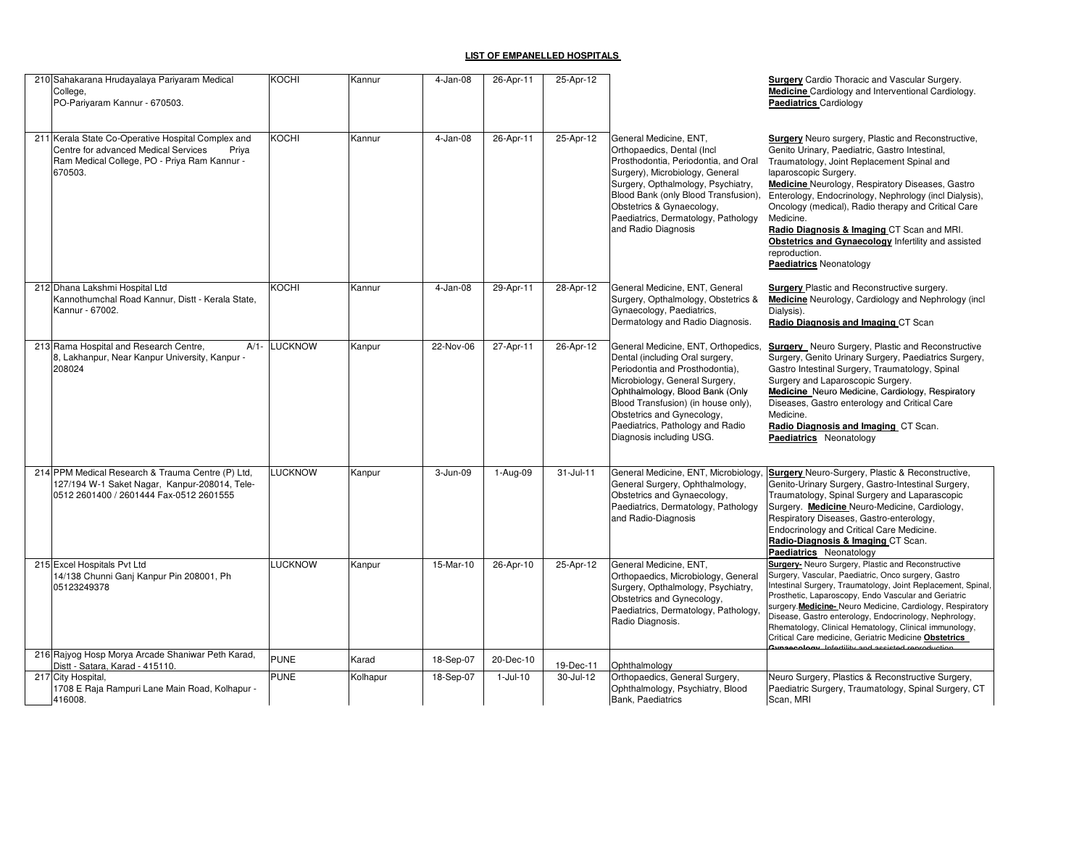| 210 Sahakarana Hrudayalaya Pariyaram Medical<br>College,<br>PO-Pariyaram Kannur - 670503.                                                                      | KOCHI          | Kannur   | $4-Jan-08$ | 26-Apr-11  | 25-Apr-12     |                                                                                                                                                                                                                                                                                                                     | <b>Surgery</b> Cardio Thoracic and Vascular Surgery.<br>Medicine Cardiology and Interventional Cardiology.<br><b>Paediatrics Cardiology</b>                                                                                                                                                                                                                                                                                                                                                                           |
|----------------------------------------------------------------------------------------------------------------------------------------------------------------|----------------|----------|------------|------------|---------------|---------------------------------------------------------------------------------------------------------------------------------------------------------------------------------------------------------------------------------------------------------------------------------------------------------------------|-----------------------------------------------------------------------------------------------------------------------------------------------------------------------------------------------------------------------------------------------------------------------------------------------------------------------------------------------------------------------------------------------------------------------------------------------------------------------------------------------------------------------|
| 211 Kerala State Co-Operative Hospital Complex and<br>Centre for advanced Medical Services<br>Priya<br>Ram Medical College, PO - Priya Ram Kannur -<br>670503. | KOCHI          | Kannur   | 4-Jan-08   | 26-Apr-11  | 25-Apr-12     | General Medicine, ENT,<br>Orthopaedics, Dental (Incl.<br>Prosthodontia, Periodontia, and Oral<br>Surgery), Microbiology, General<br>Surgery, Opthalmology, Psychiatry,<br>Blood Bank (only Blood Transfusion),<br>Obstetrics & Gynaecology,<br>Paediatrics, Dermatology, Pathology<br>and Radio Diagnosis           | Surgery Neuro surgery, Plastic and Reconstructive,<br>Genito Urinary, Paediatric, Gastro Intestinal,<br>Traumatology, Joint Replacement Spinal and<br>laparoscopic Surgery.<br>Medicine Neurology, Respiratory Diseases, Gastro<br>Enterology, Endocrinology, Nephrology (incl Dialysis),<br>Oncology (medical), Radio therapy and Critical Care<br>Medicine.<br>Radio Diagnosis & Imaging CT Scan and MRI.<br>Obstetrics and Gynaecology Infertility and assisted<br>reproduction.<br><b>Paediatrics Neonatology</b> |
| 212 Dhana Lakshmi Hospital Ltd<br>Kannothumchal Road Kannur, Distt - Kerala State,<br>Kannur - 67002.                                                          | KOCHI          | Kannur   | 4-Jan-08   | 29-Apr-11  | 28-Apr-12     | General Medicine, ENT, General<br>Surgery, Opthalmology, Obstetrics &<br>Gynaecology, Paediatrics,<br>Dermatology and Radio Diagnosis.                                                                                                                                                                              | <b>Surgery Plastic and Reconstructive surgery.</b><br>Medicine Neurology, Cardiology and Nephrology (incl.<br>Dialysis).<br>Radio Diagnosis and Imaging CT Scan                                                                                                                                                                                                                                                                                                                                                       |
| 213 Rama Hospital and Research Centre,<br>$A/1-$<br>8, Lakhanpur, Near Kanpur University, Kanpur -<br>208024                                                   | LUCKNOW        | Kanpur   | 22-Nov-06  | 27-Apr-11  | 26-Apr-12     | General Medicine, ENT, Orthopedics,<br>Dental (including Oral surgery,<br>Periodontia and Prosthodontia),<br>Microbiology, General Surgery,<br>Ophthalmology, Blood Bank (Only<br>Blood Transfusion) (in house only),<br>Obstetrics and Gynecology,<br>Paediatrics, Pathology and Radio<br>Diagnosis including USG. | <b>Surgery</b> Neuro Surgery, Plastic and Reconstructive<br>Surgery, Genito Urinary Surgery, Paediatrics Surgery,<br>Gastro Intestinal Surgery, Traumatology, Spinal<br>Surgery and Laparoscopic Surgery.<br>Medicine Neuro Medicine, Cardiology, Respiratory<br>Diseases, Gastro enterology and Critical Care<br>Medicine.<br>Radio Diagnosis and Imaging CT Scan.<br>Paediatrics Neonatology                                                                                                                        |
| 214 PPM Medical Research & Trauma Centre (P) Ltd,<br>127/194 W-1 Saket Nagar, Kanpur-208014, Tele-<br>0512 2601400 / 2601444 Fax-0512 2601555                  | <b>LUCKNOW</b> | Kanpur   | 3-Jun-09   | 1-Aug-09   | $31 -$ Jul-11 | General Medicine, ENT, Microbiology,<br>General Surgery, Ophthalmology,<br>Obstetrics and Gynaecology,<br>Paediatrics, Dermatology, Pathology<br>and Radio-Diagnosis                                                                                                                                                | Surgery Neuro-Surgery, Plastic & Reconstructive,<br>Genito-Urinary Surgery, Gastro-Intestinal Surgery,<br>Traumatology, Spinal Surgery and Laparascopic<br>Surgery. Medicine Neuro-Medicine, Cardiology,<br>Respiratory Diseases, Gastro-enterology,<br>Endocrinology and Critical Care Medicine.<br>Radio-Diagnosis & Imaging CT Scan.<br>Paediatrics Neonatology                                                                                                                                                    |
| 215 Excel Hospitals Pvt Ltd<br>14/138 Chunni Ganj Kanpur Pin 208001, Ph<br>05123249378                                                                         | LUCKNOW        | Kanpur   | 15-Mar-10  | 26-Apr-10  | 25-Apr-12     | General Medicine, ENT,<br>Orthopaedics, Microbiology, General<br>Surgery, Opthalmology, Psychiatry,<br>Obstetrics and Gynecology,<br>Paediatrics, Dermatology, Pathology,<br>Radio Diagnosis.                                                                                                                       | <b>Surgery-</b> Neuro Surgery, Plastic and Reconstructive<br>Surgery, Vascular, Paediatric, Onco surgery, Gastro<br>Intestinal Surgery, Traumatology, Joint Replacement, Spinal,<br>Prosthetic, Laparoscopy, Endo Vascular and Geriatric<br>surgery. Medicine- Neuro Medicine, Cardiology, Respiratory<br>Disease, Gastro enterology, Endocrinology, Nephrology,<br>Rhematology, Clinical Hematology, Clinical immunology,<br>Critical Care medicine, Geriatric Medicine Obstetrics                                   |
| 216 Rajyog Hosp Morya Arcade Shaniwar Peth Karad,<br>Distt - Satara, Karad - 415110.                                                                           | <b>PUNE</b>    | Karad    | 18-Sep-07  | 20-Dec-10  | 19-Dec-11     | Ophthalmology                                                                                                                                                                                                                                                                                                       |                                                                                                                                                                                                                                                                                                                                                                                                                                                                                                                       |
| 217 City Hospital,<br>1708 E Raja Rampuri Lane Main Road, Kolhapur -<br>416008.                                                                                | <b>PUNE</b>    | Kolhapur | 18-Sep-07  | $1-Jul-10$ | 30-Jul-12     | Orthopaedics, General Surgery,<br>Ophthalmology, Psychiatry, Blood<br><b>Bank, Paediatrics</b>                                                                                                                                                                                                                      | Neuro Surgery, Plastics & Reconstructive Surgery,<br>Paediatric Surgery, Traumatology, Spinal Surgery, CT<br>Scan, MRI                                                                                                                                                                                                                                                                                                                                                                                                |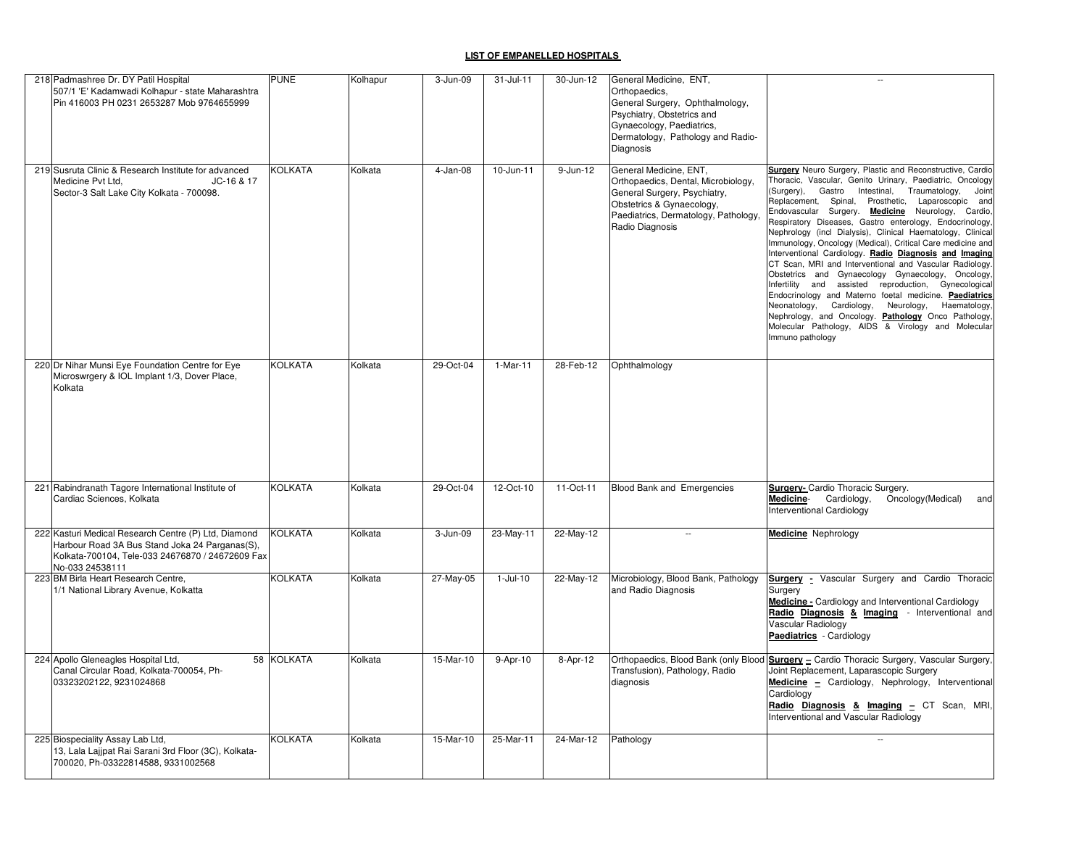| 218 Padmashree Dr. DY Patil Hospital<br>507/1 'E' Kadamwadi Kolhapur - state Maharashtra<br>Pin 416003 PH 0231 2653287 Mob 9764655999                                         | <b>PUNE</b>    | Kolhapur | 3-Jun-09   | 31-Jul-11              | 30-Jun-12    | General Medicine, ENT,<br>Orthopaedics,<br>General Surgery, Ophthalmology,<br>Psychiatry, Obstetrics and<br>Gynaecology, Paediatrics,<br>Dermatology, Pathology and Radio-<br>Diagnosis | $\overline{\phantom{a}}$                                                                                                                                                                                                                                                                                                                                                                                                                                                                                                                                                                                                                                                                                                                                                                                                                                                                                                                                              |
|-------------------------------------------------------------------------------------------------------------------------------------------------------------------------------|----------------|----------|------------|------------------------|--------------|-----------------------------------------------------------------------------------------------------------------------------------------------------------------------------------------|-----------------------------------------------------------------------------------------------------------------------------------------------------------------------------------------------------------------------------------------------------------------------------------------------------------------------------------------------------------------------------------------------------------------------------------------------------------------------------------------------------------------------------------------------------------------------------------------------------------------------------------------------------------------------------------------------------------------------------------------------------------------------------------------------------------------------------------------------------------------------------------------------------------------------------------------------------------------------|
| 219 Susruta Clinic & Research Institute for advanced<br>Medicine Pvt Ltd,<br>JC-16 & 17<br>Sector-3 Salt Lake City Kolkata - 700098.                                          | KOLKATA        | Kolkata  | $4-Jan-08$ | 10-Jun-11              | $9 - Jun-12$ | General Medicine, ENT,<br>Orthopaedics, Dental, Microbiology,<br>General Surgery, Psychiatry,<br>Obstetrics & Gynaecology,<br>Paediatrics, Dermatology, Pathology,<br>Radio Diagnosis   | Surgery Neuro Surgery, Plastic and Reconstructive, Cardio<br>Thoracic, Vascular, Genito Urinary, Paediatric, Oncology<br>Gastro Intestinal, Traumatology,<br>(Surgery),<br>Joint<br>Replacement, Spinal, Prosthetic, Laparoscopic and<br>Endovascular Surgery. Medicine Neurology, Cardio,<br>Respiratory Diseases, Gastro enterology, Endocrinology,<br>Nephrology (incl Dialysis), Clinical Haematology, Clinical<br>Immunology, Oncology (Medical), Critical Care medicine and<br>Interventional Cardiology. Radio Diagnosis and Imaging<br>CT Scan, MRI and Interventional and Vascular Radiology.<br>Obstetrics and Gynaecology Gynaecology, Oncology,<br>Infertility and assisted reproduction, Gynecological<br>Endocrinology and Materno foetal medicine. Paediatrics<br>Neonatology, Cardiology,<br>Neurology, Haematology,<br>Nephrology, and Oncology. Pathology Onco Pathology,<br>Molecular Pathology, AIDS & Virology and Molecular<br>Immuno pathology |
| 220 Dr Nihar Munsi Eye Foundation Centre for Eye<br>Microswrgery & IOL Implant 1/3, Dover Place,<br>Kolkata                                                                   | KOLKATA        | Kolkata  | 29-Oct-04  | $\overline{1}$ -Mar-11 | 28-Feb-12    | Ophthalmology                                                                                                                                                                           |                                                                                                                                                                                                                                                                                                                                                                                                                                                                                                                                                                                                                                                                                                                                                                                                                                                                                                                                                                       |
| 221 Rabindranath Tagore International Institute of<br>Cardiac Sciences, Kolkata                                                                                               | KOLKATA        | Kolkata  | 29-Oct-04  | 12-Oct-10              | 11-Oct-11    | <b>Blood Bank and Emergencies</b>                                                                                                                                                       | Surgery- Cardio Thoracic Surgery.<br><b>Medicine-</b><br>Cardiology,<br>Oncology(Medical)<br>and<br>Interventional Cardiology                                                                                                                                                                                                                                                                                                                                                                                                                                                                                                                                                                                                                                                                                                                                                                                                                                         |
| 222 Kasturi Medical Research Centre (P) Ltd, Diamond<br>Harbour Road 3A Bus Stand Joka 24 Parganas(S),<br>Kolkata-700104, Tele-033 24676870 / 24672609 Fax<br>No-033 24538111 | <b>KOLKATA</b> | Kolkata  | 3-Jun-09   | 23-May-11              | 22-May-12    | $\overline{\phantom{a}}$                                                                                                                                                                | <b>Medicine</b> Nephrology                                                                                                                                                                                                                                                                                                                                                                                                                                                                                                                                                                                                                                                                                                                                                                                                                                                                                                                                            |
| 223 BM Birla Heart Research Centre,<br>1/1 National Library Avenue, Kolkatta                                                                                                  | <b>KOLKATA</b> | Kolkata  | 27-May-05  | $1-Jul-10$             | 22-May-12    | Microbiology, Blood Bank, Pathology<br>and Radio Diagnosis                                                                                                                              | <b>Surgery</b> - Vascular Surgery and Cardio Thoracic<br>Surgery<br>Medicine - Cardiology and Interventional Cardiology<br>Radio Diagnosis & Imaging - Interventional and<br>Vascular Radiology<br>Paediatrics - Cardiology                                                                                                                                                                                                                                                                                                                                                                                                                                                                                                                                                                                                                                                                                                                                           |
| 224 Apollo Gleneagles Hospital Ltd,<br>Canal Circular Road, Kolkata-700054, Ph-<br>03323202122, 9231024868                                                                    | 58 KOLKATA     | Kolkata  | 15-Mar-10  | 9-Apr-10               | 8-Apr-12     | Transfusion), Pathology, Radio<br>diagnosis                                                                                                                                             | Orthopaedics, Blood Bank (only Blood <b>Surgery</b> - Cardio Thoracic Surgery, Vascular Surgery,<br>Joint Replacement, Laparascopic Surgery<br>$Medicine = Cardiology, Nephrology, Interventional$<br>Cardiology<br>Radio Diagnosis & Imaging - CT Scan, MRI,<br>Interventional and Vascular Radiology                                                                                                                                                                                                                                                                                                                                                                                                                                                                                                                                                                                                                                                                |
| 225 Biospeciality Assay Lab Ltd,<br>13, Lala Lajipat Rai Sarani 3rd Floor (3C), Kolkata-<br>700020, Ph-03322814588, 9331002568                                                | KOLKATA        | Kolkata  | 15-Mar-10  | 25-Mar-11              | 24-Mar-12    | Pathology                                                                                                                                                                               | $\overline{\phantom{a}}$                                                                                                                                                                                                                                                                                                                                                                                                                                                                                                                                                                                                                                                                                                                                                                                                                                                                                                                                              |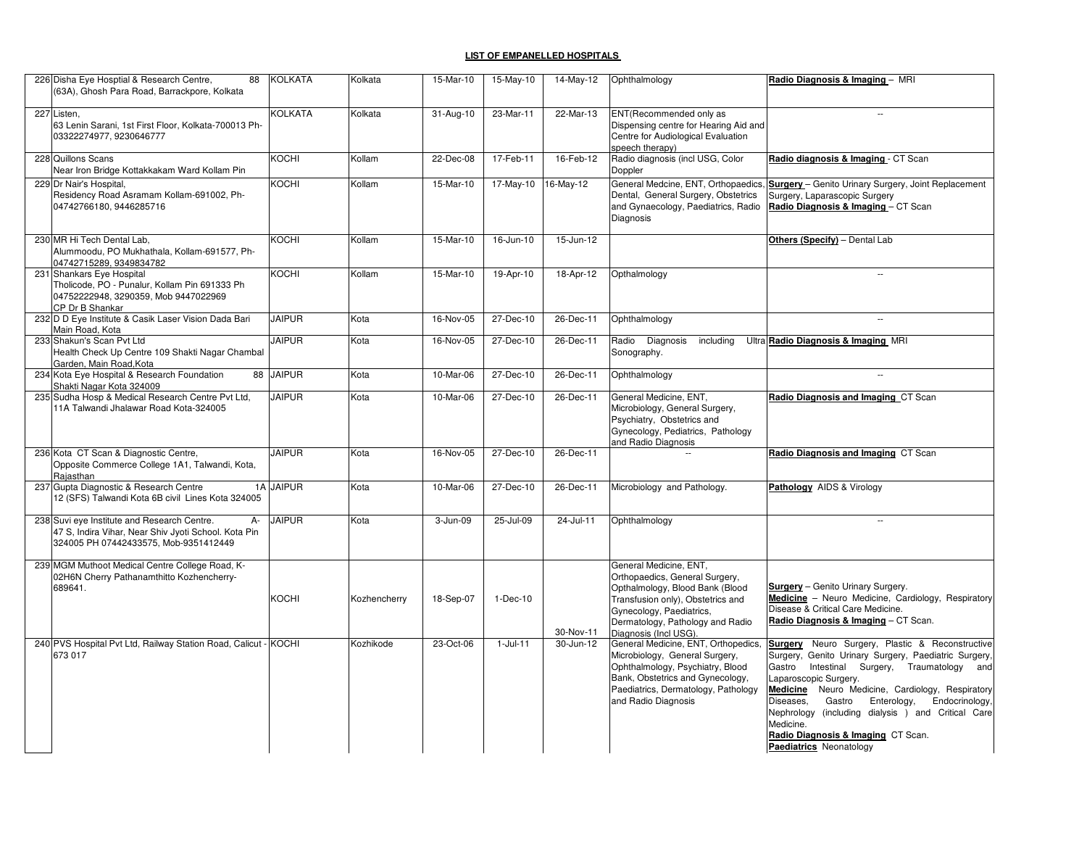| 226 Disha Eye Hosptial & Research Centre,<br>88<br>(63A), Ghosh Para Road, Barrackpore, Kolkata                                                       | <b>KOLKATA</b> | Kolkata      | 15-Mar-10 | 15-May-10    | 14-May-12 | Ophthalmology                                                                                                                                                                                                             | Radio Diagnosis & Imaging - MRI                                                                                                                                                                                                                                                                                                                                                                                               |
|-------------------------------------------------------------------------------------------------------------------------------------------------------|----------------|--------------|-----------|--------------|-----------|---------------------------------------------------------------------------------------------------------------------------------------------------------------------------------------------------------------------------|-------------------------------------------------------------------------------------------------------------------------------------------------------------------------------------------------------------------------------------------------------------------------------------------------------------------------------------------------------------------------------------------------------------------------------|
| 227 Listen,<br>63 Lenin Sarani, 1st First Floor, Kolkata-700013 Ph-<br>03322274977, 9230646777                                                        | KOLKATA        | Kolkata      | 31-Aug-10 | 23-Mar-11    | 22-Mar-13 | ENT(Recommended only as<br>Dispensing centre for Hearing Aid and<br>Centre for Audiological Evaluation<br>speech therapy)                                                                                                 |                                                                                                                                                                                                                                                                                                                                                                                                                               |
| 228 Quillons Scans<br>Near Iron Bridge Kottakkakam Ward Kollam Pin                                                                                    | KOCHI          | Kollam       | 22-Dec-08 | 17-Feb-11    | 16-Feb-12 | Radio diagnosis (incl USG, Color<br>Doppler                                                                                                                                                                               | Radio diagnosis & Imaging - CT Scan                                                                                                                                                                                                                                                                                                                                                                                           |
| 229 Dr Nair's Hospital,<br>Residency Road Asramam Kollam-691002, Ph-<br>04742766180, 9446285716                                                       | KOCHI          | Kollam       | 15-Mar-10 | 17-May-10    | 16-May-12 | General Medcine, ENT, Orthopaedics,<br>Dental, General Surgery, Obstetrics<br>and Gynaecology, Paediatrics, Radio<br>Diagnosis                                                                                            | <b>Surgery</b> - Genito Urinary Surgery, Joint Replacement<br>Surgery, Laparascopic Surgery<br>Radio Diagnosis & Imaging - CT Scan                                                                                                                                                                                                                                                                                            |
| 230 MR Hi Tech Dental Lab,<br>Alummoodu, PO Mukhathala, Kollam-691577, Ph-<br>04742715289, 9349834782                                                 | KOCHI          | Kollam       | 15-Mar-10 | 16-Jun-10    | 15-Jun-12 |                                                                                                                                                                                                                           | Others (Specify) - Dental Lab                                                                                                                                                                                                                                                                                                                                                                                                 |
| 231 Shankars Eye Hospital<br>Tholicode, PO - Punalur, Kollam Pin 691333 Ph<br>04752222948, 3290359, Mob 9447022969<br>CP Dr B Shankar                 | KOCHI          | Kollam       | 15-Mar-10 | 19-Apr-10    | 18-Apr-12 | Opthalmology                                                                                                                                                                                                              | $\sim$                                                                                                                                                                                                                                                                                                                                                                                                                        |
| 232 D D Eye Institute & Casik Laser Vision Dada Bari<br>Main Road, Kota                                                                               | <b>JAIPUR</b>  | Kota         | 16-Nov-05 | 27-Dec-10    | 26-Dec-11 | Ophthalmology                                                                                                                                                                                                             |                                                                                                                                                                                                                                                                                                                                                                                                                               |
| 233 Shakun's Scan Pvt Ltd<br>Health Check Up Centre 109 Shakti Nagar Chambal<br>Garden, Main Road, Kota                                               | <b>JAIPUR</b>  | Kota         | 16-Nov-05 | 27-Dec-10    | 26-Dec-11 | Radio Diagnosis<br>including<br>Sonography.                                                                                                                                                                               | Ultra Radio Diagnosis & Imaging MRI                                                                                                                                                                                                                                                                                                                                                                                           |
| 234 Kota Eye Hospital & Research Foundation<br>Shakti Nagar Kota 324009                                                                               | 88 JAIPUR      | Kota         | 10-Mar-06 | 27-Dec-10    | 26-Dec-11 | Ophthalmology                                                                                                                                                                                                             | $\sim$                                                                                                                                                                                                                                                                                                                                                                                                                        |
| 235 Sudha Hosp & Medical Research Centre Pvt Ltd,<br>11A Talwandi Jhalawar Road Kota-324005                                                           | <b>JAIPUR</b>  | Kota         | 10-Mar-06 | 27-Dec-10    | 26-Dec-11 | General Medicine, ENT,<br>Microbiology, General Surgery,<br>Psychiatry, Obstetrics and<br>Gynecology, Pediatrics, Pathology<br>and Radio Diagnosis                                                                        | Radio Diagnosis and Imaging CT Scan                                                                                                                                                                                                                                                                                                                                                                                           |
| 236 Kota CT Scan & Diagnostic Centre,<br>Opposite Commerce College 1A1, Talwandi, Kota,<br>Rajasthan                                                  | <b>JAIPUR</b>  | Kota         | 16-Nov-05 | 27-Dec-10    | 26-Dec-11 |                                                                                                                                                                                                                           | Radio Diagnosis and Imaging CT Scan                                                                                                                                                                                                                                                                                                                                                                                           |
| 237 Gupta Diagnostic & Research Centre<br>12 (SFS) Talwandi Kota 6B civil Lines Kota 324005                                                           | 1A JAIPUR      | Kota         | 10-Mar-06 | 27-Dec-10    | 26-Dec-11 | Microbiology and Pathology.                                                                                                                                                                                               | Pathology AIDS & Virology                                                                                                                                                                                                                                                                                                                                                                                                     |
| 238 Suvi eye Institute and Research Centre.<br>$A -$<br>47 S, Indira Vihar, Near Shiv Jyoti School. Kota Pin<br>324005 PH 07442433575, Mob-9351412449 | <b>JAIPUR</b>  | Kota         | 3-Jun-09  | 25-Jul-09    | 24-Jul-11 | Ophthalmology                                                                                                                                                                                                             | $\sim$ $\sim$                                                                                                                                                                                                                                                                                                                                                                                                                 |
| 239 MGM Muthoot Medical Centre College Road, K-<br>02H6N Cherry Pathanamthitto Kozhencherry-<br>689641.                                               | KOCHI          | Kozhencherry | 18-Sep-07 | 1-Dec-10     | 30-Nov-11 | General Medicine, ENT,<br>Orthopaedics, General Surgery,<br>Opthalmology, Blood Bank (Blood<br>Transfusion only), Obstetrics and<br>Gynecology, Paediatrics,<br>Dermatology, Pathology and Radio<br>Diagnosis (Incl USG). | Surgery - Genito Urinary Surgery.<br>Medicine - Neuro Medicine, Cardiology, Respiratory<br>Disease & Critical Care Medicine.<br>Radio Diagnosis & Imaging - CT Scan.                                                                                                                                                                                                                                                          |
| 240 PVS Hospital Pvt Ltd, Railway Station Road, Calicut - KOCHI<br>673 017                                                                            |                | Kozhikode    | 23-Oct-06 | $1 -$ Jul-11 | 30-Jun-12 | General Medicine, ENT, Orthopedics,<br>Microbiology, General Surgery,<br>Ophthalmology, Psychiatry, Blood<br>Bank, Obstetrics and Gynecology,<br>Paediatrics, Dermatology, Pathology<br>and Radio Diagnosis               | Surgery Neuro Surgery, Plastic & Reconstructive<br>Surgery, Genito Urinary Surgery, Paediatric Surgery,<br>Intestinal Surgery, Traumatology and<br>Gastro<br>aparoscopic Surgery.<br>Medicine Neuro Medicine, Cardiology, Respiratory<br>Gastro<br>Enterology, Endocrinology,<br>Diseases.<br>Nephrology (including dialysis) and Critical Care<br>Medicine.<br>Radio Diagnosis & Imaging CT Scan.<br>Paediatrics Neonatology |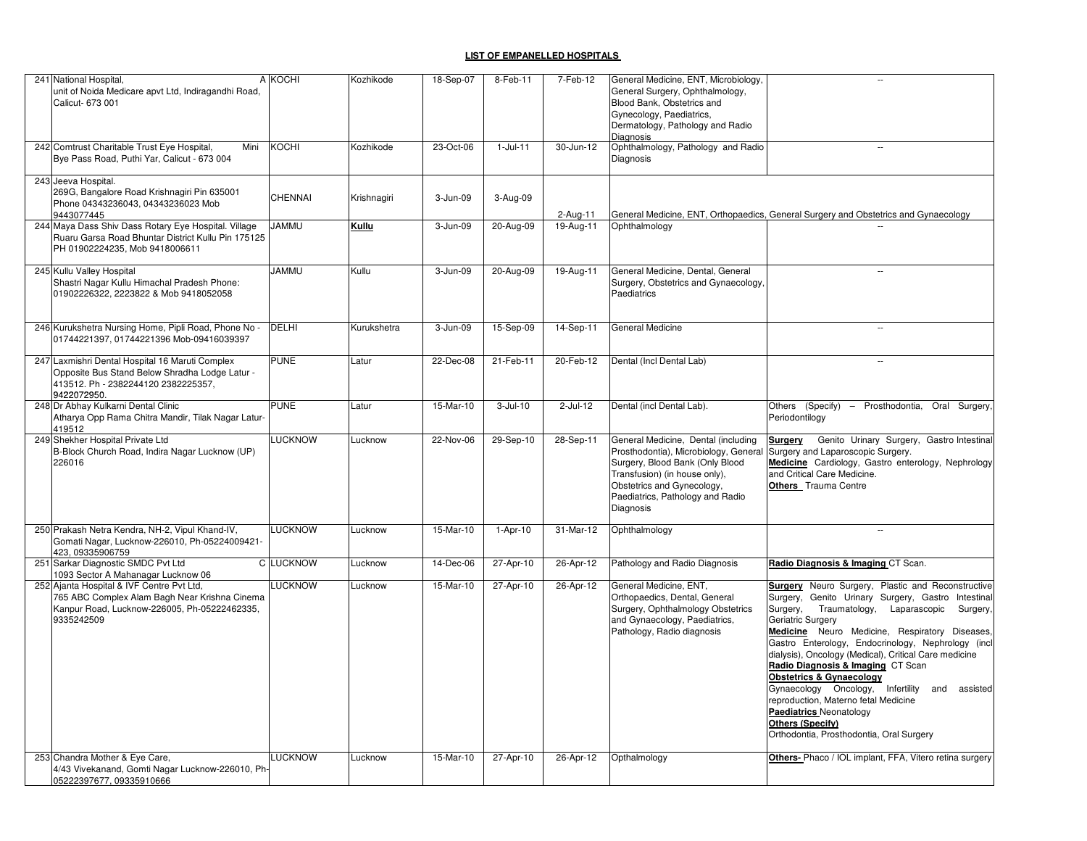| 241 National Hospital,<br>unit of Noida Medicare apvt Ltd, Indiragandhi Road,<br>Calicut- 673 001                                                        |      | A KOCHI          | Kozhikode   | 18-Sep-07 | 8-Feb-11    | 7-Feb-12    | General Medicine, ENT, Microbiology,<br>General Surgery, Ophthalmology,<br>Blood Bank, Obstetrics and<br>Gynecology, Paediatrics,<br>Dermatology, Pathology and Radio<br>Diagnosis                                              | $\overline{\phantom{a}}$                                                                                                                                                                                                                                                                                                                                                                                                                                                                                                                                                                                                            |
|----------------------------------------------------------------------------------------------------------------------------------------------------------|------|------------------|-------------|-----------|-------------|-------------|---------------------------------------------------------------------------------------------------------------------------------------------------------------------------------------------------------------------------------|-------------------------------------------------------------------------------------------------------------------------------------------------------------------------------------------------------------------------------------------------------------------------------------------------------------------------------------------------------------------------------------------------------------------------------------------------------------------------------------------------------------------------------------------------------------------------------------------------------------------------------------|
| 242 Comtrust Charitable Trust Eye Hospital,<br>Bye Pass Road, Puthi Yar, Calicut - 673 004                                                               | Mini | <b>KOCHI</b>     | Kozhikode   | 23-Oct-06 | $1$ -Jul-11 | 30-Jun-12   | Ophthalmology, Pathology and Radio<br>Diagnosis                                                                                                                                                                                 | $\ddot{\phantom{a}}$                                                                                                                                                                                                                                                                                                                                                                                                                                                                                                                                                                                                                |
| 243 Jeeva Hospital.<br>269G, Bangalore Road Krishnagiri Pin 635001<br>Phone 04343236043, 04343236023 Mob<br>9443077445                                   |      | <b>CHENNAI</b>   | Krishnagiri | 3-Jun-09  | 3-Aug-09    | $2$ -Aug-11 |                                                                                                                                                                                                                                 | General Medicine, ENT, Orthopaedics, General Surgery and Obstetrics and Gynaecology                                                                                                                                                                                                                                                                                                                                                                                                                                                                                                                                                 |
| 244 Maya Dass Shiv Dass Rotary Eye Hospital. Village<br>Ruaru Garsa Road Bhuntar District Kullu Pin 175125<br>PH 01902224235. Mob 9418006611             |      | <b>JAMMU</b>     | Kullu       | 3-Jun-09  | 20-Aug-09   | 19-Aug-11   | Ophthalmology                                                                                                                                                                                                                   |                                                                                                                                                                                                                                                                                                                                                                                                                                                                                                                                                                                                                                     |
| 245 Kullu Valley Hospital<br>Shastri Nagar Kullu Himachal Pradesh Phone:<br>01902226322, 2223822 & Mob 9418052058                                        |      | <b>JAMMU</b>     | Kullu       | 3-Jun-09  | 20-Aug-09   | 19-Aug-11   | General Medicine, Dental, General<br>Surgery, Obstetrics and Gynaecology<br>Paediatrics                                                                                                                                         | $\sim$                                                                                                                                                                                                                                                                                                                                                                                                                                                                                                                                                                                                                              |
| 246 Kurukshetra Nursing Home, Pipli Road, Phone No -<br>01744221397, 01744221396 Mob-09416039397                                                         |      | <b>DELHI</b>     | Kurukshetra | 3-Jun-09  | 15-Sep-09   | 14-Sep-11   | General Medicine                                                                                                                                                                                                                | $\ddotsc$                                                                                                                                                                                                                                                                                                                                                                                                                                                                                                                                                                                                                           |
| 247 Laxmishri Dental Hospital 16 Maruti Complex<br>Opposite Bus Stand Below Shradha Lodge Latur -<br>413512. Ph - 2382244120 2382225357,<br>9422072950.  |      | <b>PUNE</b>      | Latur       | 22-Dec-08 | 21-Feb-11   | 20-Feb-12   | Dental (Incl Dental Lab)                                                                                                                                                                                                        | $\ddotsc$                                                                                                                                                                                                                                                                                                                                                                                                                                                                                                                                                                                                                           |
| 248 Dr Abhay Kulkarni Dental Clinic<br>Atharya Opp Rama Chitra Mandir, Tilak Nagar Latur-<br>419512                                                      |      | <b>PUNE</b>      | Latur       | 15-Mar-10 | $3-Jul-10$  | $2$ -Jul-12 | Dental (incl Dental Lab).                                                                                                                                                                                                       | Others (Specify) - Prosthodontia, Oral Surgery,<br>Periodontilogy                                                                                                                                                                                                                                                                                                                                                                                                                                                                                                                                                                   |
| 249 Shekher Hospital Private Ltd<br>B-Block Church Road, Indira Nagar Lucknow (UP)<br>226016                                                             |      | <b>LUCKNOW</b>   | Lucknow     | 22-Nov-06 | 29-Sep-10   | 28-Sep-11   | General Medicine, Dental (including<br>Prosthodontia), Microbiology, General<br>Surgery, Blood Bank (Only Blood<br>Transfusion) (in house only),<br>Obstetrics and Gynecology,<br>Paediatrics, Pathology and Radio<br>Diagnosis | Genito Urinary Surgery, Gastro Intestinal<br>Surgery<br>Surgery and Laparoscopic Surgery.<br>Medicine Cardiology, Gastro enterology, Nephrology<br>and Critical Care Medicine.<br><b>Others</b> Trauma Centre                                                                                                                                                                                                                                                                                                                                                                                                                       |
| 250 Prakash Netra Kendra, NH-2, Vipul Khand-IV,<br>Gomati Nagar, Lucknow-226010, Ph-05224009421<br>423, 09335906759                                      |      | <b>LUCKNOW</b>   | Lucknow     | 15-Mar-10 | $1-Apr-10$  | 31-Mar-12   | Ophthalmology                                                                                                                                                                                                                   | μ.                                                                                                                                                                                                                                                                                                                                                                                                                                                                                                                                                                                                                                  |
| 251 Sarkar Diagnostic SMDC Pvt Ltd<br>1093 Sector A Mahanagar Lucknow 06                                                                                 |      | <b>C</b> LUCKNOW | Lucknow     | 14-Dec-06 | 27-Apr-10   | 26-Apr-12   | Pathology and Radio Diagnosis                                                                                                                                                                                                   | Radio Diagnosis & Imaging CT Scan.                                                                                                                                                                                                                                                                                                                                                                                                                                                                                                                                                                                                  |
| 252 Ajanta Hospital & IVF Centre Pvt Ltd,<br>765 ABC Complex Alam Bagh Near Krishna Cinema<br>Kanpur Road, Lucknow-226005, Ph-05222462335,<br>9335242509 |      | <b>LUCKNOW</b>   | Lucknow     | 15-Mar-10 | 27-Apr-10   | 26-Apr-12   | General Medicine, ENT,<br>Orthopaedics, Dental, General<br>Surgery, Ophthalmology Obstetrics<br>and Gynaecology, Paediatrics,<br>Pathology, Radio diagnosis                                                                     | Surgery Neuro Surgery, Plastic and Reconstructive<br>Surgery, Genito Urinary Surgery, Gastro Intestinal<br>Traumatology, Laparascopic<br>Surgery,<br>Surgery,<br>Geriatric Surgery<br>Medicine Neuro Medicine, Respiratory Diseases,<br>Gastro Enterology, Endocrinology, Nephrology (incl.<br>dialysis), Oncology (Medical), Critical Care medicine<br>Radio Diagnosis & Imaging CT Scan<br><b>Obstetrics &amp; Gynaecology</b><br>Gynaecology Oncology, Infertility and assisted<br>reproduction, Materno fetal Medicine<br><b>Paediatrics Neonatology</b><br><b>Others (Specify)</b><br>Orthodontia, Prosthodontia, Oral Surgery |
| 253 Chandra Mother & Eye Care,<br>4/43 Vivekanand, Gomti Nagar Lucknow-226010, Ph-<br>05222397677.09335910666                                            |      | <b>LUCKNOW</b>   | Lucknow     | 15-Mar-10 | 27-Apr-10   | 26-Apr-12   | Opthalmology                                                                                                                                                                                                                    | Others-Phaco / IOL implant, FFA, Vitero retina surgery                                                                                                                                                                                                                                                                                                                                                                                                                                                                                                                                                                              |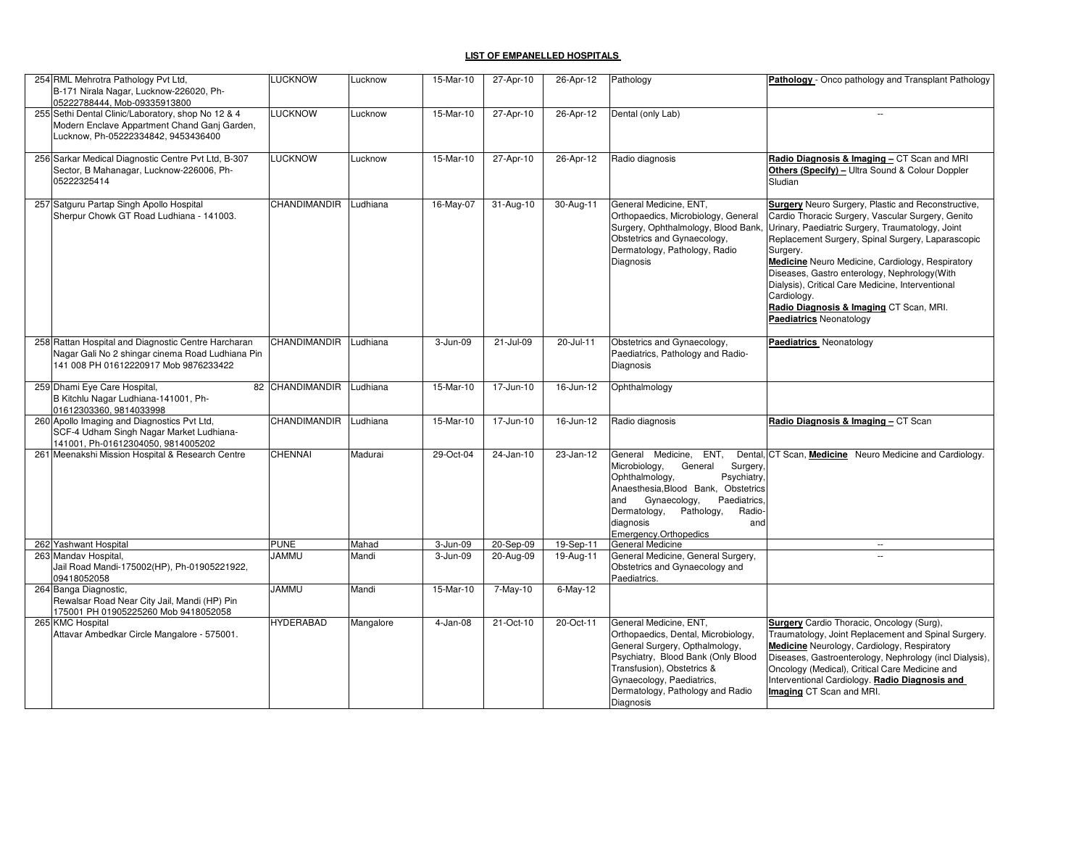| 254 RML Mehrotra Pathology Pvt Ltd,<br>B-171 Nirala Nagar, Lucknow-226020, Ph-                                                                                            | <b>LUCKNOW</b>      | Lucknow   | 15-Mar-10 | 27-Apr-10 | 26-Apr-12   | Pathology                                                                                                                                                                                                                                                         | Pathology - Onco pathology and Transplant Pathology                                                                                                                                                                                                                                                                                                                                                                                                                               |
|---------------------------------------------------------------------------------------------------------------------------------------------------------------------------|---------------------|-----------|-----------|-----------|-------------|-------------------------------------------------------------------------------------------------------------------------------------------------------------------------------------------------------------------------------------------------------------------|-----------------------------------------------------------------------------------------------------------------------------------------------------------------------------------------------------------------------------------------------------------------------------------------------------------------------------------------------------------------------------------------------------------------------------------------------------------------------------------|
| 05222788444, Mob-09335913800<br>255 Sethi Dental Clinic/Laboratory, shop No 12 & 4<br>Modern Enclave Appartment Chand Ganj Garden,<br>Lucknow, Ph-05222334842, 9453436400 | <b>LUCKNOW</b>      | Lucknow   | 15-Mar-10 | 27-Apr-10 | 26-Apr-12   | Dental (only Lab)                                                                                                                                                                                                                                                 | $\sim$                                                                                                                                                                                                                                                                                                                                                                                                                                                                            |
| 256 Sarkar Medical Diagnostic Centre Pvt Ltd, B-307<br>Sector, B Mahanagar, Lucknow-226006, Ph-<br>05222325414                                                            | LUCKNOW             | Lucknow   | 15-Mar-10 | 27-Apr-10 | 26-Apr-12   | Radio diagnosis                                                                                                                                                                                                                                                   | Radio Diagnosis & Imaging - CT Scan and MRI<br><b>Others (Specify) - Ultra Sound &amp; Colour Doppler</b><br>Sludian                                                                                                                                                                                                                                                                                                                                                              |
| 257 Satguru Partap Singh Apollo Hospital<br>Sherpur Chowk GT Road Ludhiana - 141003.                                                                                      | CHANDIMANDIR        | Ludhiana  | 16-May-07 | 31-Aug-10 | 30-Aug-11   | General Medicine, ENT,<br>Orthopaedics, Microbiology, General<br>Surgery, Ophthalmology, Blood Bank,<br>Obstetrics and Gynaecology,<br>Dermatology, Pathology, Radio<br>Diagnosis                                                                                 | Surgery Neuro Surgery, Plastic and Reconstructive,<br>Cardio Thoracic Surgery, Vascular Surgery, Genito<br>Urinary, Paediatric Surgery, Traumatology, Joint<br>Replacement Surgery, Spinal Surgery, Laparascopic<br>Surgery.<br><b>Medicine</b> Neuro Medicine, Cardiology, Respiratory<br>Diseases, Gastro enterology, Nephrology(With<br>Dialysis), Critical Care Medicine, Interventional<br>Cardiology.<br>Radio Diagnosis & Imaging CT Scan, MRI.<br>Paediatrics Neonatology |
| 258 Rattan Hospital and Diagnostic Centre Harcharan<br>Nagar Gali No 2 shingar cinema Road Ludhiana Pin<br>141 008 PH 01612220917 Mob 9876233422                          | <b>CHANDIMANDIR</b> | Ludhiana  | 3-Jun-09  | 21-Jul-09 | 20-Jul-11   | Obstetrics and Gynaecology,<br>Paediatrics, Pathology and Radio-<br>Diagnosis                                                                                                                                                                                     | <b>Paediatrics Neonatology</b>                                                                                                                                                                                                                                                                                                                                                                                                                                                    |
| 259 Dhami Eye Care Hospital,<br>B Kitchlu Nagar Ludhiana-141001, Ph-<br>01612303360, 9814033998                                                                           | 82 CHANDIMANDIR     | Ludhiana  | 15-Mar-10 | 17-Jun-10 | 16-Jun-12   | Ophthalmology                                                                                                                                                                                                                                                     |                                                                                                                                                                                                                                                                                                                                                                                                                                                                                   |
| 260 Apollo Imaging and Diagnostics Pvt Ltd,<br>SCF-4 Udham Singh Nagar Market Ludhiana-<br>141001, Ph-01612304050, 9814005202                                             | CHANDIMANDIR        | Ludhiana  | 15-Mar-10 | 17-Jun-10 | 16-Jun-12   | Radio diagnosis                                                                                                                                                                                                                                                   | Radio Diagnosis & Imaging - CT Scan                                                                                                                                                                                                                                                                                                                                                                                                                                               |
| 261 Meenakshi Mission Hospital & Research Centre                                                                                                                          | <b>CHENNAI</b>      | Madurai   | 29-Oct-04 | 24-Jan-10 | 23-Jan-12   | General Medicine, ENT,<br>Microbiology,<br>General<br>Surgery,<br>Psychiatry,<br>Ophthalmology,<br>Anaesthesia, Blood Bank, Obstetrics<br>Paediatrics<br>Gynaecology,<br>and<br>Dermatology,<br>Pathology,<br>Radio-<br>diagnosis<br>and<br>Emergency.Orthopedics | Dental, CT Scan, Medicine Neuro Medicine and Cardiology.                                                                                                                                                                                                                                                                                                                                                                                                                          |
| 262 Yashwant Hospital                                                                                                                                                     | <b>PUNE</b>         | Mahad     | 3-Jun-09  | 20-Sep-09 | 19-Sep-11   | General Medicine                                                                                                                                                                                                                                                  | $\sim$                                                                                                                                                                                                                                                                                                                                                                                                                                                                            |
| 263 Mandav Hospital,<br>Jail Road Mandi-175002(HP), Ph-01905221922,<br>09418052058                                                                                        | <b>JAMMU</b>        | Mandi     | 3-Jun-09  | 20-Aug-09 | 19-Aug-11   | General Medicine, General Surgery,<br>Obstetrics and Gynaecology and<br>Paediatrics.                                                                                                                                                                              |                                                                                                                                                                                                                                                                                                                                                                                                                                                                                   |
| 264 Banga Diagnostic,<br>Rewalsar Road Near City Jail, Mandi (HP) Pin<br>175001 PH 01905225260 Mob 9418052058                                                             | <b>JAMMU</b>        | Mandi     | 15-Mar-10 | 7-May-10  | $6$ -May-12 |                                                                                                                                                                                                                                                                   |                                                                                                                                                                                                                                                                                                                                                                                                                                                                                   |
| 265 KMC Hospital<br>Attavar Ambedkar Circle Mangalore - 575001.                                                                                                           | <b>HYDERABAD</b>    | Mangalore | 4-Jan-08  | 21-Oct-10 | 20-Oct-11   | General Medicine, ENT,<br>Orthopaedics, Dental, Microbiology,<br>General Surgery, Opthalmology,<br>Psychiatry, Blood Bank (Only Blood<br>Transfusion), Obstetrics &<br>Gynaecology, Paediatrics,<br>Dermatology, Pathology and Radio<br>Diagnosis                 | Surgery Cardio Thoracic, Oncology (Surg),<br>Traumatology, Joint Replacement and Spinal Surgery.<br>Medicine Neurology, Cardiology, Respiratory<br>Diseases, Gastroenterology, Nephrology (incl Dialysis),<br>Oncology (Medical), Critical Care Medicine and<br>Interventional Cardiology. Radio Diagnosis and<br>Imaging CT Scan and MRI.                                                                                                                                        |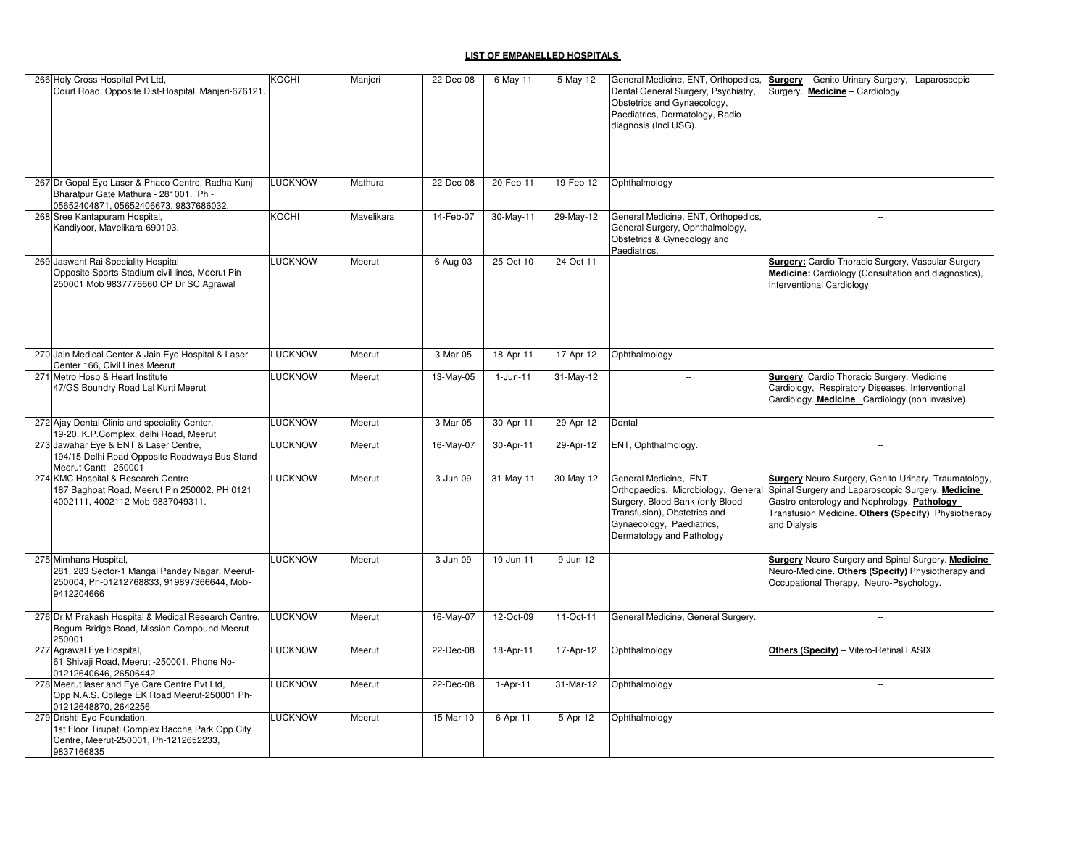| 266 Holy Cross Hospital Pvt Ltd,<br>Court Road, Opposite Dist-Hospital, Manjeri-676121                                                | <b>KOCHI</b>   | Manjeri    | 22-Dec-08    | $6$ -May-11    | $5-May-12$  | General Medicine, ENT, Orthopedics,<br>Dental General Surgery, Psychiatry,<br>Obstetrics and Gynaecology,<br>Paediatrics, Dermatology, Radio<br>diagnosis (Incl USG).                      | <b>Surgery</b> - Genito Urinary Surgery, Laparoscopic<br>Surgery. Medicine - Cardiology.                                                                                                                                         |
|---------------------------------------------------------------------------------------------------------------------------------------|----------------|------------|--------------|----------------|-------------|--------------------------------------------------------------------------------------------------------------------------------------------------------------------------------------------|----------------------------------------------------------------------------------------------------------------------------------------------------------------------------------------------------------------------------------|
| 267 Dr Gopal Eye Laser & Phaco Centre, Radha Kunj<br>Bharatpur Gate Mathura - 281001. Ph -<br>05652404871, 05652406673, 9837686032.   | <b>LUCKNOW</b> | Mathura    | 22-Dec-08    | 20-Feb-11      | 19-Feb-12   | Ophthalmology                                                                                                                                                                              | $\overline{\phantom{a}}$                                                                                                                                                                                                         |
| 268 Sree Kantapuram Hospital,<br>Kandiyoor, Mavelikara-690103.                                                                        | <b>KOCHI</b>   | Mavelikara | 14-Feb-07    | 30-May-11      | 29-May-12   | General Medicine, ENT, Orthopedics,<br>General Surgery, Ophthalmology,<br>Obstetrics & Gynecology and<br>Paediatrics.                                                                      | $\overline{\phantom{a}}$                                                                                                                                                                                                         |
| 269 Jaswant Rai Speciality Hospital<br>Opposite Sports Stadium civil lines, Meerut Pin<br>250001 Mob 9837776660 CP Dr SC Agrawal      | <b>LUCKNOW</b> | Meerut     | 6-Aug-03     | $25-Oct-10$    | 24-Oct-11   |                                                                                                                                                                                            | <b>Surgery:</b> Cardio Thoracic Surgery, Vascular Surgery<br>Medicine: Cardiology (Consultation and diagnostics),<br>Interventional Cardiology                                                                                   |
| 270 Jain Medical Center & Jain Eye Hospital & Laser<br>Center 166, Civil Lines Meerut                                                 | <b>LUCKNOW</b> | Meerut     | 3-Mar-05     | 18-Apr-11      | 17-Apr-12   | Ophthalmology                                                                                                                                                                              | $\sim$ $\sim$                                                                                                                                                                                                                    |
| 271 Metro Hosp & Heart Institute<br>47/GS Boundry Road Lal Kurti Meerut                                                               | LUCKNOW        | Meerut     | 13-May-05    | $1$ -Jun-11    | 31-May-12   | $\overline{\phantom{a}}$                                                                                                                                                                   | Surgery. Cardio Thoracic Surgery. Medicine<br>Cardiology, Respiratory Diseases, Interventional<br>Cardiology. Medicine Cardiology (non invasive)                                                                                 |
| 272 Ajay Dental Clinic and speciality Center,<br>19-20, K.P.Complex, delhi Road, Meerut                                               | <b>LUCKNOW</b> | Meerut     | 3-Mar-05     | 30-Apr-11      | $29-Apr-12$ | Dental                                                                                                                                                                                     | $\sim$                                                                                                                                                                                                                           |
| 273 Jawahar Eye & ENT & Laser Centre,<br>194/15 Delhi Road Opposite Roadways Bus Stand<br>Meerut Cantt - 250001                       | LUCKNOW        | Meerut     | 16-May-07    | 30-Apr-11      | 29-Apr-12   | ENT, Ophthalmology.                                                                                                                                                                        | $\overline{a}$                                                                                                                                                                                                                   |
| 274 KMC Hospital & Research Centre<br>187 Baghpat Road, Meerut Pin 250002. PH 0121<br>4002111.4002112 Mob-9837049311.                 | <b>LUCKNOW</b> | Meerut     | 3-Jun-09     | 31-May-11      | 30-May-12   | General Medicine, ENT,<br>Orthopaedics, Microbiology, General<br>Surgery, Blood Bank (only Blood<br>Transfusion), Obstetrics and<br>Gynaecology, Paediatrics,<br>Dermatology and Pathology | Surgery Neuro-Surgery, Genito-Urinary, Traumatology,<br>Spinal Surgery and Laparoscopic Surgery. Medicine<br>Gastro-enterology and Nephrology. Pathology<br>Transfusion Medicine. Others (Specify) Physiotherapy<br>and Dialysis |
| 275 Mimhans Hospital,<br>281, 283 Sector-1 Mangal Pandey Nagar, Meerut-<br>250004, Ph-01212768833, 919897366644, Mob-<br>9412204666   | <b>LUCKNOW</b> | Meerut     | $3 - Jun-09$ | $10 - Jun-11$  | $9$ -Jun-12 |                                                                                                                                                                                            | <b>Surgery</b> Neuro-Surgery and Spinal Surgery. Medicine<br>Neuro-Medicine. Others (Specify) Physiotherapy and<br>Occupational Therapy, Neuro-Psychology.                                                                       |
| 276 Dr M Prakash Hospital & Medical Research Centre,<br>Begum Bridge Road, Mission Compound Meerut -<br>250001                        | <b>LUCKNOW</b> | Meerut     | 16-May-07    | 12-Oct-09      | 11-Oct-11   | General Medicine, General Surgery.                                                                                                                                                         | $\sim$                                                                                                                                                                                                                           |
| 277 Agrawal Eye Hospital,<br>61 Shivaji Road, Meerut -250001, Phone No-<br>01212640646, 26506442                                      | <b>LUCKNOW</b> | Meerut     | 22-Dec-08    | 18-Apr-11      | 17-Apr-12   | Ophthalmology                                                                                                                                                                              | Others (Specify) - Vitero-Retinal LASIX                                                                                                                                                                                          |
| 278 Meerut laser and Eye Care Centre Pvt Ltd.<br>Opp N.A.S. College EK Road Meerut-250001 Ph-<br>01212648870, 2642256                 | <b>LUCKNOW</b> | Meerut     | 22-Dec-08    | $1-Apr-11$     | 31-Mar-12   | Ophthalmology                                                                                                                                                                              | $\sim$                                                                                                                                                                                                                           |
| 279 Drishti Eye Foundation,<br>1st Floor Tirupati Complex Baccha Park Opp City<br>Centre, Meerut-250001, Ph-1212652233,<br>9837166835 | <b>LUCKNOW</b> | Meerut     | 15-Mar-10    | $6 - Apr - 11$ | 5-Apr-12    | Ophthalmology                                                                                                                                                                              | $\overline{a}$                                                                                                                                                                                                                   |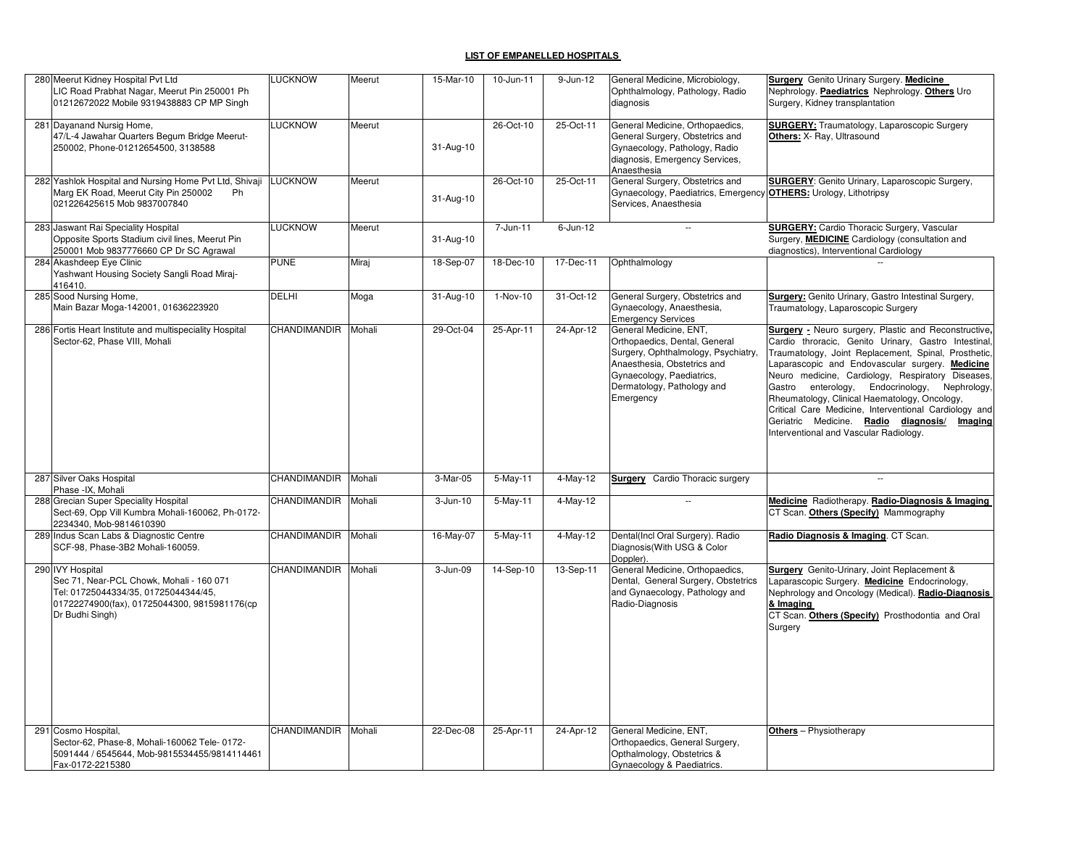| 280 Meerut Kidney Hospital Pvt Ltd<br>LIC Road Prabhat Nagar, Meerut Pin 250001 Ph<br>01212672022 Mobile 9319438883 CP MP Singh                                         | <b>LUCKNOW</b>      | Meerut | 15-Mar-10  | $10$ -Jun-11 | 9-Jun-12    | General Medicine, Microbiology,<br>Ophthalmology, Pathology, Radio<br>diagnosis                                                                                                                       | <b>Surgery</b> Genito Urinary Surgery. Medicine<br>Nephrology. Paediatrics Nephrology. Others Uro<br>Surgery, Kidney transplantation                                                                                                                                                                                                                                                                                                                                                                                              |
|-------------------------------------------------------------------------------------------------------------------------------------------------------------------------|---------------------|--------|------------|--------------|-------------|-------------------------------------------------------------------------------------------------------------------------------------------------------------------------------------------------------|-----------------------------------------------------------------------------------------------------------------------------------------------------------------------------------------------------------------------------------------------------------------------------------------------------------------------------------------------------------------------------------------------------------------------------------------------------------------------------------------------------------------------------------|
| 281 Dayanand Nursig Home,<br>47/L-4 Jawahar Quarters Begum Bridge Meerut-<br>250002, Phone-01212654500, 3138588                                                         | <b>LUCKNOW</b>      | Meerut | 31-Aug-10  | 26-Oct-10    | 25-Oct-11   | General Medicine, Orthopaedics,<br>General Surgery, Obstetrics and<br>Gynaecology, Pathology, Radio<br>diagnosis, Emergency Services,<br>Anaesthesia                                                  | <b>SURGERY:</b> Traumatology, Laparoscopic Surgery<br>Others: X- Ray, Ultrasound                                                                                                                                                                                                                                                                                                                                                                                                                                                  |
| 282 Yashlok Hospital and Nursing Home Pvt Ltd, Shivaji LUCKNOW<br>Marg EK Road, Meerut City Pin 250002<br><b>Ph</b><br>021226425615 Mob 9837007840                      |                     | Meerut | 31-Aug-10  | 26-Oct-10    | 25-Oct-11   | General Surgery, Obstetrics and<br>Gynaecology, Paediatrics, Emergency OTHERS: Urology, Lithotripsy<br>Services, Anaesthesia                                                                          | <b>SURGERY:</b> Genito Urinary, Laparoscopic Surgery,                                                                                                                                                                                                                                                                                                                                                                                                                                                                             |
| 283 Jaswant Rai Speciality Hospital<br>Opposite Sports Stadium civil lines, Meerut Pin<br>250001 Mob 9837776660 CP Dr SC Agrawal                                        | <b>LUCKNOW</b>      | Meerut | 31-Aug-10  | 7-Jun-11     | 6-Jun-12    | $\sim$                                                                                                                                                                                                | <b>SURGERY: Cardio Thoracic Surgery, Vascular</b><br>Surgery, <b>MEDICINE</b> Cardiology (consultation and<br>diagnostics), Interventional Cardiology                                                                                                                                                                                                                                                                                                                                                                             |
| 284 Akashdeep Eye Clinic<br>Yashwant Housing Society Sangli Road Miraj-<br>416410.                                                                                      | <b>PUNE</b>         | Miraj  | 18-Sep-07  | 18-Dec-10    | 17-Dec-11   | Ophthalmology                                                                                                                                                                                         |                                                                                                                                                                                                                                                                                                                                                                                                                                                                                                                                   |
| 285 Sood Nursing Home,<br>Main Bazar Moga-142001, 01636223920                                                                                                           | <b>DELHI</b>        | Moga   | 31-Aug-10  | 1-Nov-10     | 31-Oct-12   | General Surgery, Obstetrics and<br>Gynaecology, Anaesthesia,<br><b>Emergency Services</b>                                                                                                             | Surgery: Genito Urinary, Gastro Intestinal Surgery,<br>Traumatology, Laparoscopic Surgery                                                                                                                                                                                                                                                                                                                                                                                                                                         |
| 286 Fortis Heart Institute and multispeciality Hospital<br>Sector-62, Phase VIII, Mohali                                                                                | CHANDIMANDIR Mohali |        | 29-Oct-04  | 25-Apr-11    | 24-Apr-12   | General Medicine, ENT,<br>Orthopaedics, Dental, General<br>Surgery, Ophthalmology, Psychiatry,<br>Anaesthesia, Obstetrics and<br>Gynaecology, Paediatrics,<br>Dermatology, Pathology and<br>Emergency | Surgery - Neuro surgery, Plastic and Reconstructive,<br>Cardio throracic, Genito Urinary, Gastro Intestinal,<br>Traumatology, Joint Replacement, Spinal, Prosthetic,<br>Laparascopic and Endovascular surgery. Medicine<br>Neuro medicine, Cardiology, Respiratory Diseases,<br>Gastro enterology, Endocrinology, Nephrology,<br>Rheumatology, Clinical Haematology, Oncology,<br>Critical Care Medicine, Interventional Cardiology and<br>Geriatric Medicine. Radio diagnosis/ Imaging<br>Interventional and Vascular Radiology. |
| 287 Silver Oaks Hospital<br>Phase -IX, Mohali                                                                                                                           | CHANDIMANDIR Mohali |        | 3-Mar-05   | 5-May-11     | $4-May-12$  | <b>Surgery</b> Cardio Thoracic surgery                                                                                                                                                                | $\overline{\phantom{a}}$                                                                                                                                                                                                                                                                                                                                                                                                                                                                                                          |
| 288 Grecian Super Speciality Hospital<br>Sect-69, Opp Vill Kumbra Mohali-160062, Ph-0172-<br>2234340, Mob-9814610390                                                    | CHANDIMANDIR        | Mohali | $3-Jun-10$ | $5-May-11$   | $4$ -May-12 | 44                                                                                                                                                                                                    | Medicine Radiotherapy. Radio-Diagnosis & Imaging<br>CT Scan. Others (Specify) Mammography                                                                                                                                                                                                                                                                                                                                                                                                                                         |
| 289 Indus Scan Labs & Diagnostic Centre<br>SCF-98, Phase-3B2 Mohali-160059.                                                                                             | <b>CHANDIMANDIR</b> | Mohali | 16-May-07  | $5-May-11$   | $4$ -May-12 | Dental(Incl Oral Surgery). Radio<br>Diagnosis (With USG & Color<br>Doppler).                                                                                                                          | Radio Diagnosis & Imaging. CT Scan.                                                                                                                                                                                                                                                                                                                                                                                                                                                                                               |
| 290 IVY Hospital<br>Sec 71, Near-PCL Chowk, Mohali - 160 071<br>Tel: 01725044334/35, 01725044344/45,<br>01722274900(fax), 01725044300, 9815981176(cp<br>Dr Budhi Singh) | <b>CHANDIMANDIR</b> | Mohali | 3-Jun-09   | 14-Sep-10    | 13-Sep-11   | General Medicine, Orthopaedics,<br>Dental, General Surgery, Obstetrics<br>and Gynaecology, Pathology and<br>Radio-Diagnosis                                                                           | Surgery Genito-Urinary, Joint Replacement &<br>aparascopic Surgery. Medicine Endocrinology,<br>Nephrology and Oncology (Medical). Radio-Diagnosis<br>& Imaging<br>CT Scan. Others (Specify) Prosthodontia and Oral<br>Surgery                                                                                                                                                                                                                                                                                                     |
| 291 Cosmo Hospital.<br>Sector-62, Phase-8, Mohali-160062 Tele- 0172-<br>5091444 / 6545644, Mob-9815534455/9814114461<br>Fax-0172-2215380                                | CHANDIMANDIR Mohali |        | 22-Dec-08  | 25-Apr-11    | 24-Apr-12   | General Medicine, ENT,<br>Orthopaedics, General Surgery,<br>Opthalmology, Obstetrics &<br>Gynaecology & Paediatrics.                                                                                  | <b>Others</b> - Physiotherapy                                                                                                                                                                                                                                                                                                                                                                                                                                                                                                     |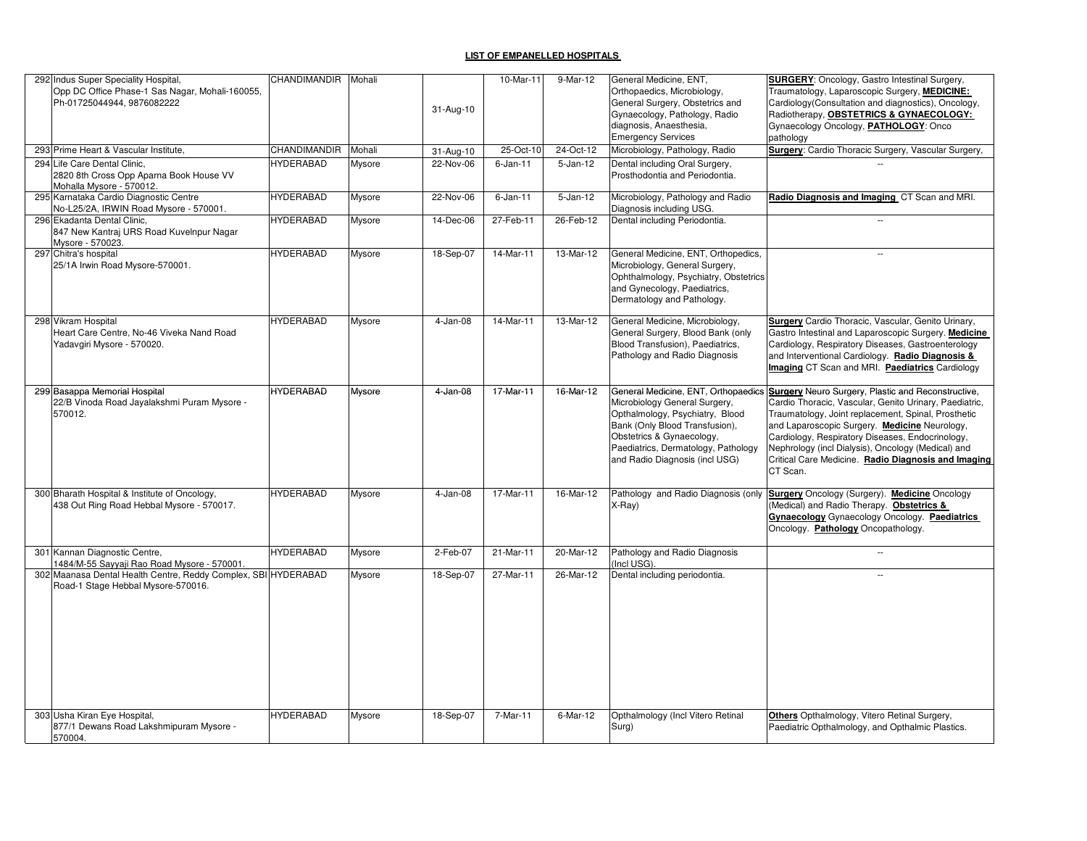| 292 Indus Super Speciality Hospital,<br>Opp DC Office Phase-1 Sas Nagar, Mohali-160055,<br>Ph-01725044944, 9876082222 | CHANDIMANDIR        | Mohali | 31-Aug-10   | $\overline{10}$ -Mar-11 | 9-Mar-12  | General Medicine, ENT,<br>Orthopaedics, Microbiology,<br>General Surgery, Obstetrics and<br>Gynaecology, Pathology, Radio<br>diagnosis, Anaesthesia,<br><b>Emergency Services</b>                                                               | <b>SURGERY:</b> Oncology, Gastro Intestinal Surgery,<br>Traumatology, Laparoscopic Surgery, MEDICINE:<br>Cardiology (Consultation and diagnostics), Oncology,<br>Radiotherapy, OBSTETRICS & GYNAECOLOGY:<br>Gynaecology Oncology, PATHOLOGY: Onco<br>pathology                                                                                                                                           |
|-----------------------------------------------------------------------------------------------------------------------|---------------------|--------|-------------|-------------------------|-----------|-------------------------------------------------------------------------------------------------------------------------------------------------------------------------------------------------------------------------------------------------|----------------------------------------------------------------------------------------------------------------------------------------------------------------------------------------------------------------------------------------------------------------------------------------------------------------------------------------------------------------------------------------------------------|
| 293 Prime Heart & Vascular Institute,                                                                                 | <b>CHANDIMANDIR</b> | Mohali | 31-Aug-10   | 25-Oct-10               | 24-Oct-12 | Microbiology, Pathology, Radio                                                                                                                                                                                                                  | <b>Surgery:</b> Cardio Thoracic Surgery, Vascular Surgery,                                                                                                                                                                                                                                                                                                                                               |
| 294 Life Care Dental Clinic,<br>2820 8th Cross Opp Aparna Book House VV<br>Mohalla Mysore - 570012.                   | <b>HYDERABAD</b>    | Mysore | $22-Nov-06$ | $6$ -Jan-11             | 5-Jan-12  | Dental including Oral Surgery,<br>Prosthodontia and Periodontia.                                                                                                                                                                                |                                                                                                                                                                                                                                                                                                                                                                                                          |
| 295 Karnataka Cardio Diagnostic Centre<br>No-L25/2A, IRWIN Road Mysore - 570001.                                      | HYDERABAD           | Mysore | 22-Nov-06   | $6$ -Jan-11             | 5-Jan-12  | Microbiology, Pathology and Radio<br>Diagnosis including USG.                                                                                                                                                                                   | Radio Diagnosis and Imaging CT Scan and MRI.                                                                                                                                                                                                                                                                                                                                                             |
| 296 Ekadanta Dental Clinic,<br>847 New Kantraj URS Road Kuvelnpur Nagar<br>Mysore - 570023.                           | HYDERABAD           | Mysore | 14-Dec-06   | 27-Feb-11               | 26-Feb-12 | Dental including Periodontia.                                                                                                                                                                                                                   | $\overline{\phantom{a}}$                                                                                                                                                                                                                                                                                                                                                                                 |
| 297 Chitra's hospital<br>25/1A Irwin Road Mysore-570001.                                                              | HYDERABAD           | Mysore | 18-Sep-07   | 14-Mar-11               | 13-Mar-12 | General Medicine, ENT, Orthopedics,<br>Microbiology, General Surgery,<br>Ophthalmology, Psychiatry, Obstetrics<br>and Gynecology, Paediatrics,<br>Dermatology and Pathology.                                                                    | $\mathcal{L}_{\mathcal{A}}$                                                                                                                                                                                                                                                                                                                                                                              |
| 298 Vikram Hospital<br>Heart Care Centre, No-46 Viveka Nand Road<br>Yadavgiri Mysore - 570020.                        | HYDERABAD           | Mysore | 4-Jan-08    | 14-Mar-11               | 13-Mar-12 | General Medicine, Microbiology,<br>General Surgery, Blood Bank (only<br>Blood Transfusion), Paediatrics,<br>Pathology and Radio Diagnosis                                                                                                       | Surgery Cardio Thoracic, Vascular, Genito Urinary,<br>Gastro Intestinal and Laparoscopic Surgery. Medicine<br>Cardiology, Respiratory Diseases, Gastroenterology<br>and Interventional Cardiology. Radio Diagnosis &<br>Imaging CT Scan and MRI. Paediatrics Cardiology                                                                                                                                  |
| 299 Basappa Memorial Hospital<br>22/B Vinoda Road Jayalakshmi Puram Mysore -<br>570012.                               | HYDERABAD           | Mysore | 4-Jan-08    | 17-Mar-11               | 16-Mar-12 | General Medicine, ENT, Orthopaedics<br>Microbiology General Surgery,<br>Opthalmology, Psychiatry, Blood<br>Bank (Only Blood Transfusion),<br>Obstetrics & Gynaecology,<br>Paediatrics, Dermatology, Pathology<br>and Radio Diagnosis (incl USG) | <b>Surgery</b> Neuro Surgery, Plastic and Reconstructive,<br>Cardio Thoracic, Vascular, Genito Urinary, Paediatric,<br>Traumatology, Joint replacement, Spinal, Prosthetic<br>and Laparoscopic Surgery. Medicine Neurology,<br>Cardiology, Respiratory Diseases, Endocrinology,<br>Nephrology (incl Dialysis), Oncology (Medical) and<br>Critical Care Medicine. Radio Diagnosis and Imaging<br>CT Scan. |
| 300 Bharath Hospital & Institute of Oncology,<br>438 Out Ring Road Hebbal Mysore - 570017.                            | HYDERABAD           | Mysore | $4$ -Jan-08 | 17-Mar-11               | 16-Mar-12 | Pathology and Radio Diagnosis (only<br>X-Ray)                                                                                                                                                                                                   | <b>Surgery Oncology (Surgery). Medicine Oncology</b><br>(Medical) and Radio Therapy. Obstetrics &<br><b>Gynaecology</b> Gynaecology Oncology. Paediatrics<br>Oncology. Pathology Oncopathology.                                                                                                                                                                                                          |
| 301 Kannan Diagnostic Centre,<br>1484/M-55 Sayyaji Rao Road Mysore - 570001.                                          | HYDERABAD           | Mysore | 2-Feb-07    | 21-Mar-11               | 20-Mar-12 | Pathology and Radio Diagnosis<br>Incl USG).                                                                                                                                                                                                     | $\mathcal{L}_{\mathcal{A}}$                                                                                                                                                                                                                                                                                                                                                                              |
| 302 Maanasa Dental Health Centre, Reddy Complex, SBI HYDERABAD<br>Road-1 Stage Hebbal Mysore-570016.                  |                     | Mysore | 18-Sep-07   | 27-Mar-11               | 26-Mar-12 | Dental including periodontia.                                                                                                                                                                                                                   | $\sim$                                                                                                                                                                                                                                                                                                                                                                                                   |
| 303 Usha Kiran Eye Hospital,<br>877/1 Dewans Road Lakshmipuram Mysore -<br>570004.                                    | HYDERABAD           | Mysore | 18-Sep-07   | 7-Mar-11                | 6-Mar-12  | Opthalmology (Incl Vitero Retinal<br>Surg)                                                                                                                                                                                                      | Others Opthalmology, Vitero Retinal Surgery,<br>Paediatric Opthalmology, and Opthalmic Plastics.                                                                                                                                                                                                                                                                                                         |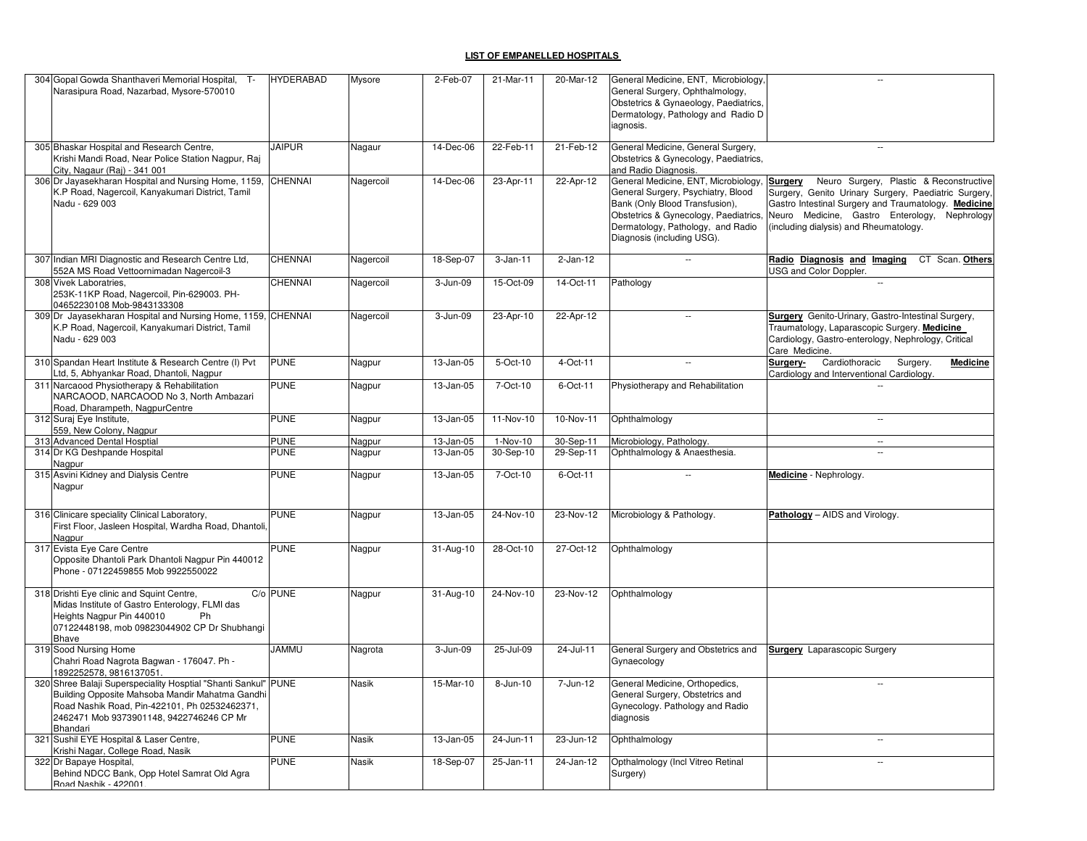| 304 Gopal Gowda Shanthaveri Memorial Hospital, T-                                                                 | <b>HYDERABAD</b> | Mysore    | 2-Feb-07  | 21-Mar-11  | 20-Mar-12  | General Medicine, ENT, Microbiology,  |                                                      |
|-------------------------------------------------------------------------------------------------------------------|------------------|-----------|-----------|------------|------------|---------------------------------------|------------------------------------------------------|
| Narasipura Road, Nazarbad, Mysore-570010                                                                          |                  |           |           |            |            | General Surgery, Ophthalmology,       |                                                      |
|                                                                                                                   |                  |           |           |            |            | Obstetrics & Gynaeology, Paediatrics, |                                                      |
|                                                                                                                   |                  |           |           |            |            | Dermatology, Pathology and Radio D    |                                                      |
|                                                                                                                   |                  |           |           |            |            | iagnosis.                             |                                                      |
| 305 Bhaskar Hospital and Research Centre,                                                                         | <b>JAIPUR</b>    | Nagaur    | 14-Dec-06 | 22-Feb-11  | 21-Feb-12  | General Medicine, General Surgery,    | $\sim$                                               |
| Krishi Mandi Road, Near Police Station Nagpur, Raj                                                                |                  |           |           |            |            | Obstetrics & Gynecology, Paediatrics, |                                                      |
| City, Nagaur (Raj) - 341 001                                                                                      |                  |           |           |            |            | and Radio Diagnosis.                  |                                                      |
| 306 Dr Jayasekharan Hospital and Nursing Home, 1159,                                                              | <b>CHENNAI</b>   | Nagercoil | 14-Dec-06 | 23-Apr-11  | 22-Apr-12  | General Medicine, ENT, Microbiology,  | Neuro Surgery, Plastic & Reconstructive<br>Surgery   |
| K.P Road, Nagercoil, Kanyakumari District, Tamil                                                                  |                  |           |           |            |            | General Surgery, Psychiatry, Blood    | Surgery, Genito Urinary Surgery, Paediatric Surgery, |
| Nadu - 629 003                                                                                                    |                  |           |           |            |            | Bank (Only Blood Transfusion),        | Gastro Intestinal Surgery and Traumatology. Medicine |
|                                                                                                                   |                  |           |           |            |            | Obstetrics & Gynecology, Paediatrics, | Neuro Medicine, Gastro Enterology, Nephrology        |
|                                                                                                                   |                  |           |           |            |            | Dermatology, Pathology, and Radio     | (including dialysis) and Rheumatology.               |
|                                                                                                                   |                  |           |           |            |            | Diagnosis (including USG).            |                                                      |
| 307 Indian MRI Diagnostic and Research Centre Ltd,                                                                | <b>CHENNAI</b>   | Nagercoil | 18-Sep-07 | $3-Jan-11$ | $2-Jan-12$ | $\ddot{\phantom{a}}$                  | Radio Diagnosis and Imaging<br>CT Scan. Others       |
| 552A MS Road Vettoornimadan Nagercoil-3                                                                           |                  |           |           |            |            |                                       | USG and Color Doppler.                               |
| 308 Vivek Laboratries.                                                                                            | <b>CHENNAI</b>   | Nagercoil | 3-Jun-09  | 15-Oct-09  | 14-Oct-11  | Pathology                             |                                                      |
| 253K-11KP Road, Nagercoil, Pin-629003. PH-                                                                        |                  |           |           |            |            |                                       |                                                      |
| 04652230108 Mob-9843133308                                                                                        |                  |           |           |            |            |                                       |                                                      |
| 309 Dr Jayasekharan Hospital and Nursing Home, 1159, CHENNAI                                                      |                  | Nagercoil | 3-Jun-09  | 23-Apr-10  | 22-Apr-12  | ÷.                                    | Surgery Genito-Urinary, Gastro-Intestinal Surgery,   |
| K.P Road, Nagercoil, Kanyakumari District, Tamil                                                                  |                  |           |           |            |            |                                       | Traumatology, Laparascopic Surgery. Medicine         |
| Nadu - 629 003                                                                                                    |                  |           |           |            |            |                                       | Cardiology, Gastro-enterology, Nephrology, Critical  |
|                                                                                                                   |                  |           |           |            |            |                                       | Care Medicine.                                       |
| 310 Spandan Heart Institute & Research Centre (I) Pvt                                                             | <b>PUNE</b>      | Nagpur    | 13-Jan-05 | 5-Oct-10   | 4-Oct-11   | $\overline{\phantom{a}}$              | Surgery-<br>Cardiothoracic<br>Surgery.<br>Medicine   |
| Ltd, 5, Abhyankar Road, Dhantoli, Nagpur                                                                          |                  |           |           |            |            |                                       | Cardiology and Interventional Cardiology.            |
| 311 Narcaood Physiotherapy & Rehabilitation                                                                       | <b>PUNE</b>      | Nagpur    | 13-Jan-05 | 7-Oct-10   | 6-Oct-11   | Physiotherapy and Rehabilitation      |                                                      |
| NARCAOOD, NARCAOOD No 3, North Ambazari                                                                           |                  |           |           |            |            |                                       |                                                      |
| Road, Dharampeth, NagpurCentre                                                                                    |                  |           |           |            |            |                                       |                                                      |
| 312 Suraj Eye Institute,<br>559, New Colony, Nagpur                                                               | <b>PUNE</b>      | Nagpur    | 13-Jan-05 | 11-Nov-10  | 10-Nov-11  | Ophthalmology                         | $\sim$                                               |
| 313 Advanced Dental Hosptial                                                                                      | <b>PUNE</b>      | Nagpur    | 13-Jan-05 | 1-Nov-10   | 30-Sep-11  | Microbiology, Pathology.              | $\sim$ $\sim$                                        |
| 314 Dr KG Deshpande Hospital                                                                                      | <b>PUNE</b>      | Nagpur    | 13-Jan-05 | 30-Sep-10  | 29-Sep-11  | Ophthalmology & Anaesthesia.          |                                                      |
| Nagpur                                                                                                            |                  |           |           |            |            |                                       |                                                      |
| 315 Asvini Kidney and Dialysis Centre                                                                             | <b>PUNE</b>      | Nagpur    | 13-Jan-05 | 7-Oct-10   | 6-Oct-11   | $\overline{\phantom{a}}$              | Medicine - Nephrology.                               |
| Nagpur                                                                                                            |                  |           |           |            |            |                                       |                                                      |
|                                                                                                                   |                  |           |           |            |            |                                       |                                                      |
| 316 Clinicare speciality Clinical Laboratory,                                                                     | <b>PUNE</b>      | Nagpur    | 13-Jan-05 | 24-Nov-10  | 23-Nov-12  | Microbiology & Pathology.             | Pathology - AIDS and Virology.                       |
| First Floor, Jasleen Hospital, Wardha Road, Dhantoli,                                                             |                  |           |           |            |            |                                       |                                                      |
| Nagpur                                                                                                            |                  |           |           |            |            |                                       |                                                      |
| 317 Evista Eye Care Centre                                                                                        | <b>PUNE</b>      | Nagpur    | 31-Aug-10 | 28-Oct-10  | 27-Oct-12  | Ophthalmology                         |                                                      |
| Opposite Dhantoli Park Dhantoli Nagpur Pin 440012                                                                 |                  |           |           |            |            |                                       |                                                      |
| Phone - 07122459855 Mob 9922550022                                                                                |                  |           |           |            |            |                                       |                                                      |
| 318 Drishti Eye clinic and Squint Centre,                                                                         | C/o PUNE         | Nagpur    | 31-Aug-10 | 24-Nov-10  | 23-Nov-12  | Ophthalmology                         |                                                      |
| Midas Institute of Gastro Enterology, FLMI das                                                                    |                  |           |           |            |            |                                       |                                                      |
| Heights Nagpur Pin 440010<br>Ph                                                                                   |                  |           |           |            |            |                                       |                                                      |
| 07122448198, mob 09823044902 CP Dr Shubhangi                                                                      |                  |           |           |            |            |                                       |                                                      |
| Bhave                                                                                                             |                  |           |           |            |            |                                       |                                                      |
| 319 Sood Nursing Home                                                                                             | <b>JAMMU</b>     | Nagrota   | 3-Jun-09  | 25-Jul-09  | 24-Jul-11  | General Surgery and Obstetrics and    | <b>Surgery</b> Laparascopic Surgery                  |
| Chahri Road Nagrota Bagwan - 176047. Ph -                                                                         |                  |           |           |            |            | Gynaecology                           |                                                      |
| 1892252578, 9816137051                                                                                            |                  |           |           |            |            |                                       |                                                      |
| 320 Shree Balaji Superspeciality Hosptial "Shanti Sankul" PUNE<br>Building Opposite Mahsoba Mandir Mahatma Gandhi |                  | Nasik     | 15-Mar-10 | 8-Jun-10   | 7-Jun-12   | General Medicine, Orthopedics,        | $\sim$                                               |
| Road Nashik Road, Pin-422101, Ph 02532462371.                                                                     |                  |           |           |            |            | General Surgery, Obstetrics and       |                                                      |
| 2462471 Mob 9373901148, 9422746246 CP Mr                                                                          |                  |           |           |            |            | Gynecology. Pathology and Radio       |                                                      |
| Bhandari                                                                                                          |                  |           |           |            |            | diagnosis                             |                                                      |
| 321 Sushil EYE Hospital & Laser Centre,                                                                           | <b>PUNE</b>      | Nasik     | 13-Jan-05 | 24-Jun-11  | 23-Jun-12  | Ophthalmology                         | $\sim$                                               |
| Krishi Nagar, College Road, Nasik                                                                                 |                  |           |           |            |            |                                       |                                                      |
| 322 Dr Bapaye Hospital,                                                                                           | <b>PUNE</b>      | Nasik     | 18-Sep-07 | 25-Jan-11  | 24-Jan-12  | Opthalmology (Incl Vitreo Retinal     | $\sim$                                               |
| Behind NDCC Bank, Opp Hotel Samrat Old Agra                                                                       |                  |           |           |            |            | Surgery)                              |                                                      |
| Road Nashik - 422001                                                                                              |                  |           |           |            |            |                                       |                                                      |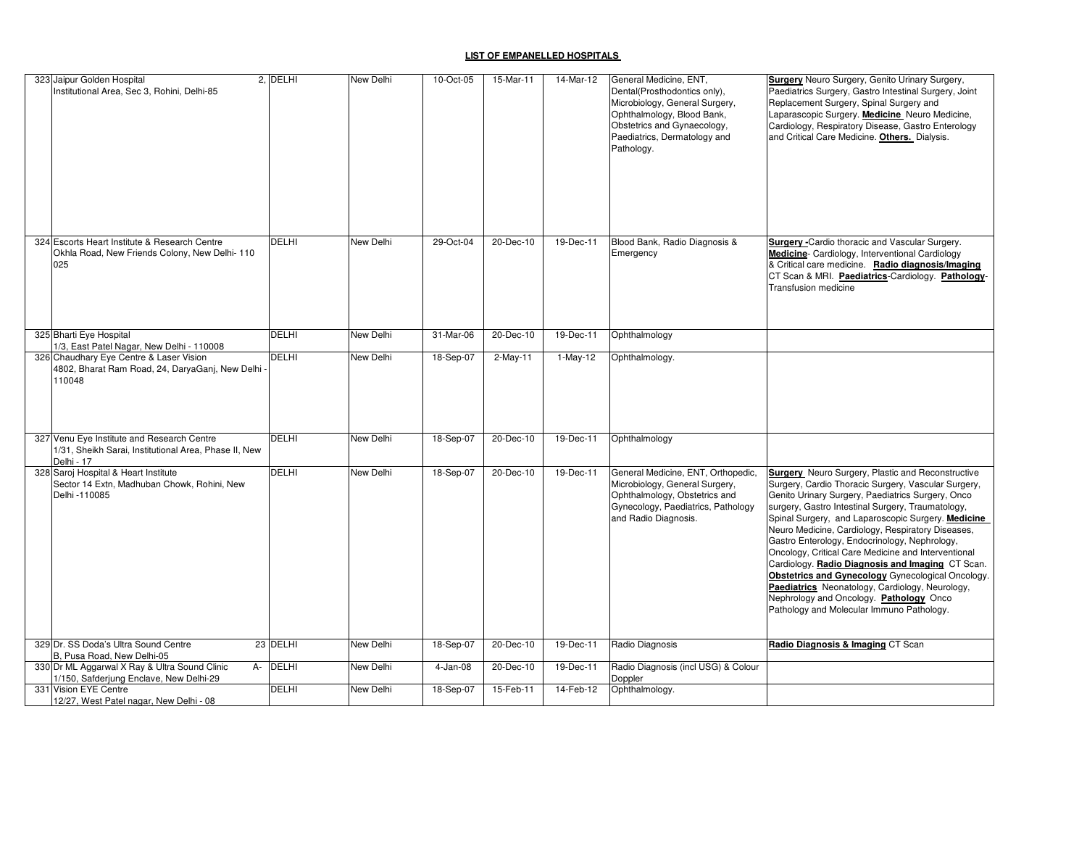| 323 Jaipur Golden Hospital<br>Institutional Area, Sec 3, Rohini, Delhi-85                                         | 2. DELHI     | New Delhi | 10-Oct-05  | 15-Mar-11  | 14-Mar-12  | General Medicine, ENT,<br>Dental(Prosthodontics only),<br>Microbiology, General Surgery,<br>Ophthalmology, Blood Bank,<br>Obstetrics and Gynaecology,<br>Paediatrics, Dermatology and<br>Pathology. | Surgery Neuro Surgery, Genito Urinary Surgery,<br>Paediatrics Surgery, Gastro Intestinal Surgery, Joint<br>Replacement Surgery, Spinal Surgery and<br>Laparascopic Surgery. Medicine Neuro Medicine,<br>Cardiology, Respiratory Disease, Gastro Enterology<br>and Critical Care Medicine. Others. Dialysis.                                                                                                                                                                                                                                                                                                                                                                                      |
|-------------------------------------------------------------------------------------------------------------------|--------------|-----------|------------|------------|------------|-----------------------------------------------------------------------------------------------------------------------------------------------------------------------------------------------------|--------------------------------------------------------------------------------------------------------------------------------------------------------------------------------------------------------------------------------------------------------------------------------------------------------------------------------------------------------------------------------------------------------------------------------------------------------------------------------------------------------------------------------------------------------------------------------------------------------------------------------------------------------------------------------------------------|
| 324 Escorts Heart Institute & Research Centre<br>Okhla Road, New Friends Colony, New Delhi-110<br>025             | DELHI        | New Delhi | 29-Oct-04  | 20-Dec-10  | 19-Dec-11  | Blood Bank, Radio Diagnosis &<br>Emergency                                                                                                                                                          | Surgery - Cardio thoracic and Vascular Surgery.<br>Medicine- Cardiology, Interventional Cardiology<br>& Critical care medicine. Radio diagnosis/Imaging<br>CT Scan & MRI. Paediatrics-Cardiology. Pathology-<br><b>Transfusion medicine</b>                                                                                                                                                                                                                                                                                                                                                                                                                                                      |
| 325 Bharti Eye Hospital<br>1/3, East Patel Nagar, New Delhi - 110008                                              | DELHI        | New Delhi | 31-Mar-06  | 20-Dec-10  | 19-Dec-11  | Ophthalmology                                                                                                                                                                                       |                                                                                                                                                                                                                                                                                                                                                                                                                                                                                                                                                                                                                                                                                                  |
| 326 Chaudhary Eye Centre & Laser Vision<br>4802, Bharat Ram Road, 24, DaryaGanj, New Delhi<br>110048              | <b>DELHI</b> | New Delhi | 18-Sep-07  | $2-May-11$ | $1-May-12$ | Ophthalmology.                                                                                                                                                                                      |                                                                                                                                                                                                                                                                                                                                                                                                                                                                                                                                                                                                                                                                                                  |
| 327 Venu Eye Institute and Research Centre<br>1/31, Sheikh Sarai, Institutional Area, Phase II, New<br>Delhi - 17 | DELHI        | New Delhi | 18-Sep-07  | 20-Dec-10  | 19-Dec-11  | Ophthalmology                                                                                                                                                                                       |                                                                                                                                                                                                                                                                                                                                                                                                                                                                                                                                                                                                                                                                                                  |
| 328 Saroj Hospital & Heart Institute<br>Sector 14 Extn, Madhuban Chowk, Rohini, New<br>Delhi -110085              | DELHI        | New Delhi | 18-Sep-07  | 20-Dec-10  | 19-Dec-11  | General Medicine, ENT, Orthopedic,<br>Microbiology, General Surgery,<br>Ophthalmology, Obstetrics and<br>Gynecology, Paediatrics, Pathology<br>and Radio Diagnosis.                                 | Surgery Neuro Surgery, Plastic and Reconstructive<br>Surgery, Cardio Thoracic Surgery, Vascular Surgery,<br>Genito Urinary Surgery, Paediatrics Surgery, Onco<br>surgery, Gastro Intestinal Surgery, Traumatology,<br>Spinal Surgery, and Laparoscopic Surgery. Medicine<br>Neuro Medicine, Cardiology, Respiratory Diseases,<br>Gastro Enterology, Endocrinology, Nephrology,<br>Oncology, Critical Care Medicine and Interventional<br>Cardiology. Radio Diagnosis and Imaging CT Scan.<br><b>Obstetrics and Gynecology</b> Gynecological Oncology.<br>Paediatrics Neonatology, Cardiology, Neurology,<br>Nephrology and Oncology. Pathology Onco<br>Pathology and Molecular Immuno Pathology. |
| 329 Dr. SS Doda's Ultra Sound Centre<br>B, Pusa Road, New Delhi-05                                                | 23 DELHI     | New Delhi | 18-Sep-07  | 20-Dec-10  | 19-Dec-11  | Radio Diagnosis                                                                                                                                                                                     | Radio Diagnosis & Imaging CT Scan                                                                                                                                                                                                                                                                                                                                                                                                                                                                                                                                                                                                                                                                |
| 330 Dr ML Aggarwal X Ray & Ultra Sound Clinic<br>A-<br>1/150, Safderjung Enclave, New Delhi-29                    | <b>DELHI</b> | New Delhi | $4-Jan-08$ | 20-Dec-10  | 19-Dec-11  | Radio Diagnosis (incl USG) & Colour<br>Doppler                                                                                                                                                      |                                                                                                                                                                                                                                                                                                                                                                                                                                                                                                                                                                                                                                                                                                  |
| 331 Vision EYE Centre<br>12/27, West Patel nagar, New Delhi - 08                                                  | DELHI        | New Delhi | 18-Sep-07  | 15-Feb-11  | 14-Feb-12  | Ophthalmology.                                                                                                                                                                                      |                                                                                                                                                                                                                                                                                                                                                                                                                                                                                                                                                                                                                                                                                                  |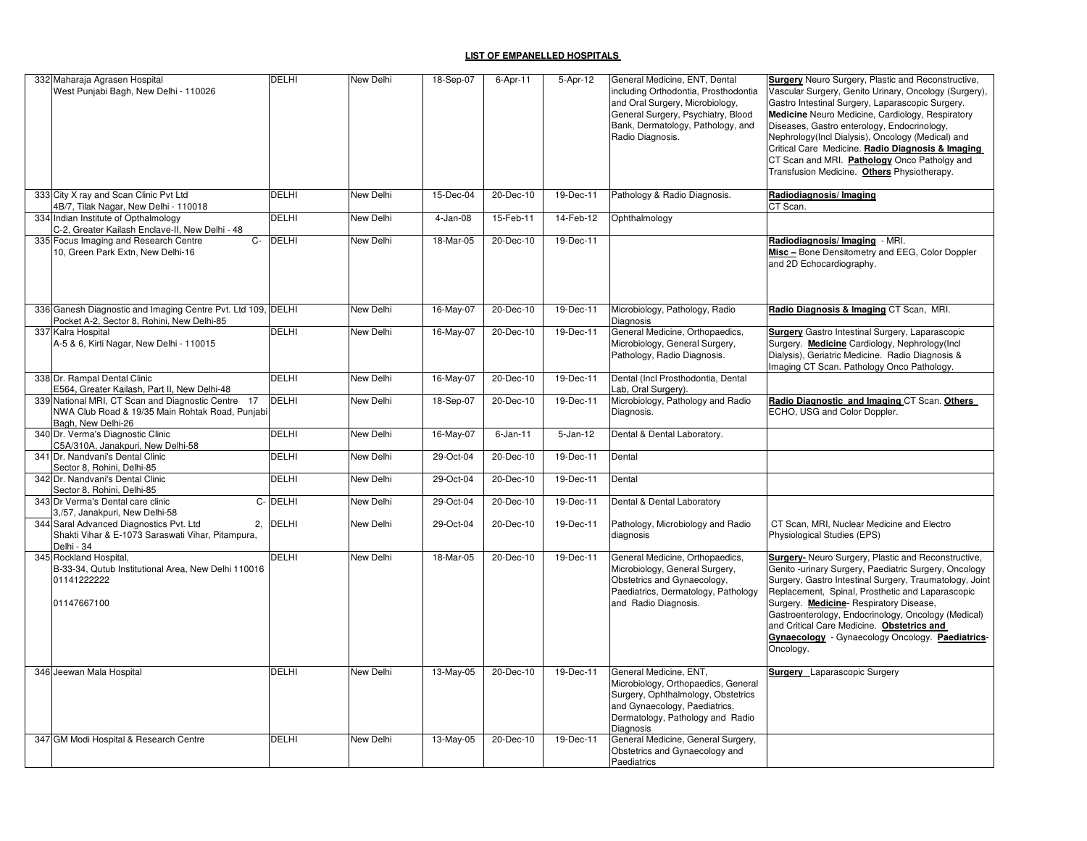| 332 Maharaja Agrasen Hospital<br>West Punjabi Bagh, New Delhi - 110026                                                      | DELHI        | New Delhi | 18-Sep-07  | $6 - Apr - 11$ | 5-Apr-12     | General Medicine, ENT, Dental<br>including Orthodontia, Prosthodontia<br>and Oral Surgery, Microbiology,<br>General Surgery, Psychiatry, Blood<br>Bank, Dermatology, Pathology, and<br>Radio Diagnosis. | Surgery Neuro Surgery, Plastic and Reconstructive,<br>Vascular Surgery, Genito Urinary, Oncology (Surgery),<br>Gastro Intestinal Surgery, Laparascopic Surgery.<br>Medicine Neuro Medicine, Cardiology, Respiratory<br>Diseases, Gastro enterology, Endocrinology,<br>Nephrology(Incl Dialysis), Oncology (Medical) and<br>Critical Care Medicine. Radio Diagnosis & Imaging<br>CT Scan and MRI. Pathology Onco Patholgy and<br>Transfusion Medicine. Others Physiotherapy. |
|-----------------------------------------------------------------------------------------------------------------------------|--------------|-----------|------------|----------------|--------------|---------------------------------------------------------------------------------------------------------------------------------------------------------------------------------------------------------|-----------------------------------------------------------------------------------------------------------------------------------------------------------------------------------------------------------------------------------------------------------------------------------------------------------------------------------------------------------------------------------------------------------------------------------------------------------------------------|
| 333 City X ray and Scan Clinic Pvt Ltd<br>4B/7, Tilak Nagar, New Delhi - 110018                                             | DELHI        | New Delhi | 15-Dec-04  | 20-Dec-10      | 19-Dec-11    | Pathology & Radio Diagnosis.                                                                                                                                                                            | Radiodiagnosis/Imaging<br>CT Scan.                                                                                                                                                                                                                                                                                                                                                                                                                                          |
| 334 Indian Institute of Opthalmology<br>C-2, Greater Kailash Enclave-II, New Delhi - 48                                     | DELHI        | New Delhi | $4-Jan-08$ | 15-Feb-11      | 14-Feb-12    | Ophthalmology                                                                                                                                                                                           |                                                                                                                                                                                                                                                                                                                                                                                                                                                                             |
| 335 Focus Imaging and Research Centre<br>$C -$<br>10, Green Park Extn, New Delhi-16                                         | <b>DELHI</b> | New Delhi | 18-Mar-05  | 20-Dec-10      | 19-Dec-11    |                                                                                                                                                                                                         | Radiodiagnosis/Imaging - MRI.<br>Misc - Bone Densitometry and EEG, Color Doppler<br>and 2D Echocardiography.                                                                                                                                                                                                                                                                                                                                                                |
| 336 Ganesh Diagnostic and Imaging Centre Pvt. Ltd 109, DELHI<br>Pocket A-2, Sector 8, Rohini, New Delhi-85                  |              | New Delhi | 16-May-07  | 20-Dec-10      | 19-Dec-11    | Microbiology, Pathology, Radio<br>Diagnosis                                                                                                                                                             | Radio Diagnosis & Imaging CT Scan, MRI.                                                                                                                                                                                                                                                                                                                                                                                                                                     |
| 337 Kalra Hospital<br>A-5 & 6, Kirti Nagar, New Delhi - 110015                                                              | DELHI        | New Delhi | 16-May-07  | 20-Dec-10      | 19-Dec-11    | General Medicine, Orthopaedics,<br>Microbiology, General Surgery,<br>Pathology, Radio Diagnosis.                                                                                                        | <b>Surgery</b> Gastro Intestinal Surgery, Laparascopic<br>Surgery. Medicine Cardiology, Nephrology(Incl.<br>Dialysis), Geriatric Medicine. Radio Diagnosis &<br>Imaging CT Scan. Pathology Onco Pathology.                                                                                                                                                                                                                                                                  |
| 338 Dr. Rampal Dental Clinic<br>E564, Greater Kailash, Part II, New Delhi-48                                                | DELHI        | New Delhi | 16-May-07  | 20-Dec-10      | 19-Dec-11    | Dental (Incl Prosthodontia, Dental<br>.ab, Oral Surgery).                                                                                                                                               |                                                                                                                                                                                                                                                                                                                                                                                                                                                                             |
| 339 National MRI, CT Scan and Diagnostic Centre 17<br>NWA Club Road & 19/35 Main Rohtak Road, Punjabi<br>Bagh, New Delhi-26 | <b>DELHI</b> | New Delhi | 18-Sep-07  | 20-Dec-10      | 19-Dec-11    | Microbiology, Pathology and Radio<br>Diagnosis.                                                                                                                                                         | Radio Diagnostic and Imaging CT Scan. Others<br>ECHO, USG and Color Doppler.                                                                                                                                                                                                                                                                                                                                                                                                |
| 340 Dr. Verma's Diagnostic Clinic<br>C5A/310A, Janakpuri, New Delhi-58                                                      | DELHI        | New Delhi | 16-May-07  | $6 - Jan-11$   | $5 - Jan-12$ | Dental & Dental Laboratory.                                                                                                                                                                             |                                                                                                                                                                                                                                                                                                                                                                                                                                                                             |
| 341 Dr. Nandvani's Dental Clinic<br>Sector 8, Rohini, Delhi-85                                                              | DELHI        | New Delhi | 29-Oct-04  | 20-Dec-10      | 19-Dec-11    | Dental                                                                                                                                                                                                  |                                                                                                                                                                                                                                                                                                                                                                                                                                                                             |
| 342 Dr. Nandvani's Dental Clinic<br>Sector 8, Rohini, Delhi-85                                                              | <b>DELHI</b> | New Delhi | 29-Oct-04  | 20-Dec-10      | 19-Dec-11    | Dental                                                                                                                                                                                                  |                                                                                                                                                                                                                                                                                                                                                                                                                                                                             |
| 343 Dr Verma's Dental care clinic<br>3,/57, Janakpuri, New Delhi-58                                                         | C- DELHI     | New Delhi | 29-Oct-04  | 20-Dec-10      | 19-Dec-11    | Dental & Dental Laboratory                                                                                                                                                                              |                                                                                                                                                                                                                                                                                                                                                                                                                                                                             |
| 344 Saral Advanced Diagnostics Pvt. Ltd<br>2,<br>Shakti Vihar & E-1073 Saraswati Vihar, Pitampura,<br>Delhi - 34            | <b>DELHI</b> | New Delhi | 29-Oct-04  | 20-Dec-10      | 19-Dec-11    | Pathology, Microbiology and Radio<br>diagnosis                                                                                                                                                          | CT Scan, MRI, Nuclear Medicine and Electro<br>Physiological Studies (EPS)                                                                                                                                                                                                                                                                                                                                                                                                   |
| 345 Rockland Hospital,<br>B-33-34, Qutub Institutional Area, New Delhi 110016<br>01141222222<br>01147667100                 | DELHI        | New Delhi | 18-Mar-05  | 20-Dec-10      | 19-Dec-11    | General Medicine, Orthopaedics,<br>Microbiology, General Surgery,<br>Obstetrics and Gynaecology,<br>Paediatrics, Dermatology, Pathology<br>and Radio Diagnosis.                                         | Surgery- Neuro Surgery, Plastic and Reconstructive,<br>Genito -urinary Surgery, Paediatric Surgery, Oncology<br>Surgery, Gastro Intestinal Surgery, Traumatology, Joint<br>Replacement, Spinal, Prosthetic and Laparascopic<br>Surgery. Medicine- Respiratory Disease,<br>Gastroenterology, Endocrinology, Oncology (Medical)<br>and Critical Care Medicine. Obstetrics and<br><b>Gynaecology</b> - Gynaecology Oncology. Paediatrics-<br>Oncology.                         |
| 346 Jeewan Mala Hospital                                                                                                    | DELHI        | New Delhi | 13-May-05  | 20-Dec-10      | 19-Dec-11    | General Medicine, ENT,<br>Microbiology, Orthopaedics, General<br>Surgery, Ophthalmology, Obstetrics<br>and Gynaecology, Paediatrics,<br>Dermatology, Pathology and Radio<br><b>Diagnosis</b>            | <b>Surgery</b> Laparascopic Surgery                                                                                                                                                                                                                                                                                                                                                                                                                                         |
| 347 GM Modi Hospital & Research Centre                                                                                      | DELHI        | New Delhi | 13-May-05  | 20-Dec-10      | 19-Dec-11    | General Medicine, General Surgery,<br>Obstetrics and Gynaecology and<br>Paediatrics                                                                                                                     |                                                                                                                                                                                                                                                                                                                                                                                                                                                                             |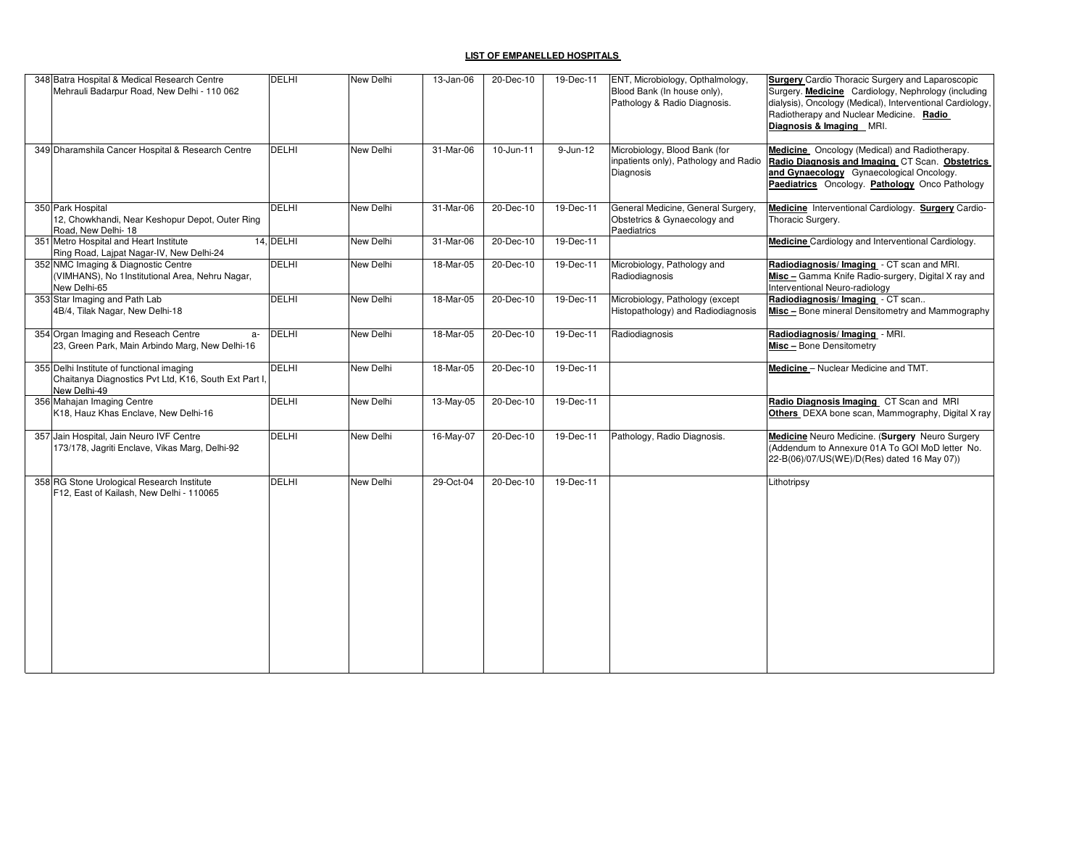| 348 Batra Hospital & Medical Research Centre<br>Mehrauli Badarpur Road, New Delhi - 110 062                        | <b>DELHI</b>                | New Delhi        | 13-Jan-06 | 20-Dec-10 | 19-Dec-11 | ENT, Microbiology, Opthalmology,<br>Blood Bank (In house only),<br>Pathology & Radio Diagnosis. | <b>Surgery</b> Cardio Thoracic Surgery and Laparoscopic<br>Surgery. Medicine Cardiology, Nephrology (including<br>dialysis), Oncology (Medical), Interventional Cardiology,<br>Radiotherapy and Nuclear Medicine. Radio<br>Diagnosis & Imaging MRI. |
|--------------------------------------------------------------------------------------------------------------------|-----------------------------|------------------|-----------|-----------|-----------|-------------------------------------------------------------------------------------------------|-----------------------------------------------------------------------------------------------------------------------------------------------------------------------------------------------------------------------------------------------------|
| 349 Dharamshila Cancer Hospital & Research Centre                                                                  | DELHI                       | <b>New Delhi</b> | 31-Mar-06 | 10-Jun-11 | 9-Jun-12  | Microbiology, Blood Bank (for<br>inpatients only), Pathology and Radio<br><b>Diagnosis</b>      | Medicine Oncology (Medical) and Radiotherapy.<br>Radio Diagnosis and Imaging CT Scan. Obstetrics<br>and Gynaecology Gynaecological Oncology.<br>Paediatrics Oncology. Pathology Onco Pathology                                                      |
| 350 Park Hospital<br>12, Chowkhandi, Near Keshopur Depot, Outer Ring<br>Road, New Delhi-18                         | DELHI                       | New Delhi        | 31-Mar-06 | 20-Dec-10 | 19-Dec-11 | General Medicine, General Surgery,<br>Obstetrics & Gynaecology and<br>Paediatrics               | <b>Medicine</b> Interventional Cardiology. <b>Surgery</b> Cardio-<br>Thoracic Surgery.                                                                                                                                                              |
| 351 Metro Hospital and Heart Institute<br>Ring Road, Lajpat Nagar-IV, New Delhi-24                                 | 14, DELHI                   | New Delhi        | 31-Mar-06 | 20-Dec-10 | 19-Dec-11 |                                                                                                 | Medicine Cardiology and Interventional Cardiology.                                                                                                                                                                                                  |
| 352 NMC Imaging & Diagnostic Centre<br>(VIMHANS), No 1Institutional Area, Nehru Nagar,<br>New Delhi-65             | <b>DELHI</b>                | New Delhi        | 18-Mar-05 | 20-Dec-10 | 19-Dec-11 | Microbiology, Pathology and<br>Radiodiagnosis                                                   | Radiodiagnosis/Imaging - CT scan and MRI.<br>Misc - Gamma Knife Radio-surgery, Digital X ray and<br>nterventional Neuro-radiology                                                                                                                   |
| 353 Star Imaging and Path Lab<br>4B/4, Tilak Nagar, New Delhi-18                                                   | $\overline{\textrm{DELHI}}$ | New Delhi        | 18-Mar-05 | 20-Dec-10 | 19-Dec-11 | Microbiology, Pathology (except<br>Histopathology) and Radiodiagnosis                           | Radiodiagnosis/Imaging - CT scan<br>Misc - Bone mineral Densitometry and Mammography                                                                                                                                                                |
| 354 Organ Imaging and Reseach Centre<br>a-<br>23, Green Park, Main Arbindo Marg, New Delhi-16                      | <b>DELHI</b>                | New Delhi        | 18-Mar-05 | 20-Dec-10 | 19-Dec-11 | Radiodiagnosis                                                                                  | Radiodiagnosis/Imaging - MRI.<br>Misc - Bone Densitometry                                                                                                                                                                                           |
| 355 Delhi Institute of functional imaging<br>Chaitanya Diagnostics Pvt Ltd, K16, South Ext Part I,<br>New Delhi-49 | <b>DELHI</b>                | New Delhi        | 18-Mar-05 | 20-Dec-10 | 19-Dec-11 |                                                                                                 | Medicine - Nuclear Medicine and TMT.                                                                                                                                                                                                                |
| 356 Mahajan Imaging Centre<br>K18, Hauz Khas Enclave, New Delhi-16                                                 | DELHI                       | New Delhi        | 13-May-05 | 20-Dec-10 | 19-Dec-11 |                                                                                                 | Radio Diagnosis Imaging CT Scan and MRI<br>Others DEXA bone scan, Mammography, Digital X ray                                                                                                                                                        |
| 357 Jain Hospital, Jain Neuro IVF Centre<br>173/178, Jagriti Enclave, Vikas Marg, Delhi-92                         | <b>DELHI</b>                | New Delhi        | 16-May-07 | 20-Dec-10 | 19-Dec-11 | Pathology, Radio Diagnosis.                                                                     | Medicine Neuro Medicine. (Surgery Neuro Surgery<br>(Addendum to Annexure 01A To GOI MoD letter No.<br>22-B(06)/07/US(WE)/D(Res) dated 16 May 07))                                                                                                   |
| 358 RG Stone Urological Research Institute<br>F12, East of Kailash, New Delhi - 110065                             | DELHI                       | New Delhi        | 29-Oct-04 | 20-Dec-10 | 19-Dec-11 |                                                                                                 | Lithotripsy                                                                                                                                                                                                                                         |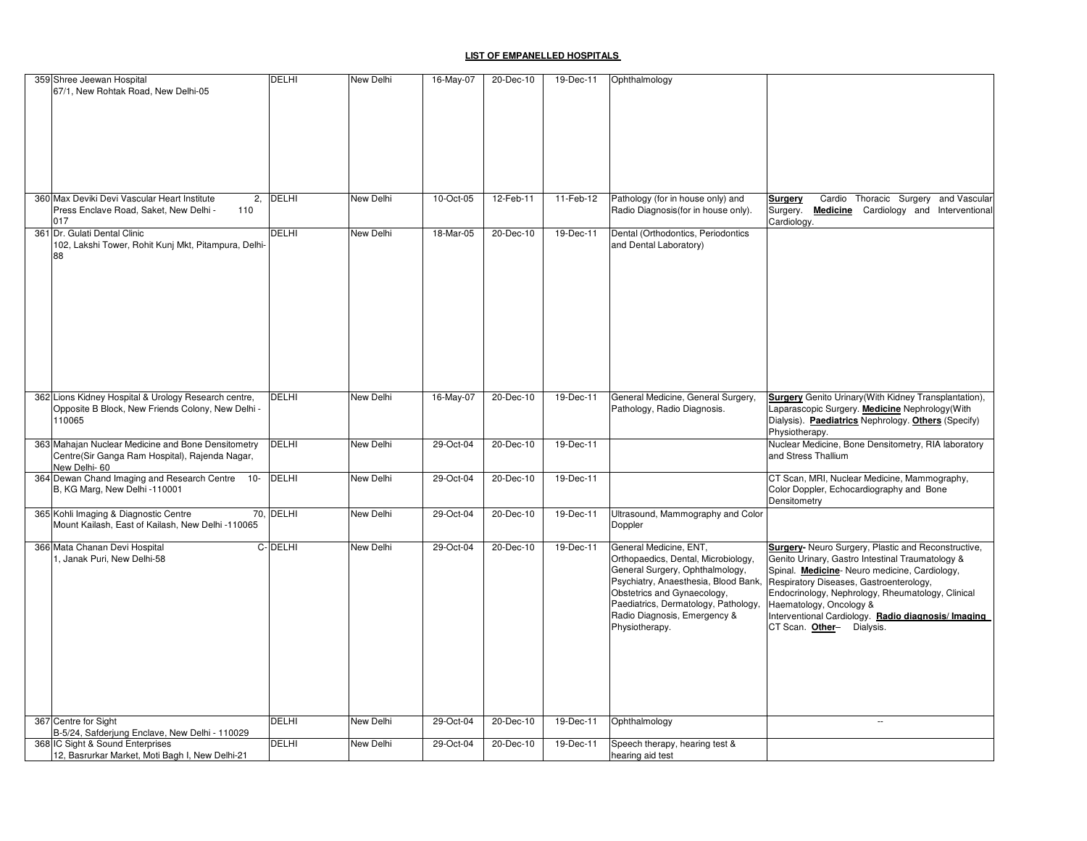| 359 Shree Jeewan Hospital<br>67/1, New Rohtak Road, New Delhi-05                                                     | DELHI        | New Delhi | 16-May-07 | 20-Dec-10 | 19-Dec-11 | Ophthalmology                                                                                                                                                                                                                                                     |                                                                                                                                                                                                                                                                                                                                                                               |
|----------------------------------------------------------------------------------------------------------------------|--------------|-----------|-----------|-----------|-----------|-------------------------------------------------------------------------------------------------------------------------------------------------------------------------------------------------------------------------------------------------------------------|-------------------------------------------------------------------------------------------------------------------------------------------------------------------------------------------------------------------------------------------------------------------------------------------------------------------------------------------------------------------------------|
|                                                                                                                      |              |           |           |           |           |                                                                                                                                                                                                                                                                   |                                                                                                                                                                                                                                                                                                                                                                               |
| 360 Max Deviki Devi Vascular Heart Institute<br>2,<br>Press Enclave Road, Saket, New Delhi -<br>110<br>017           | <b>DELHI</b> | New Delhi | 10-Oct-05 | 12-Feb-11 | 11-Feb-12 | Pathology (for in house only) and<br>Radio Diagnosis(for in house only).                                                                                                                                                                                          | Surgery<br>Cardio Thoracic Surgery and Vascular<br>Medicine Cardiology and Interventional<br>Surgery.<br>Cardiology.                                                                                                                                                                                                                                                          |
| 361 Dr. Gulati Dental Clinic<br>102, Lakshi Tower, Rohit Kunj Mkt, Pitampura, Delhi<br>88                            | DELHI        | New Delhi | 18-Mar-05 | 20-Dec-10 | 19-Dec-11 | Dental (Orthodontics, Periodontics<br>and Dental Laboratory)                                                                                                                                                                                                      |                                                                                                                                                                                                                                                                                                                                                                               |
| 362 Lions Kidney Hospital & Urology Research centre,<br>Opposite B Block, New Friends Colony, New Delhi -<br>110065  | DELHI        | New Delhi | 16-May-07 | 20-Dec-10 | 19-Dec-11 | General Medicine, General Surgery,<br>Pathology, Radio Diagnosis.                                                                                                                                                                                                 | <b>Surgery</b> Genito Urinary (With Kidney Transplantation),<br>Laparascopic Surgery. Medicine Nephrology(With<br>Dialysis). Paediatrics Nephrology. Others (Specify)<br>Physiotherapy.                                                                                                                                                                                       |
| 363 Mahajan Nuclear Medicine and Bone Densitometry<br>Centre(Sir Ganga Ram Hospital), Rajenda Nagar,<br>New Delhi-60 | DELHI        | New Delhi | 29-Oct-04 | 20-Dec-10 | 19-Dec-11 |                                                                                                                                                                                                                                                                   | Nuclear Medicine, Bone Densitometry, RIA laboratory<br>and Stress Thallium                                                                                                                                                                                                                                                                                                    |
| 364 Dewan Chand Imaging and Research Centre 10-<br>B, KG Marg, New Delhi -110001                                     | DELHI        | New Delhi | 29-Oct-04 | 20-Dec-10 | 19-Dec-11 |                                                                                                                                                                                                                                                                   | CT Scan, MRI, Nuclear Medicine, Mammography,<br>Color Doppler, Echocardiography and Bone<br>Densitometry                                                                                                                                                                                                                                                                      |
| 365 Kohli Imaging & Diagnostic Centre<br>Mount Kailash, East of Kailash, New Delhi -110065                           | 70, DELHI    | New Delhi | 29-Oct-04 | 20-Dec-10 | 19-Dec-11 | Ultrasound, Mammography and Color<br>Doppler                                                                                                                                                                                                                      |                                                                                                                                                                                                                                                                                                                                                                               |
| 366 Mata Chanan Devi Hospital<br>1, Janak Puri, New Delhi-58                                                         | C-DELHI      | New Delhi | 29-Oct-04 | 20-Dec-10 | 19-Dec-11 | General Medicine, ENT.<br>Orthopaedics, Dental, Microbiology,<br>General Surgery, Ophthalmology,<br>Psychiatry, Anaesthesia, Blood Bank,<br>Obstetrics and Gynaecology,<br>Paediatrics, Dermatology, Pathology,<br>Radio Diagnosis, Emergency &<br>Physiotherapy. | <b>Surgery-</b> Neuro Surgery, Plastic and Reconstructive,<br>Genito Urinary, Gastro Intestinal Traumatology &<br>Spinal. Medicine- Neuro medicine, Cardiology,<br>Respiratory Diseases, Gastroenterology,<br>Endocrinology, Nephrology, Rheumatology, Clinical<br>Haematology, Oncology &<br>Interventional Cardiology. Radio diagnosis/Imaging<br>CT Scan. Other- Dialysis. |
| 367 Centre for Sight<br>B-5/24, Safderjung Enclave, New Delhi - 110029                                               | <b>DELHI</b> | New Delhi | 29-Oct-04 | 20-Dec-10 | 19-Dec-11 | Ophthalmology                                                                                                                                                                                                                                                     | $\overline{\phantom{a}}$                                                                                                                                                                                                                                                                                                                                                      |
| 368 IC Sight & Sound Enterprises<br>12, Basrurkar Market, Moti Bagh I, New Delhi-21                                  | DELHI        | New Delhi | 29-Oct-04 | 20-Dec-10 | 19-Dec-11 | Speech therapy, hearing test &<br>hearing aid test                                                                                                                                                                                                                |                                                                                                                                                                                                                                                                                                                                                                               |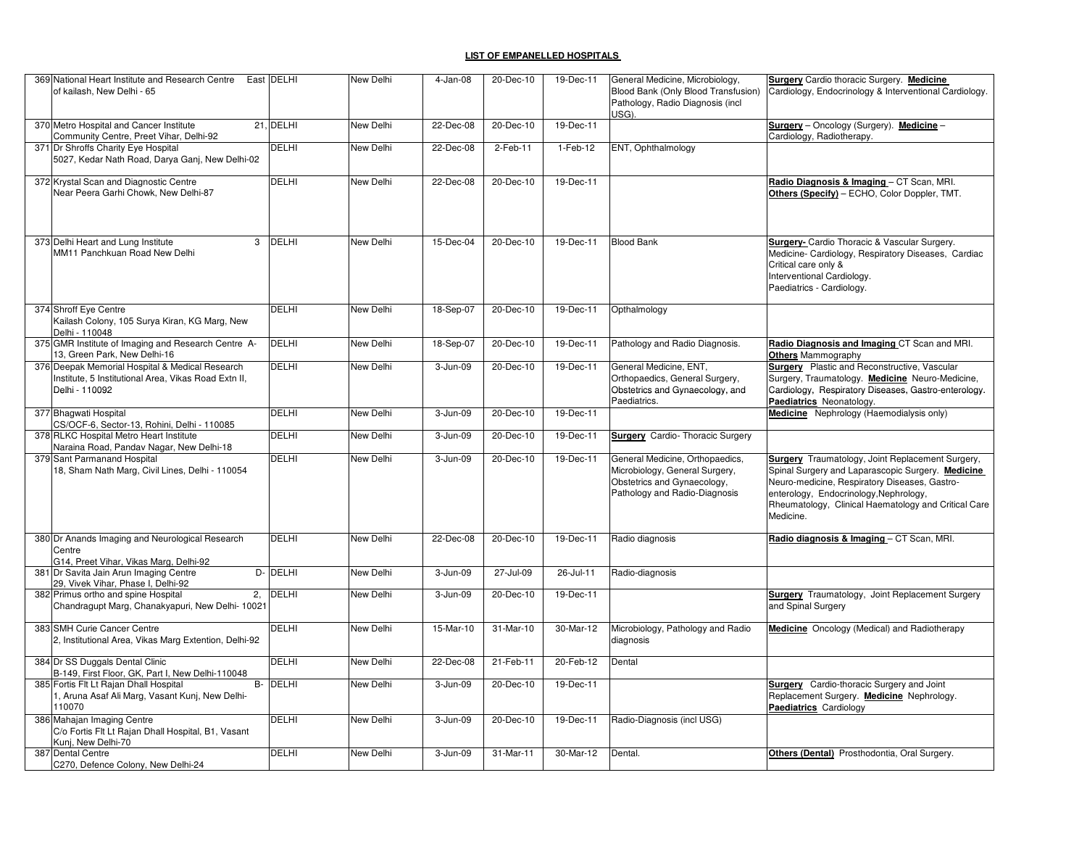| 369 National Heart Institute and Research Centre<br>of kailash, New Delhi - 65                                            | East DELHI   | New Delhi        | $4$ -Jan-08  | 20-Dec-10    | 19-Dec-11 | General Medicine, Microbiology,<br>Pathology, Radio Diagnosis (incl.<br>USG).                                                     | <b>Surgery</b> Cardio thoracic Surgery. Medicine<br>Blood Bank (Only Blood Transfusion) Cardiology, Endocrinology & Interventional Cardiology.                                                                                                                               |
|---------------------------------------------------------------------------------------------------------------------------|--------------|------------------|--------------|--------------|-----------|-----------------------------------------------------------------------------------------------------------------------------------|------------------------------------------------------------------------------------------------------------------------------------------------------------------------------------------------------------------------------------------------------------------------------|
| 370 Metro Hospital and Cancer Institute<br>Community Centre, Preet Vihar, Delhi-92                                        | 21, DELHI    | <b>New Delhi</b> | 22-Dec-08    | 20-Dec-10    | 19-Dec-11 |                                                                                                                                   | Surgery - Oncology (Surgery). Medicine -<br>Cardiology, Radiotherapy.                                                                                                                                                                                                        |
| 371 Dr Shroffs Charity Eye Hospital<br>5027, Kedar Nath Road, Darya Ganj, New Delhi-02                                    | <b>DELHI</b> | New Delhi        | 22-Dec-08    | 2-Feb-11     | 1-Feb-12  | ENT, Ophthalmology                                                                                                                |                                                                                                                                                                                                                                                                              |
| 372 Krystal Scan and Diagnostic Centre<br>Near Peera Garhi Chowk, New Delhi-87                                            | <b>DELHI</b> | <b>New Delhi</b> | 22-Dec-08    | 20-Dec-10    | 19-Dec-11 |                                                                                                                                   | Radio Diagnosis & Imaging - CT Scan, MRI.<br>Others (Specify) - ECHO, Color Doppler, TMT.                                                                                                                                                                                    |
| 373 Delhi Heart and Lung Institute<br>3<br>MM11 Panchkuan Road New Delhi                                                  | <b>DELHI</b> | <b>New Delhi</b> | 15-Dec-04    | 20-Dec-10    | 19-Dec-11 | <b>Blood Bank</b>                                                                                                                 | Surgery- Cardio Thoracic & Vascular Surgery.<br>Medicine- Cardiology, Respiratory Diseases, Cardiac<br>Critical care only &<br>Interventional Cardiology.<br>Paediatrics - Cardiology.                                                                                       |
| 374 Shroff Eye Centre<br>Kailash Colony, 105 Surya Kiran, KG Marg, New<br>Delhi - 110048                                  | <b>DELHI</b> | New Delhi        | 18-Sep-07    | 20-Dec-10    | 19-Dec-11 | Opthalmology                                                                                                                      |                                                                                                                                                                                                                                                                              |
| 375 GMR Institute of Imaging and Research Centre A-<br>13, Green Park, New Delhi-16                                       | <b>DELHI</b> | New Delhi        | 18-Sep-07    | 20-Dec-10    | 19-Dec-11 | Pathology and Radio Diagnosis.                                                                                                    | Radio Diagnosis and Imaging CT Scan and MRI.<br><b>Others Mammography</b>                                                                                                                                                                                                    |
| 376 Deepak Memorial Hospital & Medical Research<br>Institute, 5 Institutional Area, Vikas Road Extn II,<br>Delhi - 110092 | <b>DELHI</b> | <b>New Delhi</b> | 3-Jun-09     | 20-Dec-10    | 19-Dec-11 | General Medicine, ENT,<br>Orthopaedics, General Surgery,<br>Obstetrics and Gynaecology, and<br>Paediatrics.                       | <b>Surgery</b> Plastic and Reconstructive, Vascular<br>Surgery, Traumatology. Medicine Neuro-Medicine,<br>Cardiology, Respiratory Diseases, Gastro-enterology.<br>Paediatrics Neonatology.                                                                                   |
| 377 Bhagwati Hospital<br>CS/OCF-6, Sector-13, Rohini, Delhi - 110085                                                      | <b>DELHI</b> | <b>New Delhi</b> | 3-Jun-09     | 20-Dec-10    | 19-Dec-11 |                                                                                                                                   | <b>Medicine</b> Nephrology (Haemodialysis only)                                                                                                                                                                                                                              |
| 378 RLKC Hospital Metro Heart Institute<br>Naraina Road, Pandav Nagar, New Delhi-18                                       | <b>DELHI</b> | <b>New Delhi</b> | $3 - Jun-09$ | 20-Dec-10    | 19-Dec-11 | <b>Surgery</b> Cardio- Thoracic Surgery                                                                                           |                                                                                                                                                                                                                                                                              |
| 379 Sant Parmanand Hospital<br>18, Sham Nath Marg, Civil Lines, Delhi - 110054                                            | <b>DELHI</b> | New Delhi        | 3-Jun-09     | 20-Dec-10    | 19-Dec-11 | General Medicine, Orthopaedics,<br>Microbiology, General Surgery,<br>Obstetrics and Gynaecology,<br>Pathology and Radio-Diagnosis | <b>Surgery</b> Traumatology, Joint Replacement Surgery,<br>Spinal Surgery and Laparascopic Surgery. Medicine<br>Neuro-medicine, Respiratory Diseases, Gastro-<br>enterology, Endocrinology, Nephrology,<br>Rheumatology, Clinical Haematology and Critical Care<br>Medicine. |
| 380 Dr Anands Imaging and Neurological Research<br>Centre<br>G14, Preet Vihar, Vikas Marg, Delhi-92                       | <b>DELHI</b> | <b>New Delhi</b> | 22-Dec-08    | 20-Dec-10    | 19-Dec-11 | Radio diagnosis                                                                                                                   | Radio diagnosis & Imaging - CT Scan, MRI.                                                                                                                                                                                                                                    |
| 381 Dr Savita Jain Arun Imaging Centre<br>29, Vivek Vihar, Phase I, Delhi-92                                              | D- DELHI     | New Delhi        | 3-Jun-09     | 27-Jul-09    | 26-Jul-11 | Radio-diagnosis                                                                                                                   |                                                                                                                                                                                                                                                                              |
| 382 Primus ortho and spine Hospital<br>2,<br>Chandragupt Marg, Chanakyapuri, New Delhi-10021                              | <b>DELHI</b> | New Delhi        | 3-Jun-09     | 20-Dec-10    | 19-Dec-11 |                                                                                                                                   | <b>Surgery</b> Traumatology, Joint Replacement Surgery<br>and Spinal Surgery                                                                                                                                                                                                 |
| 383 SMH Curie Cancer Centre<br>2, Institutional Area, Vikas Marg Extention, Delhi-92                                      | <b>DELHI</b> | New Delhi        | 15-Mar-10    | 31-Mar-10    | 30-Mar-12 | Microbiology, Pathology and Radio<br>diagnosis                                                                                    | <b>Medicine</b> Oncology (Medical) and Radiotherapy                                                                                                                                                                                                                          |
| 384 Dr SS Duggals Dental Clinic<br>B-149, First Floor, GK, Part I, New Delhi-110048                                       | <b>DELHI</b> | <b>New Delhi</b> | 22-Dec-08    | $21$ -Feb-11 | 20-Feb-12 | Dental                                                                                                                            |                                                                                                                                                                                                                                                                              |
| 385 Fortis Flt Lt Rajan Dhall Hospital<br>1, Aruna Asaf Ali Marg, Vasant Kunj, New Delhi-<br>110070                       | B- DELHI     | New Delhi        | 3-Jun-09     | 20-Dec-10    | 19-Dec-11 |                                                                                                                                   | <b>Surgery</b> Cardio-thoracic Surgery and Joint<br>Replacement Surgery. Medicine Nephrology.<br><b>Paediatrics Cardiology</b>                                                                                                                                               |
| 386 Mahajan Imaging Centre<br>C/o Fortis Flt Lt Rajan Dhall Hospital, B1, Vasant<br>Kunj, New Delhi-70                    | DELHI        | New Delhi        | 3-Jun-09     | 20-Dec-10    | 19-Dec-11 | Radio-Diagnosis (incl USG)                                                                                                        |                                                                                                                                                                                                                                                                              |
| 387 Dental Centre<br>C270, Defence Colony, New Delhi-24                                                                   | DELHI        | New Delhi        | 3-Jun-09     | 31-Mar-11    | 30-Mar-12 | Dental.                                                                                                                           | Others (Dental) Prosthodontia, Oral Surgery.                                                                                                                                                                                                                                 |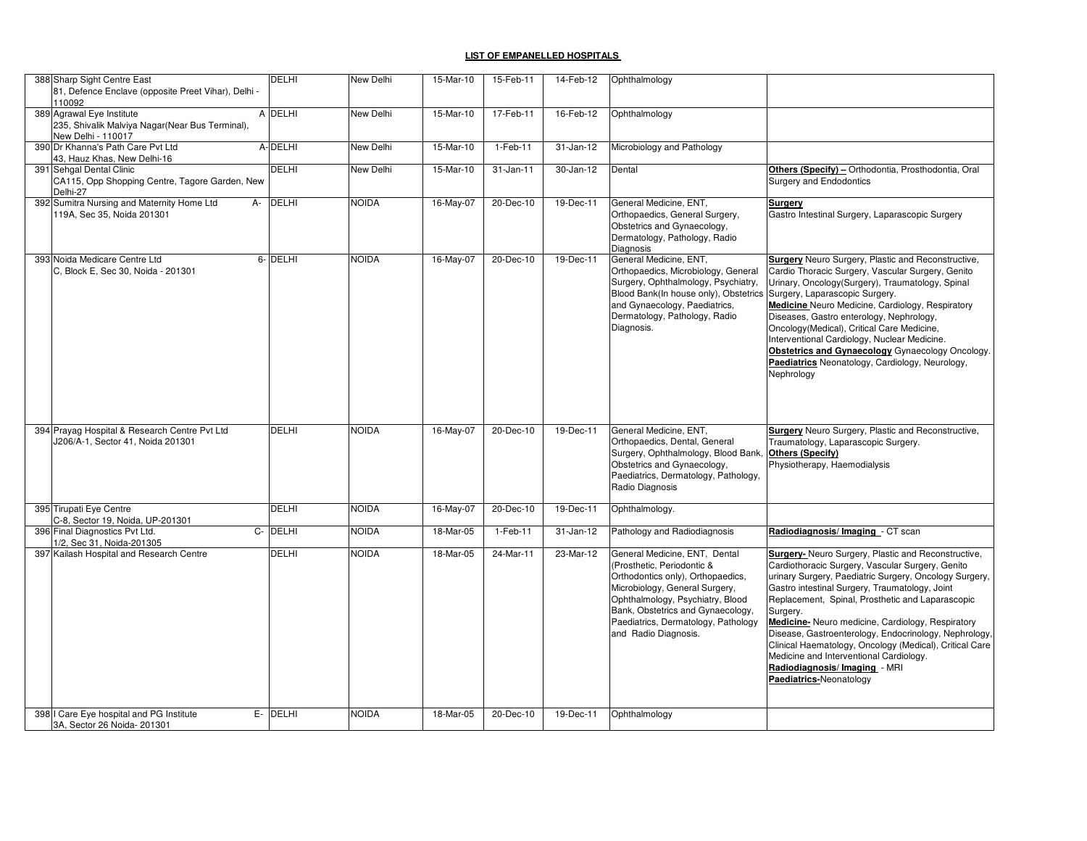| 388 Sharp Sight Centre East<br>81, Defence Enclave (opposite Preet Vihar), Delhi -<br>110092       | <b>DELHI</b> | New Delhi        | 15-Mar-10 | 15-Feb-11     | 14-Feb-12     | Ophthalmology                                                                                                                                                                                                                                                              |                                                                                                                                                                                                                                                                                                                                                                                                                                                                                                                                                                   |
|----------------------------------------------------------------------------------------------------|--------------|------------------|-----------|---------------|---------------|----------------------------------------------------------------------------------------------------------------------------------------------------------------------------------------------------------------------------------------------------------------------------|-------------------------------------------------------------------------------------------------------------------------------------------------------------------------------------------------------------------------------------------------------------------------------------------------------------------------------------------------------------------------------------------------------------------------------------------------------------------------------------------------------------------------------------------------------------------|
| 389 Agrawal Eye Institute<br>235, Shivalik Malviya Nagar(Near Bus Terminal),<br>New Delhi - 110017 | A DELHI      | New Delhi        | 15-Mar-10 | 17-Feb-11     | $16$ -Feb-12  | Ophthalmology                                                                                                                                                                                                                                                              |                                                                                                                                                                                                                                                                                                                                                                                                                                                                                                                                                                   |
| 390 Dr Khanna's Path Care Pvt Ltd<br>43, Hauz Khas, New Delhi-16                                   | A-DELHI      | <b>New Delhi</b> | 15-Mar-10 | $1-Feb-11$    | $31 - Jan-12$ | Microbiology and Pathology                                                                                                                                                                                                                                                 |                                                                                                                                                                                                                                                                                                                                                                                                                                                                                                                                                                   |
| 391 Sehgal Dental Clinic<br>CA115, Opp Shopping Centre, Tagore Garden, New<br>Delhi-27             | DELHI        | New Delhi        | 15-Mar-10 | $31 - Jan-11$ | 30-Jan-12     | Dental                                                                                                                                                                                                                                                                     | Others (Specify) - Orthodontia, Prosthodontia, Oral<br>Surgery and Endodontics                                                                                                                                                                                                                                                                                                                                                                                                                                                                                    |
| 392 Sumitra Nursing and Maternity Home Ltd<br>$A -$<br>119A, Sec 35, Noida 201301                  | <b>DELHI</b> | <b>NOIDA</b>     | 16-May-07 | 20-Dec-10     | 19-Dec-11     | General Medicine, ENT,<br>Orthopaedics, General Surgery,<br>Obstetrics and Gynaecology,<br>Dermatology, Pathology, Radio<br>Diagnosis                                                                                                                                      | Surgery<br>Gastro Intestinal Surgery, Laparascopic Surgery                                                                                                                                                                                                                                                                                                                                                                                                                                                                                                        |
| 393 Noida Medicare Centre Ltd<br>C, Block E, Sec 30, Noida - 201301                                | 6- DELHI     | <b>NOIDA</b>     | 16-May-07 | 20-Dec-10     | 19-Dec-11     | General Medicine, ENT,<br>Orthopaedics, Microbiology, General<br>Surgery, Ophthalmology, Psychiatry,<br>Blood Bank(In house only), Obstetrics<br>and Gynaecology, Paediatrics,<br>Dermatology, Pathology, Radio<br>Diagnosis.                                              | <b>Surgery</b> Neuro Surgery, Plastic and Reconstructive,<br>Cardio Thoracic Surgery, Vascular Surgery, Genito<br>Urinary, Oncology(Surgery), Traumatology, Spinal<br>Surgery, Laparascopic Surgery.<br>Medicine Neuro Medicine, Cardiology, Respiratory<br>Diseases, Gastro enterology, Nephrology,<br>Oncology(Medical), Critical Care Medicine,<br>Interventional Cardiology, Nuclear Medicine.<br>Obstetrics and Gynaecology Gynaecology Oncology.<br>Paediatrics Neonatology, Cardiology, Neurology,<br>Nephrology                                           |
| 394 Prayag Hospital & Research Centre Pvt Ltd<br>J206/A-1, Sector 41, Noida 201301                 | DELHI        | <b>NOIDA</b>     | 16-May-07 | 20-Dec-10     | 19-Dec-11     | General Medicine, ENT.<br>Orthopaedics, Dental, General<br>Surgery, Ophthalmology, Blood Bank,<br>Obstetrics and Gynaecology,<br>Paediatrics, Dermatology, Pathology,<br>Radio Diagnosis                                                                                   | <b>Surgery</b> Neuro Surgery, Plastic and Reconstructive,<br>Traumatology, Laparascopic Surgery.<br>Others (Specify)<br>Physiotherapy, Haemodialysis                                                                                                                                                                                                                                                                                                                                                                                                              |
| 395 Tirupati Eye Centre<br>C-8, Sector 19, Noida, UP-201301                                        | <b>DELHI</b> | <b>NOIDA</b>     | 16-May-07 | 20-Dec-10     | 19-Dec-11     | Ophthalmology.                                                                                                                                                                                                                                                             |                                                                                                                                                                                                                                                                                                                                                                                                                                                                                                                                                                   |
| 396 Final Diagnostics Pvt Ltd.<br>C-<br>1/2, Sec 31, Noida-201305                                  | <b>DELHI</b> | <b>NOIDA</b>     | 18-Mar-05 | 1-Feb-11      | 31-Jan-12     | Pathology and Radiodiagnosis                                                                                                                                                                                                                                               | Radiodiagnosis/Imaging - CT scan                                                                                                                                                                                                                                                                                                                                                                                                                                                                                                                                  |
| 397 Kailash Hospital and Research Centre                                                           | DELHI        | <b>NOIDA</b>     | 18-Mar-05 | 24-Mar-11     | 23-Mar-12     | General Medicine, ENT, Dental<br>(Prosthetic, Periodontic &<br>Orthodontics only), Orthopaedics,<br>Microbiology, General Surgery,<br>Ophthalmology, Psychiatry, Blood<br>Bank, Obstetrics and Gynaecology,<br>Paediatrics, Dermatology, Pathology<br>and Radio Diagnosis. | Surgery- Neuro Surgery, Plastic and Reconstructive,<br>Cardiothoracic Surgery, Vascular Surgery, Genito<br>urinary Surgery, Paediatric Surgery, Oncology Surgery,<br>Gastro intestinal Surgery, Traumatology, Joint<br>Replacement, Spinal, Prosthetic and Laparascopic<br>Surgery.<br>Medicine-Neuro medicine, Cardiology, Respiratory<br>Disease, Gastroenterology, Endocrinology, Nephrology,<br>Clinical Haematology, Oncology (Medical), Critical Care<br>Medicine and Interventional Cardiology.<br>Radiodiagnosis/Imaging - MRI<br>Paediatrics-Neonatology |
| 398   Care Eye hospital and PG Institute<br>3A, Sector 26 Noida- 201301                            | E- DELHI     | <b>NOIDA</b>     | 18-Mar-05 | 20-Dec-10     | 19-Dec-11     | Ophthalmology                                                                                                                                                                                                                                                              |                                                                                                                                                                                                                                                                                                                                                                                                                                                                                                                                                                   |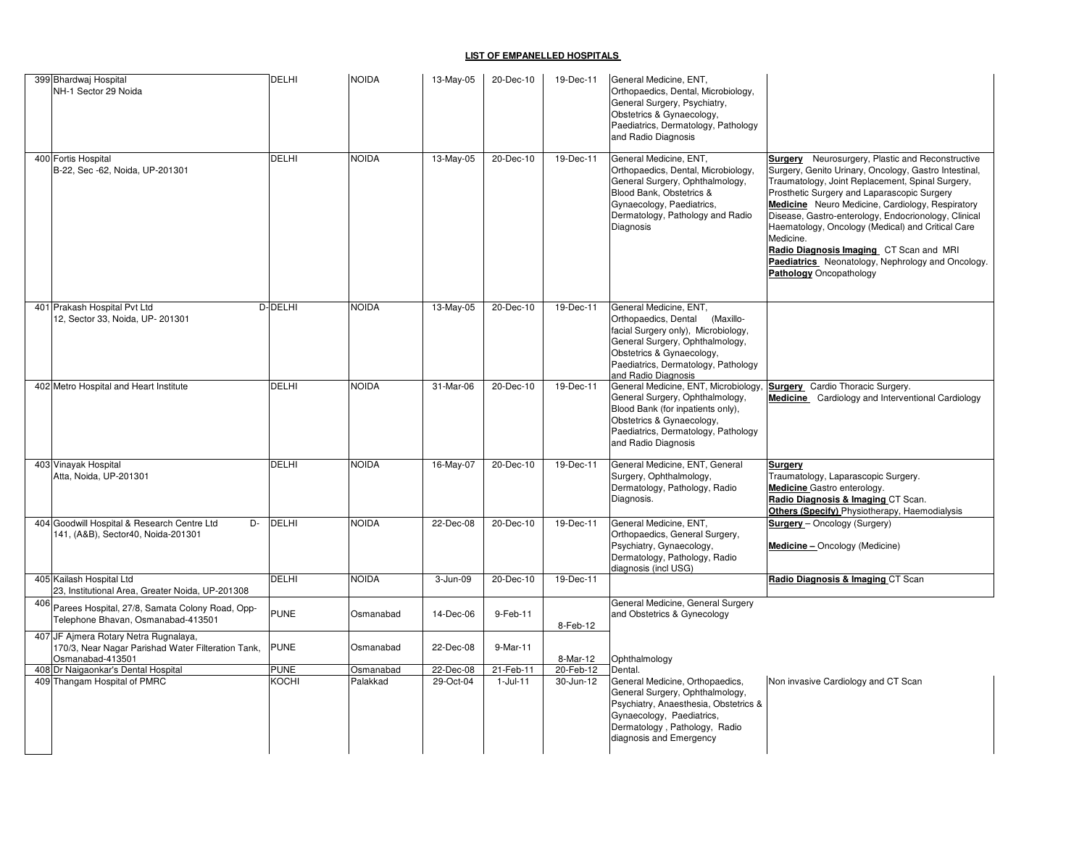|     | 399 Bhardwai Hospital<br>NH-1 Sector 29 Noida                                                                   | <b>DELHI</b>                | <b>NOIDA</b>          | 13-May-05              | 20-Dec-10                | 19-Dec-11              | General Medicine, ENT,<br>Orthopaedics, Dental, Microbiology,<br>General Surgery, Psychiatry,<br>Obstetrics & Gynaecology,<br>Paediatrics, Dermatology, Pathology<br>and Radio Diagnosis                                      |                                                                                                                                                                                                                                                                                                                                                                                                                                                                                                                                     |
|-----|-----------------------------------------------------------------------------------------------------------------|-----------------------------|-----------------------|------------------------|--------------------------|------------------------|-------------------------------------------------------------------------------------------------------------------------------------------------------------------------------------------------------------------------------|-------------------------------------------------------------------------------------------------------------------------------------------------------------------------------------------------------------------------------------------------------------------------------------------------------------------------------------------------------------------------------------------------------------------------------------------------------------------------------------------------------------------------------------|
|     | 400 Fortis Hospital<br>B-22, Sec -62, Noida, UP-201301                                                          | <b>DELHI</b>                | <b>NOIDA</b>          | 13-May-05              | 20-Dec-10                | 19-Dec-11              | General Medicine, ENT,<br>Orthopaedics, Dental, Microbiology,<br>General Surgery, Ophthalmology,<br>Blood Bank, Obstetrics &<br>Gynaecology, Paediatrics,<br>Dermatology, Pathology and Radio<br>Diagnosis                    | <b>Surgery</b> Neurosurgery, Plastic and Reconstructive<br>Surgery, Genito Urinary, Oncology, Gastro Intestinal,<br>Traumatology, Joint Replacement, Spinal Surgery,<br>Prosthetic Surgery and Laparascopic Surgery<br>Medicine Neuro Medicine, Cardiology, Respiratory<br>Disease, Gastro-enterology, Endocrionology, Clinical<br>Haematology, Oncology (Medical) and Critical Care<br>Medicine.<br>Radio Diagnosis Imaging CT Scan and MRI<br>Paediatrics Neonatology, Nephrology and Oncology.<br><b>Pathology</b> Oncopathology |
|     | 401 Prakash Hospital Pvt Ltd<br>12, Sector 33, Noida, UP- 201301                                                | D-DELHI                     | <b>NOIDA</b>          | 13-May-05              | 20-Dec-10                | 19-Dec-11              | General Medicine, ENT,<br>Orthopaedics, Dental (Maxillo-<br>facial Surgery only), Microbiology,<br>General Surgery, Ophthalmology,<br>Obstetrics & Gynaecology,<br>Paediatrics, Dermatology, Pathology<br>and Radio Diagnosis |                                                                                                                                                                                                                                                                                                                                                                                                                                                                                                                                     |
|     | 402 Metro Hospital and Heart Institute                                                                          | <b>DELHI</b>                | <b>NOIDA</b>          | 31-Mar-06              | 20-Dec-10                | 19-Dec-11              | General Medicine, ENT, Microbiology,<br>General Surgery, Ophthalmology,<br>Blood Bank (for inpatients only),<br>Obstetrics & Gynaecology,<br>Paediatrics, Dermatology, Pathology<br>and Radio Diagnosis                       | Surgery Cardio Thoracic Surgery.<br>Medicine Cardiology and Interventional Cardiology                                                                                                                                                                                                                                                                                                                                                                                                                                               |
|     | 403 Vinayak Hospital<br>Atta. Noida. UP-201301                                                                  | DELHI                       | <b>NOIDA</b>          | 16-May-07              | 20-Dec-10                | 19-Dec-11              | General Medicine, ENT, General<br>Surgery, Ophthalmology,<br>Dermatology, Pathology, Radio<br>Diagnosis.                                                                                                                      | <b>Surgery</b><br>Traumatology, Laparascopic Surgery.<br><b>Medicine</b> Gastro enterology.<br>Radio Diagnosis & Imaging CT Scan.<br>Others (Specify) Physiotherapy, Haemodialysis                                                                                                                                                                                                                                                                                                                                                  |
|     | 404 Goodwill Hospital & Research Centre Ltd<br>D-<br>141, (A&B), Sector40, Noida-201301                         | <b>DELHI</b>                | <b>NOIDA</b>          | 22-Dec-08              | 20-Dec-10                | 19-Dec-11              | General Medicine, ENT,<br>Orthopaedics, General Surgery,<br>Psychiatry, Gynaecology,<br>Dermatology, Pathology, Radio<br>diagnosis (incl USG)                                                                                 | Surgery - Oncology (Surgery)<br>Medicine - Oncology (Medicine)                                                                                                                                                                                                                                                                                                                                                                                                                                                                      |
|     | 405 Kailash Hospital Ltd<br>23, Institutional Area, Greater Noida, UP-201308                                    | DELHI                       | <b>NOIDA</b>          | $3-Jun-09$             | 20-Dec-10                | 19-Dec-11              |                                                                                                                                                                                                                               | Radio Diagnosis & Imaging CT Scan                                                                                                                                                                                                                                                                                                                                                                                                                                                                                                   |
| 406 | Parees Hospital, 27/8, Samata Colony Road, Opp-<br>Telephone Bhavan, Osmanabad-413501                           | <b>PUNE</b>                 | Osmanabad             | 14-Dec-06              | 9-Feb-11                 | 8-Feb-12               | General Medicine, General Surgery<br>and Obstetrics & Gynecology                                                                                                                                                              |                                                                                                                                                                                                                                                                                                                                                                                                                                                                                                                                     |
|     | 407 JF Ajmera Rotary Netra Rugnalaya,<br>170/3, Near Nagar Parishad Water Filteration Tank,<br>Osmanabad-413501 | <b>PUNE</b>                 | Osmanabad             | 22-Dec-08              | 9-Mar-11                 | 8-Mar-12               | Ophthalmology                                                                                                                                                                                                                 |                                                                                                                                                                                                                                                                                                                                                                                                                                                                                                                                     |
|     | 408 Dr Naigaonkar's Dental Hospital<br>409 Thangam Hospital of PMRC                                             | <b>PUNE</b><br><b>KOCHI</b> | Osmanabad<br>Palakkad | 22-Dec-08<br>29-Oct-04 | 21-Feb-11<br>$1$ -Jul-11 | 20-Feb-12<br>30-Jun-12 | Dental.<br>General Medicine, Orthopaedics,                                                                                                                                                                                    | Non invasive Cardiology and CT Scan                                                                                                                                                                                                                                                                                                                                                                                                                                                                                                 |
|     |                                                                                                                 |                             |                       |                        |                          |                        | General Surgery, Ophthalmology,<br>Psychiatry, Anaesthesia, Obstetrics &<br>Gynaecology, Paediatrics,<br>Dermatology, Pathology, Radio<br>diagnosis and Emergency                                                             |                                                                                                                                                                                                                                                                                                                                                                                                                                                                                                                                     |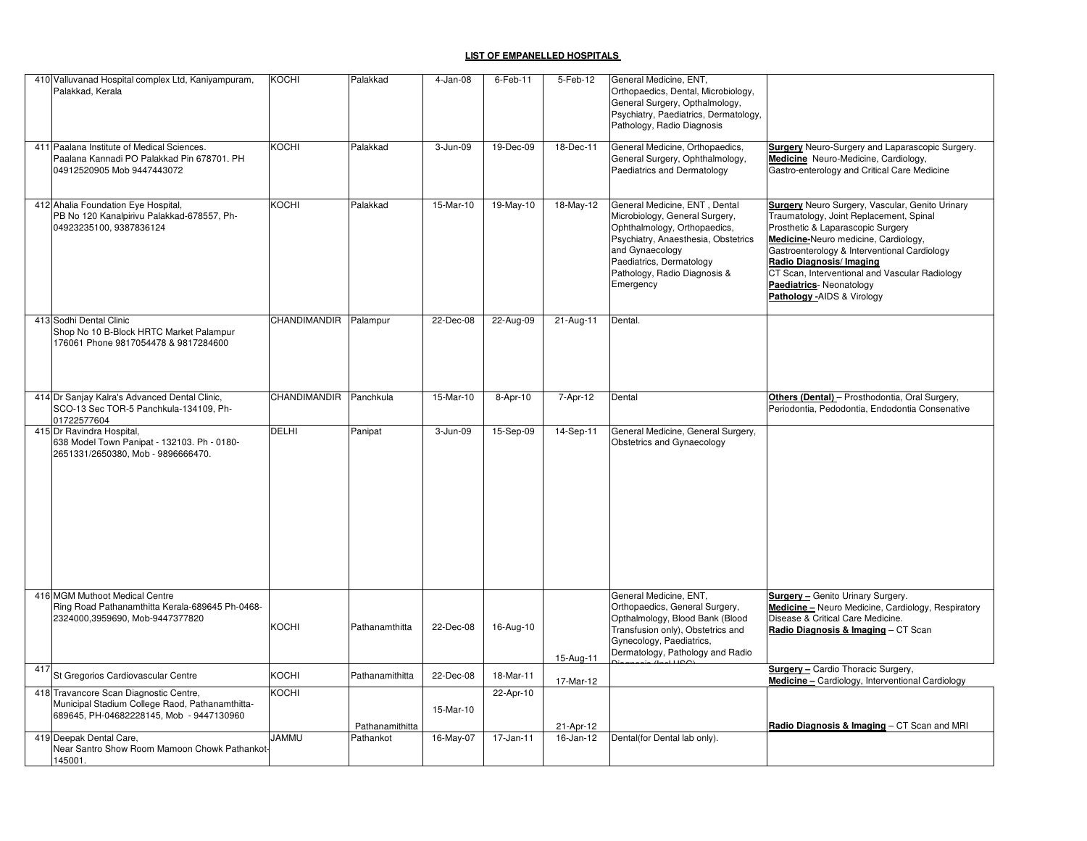|     | 410 Valluvanad Hospital complex Ltd, Kaniyampuram,<br>Palakkad, Kerala                                                                | <b>KOCHI</b>           | Palakkad        | $4-Jan-08$ | $6$ -Feb-11 | 5-Feb-12  | General Medicine, ENT,<br>Orthopaedics, Dental, Microbiology,<br>General Surgery, Opthalmology,<br>Psychiatry, Paediatrics, Dermatology,<br>Pathology, Radio Diagnosis                                                             |                                                                                                                                                                                                                                                                                                                                                                 |
|-----|---------------------------------------------------------------------------------------------------------------------------------------|------------------------|-----------------|------------|-------------|-----------|------------------------------------------------------------------------------------------------------------------------------------------------------------------------------------------------------------------------------------|-----------------------------------------------------------------------------------------------------------------------------------------------------------------------------------------------------------------------------------------------------------------------------------------------------------------------------------------------------------------|
|     | 411 Paalana Institute of Medical Sciences.<br>Paalana Kannadi PO Palakkad Pin 678701. PH<br>04912520905 Mob 9447443072                | KOCHI                  | Palakkad        | 3-Jun-09   | 19-Dec-09   | 18-Dec-11 | General Medicine, Orthopaedics,<br>General Surgery, Ophthalmology,<br>Paediatrics and Dermatology                                                                                                                                  | Surgery Neuro-Surgery and Laparascopic Surgery.<br>Medicine Neuro-Medicine, Cardiology,<br>Gastro-enterology and Critical Care Medicine                                                                                                                                                                                                                         |
|     | 412 Ahalia Foundation Eye Hospital,<br>PB No 120 Kanalpirivu Palakkad-678557, Ph-<br>04923235100, 9387836124                          | KOCHI                  | Palakkad        | 15-Mar-10  | 19-May-10   | 18-May-12 | General Medicine, ENT, Dental<br>Microbiology, General Surgery,<br>Ophthalmology, Orthopaedics,<br>Psychiatry, Anaesthesia, Obstetrics<br>and Gynaecology<br>Paediatrics, Dermatology<br>Pathology, Radio Diagnosis &<br>Emergency | Surgery Neuro Surgery, Vascular, Genito Urinary<br>Traumatology, Joint Replacement, Spinal<br>Prosthetic & Laparascopic Surgery<br>Medicine-Neuro medicine, Cardiology,<br>Gastroenterology & Interventional Cardiology<br>Radio Diagnosis/ Imaging<br>CT Scan, Interventional and Vascular Radiology<br>Paediatrics-Neonatology<br>Pathology - AIDS & Virology |
|     | 413 Sodhi Dental Clinic<br>Shop No 10 B-Block HRTC Market Palampur<br>176061 Phone 9817054478 & 9817284600                            | CHANDIMANDIR           | Palampur        | 22-Dec-08  | 22-Aug-09   | 21-Aug-11 | Dental.                                                                                                                                                                                                                            |                                                                                                                                                                                                                                                                                                                                                                 |
|     | 414 Dr Sanjay Kalra's Advanced Dental Clinic,<br>SCO-13 Sec TOR-5 Panchkula-134109, Ph-<br>01722577604                                | CHANDIMANDIR Panchkula |                 | 15-Mar-10  | 8-Apr-10    | 7-Apr-12  | Dental                                                                                                                                                                                                                             | Others (Dental) - Prosthodontia, Oral Surgery,<br>Periodontia, Pedodontia, Endodontia Consenative                                                                                                                                                                                                                                                               |
|     | 415 Dr Ravindra Hospital,<br>638 Model Town Panipat - 132103. Ph - 0180-<br>2651331/2650380, Mob - 9896666470.                        | <b>DELHI</b>           | Panipat         | 3-Jun-09   | 15-Sep-09   | 14-Sep-11 | General Medicine, General Surgery,<br><b>Obstetrics and Gynaecology</b>                                                                                                                                                            |                                                                                                                                                                                                                                                                                                                                                                 |
|     | 416 MGM Muthoot Medical Centre<br>Ring Road Pathanamthitta Kerala-689645 Ph-0468-<br>2324000,3959690, Mob-9447377820                  | <b>KOCHI</b>           | Pathanamthitta  | 22-Dec-08  | 16-Aug-10   | 15-Aug-11 | General Medicine, ENT,<br>Orthopaedics, General Surgery,<br>Opthalmology, Blood Bank (Blood<br>Transfusion only), Obstetrics and<br>Gynecology, Paediatrics,<br>Dermatology, Pathology and Radio                                   | <b>Surgery - Genito Urinary Surgery.</b><br><b>Medicine</b> - Neuro Medicine, Cardiology, Respiratory<br>Disease & Critical Care Medicine.<br>Radio Diagnosis & Imaging - CT Scan                                                                                                                                                                               |
| 417 | St Gregorios Cardiovascular Centre                                                                                                    | KOCHI                  | Pathanamithitta | 22-Dec-08  | 18-Mar-11   | 17-Mar-12 |                                                                                                                                                                                                                                    | <b>Surgery</b> - Cardio Thoracic Surgery,<br>Medicine - Cardiology, Interventional Cardiology                                                                                                                                                                                                                                                                   |
|     | 418 Travancore Scan Diagnostic Centre,<br>Municipal Stadium College Raod, Pathanamthitta-<br>689645, PH-04682228145, Mob - 9447130960 | KOCHI                  | Pathanamithitta | 15-Mar-10  | 22-Apr-10   | 21-Apr-12 |                                                                                                                                                                                                                                    | Radio Diagnosis & Imaging - CT Scan and MRI                                                                                                                                                                                                                                                                                                                     |
|     | 419 Deepak Dental Care,<br>Near Santro Show Room Mamoon Chowk Pathankot-<br>145001                                                    | <b>JAMMU</b>           | Pathankot       | 16-May-07  | 17-Jan-11   | 16-Jan-12 | Dental(for Dental lab only).                                                                                                                                                                                                       |                                                                                                                                                                                                                                                                                                                                                                 |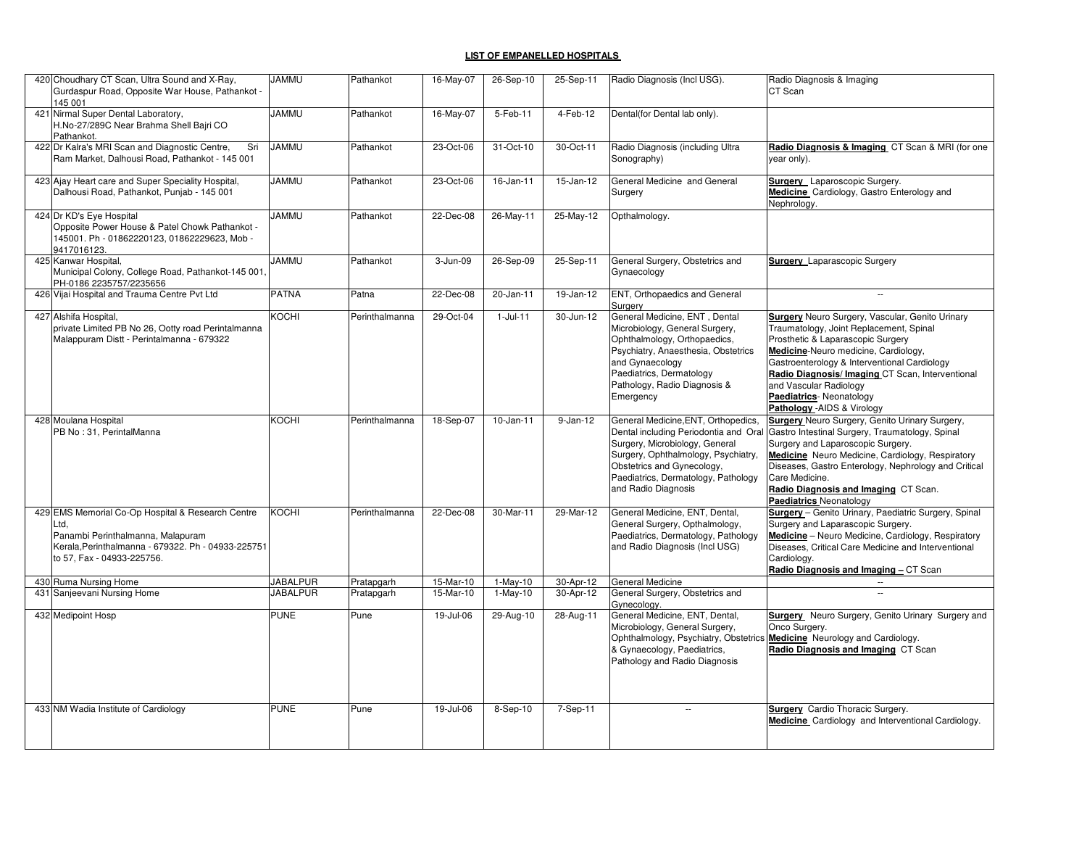| 420 Choudhary CT Scan, Ultra Sound and X-Ray,<br>Gurdaspur Road, Opposite War House, Pathankot -<br>145 001                                                                        | <b>JAMMU</b>    | Pathankot      | 16-May-07 | 26-Sep-10              | 25-Sep-11  | Radio Diagnosis (Incl USG).                                                                                                                                                                                                                       | Radio Diagnosis & Imaging<br>CT Scan                                                                                                                                                                                                                                                                                                                                  |
|------------------------------------------------------------------------------------------------------------------------------------------------------------------------------------|-----------------|----------------|-----------|------------------------|------------|---------------------------------------------------------------------------------------------------------------------------------------------------------------------------------------------------------------------------------------------------|-----------------------------------------------------------------------------------------------------------------------------------------------------------------------------------------------------------------------------------------------------------------------------------------------------------------------------------------------------------------------|
| 421 Nirmal Super Dental Laboratory,<br>H.No-27/289C Near Brahma Shell Bajri CO<br>Pathankot.                                                                                       | <b>JAMMU</b>    | Pathankot      | 16-May-07 | 5-Feb-11               | $4-Feb-12$ | Dental(for Dental lab only).                                                                                                                                                                                                                      |                                                                                                                                                                                                                                                                                                                                                                       |
| 422 Dr Kalra's MRI Scan and Diagnostic Centre,<br>Sri<br>Ram Market, Dalhousi Road, Pathankot - 145 001                                                                            | <b>UMMAL</b>    | Pathankot      | 23-Oct-06 | 31-Oct-10              | 30-Oct-11  | Radio Diagnosis (including Ultra<br>Sonography)                                                                                                                                                                                                   | Radio Diagnosis & Imaging CT Scan & MRI (for one<br>year only).                                                                                                                                                                                                                                                                                                       |
| 423 Ajay Heart care and Super Speciality Hospital,<br>Dalhousi Road, Pathankot, Punjab - 145 001                                                                                   | <b>JAMMU</b>    | Pathankot      | 23-Oct-06 | 16-Jan-11              | 15-Jan-12  | General Medicine and General<br>Surgery                                                                                                                                                                                                           | Surgery Laparoscopic Surgery.<br>Medicine Cardiology, Gastro Enterology and<br>Nephrology.                                                                                                                                                                                                                                                                            |
| 424 Dr KD's Eye Hospital<br>Opposite Power House & Patel Chowk Pathankot -<br>145001. Ph - 01862220123, 01862229623, Mob -<br>9417016123.                                          | <b>JAMMU</b>    | Pathankot      | 22-Dec-08 | 26-May-11              | 25-May-12  | Opthalmology.                                                                                                                                                                                                                                     |                                                                                                                                                                                                                                                                                                                                                                       |
| 425 Kanwar Hospital,<br>Municipal Colony, College Road, Pathankot-145 001,<br>PH-0186 2235757/2235656                                                                              | <b>JAMMU</b>    | Pathankot      | 3-Jun-09  | 26-Sep-09              | 25-Sep-11  | General Surgery, Obstetrics and<br>Gynaecology                                                                                                                                                                                                    | <b>Surgery</b> Laparascopic Surgery                                                                                                                                                                                                                                                                                                                                   |
| 426 Vijai Hospital and Trauma Centre Pvt Ltd                                                                                                                                       | <b>PATNA</b>    | Patna          | 22-Dec-08 | 20-Jan-11              | 19-Jan-12  | ENT, Orthopaedics and General<br>Surgery                                                                                                                                                                                                          | $\sim$                                                                                                                                                                                                                                                                                                                                                                |
| 427 Alshifa Hospital,<br>private Limited PB No 26, Ootty road Perintalmanna<br>Malappuram Distt - Perintalmanna - 679322                                                           | KOCHI           | Perinthalmanna | 29-Oct-04 | $1-Jul-11$             | 30-Jun-12  | General Medicine, ENT, Dental<br>Microbiology, General Surgery,<br>Ophthalmology, Orthopaedics,<br>Psychiatry, Anaesthesia, Obstetrics<br>and Gynaecology<br>Paediatrics, Dermatology<br>Pathology, Radio Diagnosis &<br>Emergency                | <b>Surgery</b> Neuro Surgery, Vascular, Genito Urinary<br>Traumatology, Joint Replacement, Spinal<br>Prosthetic & Laparascopic Surgery<br>Medicine-Neuro medicine, Cardiology,<br>Gastroenterology & Interventional Cardiology<br>Radio Diagnosis/ Imaging CT Scan, Interventional<br>and Vascular Radiology<br>Paediatrics-Neonatology<br>Pathology -AIDS & Virology |
| 428 Moulana Hospital<br>PB No: 31, PerintalManna                                                                                                                                   | KOCHI           | Perinthalmanna | 18-Sep-07 | 10-Jan-11              | 9-Jan-12   | General Medicine, ENT, Orthopedics,<br>Dental including Periodontia and Oral<br>Surgery, Microbiology, General<br>Surgery, Ophthalmology, Psychiatry,<br>Obstetrics and Gynecology,<br>Paediatrics, Dermatology, Pathology<br>and Radio Diagnosis | Surgery Neuro Surgery, Genito Urinary Surgery,<br>Gastro Intestinal Surgery, Traumatology, Spinal<br>Surgery and Laparoscopic Surgery.<br>Medicine Neuro Medicine, Cardiology, Respiratory<br>Diseases, Gastro Enterology, Nephrology and Critical<br>Care Medicine.<br>Radio Diagnosis and Imaging CT Scan.<br><b>Paediatrics Neonatology</b>                        |
| 429 EMS Memorial Co-Op Hospital & Research Centre<br>Ltd,<br>Panambi Perinthalmanna, Malapuram<br>Kerala, Perinthalmanna - 679322. Ph - 04933-225751<br>to 57, Fax - 04933-225756. | KOCHI           | Perinthalmanna | 22-Dec-08 | 30-Mar-11              | 29-Mar-12  | General Medicine, ENT, Dental,<br>General Surgery, Opthalmology,<br>Paediatrics, Dermatology, Pathology<br>and Radio Diagnosis (Incl USG)                                                                                                         | Surgery - Genito Urinary, Paediatric Surgery, Spinal<br>Surgery and Laparascopic Surgery.<br>Medicine - Neuro Medicine, Cardiology, Respiratory<br>Diseases, Critical Care Medicine and Interventional<br>Cardiology.<br>Radio Diagnosis and Imaging - CT Scan                                                                                                        |
| 430 Ruma Nursing Home                                                                                                                                                              | <b>JABALPUR</b> | Pratapgarh     | 15-Mar-10 | $1-May-10$             | 30-Apr-12  | <b>General Medicine</b>                                                                                                                                                                                                                           | $\sim$ $\sim$                                                                                                                                                                                                                                                                                                                                                         |
| 431 Sanjeevani Nursing Home                                                                                                                                                        | <b>JABALPUR</b> | Pratapgarh     | 15-Mar-10 | $\overline{1}$ -May-10 | 30-Apr-12  | General Surgery, Obstetrics and<br>Gynecology.                                                                                                                                                                                                    | $\overline{\phantom{a}}$                                                                                                                                                                                                                                                                                                                                              |
| 432 Medipoint Hosp                                                                                                                                                                 | <b>PUNE</b>     | Pune           | 19-Jul-06 | 29-Aug-10              | 28-Aug-11  | General Medicine, ENT, Dental,<br>Microbiology, General Surgery,<br>& Gynaecology, Paediatrics,<br>Pathology and Radio Diagnosis                                                                                                                  | Surgery Neuro Surgery, Genito Urinary Surgery and<br>Onco Surgery.<br>Ophthalmology, Psychiatry, Obstetrics Medicine Neurology and Cardiology.<br>Radio Diagnosis and Imaging CT Scan                                                                                                                                                                                 |
| 433 NM Wadia Institute of Cardiology                                                                                                                                               | <b>PUNE</b>     | Pune           | 19-Jul-06 | 8-Sep-10               | 7-Sep-11   | $\overline{a}$                                                                                                                                                                                                                                    | Surgery Cardio Thoracic Surgery.<br>Medicine Cardiology and Interventional Cardiology.                                                                                                                                                                                                                                                                                |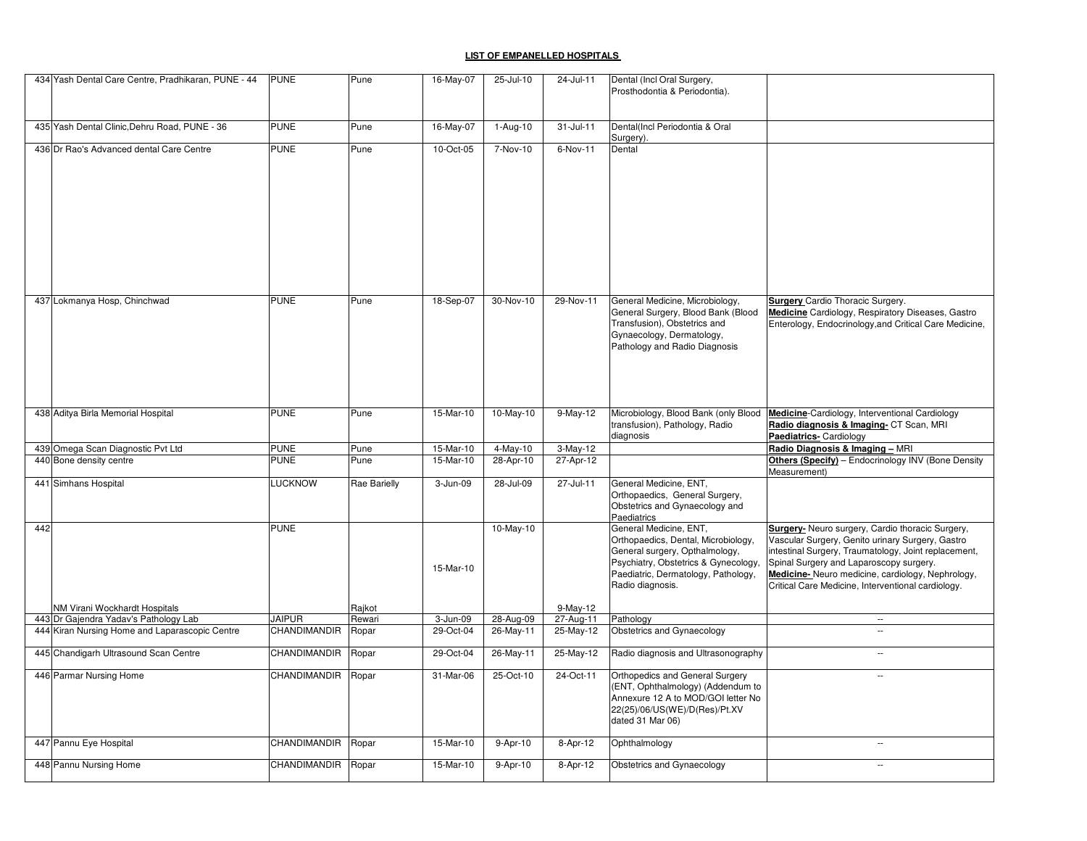|     | 434 Yash Dental Care Centre, Pradhikaran, PUNE - 44          | <b>PUNE</b>        | Pune         | 16-May-07 | 25-Jul-10             | 24-Jul-11             | Dental (Incl Oral Surgery,                  |                                                                    |
|-----|--------------------------------------------------------------|--------------------|--------------|-----------|-----------------------|-----------------------|---------------------------------------------|--------------------------------------------------------------------|
|     |                                                              |                    |              |           |                       |                       | Prosthodontia & Periodontia).               |                                                                    |
|     |                                                              |                    |              |           |                       |                       |                                             |                                                                    |
|     |                                                              |                    |              |           |                       |                       |                                             |                                                                    |
|     | 435 Yash Dental Clinic, Dehru Road, PUNE - 36                | <b>PUNE</b>        | Pune         | 16-May-07 | $1-Aug-10$            | $31 -$ Jul-11         | Dental(Incl Periodontia & Oral              |                                                                    |
|     | 436 Dr Rao's Advanced dental Care Centre                     | <b>PUNE</b>        |              | 10-Oct-05 | 7-Nov-10              | 6-Nov-11              | Surgery).                                   |                                                                    |
|     |                                                              |                    | Pune         |           |                       |                       | Dental                                      |                                                                    |
|     |                                                              |                    |              |           |                       |                       |                                             |                                                                    |
|     |                                                              |                    |              |           |                       |                       |                                             |                                                                    |
|     |                                                              |                    |              |           |                       |                       |                                             |                                                                    |
|     |                                                              |                    |              |           |                       |                       |                                             |                                                                    |
|     |                                                              |                    |              |           |                       |                       |                                             |                                                                    |
|     |                                                              |                    |              |           |                       |                       |                                             |                                                                    |
|     |                                                              |                    |              |           |                       |                       |                                             |                                                                    |
|     |                                                              |                    |              |           |                       |                       |                                             |                                                                    |
|     |                                                              |                    |              |           |                       |                       |                                             |                                                                    |
|     |                                                              |                    |              |           |                       |                       |                                             |                                                                    |
|     |                                                              |                    |              |           |                       |                       |                                             |                                                                    |
|     | 437 Lokmanya Hosp, Chinchwad                                 | <b>PUNE</b>        | Pune         | 18-Sep-07 | 30-Nov-10             | $29-Nov-11$           | General Medicine, Microbiology,             | <b>Surgery</b> Cardio Thoracic Surgery.                            |
|     |                                                              |                    |              |           |                       |                       | General Surgery, Blood Bank (Blood          | Medicine Cardiology, Respiratory Diseases, Gastro                  |
|     |                                                              |                    |              |           |                       |                       | Transfusion), Obstetrics and                | Enterology, Endocrinology, and Critical Care Medicine,             |
|     |                                                              |                    |              |           |                       |                       | Gynaecology, Dermatology,                   |                                                                    |
|     |                                                              |                    |              |           |                       |                       | Pathology and Radio Diagnosis               |                                                                    |
|     |                                                              |                    |              |           |                       |                       |                                             |                                                                    |
|     |                                                              |                    |              |           |                       |                       |                                             |                                                                    |
|     |                                                              |                    |              |           |                       |                       |                                             |                                                                    |
|     |                                                              |                    |              |           |                       |                       |                                             |                                                                    |
|     |                                                              |                    |              |           |                       |                       |                                             |                                                                    |
|     | 438 Aditya Birla Memorial Hospital                           | <b>PUNE</b>        | Pune         | 15-Mar-10 | 10-May-10             | 9-May-12              | Microbiology, Blood Bank (only Blood        | Medicine-Cardiology, Interventional Cardiology                     |
|     |                                                              |                    |              |           |                       |                       | transfusion), Pathology, Radio<br>diagnosis | Radio diagnosis & Imaging- CT Scan, MRI<br>Paediatrics- Cardiology |
|     |                                                              | <b>PUNE</b>        |              | 15-Mar-10 |                       |                       |                                             | Radio Diagnosis & Imaging - MRI                                    |
|     | 439 Omega Scan Diagnostic Pvt Ltd<br>440 Bone density centre | <b>PUNE</b>        | Pune<br>Pune | 15-Mar-10 | 4-May-10<br>28-Apr-10 | 3-May-12<br>27-Apr-12 |                                             | Others (Specify) - Endocrinology INV (Bone Density                 |
|     |                                                              |                    |              |           |                       |                       |                                             | Measurement)                                                       |
|     | 441 Simhans Hospital                                         | <b>LUCKNOW</b>     | Rae Barielly | 3-Jun-09  | 28-Jul-09             | 27-Jul-11             | General Medicine, ENT,                      |                                                                    |
|     |                                                              |                    |              |           |                       |                       | Orthopaedics, General Surgery,              |                                                                    |
|     |                                                              |                    |              |           |                       |                       | Obstetrics and Gynaecology and              |                                                                    |
|     |                                                              |                    |              |           |                       |                       | Paediatrics                                 |                                                                    |
| 442 |                                                              | <b>PUNE</b>        |              |           | 10-May-10             |                       | General Medicine, ENT,                      | <b>Surgery-</b> Neuro surgery, Cardio thoracic Surgery,            |
|     |                                                              |                    |              |           |                       |                       | Orthopaedics, Dental, Microbiology,         | Vascular Surgery, Genito urinary Surgery, Gastro                   |
|     |                                                              |                    |              |           |                       |                       | General surgery, Opthalmology,              | intestinal Surgery, Traumatology, Joint replacement,               |
|     |                                                              |                    |              | 15-Mar-10 |                       |                       | Psychiatry, Obstetrics & Gynecology,        | Spinal Surgery and Laparoscopy surgery.                            |
|     |                                                              |                    |              |           |                       |                       | Paediatric, Dermatology, Pathology,         | Medicine-Neuro medicine, cardiology, Nephrology,                   |
|     |                                                              |                    |              |           |                       |                       | Radio diagnosis.                            | Critical Care Medicine, Interventional cardiology.                 |
|     |                                                              |                    |              |           |                       |                       |                                             |                                                                    |
|     | NM Virani Wockhardt Hospitals                                |                    | Rajkot       |           |                       | $9-May-12$            |                                             |                                                                    |
|     | 443 Dr Gajendra Yadav's Pathology Lab                        | <b>JAIPUR</b>      | Rewari       | 3-Jun-09  | 28-Aug-09             | 27-Aug-11             | Pathology                                   | $\sim$<br>$\overline{\phantom{a}}$                                 |
|     | 444 Kiran Nursing Home and Laparascopic Centre               | CHANDIMANDIR       | Ropar        | 29-Oct-04 | 26-May-11             | 25-May-12             | Obstetrics and Gynaecology                  |                                                                    |
|     | 445 Chandigarh Ultrasound Scan Centre                        | CHANDIMANDIR       | Ropar        | 29-Oct-04 | 26-May-11             | 25-May-12             | Radio diagnosis and Ultrasonography         | $\sim$                                                             |
|     |                                                              |                    |              |           |                       |                       |                                             |                                                                    |
|     | 446 Parmar Nursing Home                                      | CHANDIMANDIR Ropar |              | 31-Mar-06 | 25-Oct-10             | 24-Oct-11             | Orthopedics and General Surgery             | $\ddotsc$                                                          |
|     |                                                              |                    |              |           |                       |                       | (ENT, Ophthalmology) (Addendum to           |                                                                    |
|     |                                                              |                    |              |           |                       |                       |                                             |                                                                    |
|     |                                                              |                    |              |           |                       |                       | Annexure 12 A to MOD/GOI letter No          |                                                                    |
|     |                                                              |                    |              |           |                       |                       | 22(25)/06/US(WE)/D(Res)/Pt.XV               |                                                                    |
|     |                                                              |                    |              |           |                       |                       | dated 31 Mar 06)                            |                                                                    |
|     |                                                              |                    |              |           |                       |                       |                                             |                                                                    |
|     | 447 Pannu Eye Hospital                                       | CHANDIMANDIR       | Ropar        | 15-Mar-10 | 9-Apr-10              | 8-Apr-12              | Ophthalmology                               | $\overline{\phantom{a}}$                                           |
|     | 448 Pannu Nursing Home                                       | CHANDIMANDIR Ropar |              | 15-Mar-10 | $9-Apr-10$            | 8-Apr-12              | Obstetrics and Gynaecology                  | $\sim$                                                             |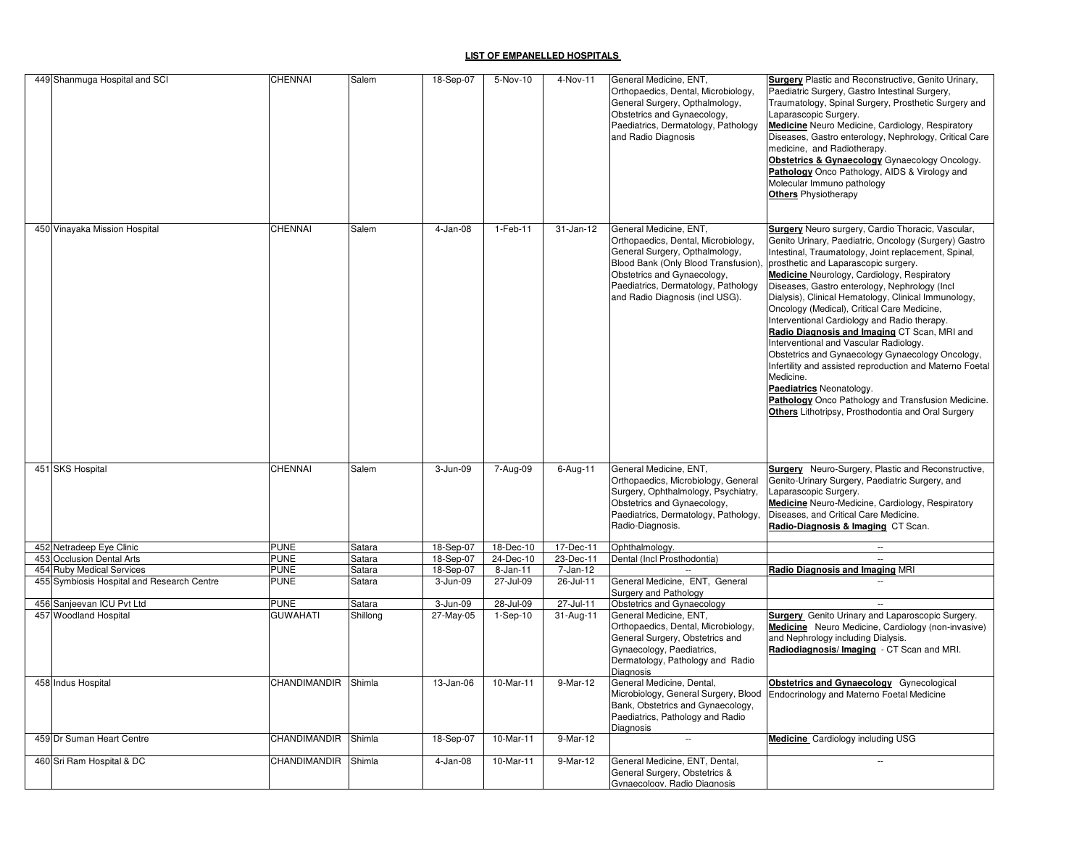| 449 Shanmuga Hospital and SCI                          | CHENNAI                        | Salem              | 18-Sep-07              | 5-Nov-10                | 4-Nov-11               | General Medicine, ENT,<br>Orthopaedics, Dental, Microbiology,<br>General Surgery, Opthalmology,<br>Obstetrics and Gynaecology,<br>Paediatrics, Dermatology, Pathology<br>and Radio Diagnosis                                                    | <b>Surgery</b> Plastic and Reconstructive, Genito Urinary,<br>Paediatric Surgery, Gastro Intestinal Surgery,<br>Traumatology, Spinal Surgery, Prosthetic Surgery and<br>Laparascopic Surgery.<br><b>Medicine</b> Neuro Medicine, Cardiology, Respiratory<br>Diseases, Gastro enterology, Nephrology, Critical Care<br>medicine, and Radiotherapy.<br>Obstetrics & Gynaecology Gynaecology Oncology.<br>Pathology Onco Pathology, AIDS & Virology and<br>Molecular Immuno pathology<br><b>Others</b> Physiotherapy                                                                                                                                                                                                                                                                                                                               |
|--------------------------------------------------------|--------------------------------|--------------------|------------------------|-------------------------|------------------------|-------------------------------------------------------------------------------------------------------------------------------------------------------------------------------------------------------------------------------------------------|-------------------------------------------------------------------------------------------------------------------------------------------------------------------------------------------------------------------------------------------------------------------------------------------------------------------------------------------------------------------------------------------------------------------------------------------------------------------------------------------------------------------------------------------------------------------------------------------------------------------------------------------------------------------------------------------------------------------------------------------------------------------------------------------------------------------------------------------------|
| 450 Vinayaka Mission Hospital                          | <b>CHENNAI</b>                 | Salem              | $4-Jan-08$             | $1-Feb-11$              | $31 - Jan-12$          | General Medicine, ENT,<br>Orthopaedics, Dental, Microbiology,<br>General Surgery, Opthalmology,<br>Blood Bank (Only Blood Transfusion)<br>Obstetrics and Gynaecology,<br>Paediatrics, Dermatology, Pathology<br>and Radio Diagnosis (incl USG). | <b>Surgery</b> Neuro surgery, Cardio Thoracic, Vascular,<br>Genito Urinary, Paediatric, Oncology (Surgery) Gastro<br>Intestinal, Traumatology, Joint replacement, Spinal,<br>prosthetic and Laparascopic surgery.<br><b>Medicine</b> Neurology, Cardiology, Respiratory<br>Diseases, Gastro enterology, Nephrology (Incl.<br>Dialysis), Clinical Hematology, Clinical Immunology,<br>Oncology (Medical), Critical Care Medicine,<br>Interventional Cardiology and Radio therapy.<br>Radio Diagnosis and Imaging CT Scan, MRI and<br>Interventional and Vascular Radiology.<br>Obstetrics and Gynaecology Gynaecology Oncology,<br>Infertility and assisted reproduction and Materno Foetal<br>Medicine.<br>Paediatrics Neonatology.<br>Pathology Onco Pathology and Transfusion Medicine.<br>Others Lithotripsy, Prosthodontia and Oral Surgery |
| 451 SKS Hospital                                       | <b>CHENNAI</b>                 | Salem              | 3-Jun-09               | 7-Aug-09                | 6-Aug-11               | General Medicine, ENT,<br>Orthopaedics, Microbiology, General<br>Surgery, Ophthalmology, Psychiatry,<br>Obstetrics and Gynaecology,<br>Paediatrics, Dermatology, Pathology,<br>Radio-Diagnosis.                                                 | Surgery Neuro-Surgery, Plastic and Reconstructive,<br>Genito-Urinary Surgery, Paediatric Surgery, and<br>Laparascopic Surgery.<br>Medicine Neuro-Medicine, Cardiology, Respiratory<br>Diseases, and Critical Care Medicine.<br>Radio-Diagnosis & Imaging CT Scan.                                                                                                                                                                                                                                                                                                                                                                                                                                                                                                                                                                               |
| 452 Netradeep Eye Clinic                               | <b>PUNE</b>                    | Satara             | 18-Sep-07              | 18-Dec-10               | 17-Dec-11              | Ophthalmology.                                                                                                                                                                                                                                  | $\sim$                                                                                                                                                                                                                                                                                                                                                                                                                                                                                                                                                                                                                                                                                                                                                                                                                                          |
| 453 Occlusion Dental Arts<br>454 Ruby Medical Services | <b>PUNE</b><br><b>PUNE</b>     | Satara<br>Satara   | 18-Sep-07<br>18-Sep-07 | 24-Dec-10<br>8-Jan-11   | 23-Dec-11<br>7-Jan-12  | Dental (Incl Prosthodontia)                                                                                                                                                                                                                     | $\sim$<br>Radio Diagnosis and Imaging MRI                                                                                                                                                                                                                                                                                                                                                                                                                                                                                                                                                                                                                                                                                                                                                                                                       |
| 455 Symbiosis Hospital and Research Centre             | <b>PUNE</b>                    | Satara             | 3-Jun-09               | 27-Jul-09               | 26-Jul-11              | General Medicine, ENT, General<br>Surgery and Pathology                                                                                                                                                                                         | $\sim$                                                                                                                                                                                                                                                                                                                                                                                                                                                                                                                                                                                                                                                                                                                                                                                                                                          |
| 456<br>Sanjeevan ICU Pvt Ltd<br>457 Woodland Hospital  | <b>PUNE</b><br><b>GUWAHATI</b> | Satara<br>Shillong | 3-Jun-09<br>27-May-05  | 28-Jul-09<br>$1-Sep-10$ | 27-Jul-11<br>31-Aug-11 | Obstetrics and Gynaecology<br>General Medicine, ENT,<br>Orthopaedics, Dental, Microbiology,<br>General Surgery, Obstetrics and<br>Gynaecology, Paediatrics,<br>Dermatology, Pathology and Radio<br>Diagnosis                                    | Surgery Genito Urinary and Laparoscopic Surgery.<br>Medicine Neuro Medicine, Cardiology (non-invasive)<br>and Nephrology including Dialysis.<br>Radiodiagnosis/Imaging - CT Scan and MRI.                                                                                                                                                                                                                                                                                                                                                                                                                                                                                                                                                                                                                                                       |
| 458 Indus Hospital                                     | CHANDIMANDIR                   | Shimla             | 13-Jan-06              | 10-Mar-11               | 9-Mar-12               | General Medicine, Dental,<br>Microbiology, General Surgery, Blood<br>Bank, Obstetrics and Gynaecology,<br>Paediatrics, Pathology and Radio<br>Diagnosis                                                                                         | Obstetrics and Gynaecology Gynecological<br>Endocrinology and Materno Foetal Medicine                                                                                                                                                                                                                                                                                                                                                                                                                                                                                                                                                                                                                                                                                                                                                           |
| 459 Dr Suman Heart Centre                              | CHANDIMANDIR                   | Shimla             | 18-Sep-07              | 10-Mar-11               | 9-Mar-12               | $\overline{\phantom{a}}$                                                                                                                                                                                                                        | Medicine Cardiology including USG                                                                                                                                                                                                                                                                                                                                                                                                                                                                                                                                                                                                                                                                                                                                                                                                               |
| 460 Sri Ram Hospital & DC                              | CHANDIMANDIR                   | Shimla             | 4-Jan-08               | 10-Mar-11               | 9-Mar-12               | General Medicine, ENT, Dental,<br>General Surgery, Obstetrics &<br>Gynaecology Radio Diagnosis                                                                                                                                                  | $\ddotsc$                                                                                                                                                                                                                                                                                                                                                                                                                                                                                                                                                                                                                                                                                                                                                                                                                                       |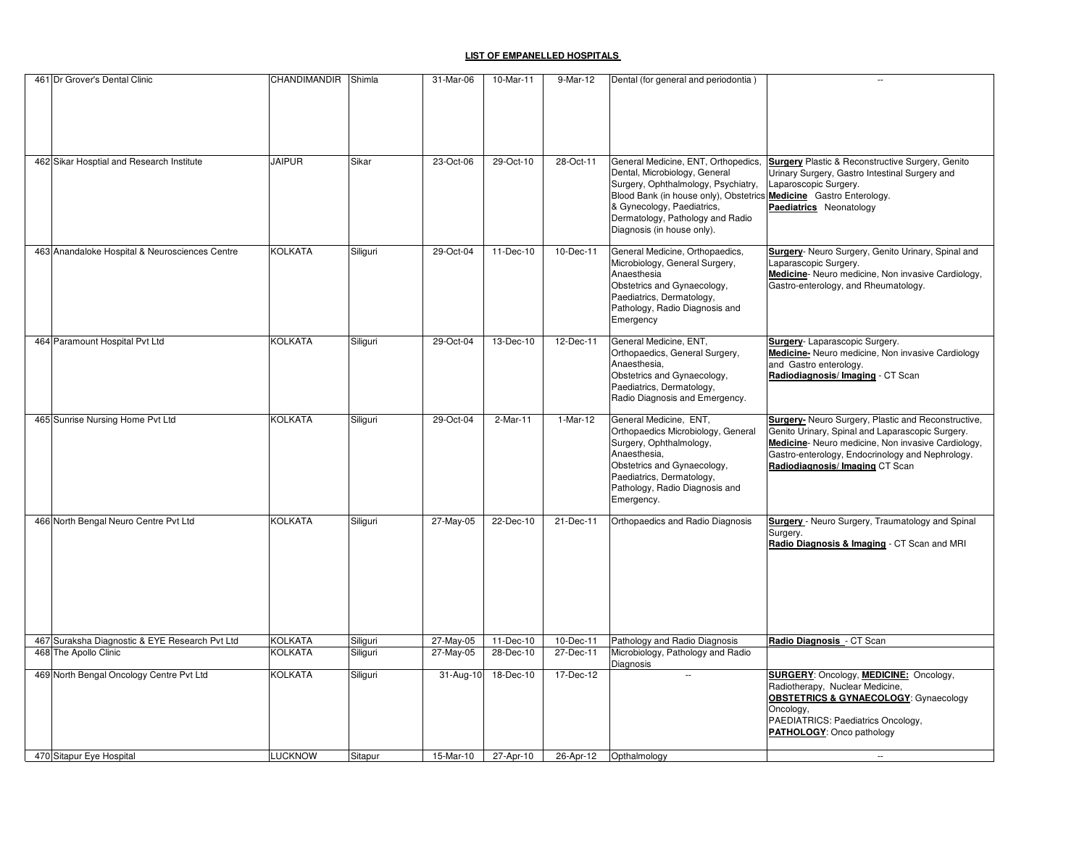| 461 Dr Grover's Dental Clinic                                           | CHANDIMANDIR Shimla       |          | 31-Mar-06              | 10-Mar-11              | 9-Mar-12               | Dental (for general and periodontia)                                                                                                                                                                                                                                              | $\sim$                                                                                                                                                                                                                                                     |
|-------------------------------------------------------------------------|---------------------------|----------|------------------------|------------------------|------------------------|-----------------------------------------------------------------------------------------------------------------------------------------------------------------------------------------------------------------------------------------------------------------------------------|------------------------------------------------------------------------------------------------------------------------------------------------------------------------------------------------------------------------------------------------------------|
| 462 Sikar Hosptial and Research Institute                               | <b>JAIPUR</b>             | Sikar    | 23-Oct-06              | 29-Oct-10              | 28-Oct-11              | General Medicine, ENT, Orthopedics,<br>Dental, Microbiology, General<br>Surgery, Ophthalmology, Psychiatry,<br>Blood Bank (in house only), Obstetrics Medicine Gastro Enterology.<br>& Gynecology, Paediatrics,<br>Dermatology, Pathology and Radio<br>Diagnosis (in house only). | <b>Surgery Plastic &amp; Reconstructive Surgery, Genito</b><br>Urinary Surgery, Gastro Intestinal Surgery and<br>Laparoscopic Surgery.<br>Paediatrics Neonatology                                                                                          |
| 463 Anandaloke Hospital & Neurosciences Centre                          | <b>KOLKATA</b>            | Siliguri | 29-Oct-04              | 11-Dec-10              | 10-Dec-11              | General Medicine, Orthopaedics,<br>Microbiology, General Surgery,<br>Anaesthesia<br>Obstetrics and Gynaecology,<br>Paediatrics, Dermatology,<br>Pathology, Radio Diagnosis and<br>Emergency                                                                                       | <b>Surgery</b> - Neuro Surgery, Genito Urinary, Spinal and<br>Laparascopic Surgery.<br>Medicine-Neuro medicine, Non invasive Cardiology,<br>Gastro-enterology, and Rheumatology.                                                                           |
| 464 Paramount Hospital Pvt Ltd                                          | KOLKATA                   | Siliguri | 29-Oct-04              | 13-Dec-10              | 12-Dec-11              | General Medicine, ENT,<br>Orthopaedics, General Surgery,<br>Anaesthesia,<br>Obstetrics and Gynaecology,<br>Paediatrics, Dermatology,<br>Radio Diagnosis and Emergency.                                                                                                            | Surgery-Laparascopic Surgery.<br>Medicine- Neuro medicine, Non invasive Cardiology<br>and Gastro enterology.<br>Radiodiagnosis/Imaging - CT Scan                                                                                                           |
| 465 Sunrise Nursing Home Pvt Ltd                                        | <b>KOLKATA</b>            | Siliguri | 29-Oct-04              | 2-Mar-11               | 1-Mar-12               | General Medicine, ENT,<br>Orthopaedics Microbiology, General<br>Surgery, Ophthalmology,<br>Anaesthesia,<br>Obstetrics and Gynaecology,<br>Paediatrics, Dermatology,<br>Pathology, Radio Diagnosis and<br>Emergency.                                                               | <b>Surgery-</b> Neuro Surgery, Plastic and Reconstructive,<br>Genito Urinary, Spinal and Laparascopic Surgery.<br>Medicine-Neuro medicine, Non invasive Cardiology,<br>Gastro-enterology, Endocrinology and Nephrology.<br>Radiodiagnosis/ Imaging CT Scan |
| 466 North Bengal Neuro Centre Pvt Ltd                                   | <b>KOLKATA</b>            | Siliguri | 27-May-05              | 22-Dec-10              | 21-Dec-11              | Orthopaedics and Radio Diagnosis                                                                                                                                                                                                                                                  | <b>Surgery</b> - Neuro Surgery, Traumatology and Spinal<br>Surgery.<br>Radio Diagnosis & Imaging - CT Scan and MRI                                                                                                                                         |
| 467 Suraksha Diagnostic & EYE Research Pvt Ltd<br>468 The Apollo Clinic | <b>KOLKATA</b><br>KOLKATA | Siliguri | 27-May-05<br>27-May-05 | 11-Dec-10<br>28-Dec-10 | 10-Dec-11<br>27-Dec-11 | Pathology and Radio Diagnosis<br>Microbiology, Pathology and Radio                                                                                                                                                                                                                | Radio Diagnosis - CT Scan                                                                                                                                                                                                                                  |
|                                                                         |                           | Siliguri |                        |                        |                        | Diagnosis                                                                                                                                                                                                                                                                         |                                                                                                                                                                                                                                                            |
| 469 North Bengal Oncology Centre Pvt Ltd                                | <b>KOLKATA</b>            | Siliguri | 31-Aug-10              | 18-Dec-10              | 17-Dec-12              |                                                                                                                                                                                                                                                                                   | <b>SURGERY: Oncology, MEDICINE: Oncology,</b><br>Radiotherapy, Nuclear Medicine,<br><b>OBSTETRICS &amp; GYNAECOLOGY: Gynaecology</b><br>Oncology,<br>PAEDIATRICS: Paediatrics Oncology,<br>PATHOLOGY: Onco pathology                                       |
| 470 Sitapur Eye Hospital                                                | <b>LUCKNOW</b>            | Sitapur  |                        | 15-Mar-10 27-Apr-10    | 26-Apr-12              | Opthalmology                                                                                                                                                                                                                                                                      | $\sim$ $\sim$                                                                                                                                                                                                                                              |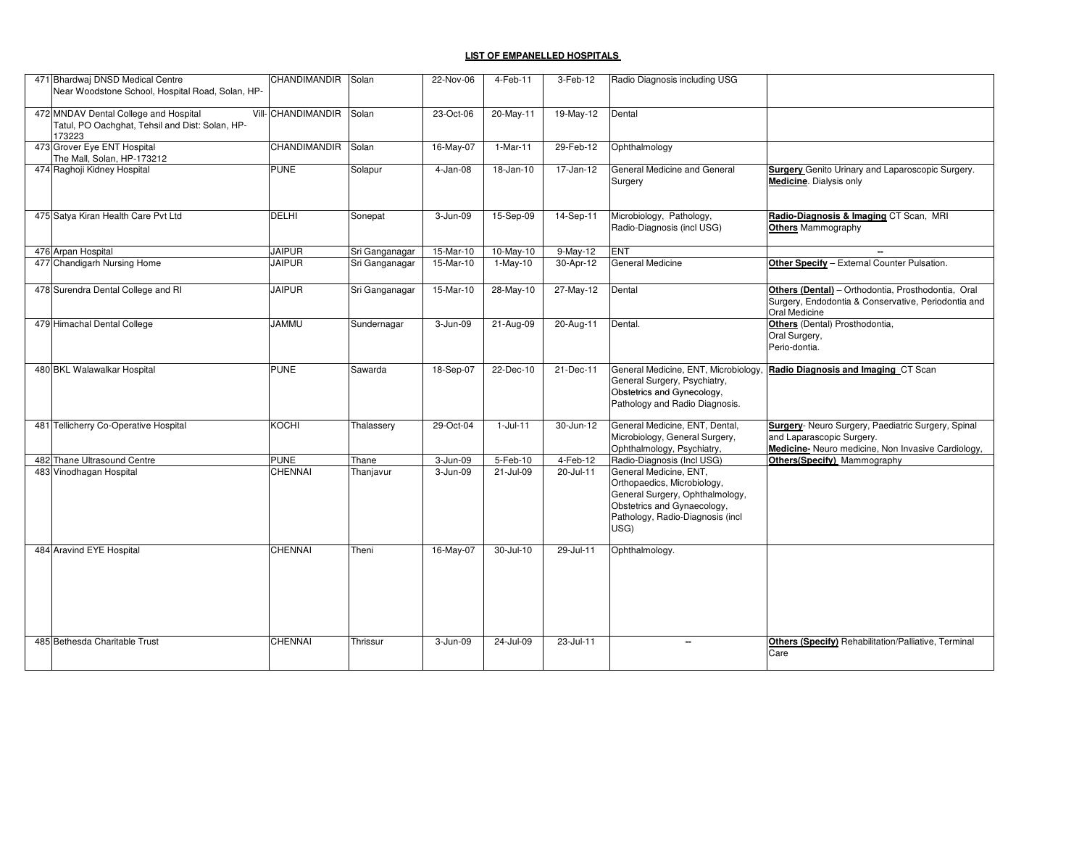| 471 Bhardwaj DNSD Medical Centre<br>Near Woodstone School, Hospital Road, Solan, HP-               | CHANDIMANDIR Solan        |                | 22-Nov-06 | 4-Feb-11    | 3-Feb-12   | Radio Diagnosis including USG                                                                                                                                       |                                                                                                                                       |
|----------------------------------------------------------------------------------------------------|---------------------------|----------------|-----------|-------------|------------|---------------------------------------------------------------------------------------------------------------------------------------------------------------------|---------------------------------------------------------------------------------------------------------------------------------------|
| 472 MNDAV Dental College and Hospital<br>Tatul, PO Oachghat, Tehsil and Dist: Solan, HP-<br>173223 | <b>Vill- CHANDIMANDIR</b> | Solan          | 23-Oct-06 | 20-May-11   | 19-May-12  | Dental                                                                                                                                                              |                                                                                                                                       |
| 473 Grover Eye ENT Hospital<br>The Mall, Solan, HP-173212                                          | <b>CHANDIMANDIR</b>       | Solan          | 16-May-07 | 1-Mar-11    | 29-Feb-12  | Ophthalmology                                                                                                                                                       |                                                                                                                                       |
| 474 Raghoji Kidney Hospital                                                                        | <b>PUNE</b>               | Solapur        | 4-Jan-08  | 18-Jan-10   | 17-Jan-12  | General Medicine and General<br>Surgery                                                                                                                             | <b>Surgery</b> Genito Urinary and Laparoscopic Surgery.<br>Medicine. Dialysis only                                                    |
| 475 Satya Kiran Health Care Pvt Ltd                                                                | DELHI                     | Sonepat        | 3-Jun-09  | 15-Sep-09   | 14-Sep-11  | Microbiology, Pathology,<br>Radio-Diagnosis (incl USG)                                                                                                              | Radio-Diagnosis & Imaging CT Scan, MRI<br><b>Others</b> Mammography                                                                   |
| 476 Arpan Hospital                                                                                 | <b>JAIPUR</b>             | Sri Ganganagar | 15-Mar-10 | $10-May-10$ | $9-May-12$ | ENT                                                                                                                                                                 | $\overline{a}$                                                                                                                        |
| 477 Chandigarh Nursing Home                                                                        | <b>JAIPUR</b>             | Sri Ganganagar | 15-Mar-10 | $1-May-10$  | 30-Apr-12  | General Medicine                                                                                                                                                    | Other Specify - External Counter Pulsation.                                                                                           |
| 478 Surendra Dental College and RI                                                                 | <b>JAIPUR</b>             | Sri Ganganagar | 15-Mar-10 | 28-May-10   | 27-May-12  | Dental                                                                                                                                                              | Others (Dental) - Orthodontia, Prosthodontia, Oral<br>Surgery, Endodontia & Conservative, Periodontia and<br>Oral Medicine            |
| 479 Himachal Dental College                                                                        | <b>UMMAL</b>              | Sundernagar    | 3-Jun-09  | 21-Aug-09   | 20-Aug-11  | Dental.                                                                                                                                                             | Others (Dental) Prosthodontia,<br>Oral Surgery,<br>Perio-dontia.                                                                      |
| 480 BKL Walawalkar Hospital                                                                        | <b>PUNE</b>               | Sawarda        | 18-Sep-07 | 22-Dec-10   | 21-Dec-11  | General Medicine, ENT, Microbiology,<br>General Surgery, Psychiatry,<br>Obstetrics and Gynecology,<br>Pathology and Radio Diagnosis.                                | Radio Diagnosis and Imaging CT Scan                                                                                                   |
| 481 Tellicherry Co-Operative Hospital                                                              | KOCHI                     | Thalassery     | 29-Oct-04 | $1-Jul-11$  | 30-Jun-12  | General Medicine, ENT, Dental,<br>Microbiology, General Surgery,<br>Ophthalmology, Psychiatry,                                                                      | Surgery- Neuro Surgery, Paediatric Surgery, Spinal<br>and Laparascopic Surgery.<br>Medicine- Neuro medicine, Non Invasive Cardiology, |
| 482 Thane Ultrasound Centre                                                                        | <b>PUNE</b>               | Thane          | 3-Jun-09  | 5-Feb-10    | 4-Feb-12   | Radio-Diagnosis (Incl USG)                                                                                                                                          | Others(Specify) Mammography                                                                                                           |
| 483 Vinodhagan Hospital                                                                            | <b>CHENNAI</b>            | Thanjavur      | 3-Jun-09  | 21-Jul-09   | 20-Jul-11  | General Medicine, ENT,<br>Orthopaedics, Microbiology,<br>General Surgery, Ophthalmology,<br>Obstetrics and Gynaecology,<br>Pathology, Radio-Diagnosis (incl<br>USG) |                                                                                                                                       |
| 484 Aravind EYE Hospital                                                                           | <b>CHENNAI</b>            | Theni          | 16-May-07 | 30-Jul-10   | 29-Jul-11  | Ophthalmology.                                                                                                                                                      |                                                                                                                                       |
| 485 Bethesda Charitable Trust                                                                      | <b>CHENNAI</b>            | Thrissur       | 3-Jun-09  | 24-Jul-09   | 23-Jul-11  | $\sim$                                                                                                                                                              | Others (Specify) Rehabilitation/Palliative, Terminal<br>Care                                                                          |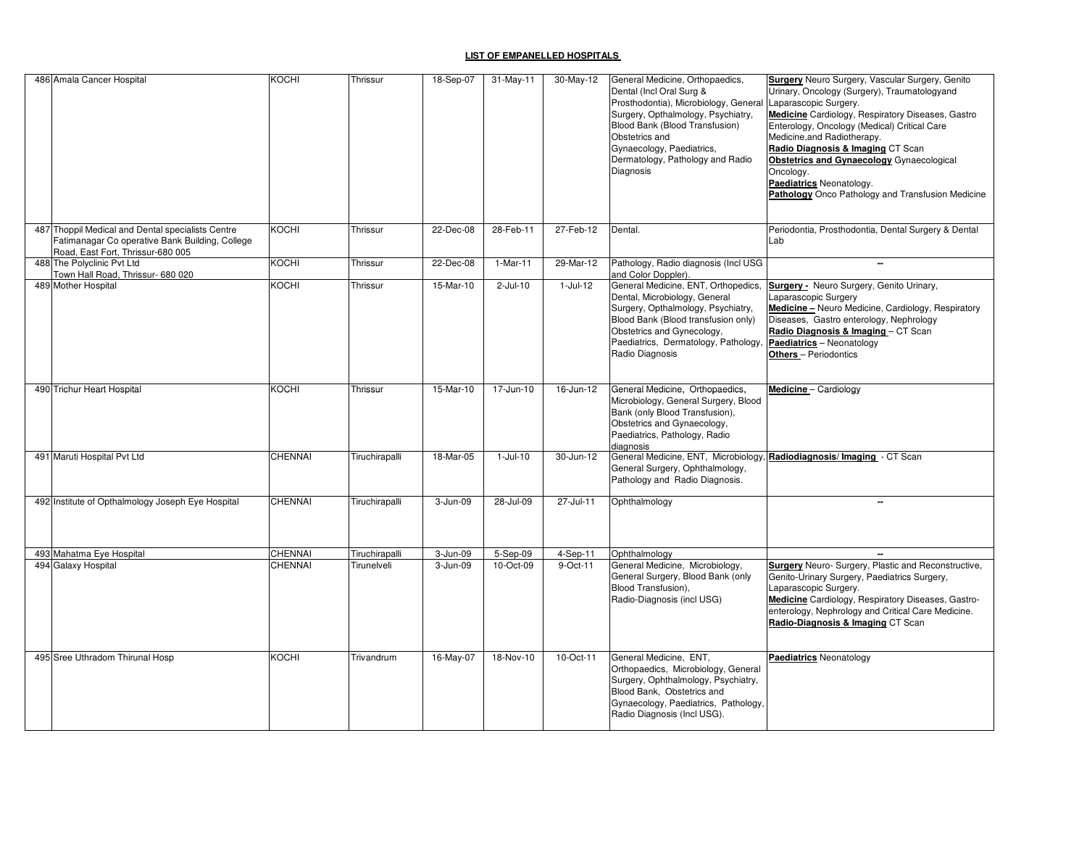| 486 Amala Cancer Hospital                                                                                                                 | KOCHI          | Thrissur       | 18-Sep-07    | 31-May-11   | 30-May-12   | General Medicine, Orthopaedics,<br>Dental (Incl Oral Surg &<br>Prosthodontia), Microbiology, General<br>Surgery, Opthalmology, Psychiatry,<br>Blood Bank (Blood Transfusion)<br>Obstetrics and<br>Gynaecology, Paediatrics,<br>Dermatology, Pathology and Radio<br>Diagnosis | Surgery Neuro Surgery, Vascular Surgery, Genito<br>Urinary, Oncology (Surgery), Traumatologyand<br>Laparascopic Surgery.<br>Medicine Cardiology, Respiratory Diseases, Gastro<br>Enterology, Oncology (Medical) Critical Care<br>Medicine, and Radiotherapy.<br>Radio Diagnosis & Imaging CT Scan<br><b>Obstetrics and Gynaecology Gynaecological</b><br>Oncology.<br>Paediatrics Neonatology.<br>Pathology Onco Pathology and Transfusion Medicine |
|-------------------------------------------------------------------------------------------------------------------------------------------|----------------|----------------|--------------|-------------|-------------|------------------------------------------------------------------------------------------------------------------------------------------------------------------------------------------------------------------------------------------------------------------------------|-----------------------------------------------------------------------------------------------------------------------------------------------------------------------------------------------------------------------------------------------------------------------------------------------------------------------------------------------------------------------------------------------------------------------------------------------------|
| 487 Thoppil Medical and Dental specialists Centre<br>Fatimanagar Co operative Bank Building, College<br>Road, East Fort, Thrissur-680 005 | KOCHI          | Thrissur       | $22$ -Dec-08 | 28-Feb-11   | 27-Feb-12   | Dental.                                                                                                                                                                                                                                                                      | Periodontia, Prosthodontia, Dental Surgery & Dental<br>Lab                                                                                                                                                                                                                                                                                                                                                                                          |
| 488 The Polyclinic Pvt Ltd<br>Town Hall Road, Thrissur- 680 020                                                                           | KOCHI          | Thrissur       | 22-Dec-08    | $1-Mar-11$  | 29-Mar-12   | Pathology, Radio diagnosis (Incl USG<br>and Color Doppler).                                                                                                                                                                                                                  | $\overline{\phantom{a}}$                                                                                                                                                                                                                                                                                                                                                                                                                            |
| 489 Mother Hospital                                                                                                                       | KOCHI          | Thrissur       | 15-Mar-10    | $2$ -Jul-10 | $1-Jul-12$  | General Medicine, ENT, Orthopedics,<br>Dental, Microbiology, General<br>Surgery, Opthalmology, Psychiatry,<br>Blood Bank (Blood transfusion only)<br>Obstetrics and Gynecology,<br>Paediatrics, Dermatology, Pathology,<br>Radio Diagnosis                                   | Surgery - Neuro Surgery, Genito Urinary,<br>Laparascopic Surgery<br>Medicine - Neuro Medicine, Cardiology, Respiratory<br>Diseases, Gastro enterology, Nephrology<br>Radio Diagnosis & Imaging - CT Scan<br>Paediatrics - Neonatology<br><b>Others</b> - Periodontics                                                                                                                                                                               |
| 490 Trichur Heart Hospital                                                                                                                | KOCHI          | Thrissur       | 15-Mar-10    | 17-Jun-10   | 16-Jun-12   | General Medicine, Orthopaedics,<br>Microbiology, General Surgery, Blood<br>Bank (only Blood Transfusion),<br>Obstetrics and Gynaecology,<br>Paediatrics, Pathology, Radio<br>diagnosis                                                                                       | Medicine - Cardiology                                                                                                                                                                                                                                                                                                                                                                                                                               |
| 491 Maruti Hospital Pvt Ltd                                                                                                               | <b>CHENNAI</b> | Tiruchirapalli | 18-Mar-05    | $1-Jul-10$  | 30-Jun-12   | General Surgery, Ophthalmology,<br>Pathology and Radio Diagnosis.                                                                                                                                                                                                            | General Medicine, ENT, Microbiology, Radiodiagnosis/Imaging - CT Scan                                                                                                                                                                                                                                                                                                                                                                               |
| 492 Institute of Opthalmology Joseph Eye Hospital                                                                                         | <b>CHENNAI</b> | Tiruchirapalli | 3-Jun-09     | 28-Jul-09   | 27-Jul-11   | Ophthalmology                                                                                                                                                                                                                                                                | $\sim$                                                                                                                                                                                                                                                                                                                                                                                                                                              |
| 493 Mahatma Eye Hospital                                                                                                                  | <b>CHENNAI</b> | Tiruchirapalli | 3-Jun-09     | $5-$ Sep-09 | 4-Sep-11    | Ophthalmology                                                                                                                                                                                                                                                                |                                                                                                                                                                                                                                                                                                                                                                                                                                                     |
| 494 Galaxy Hospital                                                                                                                       | <b>CHENNAI</b> | Tirunelveli    | $3 - Jun-09$ | 10-Oct-09   | $9$ -Oct-11 | General Medicine, Microbiology,<br>General Surgery, Blood Bank (only<br>Blood Transfusion),<br>Radio-Diagnosis (incl USG)                                                                                                                                                    | Surgery Neuro- Surgery, Plastic and Reconstructive,<br>Genito-Urinary Surgery, Paediatrics Surgery,<br>Laparascopic Surgery.<br>Medicine Cardiology, Respiratory Diseases, Gastro-<br>enterology, Nephrology and Critical Care Medicine.<br>Radio-Diagnosis & Imaging CT Scan                                                                                                                                                                       |
| 495 Sree Uthradom Thirunal Hosp                                                                                                           | KOCHI          | Trivandrum     | 16-May-07    | 18-Nov-10   | 10-Oct-11   | General Medicine. ENT.<br>Orthopaedics, Microbiology, General<br>Surgery, Ophthalmology, Psychiatry,<br>Blood Bank, Obstetrics and<br>Gynaecology, Paediatrics, Pathology,<br>Radio Diagnosis (Incl USG).                                                                    | <b>Paediatrics Neonatology</b>                                                                                                                                                                                                                                                                                                                                                                                                                      |